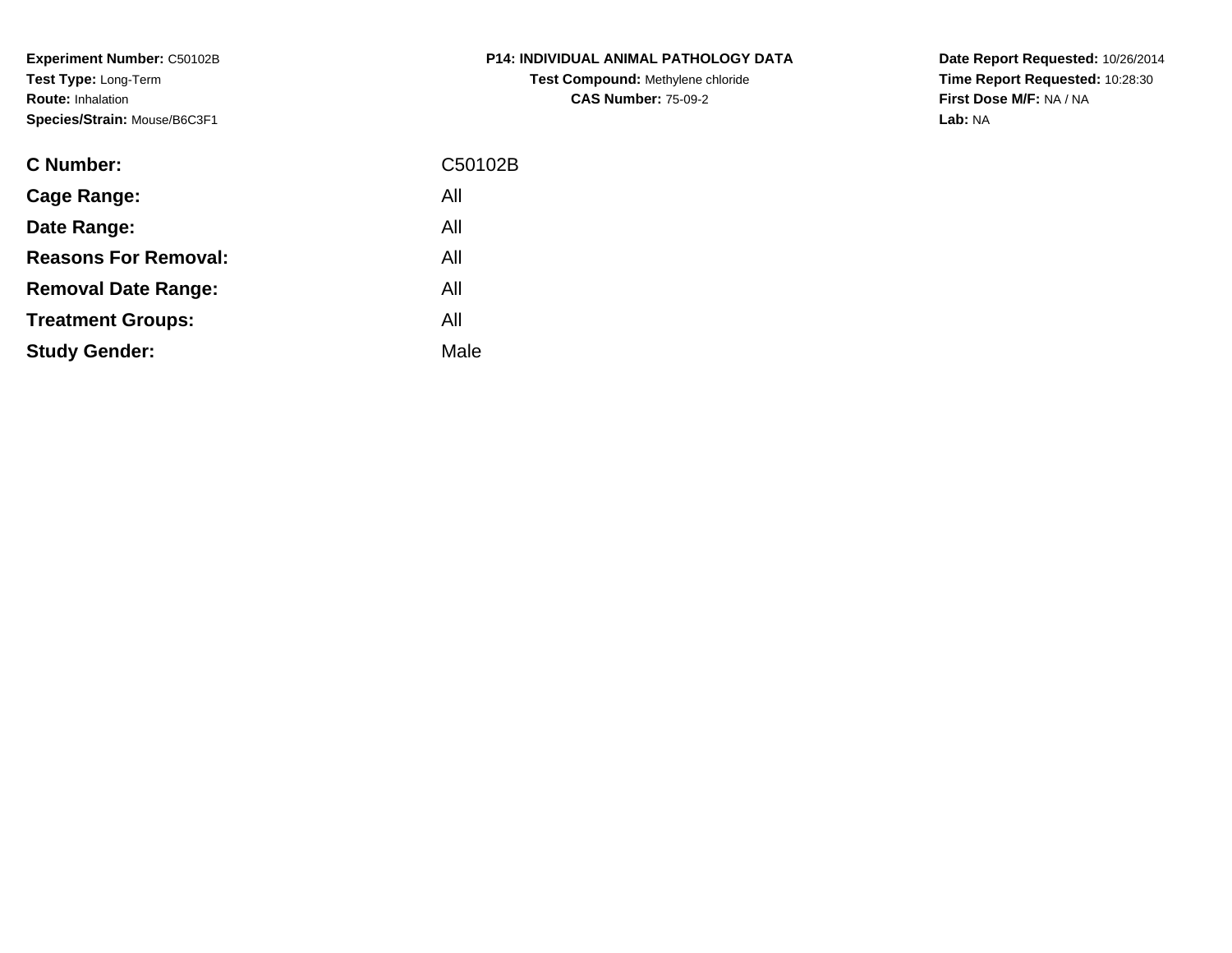**Experiment Number:** C50102B**Test Type:** Long-Term**Route:** Inhalation**Species/Strain:** Mouse/B6C3F1

| <b>C Number:</b>            | C50102B |
|-----------------------------|---------|
| <b>Cage Range:</b>          | All     |
| Date Range:                 | All     |
| <b>Reasons For Removal:</b> | All     |
| <b>Removal Date Range:</b>  | All     |
| <b>Treatment Groups:</b>    | All     |
| <b>Study Gender:</b>        | Male    |
|                             |         |

**P14: INDIVIDUAL ANIMAL PATHOLOGY DATATest Compound:** Methylene chloride**CAS Number:** 75-09-2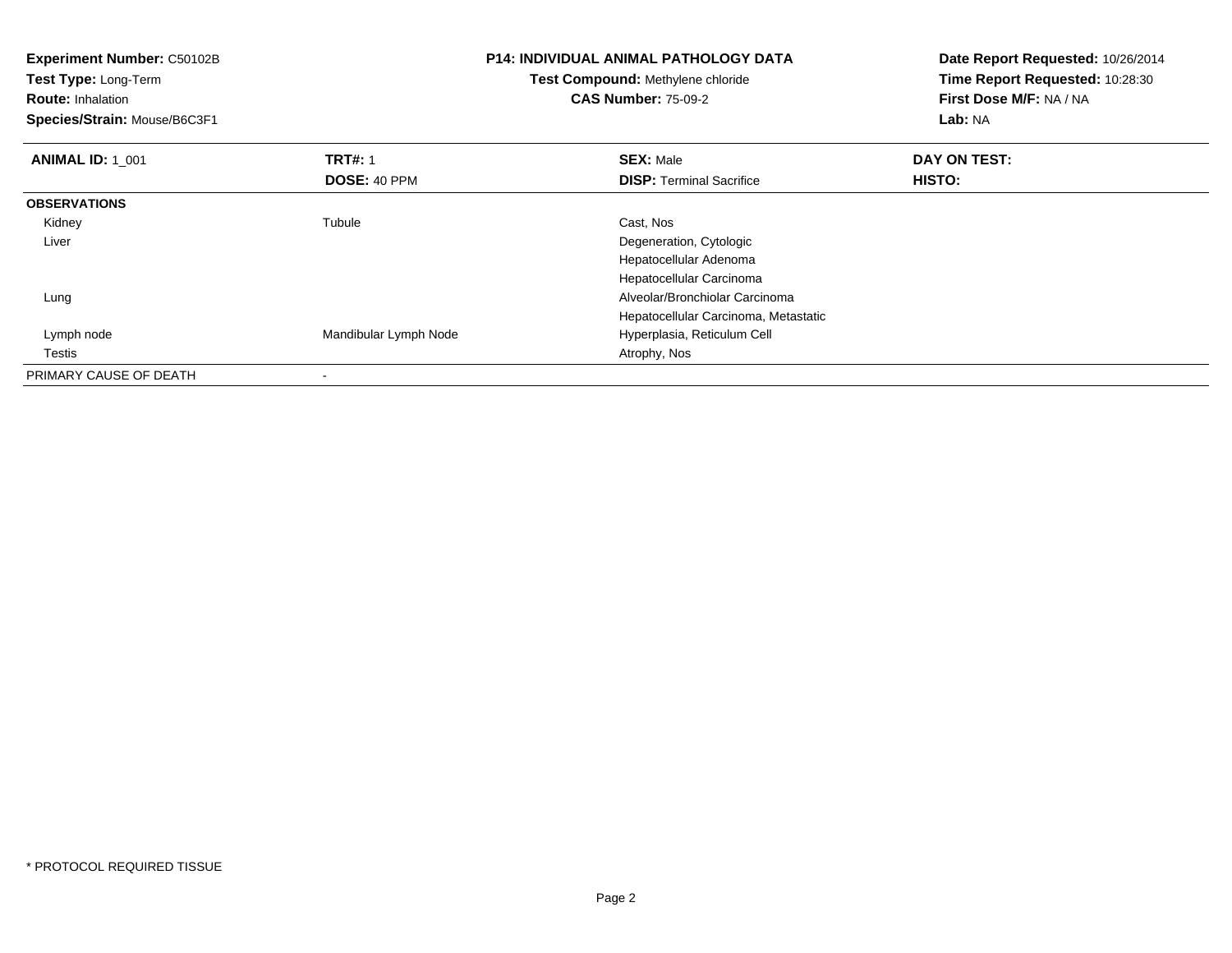| Experiment Number: C50102B<br>Test Type: Long-Term<br><b>Route: Inhalation</b><br>Species/Strain: Mouse/B6C3F1 |                       | <b>P14: INDIVIDUAL ANIMAL PATHOLOGY DATA</b><br><b>Test Compound: Methylene chloride</b><br><b>CAS Number: 75-09-2</b> | Date Report Requested: 10/26/2014<br>Time Report Requested: 10:28:30<br>First Dose M/F: NA / NA<br>Lab: NA |
|----------------------------------------------------------------------------------------------------------------|-----------------------|------------------------------------------------------------------------------------------------------------------------|------------------------------------------------------------------------------------------------------------|
| <b>ANIMAL ID: 1 001</b>                                                                                        | <b>TRT#: 1</b>        | <b>SEX: Male</b>                                                                                                       | DAY ON TEST:                                                                                               |
|                                                                                                                | DOSE: 40 PPM          | <b>DISP:</b> Terminal Sacrifice                                                                                        | HISTO:                                                                                                     |
| <b>OBSERVATIONS</b>                                                                                            |                       |                                                                                                                        |                                                                                                            |
| Kidney                                                                                                         | Tubule                | Cast, Nos                                                                                                              |                                                                                                            |
| Liver                                                                                                          |                       | Degeneration, Cytologic                                                                                                |                                                                                                            |
|                                                                                                                |                       | Hepatocellular Adenoma                                                                                                 |                                                                                                            |
|                                                                                                                |                       | Hepatocellular Carcinoma                                                                                               |                                                                                                            |
| Lung                                                                                                           |                       | Alveolar/Bronchiolar Carcinoma                                                                                         |                                                                                                            |
|                                                                                                                |                       | Hepatocellular Carcinoma, Metastatic                                                                                   |                                                                                                            |
| Lymph node                                                                                                     | Mandibular Lymph Node | Hyperplasia, Reticulum Cell                                                                                            |                                                                                                            |
| Testis                                                                                                         |                       | Atrophy, Nos                                                                                                           |                                                                                                            |
| PRIMARY CAUSE OF DEATH                                                                                         |                       |                                                                                                                        |                                                                                                            |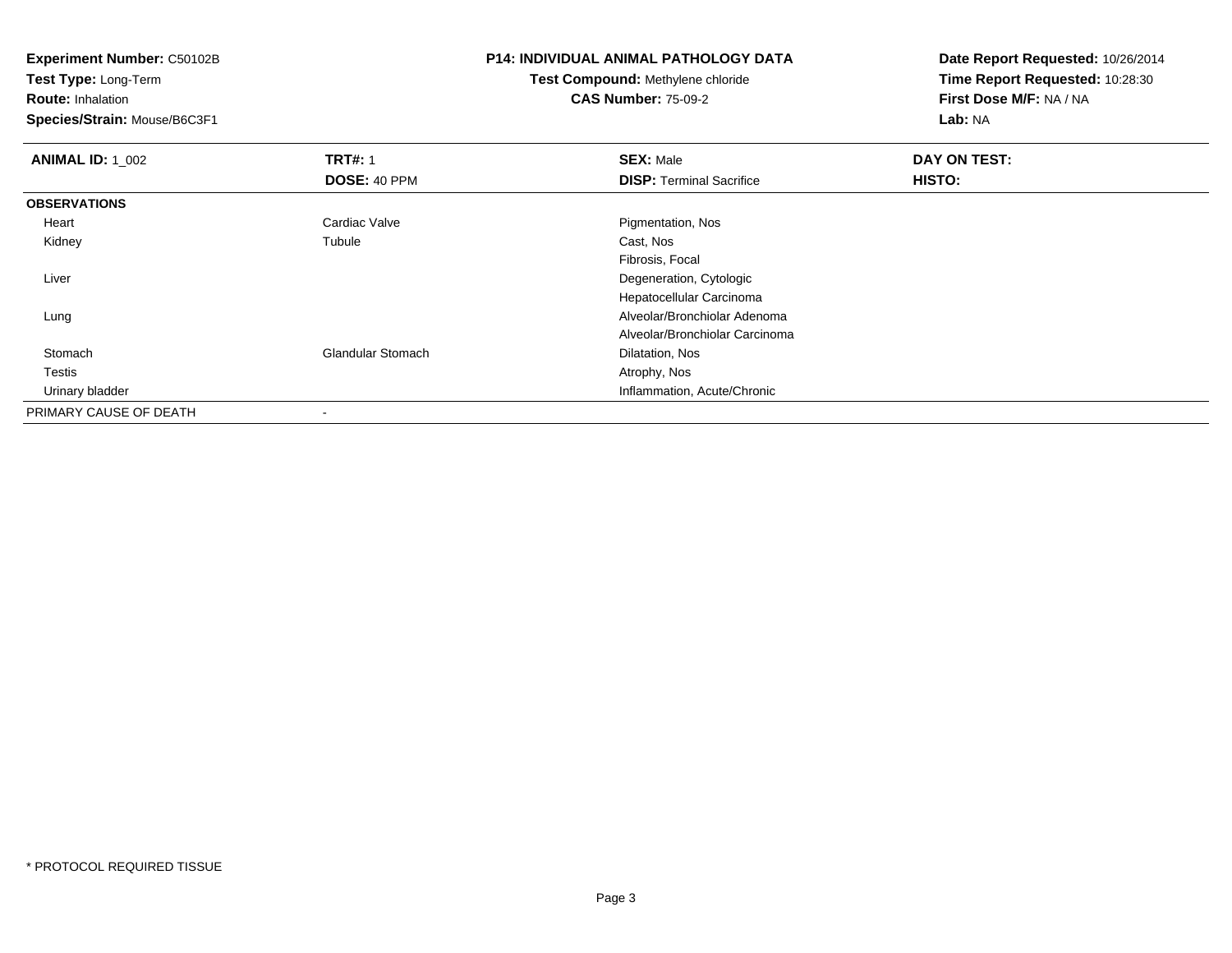**Test Type:** Long-Term

**Route:** Inhalation

**Species/Strain:** Mouse/B6C3F1

# **P14: INDIVIDUAL ANIMAL PATHOLOGY DATA**

#### **Test Compound:** Methylene chloride**CAS Number:** 75-09-2

| <b>ANIMAL ID: 1_002</b> | <b>TRT#: 1</b>           | <b>SEX: Male</b>                | DAY ON TEST: |  |
|-------------------------|--------------------------|---------------------------------|--------------|--|
|                         | DOSE: 40 PPM             | <b>DISP: Terminal Sacrifice</b> | HISTO:       |  |
| <b>OBSERVATIONS</b>     |                          |                                 |              |  |
| Heart                   | Cardiac Valve            | Pigmentation, Nos               |              |  |
| Kidney                  | Tubule                   | Cast, Nos                       |              |  |
|                         |                          | Fibrosis, Focal                 |              |  |
| Liver                   |                          | Degeneration, Cytologic         |              |  |
|                         |                          | Hepatocellular Carcinoma        |              |  |
| Lung                    |                          | Alveolar/Bronchiolar Adenoma    |              |  |
|                         |                          | Alveolar/Bronchiolar Carcinoma  |              |  |
| Stomach                 | <b>Glandular Stomach</b> | Dilatation, Nos                 |              |  |
| Testis                  |                          | Atrophy, Nos                    |              |  |
| Urinary bladder         |                          | Inflammation, Acute/Chronic     |              |  |
| PRIMARY CAUSE OF DEATH  |                          |                                 |              |  |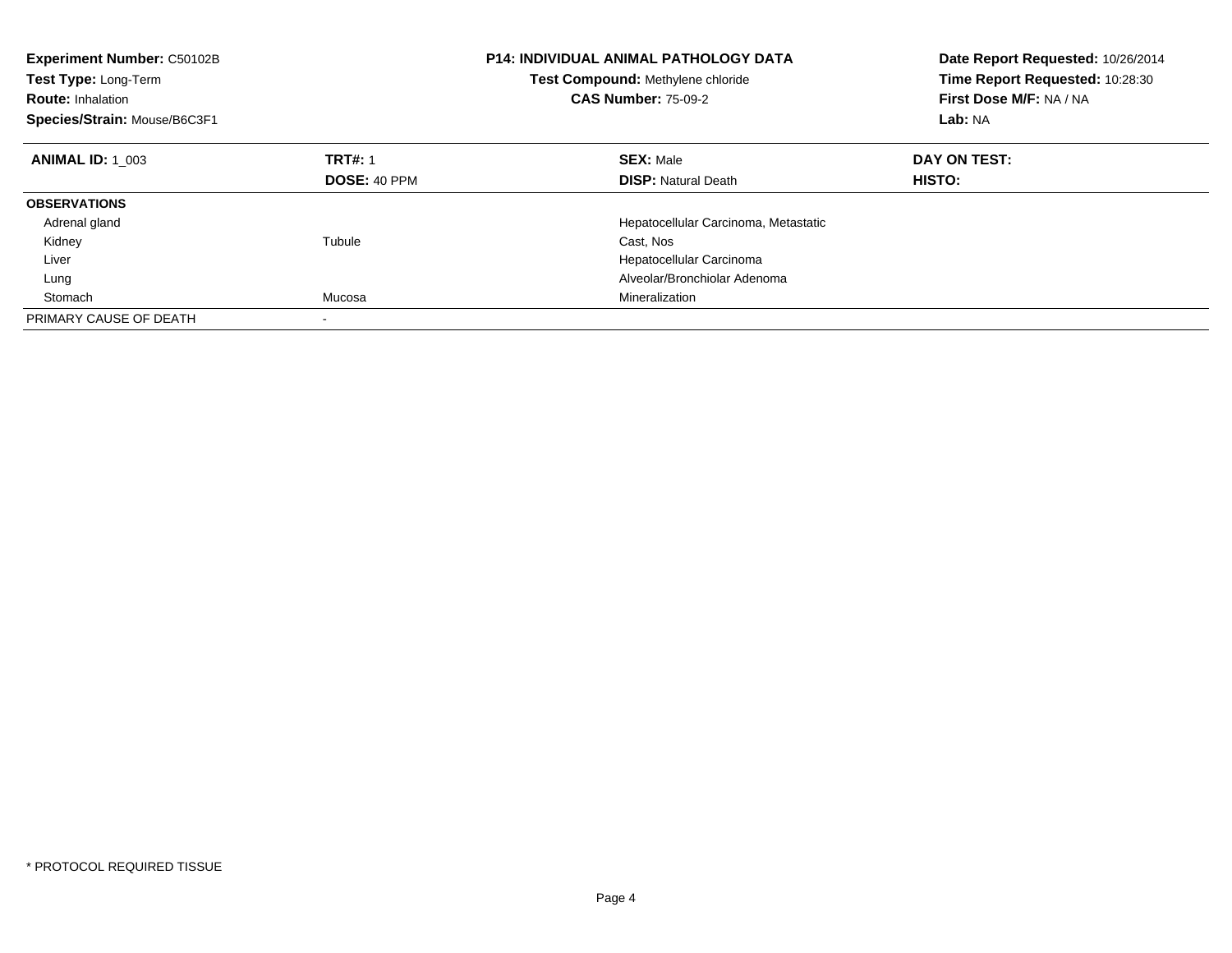| Experiment Number: C50102B<br>Test Type: Long-Term<br><b>Route: Inhalation</b><br>Species/Strain: Mouse/B6C3F1 |                     | <b>P14: INDIVIDUAL ANIMAL PATHOLOGY DATA</b><br>Test Compound: Methylene chloride<br><b>CAS Number: 75-09-2</b> | Date Report Requested: 10/26/2014<br>Time Report Requested: 10:28:30<br>First Dose M/F: NA / NA<br>Lab: NA |
|----------------------------------------------------------------------------------------------------------------|---------------------|-----------------------------------------------------------------------------------------------------------------|------------------------------------------------------------------------------------------------------------|
| <b>ANIMAL ID: 1 003</b>                                                                                        | <b>TRT#: 1</b>      | <b>SEX: Male</b>                                                                                                | DAY ON TEST:                                                                                               |
|                                                                                                                | <b>DOSE: 40 PPM</b> | <b>DISP:</b> Natural Death                                                                                      | <b>HISTO:</b>                                                                                              |
| <b>OBSERVATIONS</b>                                                                                            |                     |                                                                                                                 |                                                                                                            |
| Adrenal gland                                                                                                  |                     | Hepatocellular Carcinoma, Metastatic                                                                            |                                                                                                            |
| Kidney                                                                                                         | Tubule              | Cast, Nos                                                                                                       |                                                                                                            |
| Liver                                                                                                          |                     | Hepatocellular Carcinoma                                                                                        |                                                                                                            |
| Lung                                                                                                           |                     | Alveolar/Bronchiolar Adenoma                                                                                    |                                                                                                            |
| Stomach                                                                                                        | Mucosa              | Mineralization                                                                                                  |                                                                                                            |
| PRIMARY CAUSE OF DEATH                                                                                         |                     |                                                                                                                 |                                                                                                            |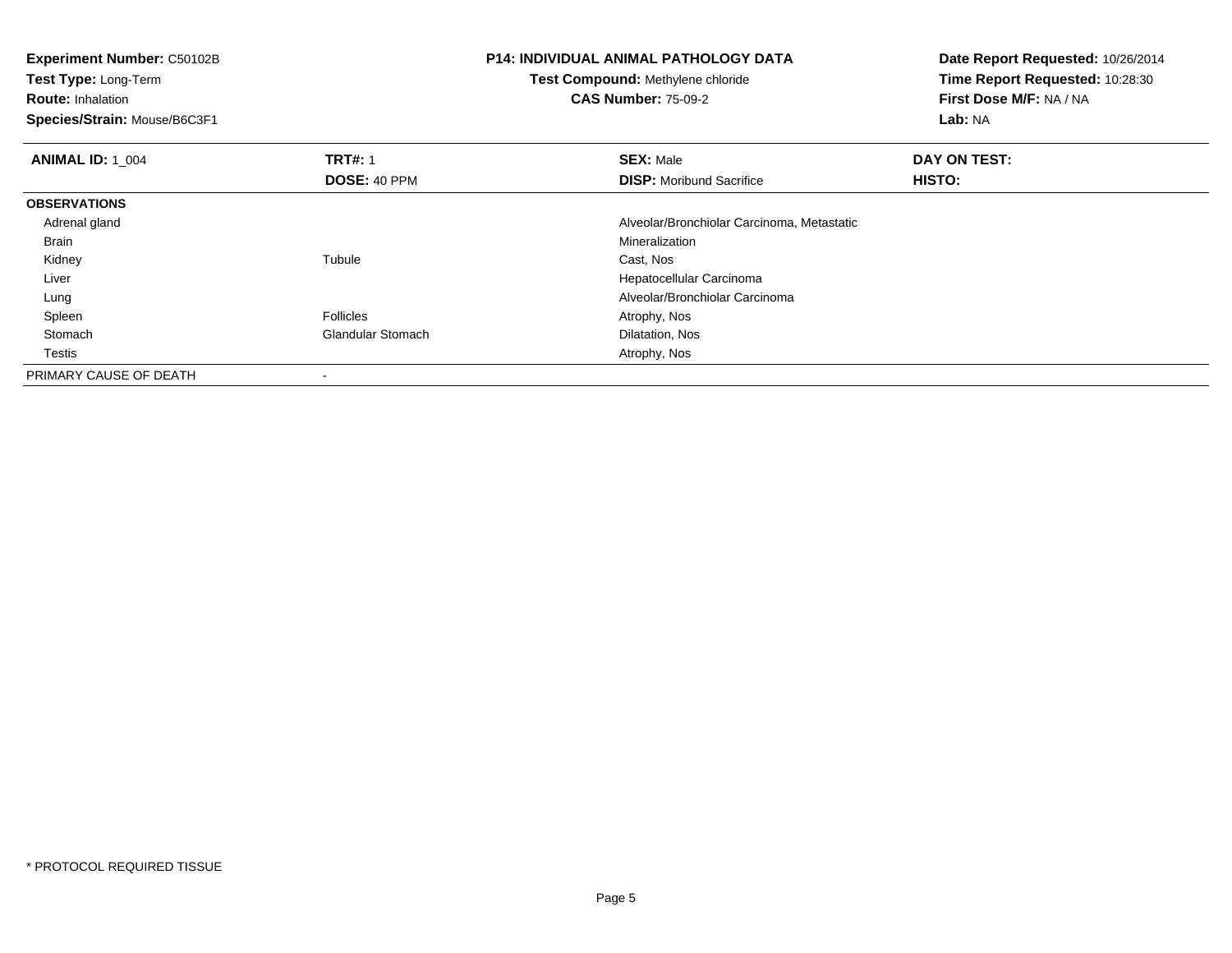**Experiment Number:** C50102B**Test Type:** Long-Term**Route:** Inhalation **Species/Strain:** Mouse/B6C3F1**P14: INDIVIDUAL ANIMAL PATHOLOGY DATATest Compound:** Methylene chloride**CAS Number:** 75-09-2**Date Report Requested:** 10/26/2014**Time Report Requested:** 10:28:30**First Dose M/F:** NA / NA**Lab:** NA**ANIMAL ID: 1\_004 1 TRT#:** 1 **SEX:** Male **DAY ON TEST: DOSE:** 40 PPM**DISP:** Moribund Sacrifice **HISTO: OBSERVATIONS** Adrenal gland Alveolar/Bronchiolar Carcinoma, Metastatic Brainn and the control of the control of the control of the control of the control of the control of the control of the control of the control of the control of the control of the control of the control of the control of the co Kidneyy the contract of the contract of the contract of the contract of the contract of the contract of the contract of the contract of the contract of the contract of the contract of the contract of the contract of the contract Tubule **Cast, Nos**  Liver Hepatocellular Carcinoma Alveolar/Bronchiolar Carcinoma Lung Spleenn and the settlement of the Follicles and the Follicles and the Second Muslim of Atrophy, Nos StomachGlandular Stomach **Dilatation**, Nos **Testis**  Atrophy, Nos PRIMARY CAUSE OF DEATH-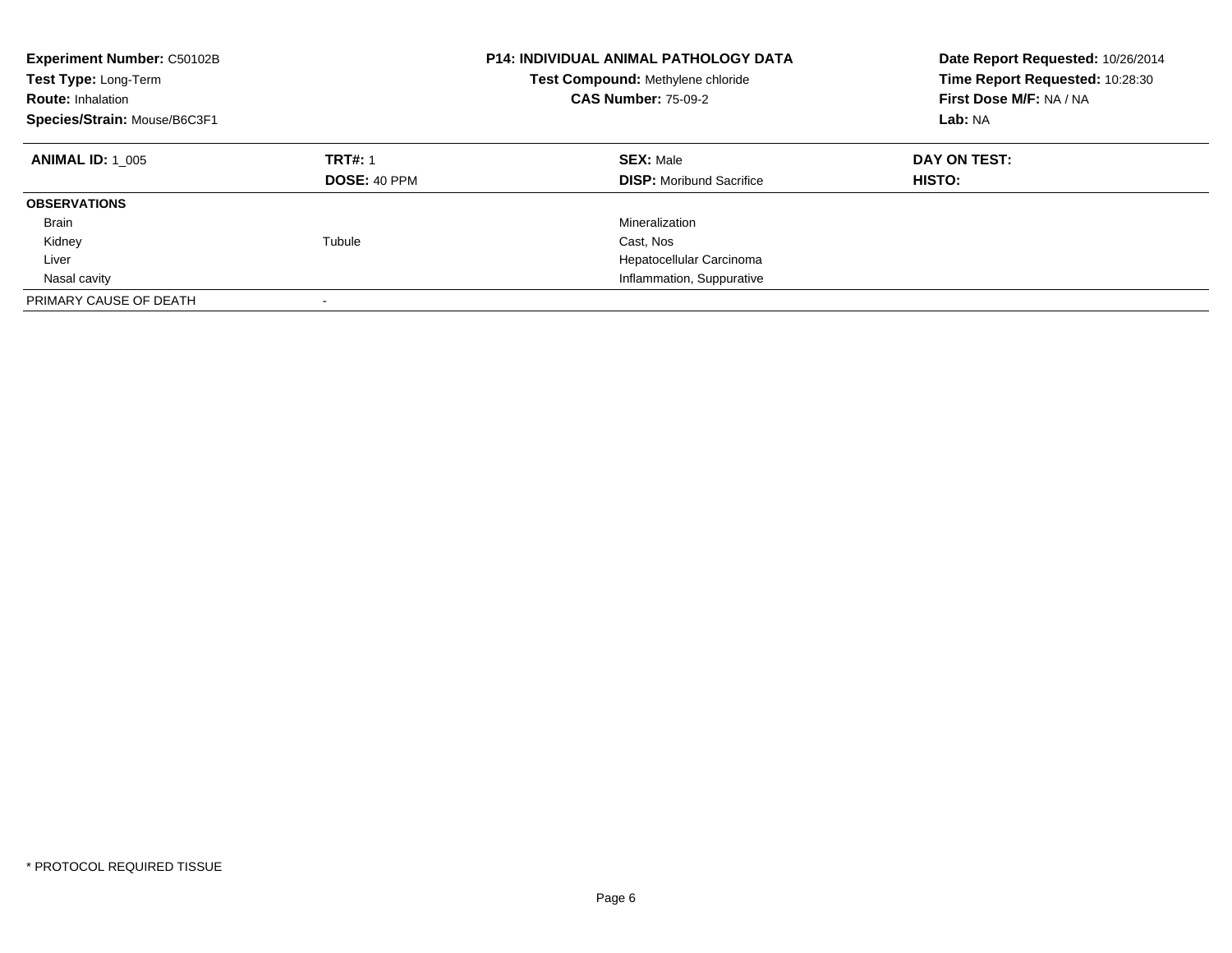| <b>Experiment Number: C50102B</b><br>Test Type: Long-Term<br><b>Route: Inhalation</b><br>Species/Strain: Mouse/B6C3F1 |                                       | P14: INDIVIDUAL ANIMAL PATHOLOGY DATA<br>Test Compound: Methylene chloride<br><b>CAS Number: 75-09-2</b> | Date Report Requested: 10/26/2014<br>Time Report Requested: 10:28:30<br>First Dose M/F: NA / NA<br>Lab: NA |
|-----------------------------------------------------------------------------------------------------------------------|---------------------------------------|----------------------------------------------------------------------------------------------------------|------------------------------------------------------------------------------------------------------------|
| <b>ANIMAL ID: 1 005</b>                                                                                               | <b>TRT#: 1</b><br><b>DOSE: 40 PPM</b> | <b>SEX: Male</b><br><b>DISP:</b> Moribund Sacrifice                                                      | DAY ON TEST:<br><b>HISTO:</b>                                                                              |
| <b>OBSERVATIONS</b>                                                                                                   |                                       |                                                                                                          |                                                                                                            |
| Brain                                                                                                                 |                                       | Mineralization                                                                                           |                                                                                                            |
| Kidney                                                                                                                | Tubule                                | Cast, Nos                                                                                                |                                                                                                            |
| Liver                                                                                                                 |                                       | Hepatocellular Carcinoma                                                                                 |                                                                                                            |
| Nasal cavity                                                                                                          |                                       | Inflammation, Suppurative                                                                                |                                                                                                            |
| PRIMARY CAUSE OF DEATH                                                                                                |                                       |                                                                                                          |                                                                                                            |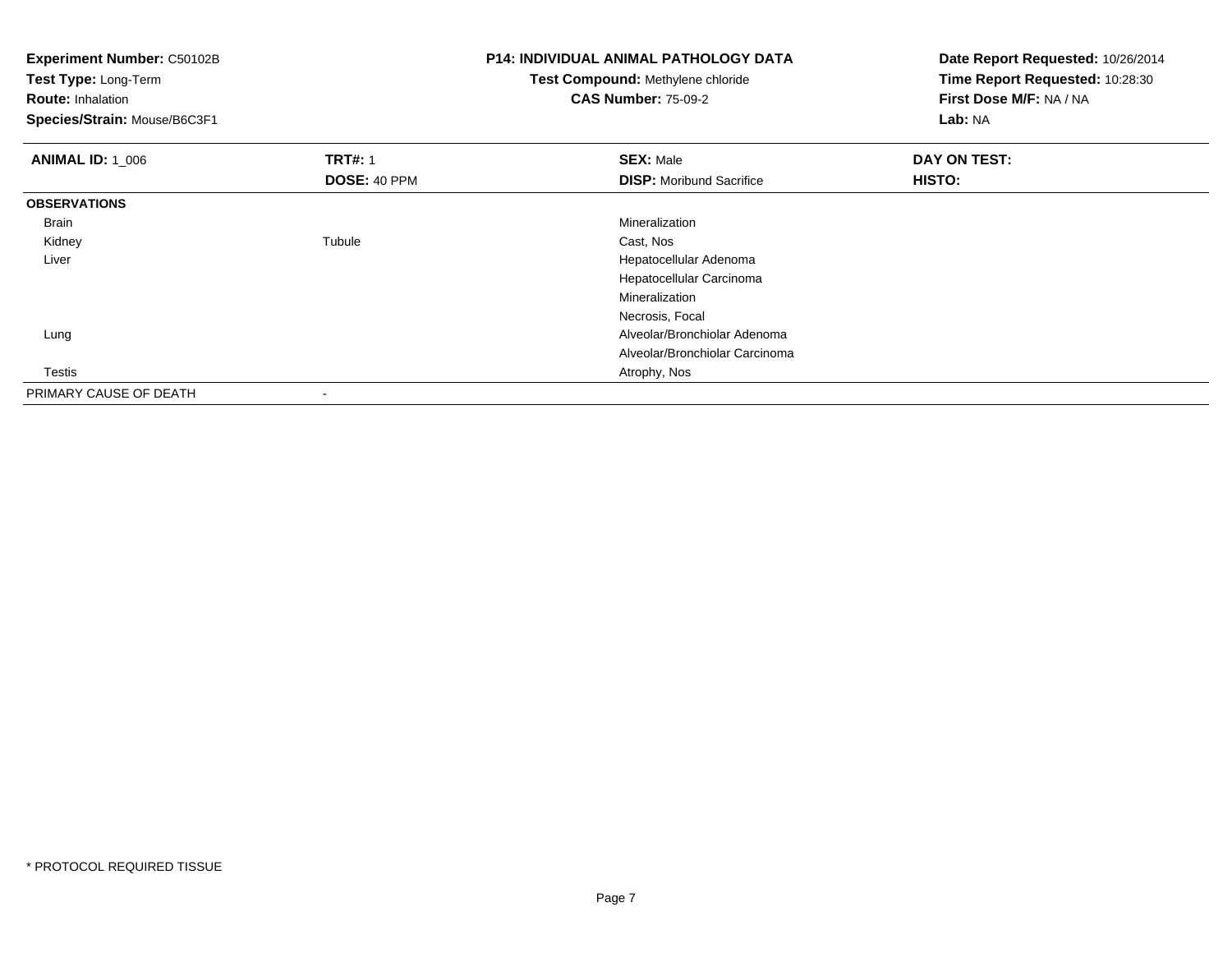| <b>Experiment Number: C50102B</b> |                | <b>P14: INDIVIDUAL ANIMAL PATHOLOGY DATA</b> | Date Report Requested: 10/26/2014 |
|-----------------------------------|----------------|----------------------------------------------|-----------------------------------|
| Test Type: Long-Term              |                | Test Compound: Methylene chloride            | Time Report Requested: 10:28:30   |
| <b>Route: Inhalation</b>          |                | <b>CAS Number: 75-09-2</b>                   | First Dose M/F: NA / NA           |
| Species/Strain: Mouse/B6C3F1      |                |                                              | Lab: NA                           |
| <b>ANIMAL ID: 1_006</b>           | <b>TRT#: 1</b> | <b>SEX: Male</b>                             | DAY ON TEST:                      |
|                                   | DOSE: 40 PPM   | <b>DISP:</b> Moribund Sacrifice              | HISTO:                            |
| <b>OBSERVATIONS</b>               |                |                                              |                                   |
| Brain                             |                | Mineralization                               |                                   |
| Kidney                            | Tubule         | Cast, Nos                                    |                                   |
| Liver                             |                | Hepatocellular Adenoma                       |                                   |
|                                   |                | Hepatocellular Carcinoma                     |                                   |
|                                   |                | Mineralization                               |                                   |
|                                   |                | Necrosis, Focal                              |                                   |
| Lung                              |                | Alveolar/Bronchiolar Adenoma                 |                                   |
|                                   |                | Alveolar/Bronchiolar Carcinoma               |                                   |
| Testis                            |                | Atrophy, Nos                                 |                                   |
| PRIMARY CAUSE OF DEATH            |                |                                              |                                   |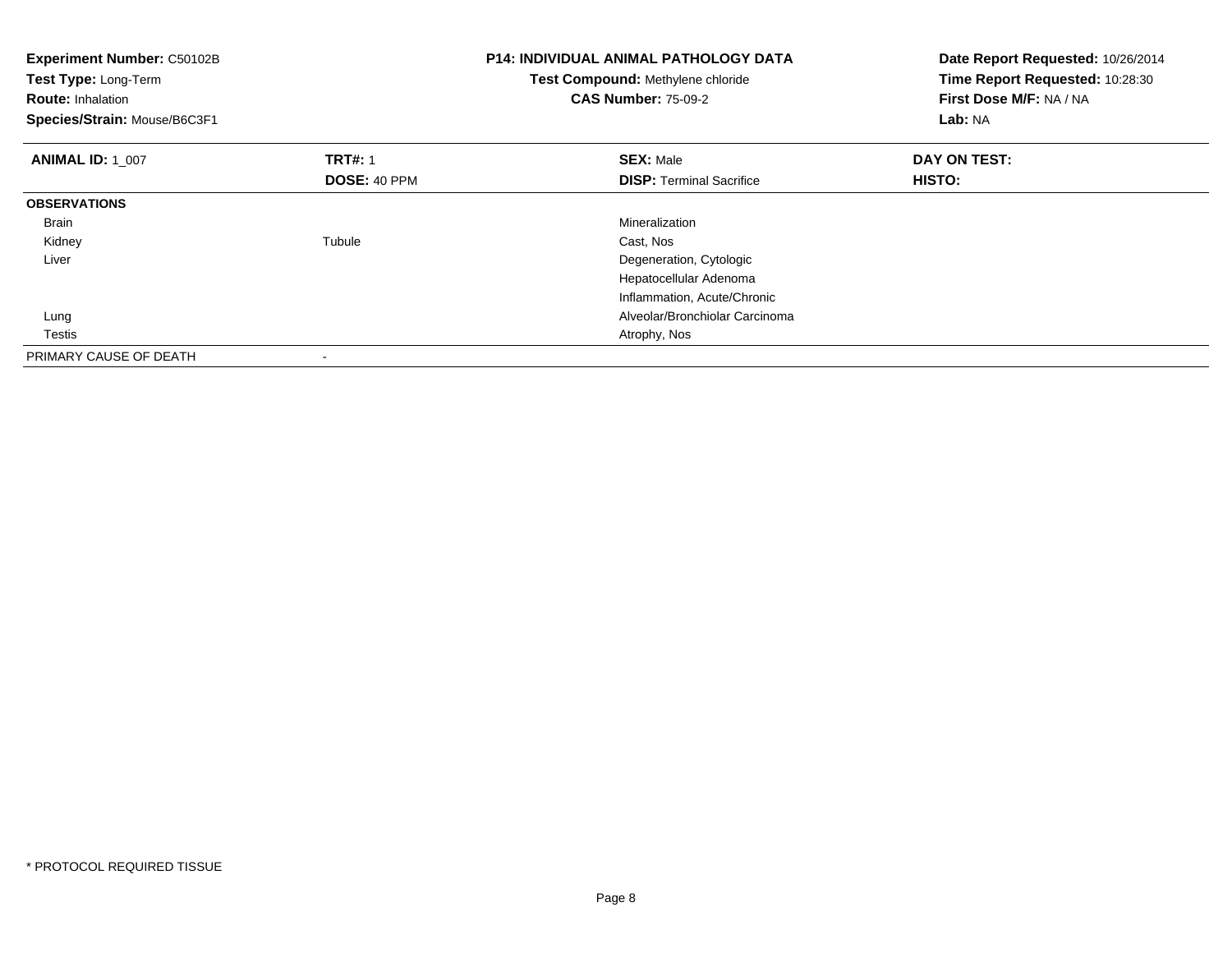| Experiment Number: C50102B<br>Test Type: Long-Term<br><b>Route: Inhalation</b><br>Species/Strain: Mouse/B6C3F1 |                                       | <b>P14: INDIVIDUAL ANIMAL PATHOLOGY DATA</b><br>Test Compound: Methylene chloride<br><b>CAS Number: 75-09-2</b> | Date Report Requested: 10/26/2014<br>Time Report Requested: 10:28:30<br>First Dose M/F: NA / NA<br>Lab: NA |
|----------------------------------------------------------------------------------------------------------------|---------------------------------------|-----------------------------------------------------------------------------------------------------------------|------------------------------------------------------------------------------------------------------------|
| <b>ANIMAL ID: 1 007</b>                                                                                        | <b>TRT#: 1</b><br><b>DOSE: 40 PPM</b> | <b>SEX: Male</b><br><b>DISP:</b> Terminal Sacrifice                                                             | DAY ON TEST:<br>HISTO:                                                                                     |
| <b>OBSERVATIONS</b>                                                                                            |                                       |                                                                                                                 |                                                                                                            |
|                                                                                                                |                                       |                                                                                                                 |                                                                                                            |
| Brain                                                                                                          |                                       | Mineralization                                                                                                  |                                                                                                            |
| Kidney                                                                                                         | Tubule                                | Cast, Nos                                                                                                       |                                                                                                            |
| Liver                                                                                                          |                                       | Degeneration, Cytologic                                                                                         |                                                                                                            |
|                                                                                                                |                                       | Hepatocellular Adenoma                                                                                          |                                                                                                            |
|                                                                                                                |                                       | Inflammation, Acute/Chronic                                                                                     |                                                                                                            |
| Lung                                                                                                           |                                       | Alveolar/Bronchiolar Carcinoma                                                                                  |                                                                                                            |
| Testis                                                                                                         |                                       | Atrophy, Nos                                                                                                    |                                                                                                            |
| PRIMARY CAUSE OF DEATH                                                                                         |                                       |                                                                                                                 |                                                                                                            |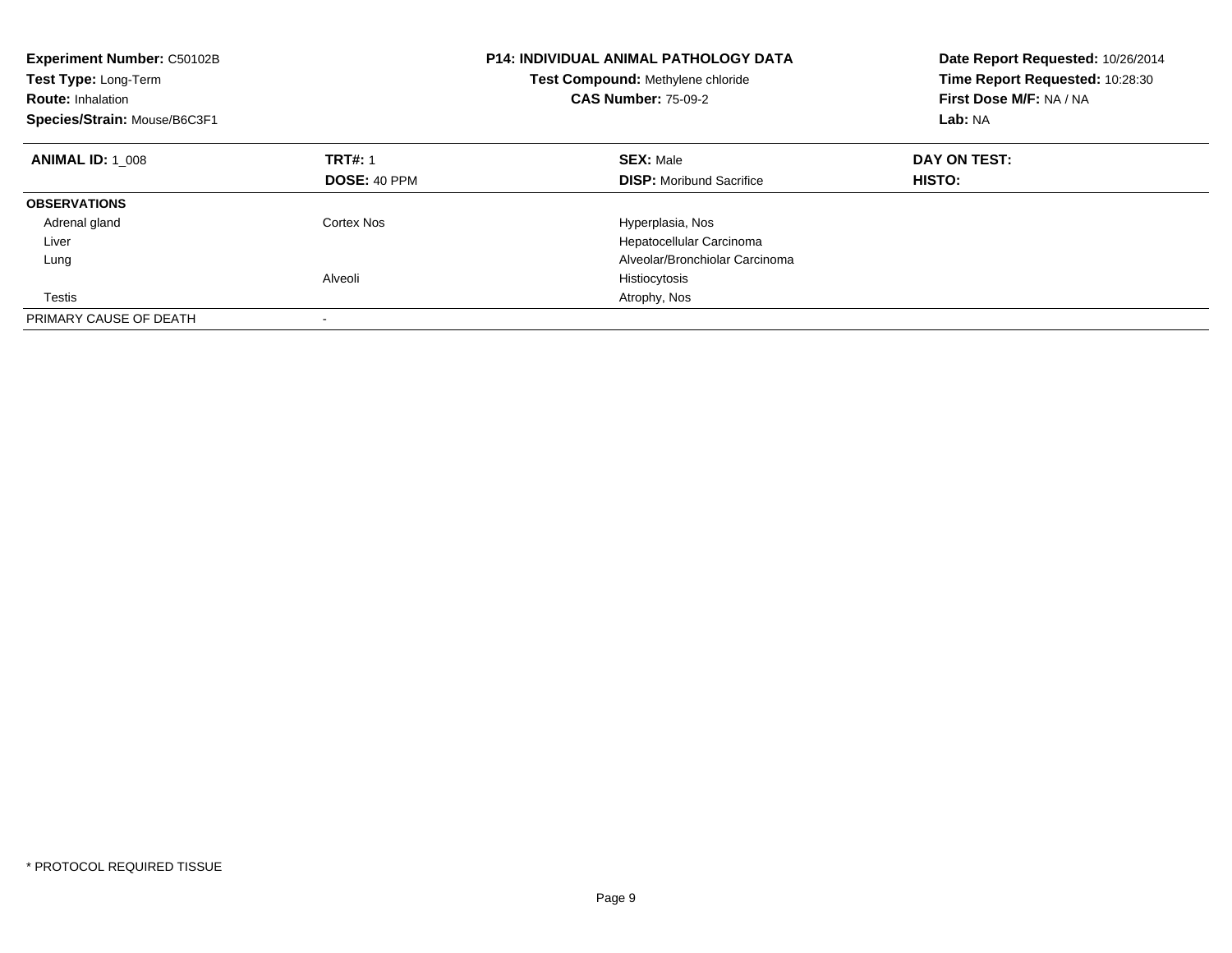| <b>Experiment Number: C50102B</b><br>Test Type: Long-Term<br><b>Route: Inhalation</b><br>Species/Strain: Mouse/B6C3F1 |                     | <b>P14: INDIVIDUAL ANIMAL PATHOLOGY DATA</b><br>Test Compound: Methylene chloride<br><b>CAS Number: 75-09-2</b> | Date Report Requested: 10/26/2014<br>Time Report Requested: 10:28:30<br>First Dose M/F: NA / NA<br>Lab: NA |
|-----------------------------------------------------------------------------------------------------------------------|---------------------|-----------------------------------------------------------------------------------------------------------------|------------------------------------------------------------------------------------------------------------|
| <b>ANIMAL ID: 1 008</b>                                                                                               | <b>TRT#: 1</b>      | <b>SEX: Male</b>                                                                                                | DAY ON TEST:                                                                                               |
|                                                                                                                       | <b>DOSE: 40 PPM</b> | <b>DISP:</b> Moribund Sacrifice                                                                                 | HISTO:                                                                                                     |
| <b>OBSERVATIONS</b>                                                                                                   |                     |                                                                                                                 |                                                                                                            |
| Adrenal gland                                                                                                         | Cortex Nos          | Hyperplasia, Nos                                                                                                |                                                                                                            |
| Liver                                                                                                                 |                     | Hepatocellular Carcinoma                                                                                        |                                                                                                            |
| Lung                                                                                                                  |                     | Alveolar/Bronchiolar Carcinoma                                                                                  |                                                                                                            |
|                                                                                                                       | Alveoli             | Histiocytosis                                                                                                   |                                                                                                            |
| Testis                                                                                                                |                     | Atrophy, Nos                                                                                                    |                                                                                                            |
| PRIMARY CAUSE OF DEATH                                                                                                |                     |                                                                                                                 |                                                                                                            |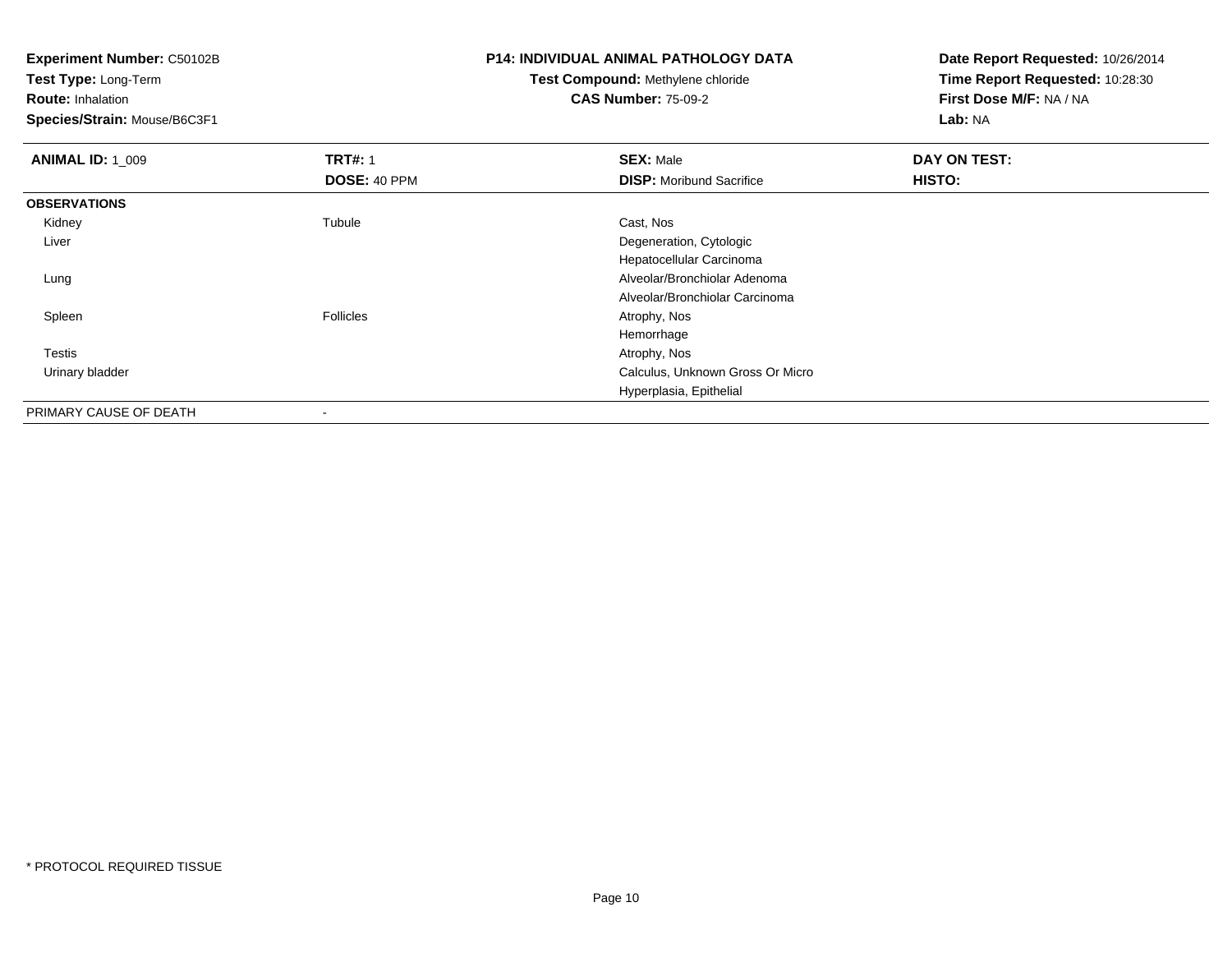**Test Type:** Long-Term

**Route:** Inhalation

**Species/Strain:** Mouse/B6C3F1

# **P14: INDIVIDUAL ANIMAL PATHOLOGY DATA**

#### **Test Compound:** Methylene chloride**CAS Number:** 75-09-2

| <b>ANIMAL ID: 1 009</b> | <b>TRT#: 1</b>   | <b>SEX: Male</b>                 | DAY ON TEST: |  |
|-------------------------|------------------|----------------------------------|--------------|--|
|                         | DOSE: 40 PPM     | <b>DISP:</b> Moribund Sacrifice  | HISTO:       |  |
| <b>OBSERVATIONS</b>     |                  |                                  |              |  |
| Kidney                  | Tubule           | Cast, Nos                        |              |  |
| Liver                   |                  | Degeneration, Cytologic          |              |  |
|                         |                  | Hepatocellular Carcinoma         |              |  |
| Lung                    |                  | Alveolar/Bronchiolar Adenoma     |              |  |
|                         |                  | Alveolar/Bronchiolar Carcinoma   |              |  |
| Spleen                  | <b>Follicles</b> | Atrophy, Nos                     |              |  |
|                         |                  | Hemorrhage                       |              |  |
| Testis                  |                  | Atrophy, Nos                     |              |  |
| Urinary bladder         |                  | Calculus, Unknown Gross Or Micro |              |  |
|                         |                  | Hyperplasia, Epithelial          |              |  |
| PRIMARY CAUSE OF DEATH  |                  |                                  |              |  |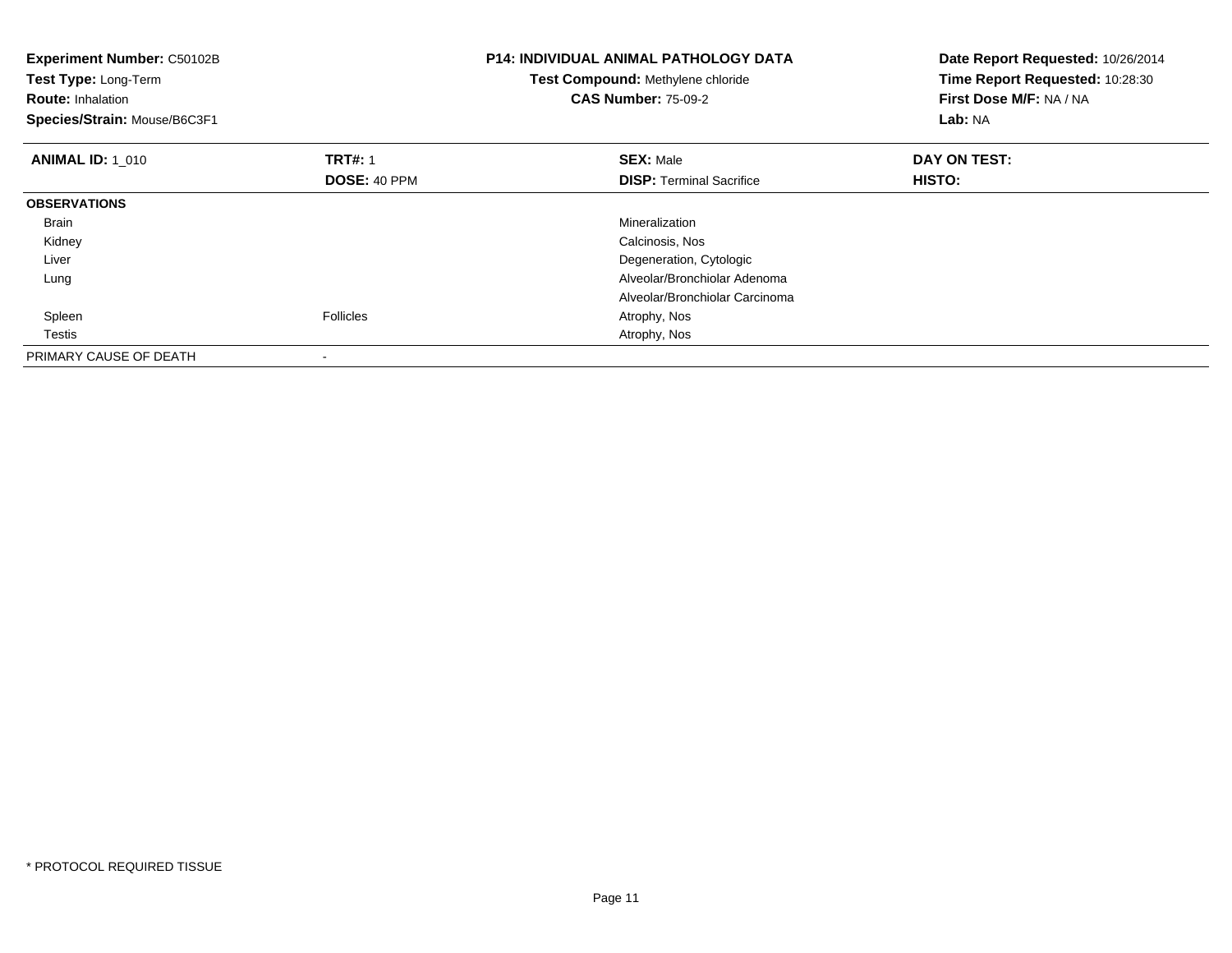| Experiment Number: C50102B<br>Test Type: Long-Term<br><b>Route: Inhalation</b><br>Species/Strain: Mouse/B6C3F1 |                                | <b>P14: INDIVIDUAL ANIMAL PATHOLOGY DATA</b><br>Test Compound: Methylene chloride<br><b>CAS Number: 75-09-2</b> | Date Report Requested: 10/26/2014<br>Time Report Requested: 10:28:30<br>First Dose M/F: NA / NA<br><b>Lab: NA</b> |
|----------------------------------------------------------------------------------------------------------------|--------------------------------|-----------------------------------------------------------------------------------------------------------------|-------------------------------------------------------------------------------------------------------------------|
| <b>ANIMAL ID: 1 010</b>                                                                                        | <b>TRT#: 1</b><br>DOSE: 40 PPM | <b>SEX: Male</b><br><b>DISP:</b> Terminal Sacrifice                                                             | DAY ON TEST:<br>HISTO:                                                                                            |
| <b>OBSERVATIONS</b>                                                                                            |                                |                                                                                                                 |                                                                                                                   |
| <b>Brain</b>                                                                                                   |                                | Mineralization                                                                                                  |                                                                                                                   |
| Kidney                                                                                                         |                                | Calcinosis, Nos                                                                                                 |                                                                                                                   |
| Liver                                                                                                          |                                | Degeneration, Cytologic                                                                                         |                                                                                                                   |
| Lung                                                                                                           |                                | Alveolar/Bronchiolar Adenoma                                                                                    |                                                                                                                   |
|                                                                                                                |                                | Alveolar/Bronchiolar Carcinoma                                                                                  |                                                                                                                   |
| Spleen                                                                                                         | Follicles                      | Atrophy, Nos                                                                                                    |                                                                                                                   |
| Testis                                                                                                         |                                | Atrophy, Nos                                                                                                    |                                                                                                                   |
| PRIMARY CAUSE OF DEATH                                                                                         |                                |                                                                                                                 |                                                                                                                   |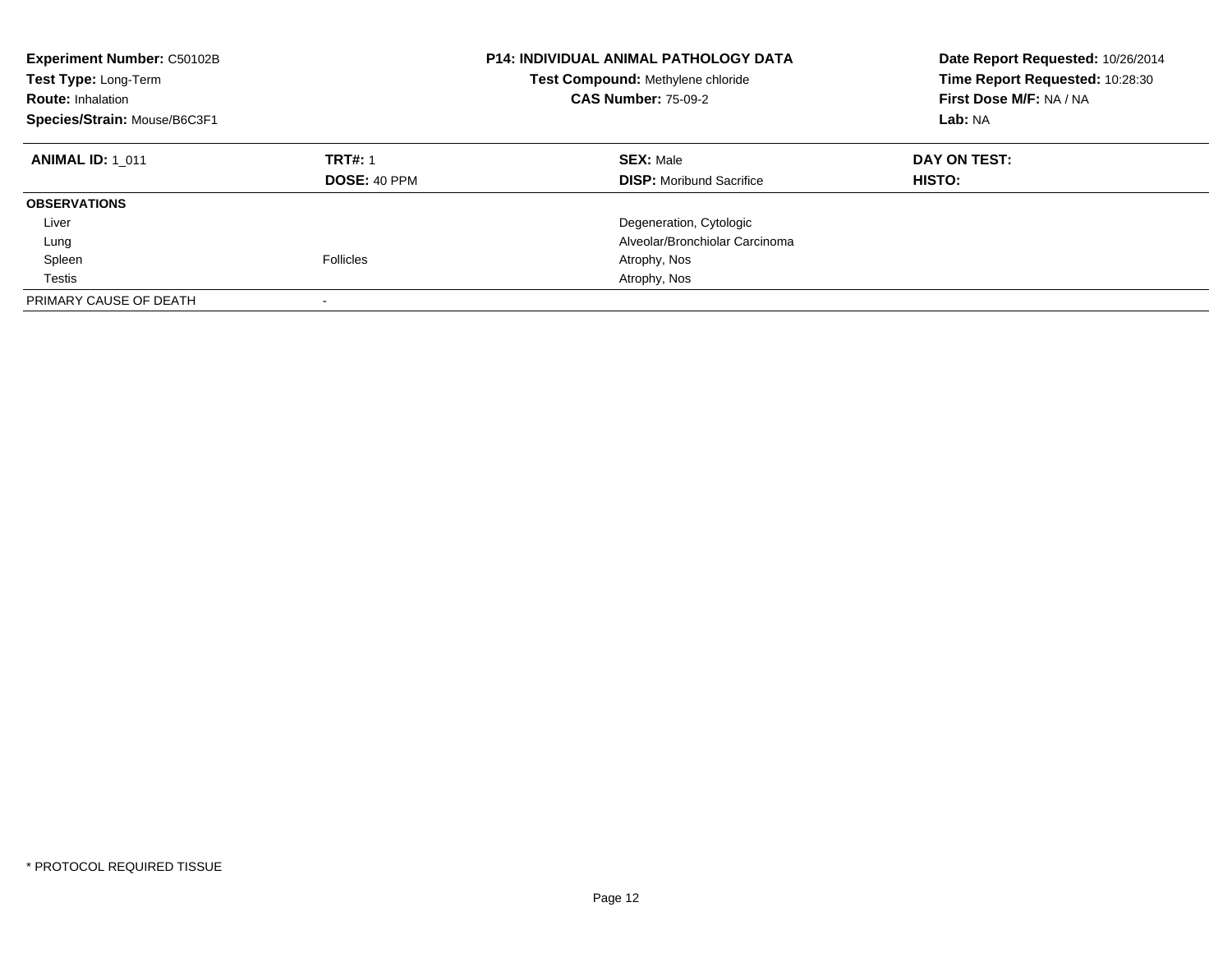| <b>Experiment Number: C50102B</b><br>Test Type: Long-Term<br><b>Route: Inhalation</b><br>Species/Strain: Mouse/B6C3F1 |                                       | <b>P14: INDIVIDUAL ANIMAL PATHOLOGY DATA</b><br>Test Compound: Methylene chloride<br><b>CAS Number: 75-09-2</b> | Date Report Requested: 10/26/2014<br>Time Report Requested: 10:28:30<br>First Dose M/F: NA / NA<br>Lab: NA |
|-----------------------------------------------------------------------------------------------------------------------|---------------------------------------|-----------------------------------------------------------------------------------------------------------------|------------------------------------------------------------------------------------------------------------|
| <b>ANIMAL ID: 1 011</b>                                                                                               | <b>TRT#: 1</b><br><b>DOSE: 40 PPM</b> | <b>SEX: Male</b><br><b>DISP:</b> Moribund Sacrifice                                                             | DAY ON TEST:<br>HISTO:                                                                                     |
| <b>OBSERVATIONS</b>                                                                                                   |                                       |                                                                                                                 |                                                                                                            |
| Liver                                                                                                                 |                                       | Degeneration, Cytologic                                                                                         |                                                                                                            |
| Lung                                                                                                                  |                                       | Alveolar/Bronchiolar Carcinoma                                                                                  |                                                                                                            |
| Spleen                                                                                                                | Follicles                             | Atrophy, Nos                                                                                                    |                                                                                                            |
| Testis                                                                                                                |                                       | Atrophy, Nos                                                                                                    |                                                                                                            |
| PRIMARY CAUSE OF DEATH                                                                                                | $\overline{\phantom{a}}$              |                                                                                                                 |                                                                                                            |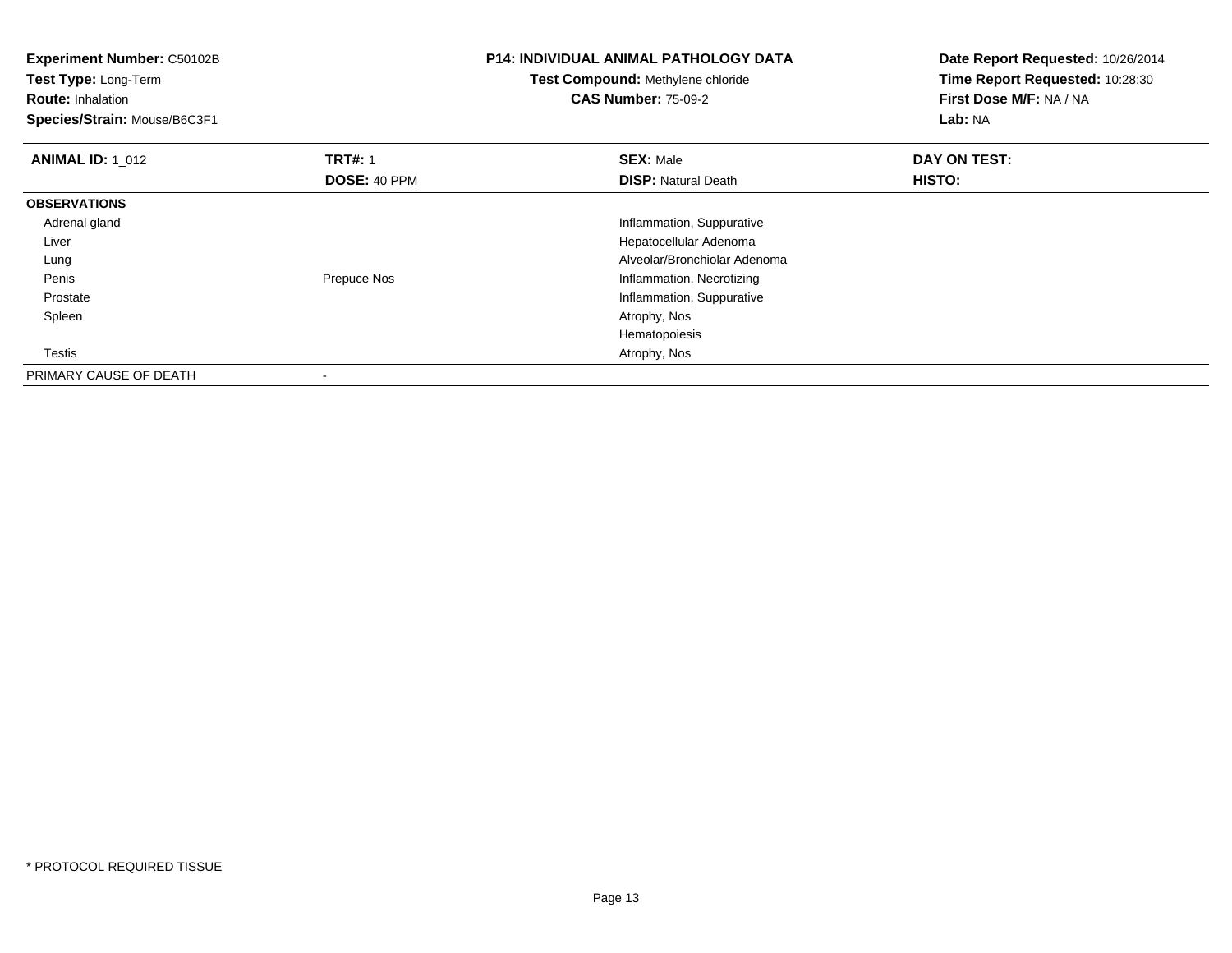**Experiment Number:** C50102B**Test Type:** Long-Term**Route:** Inhalation **Species/Strain:** Mouse/B6C3F1**P14: INDIVIDUAL ANIMAL PATHOLOGY DATATest Compound:** Methylene chloride**CAS Number:** 75-09-2**Date Report Requested:** 10/26/2014**Time Report Requested:** 10:28:30**First Dose M/F:** NA / NA**Lab:** NA**ANIMAL ID: 1\_012 2 DAY ON TRT#:** 1 **SEX:** Male **SEX:** Male **DAY ON TEST: DOSE:** 40 PPM**DISP:** Natural Death **HISTO: OBSERVATIONS** Adrenal gland Inflammation, Suppurative Liver Hepatocellular Adenoma Alveolar/Bronchiolar Adenoma Lung PenisPrepuce Nos **Inflammation**, Necrotizing e and the state of the state of the state of the state of the state of the state of the state of the state of the state of the state of the state of the state of the state of the state of the state of the state of the stat Prostate Spleen Atrophy, Nos Hematopoiesis**Testis**  Atrophy, Nos PRIMARY CAUSE OF DEATH-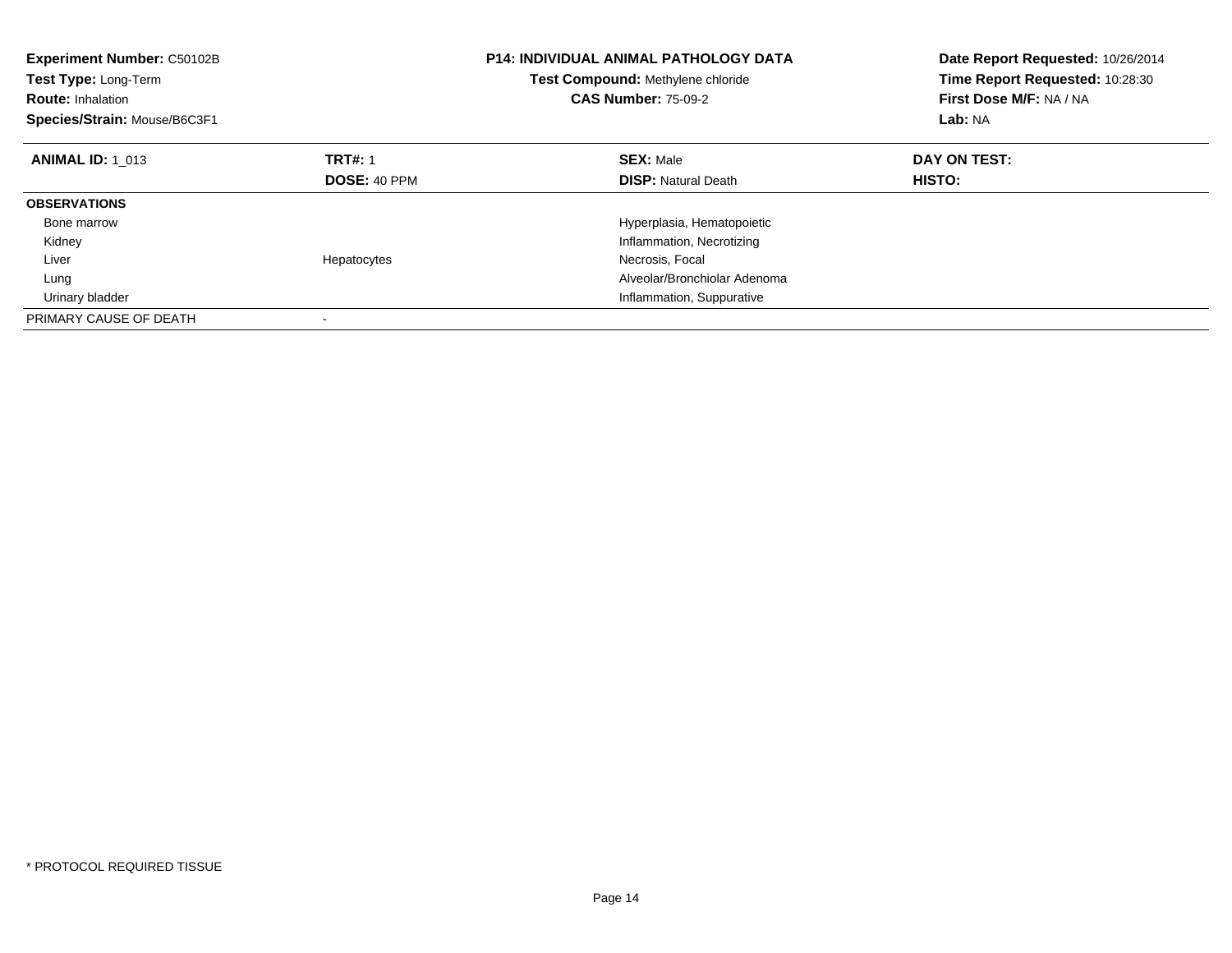| <b>Experiment Number: C50102B</b><br><b>Test Type: Long-Term</b><br><b>Route: Inhalation</b><br>Species/Strain: Mouse/B6C3F1 |                     | P14: INDIVIDUAL ANIMAL PATHOLOGY DATA<br>Test Compound: Methylene chloride<br><b>CAS Number: 75-09-2</b> | Date Report Requested: 10/26/2014<br>Time Report Requested: 10:28:30<br>First Dose M/F: NA / NA<br>Lab: NA |
|------------------------------------------------------------------------------------------------------------------------------|---------------------|----------------------------------------------------------------------------------------------------------|------------------------------------------------------------------------------------------------------------|
| <b>ANIMAL ID: 1 013</b>                                                                                                      | <b>TRT#: 1</b>      | <b>SEX: Male</b>                                                                                         | DAY ON TEST:                                                                                               |
|                                                                                                                              | <b>DOSE: 40 PPM</b> | <b>DISP:</b> Natural Death                                                                               | HISTO:                                                                                                     |
| <b>OBSERVATIONS</b>                                                                                                          |                     |                                                                                                          |                                                                                                            |
| Bone marrow                                                                                                                  |                     | Hyperplasia, Hematopoietic                                                                               |                                                                                                            |
| Kidney                                                                                                                       |                     | Inflammation, Necrotizing                                                                                |                                                                                                            |
| Liver                                                                                                                        | Hepatocytes         | Necrosis, Focal                                                                                          |                                                                                                            |
| Lung                                                                                                                         |                     | Alveolar/Bronchiolar Adenoma                                                                             |                                                                                                            |
| Urinary bladder                                                                                                              |                     | Inflammation, Suppurative                                                                                |                                                                                                            |
| PRIMARY CAUSE OF DEATH                                                                                                       |                     |                                                                                                          |                                                                                                            |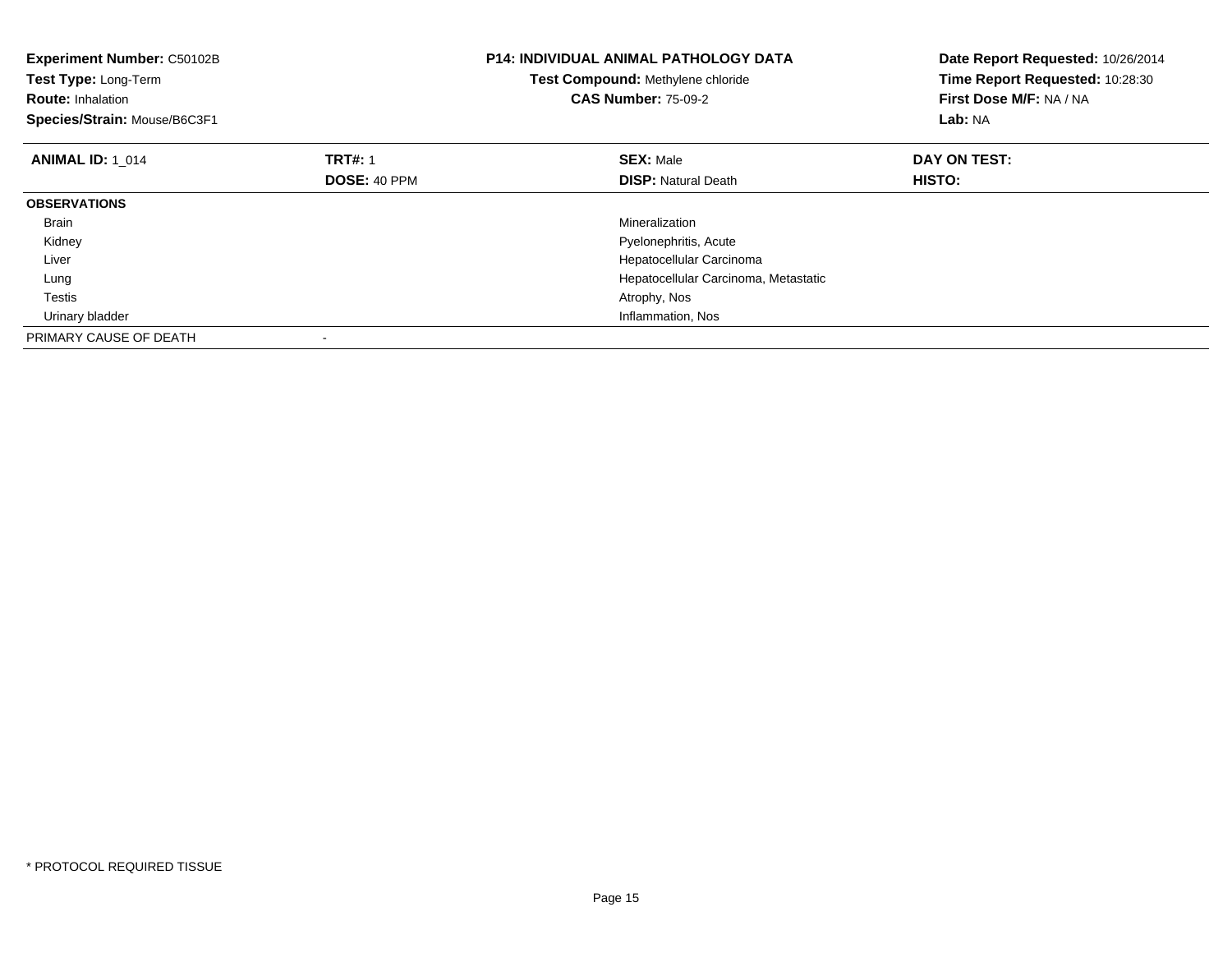| Experiment Number: C50102B<br>Test Type: Long-Term<br><b>Route: Inhalation</b><br>Species/Strain: Mouse/B6C3F1 |                | <b>P14: INDIVIDUAL ANIMAL PATHOLOGY DATA</b><br>Test Compound: Methylene chloride<br><b>CAS Number: 75-09-2</b> | Date Report Requested: 10/26/2014<br>Time Report Requested: 10:28:30<br>First Dose M/F: NA / NA<br>Lab: NA |
|----------------------------------------------------------------------------------------------------------------|----------------|-----------------------------------------------------------------------------------------------------------------|------------------------------------------------------------------------------------------------------------|
| <b>ANIMAL ID: 1 014</b>                                                                                        | <b>TRT#: 1</b> | <b>SEX: Male</b>                                                                                                | DAY ON TEST:                                                                                               |
|                                                                                                                | DOSE: 40 PPM   | <b>DISP:</b> Natural Death                                                                                      | HISTO:                                                                                                     |
| <b>OBSERVATIONS</b>                                                                                            |                |                                                                                                                 |                                                                                                            |
| Brain                                                                                                          |                | Mineralization                                                                                                  |                                                                                                            |
| Kidney                                                                                                         |                | Pyelonephritis, Acute                                                                                           |                                                                                                            |
| Liver                                                                                                          |                | Hepatocellular Carcinoma                                                                                        |                                                                                                            |
| Lung                                                                                                           |                | Hepatocellular Carcinoma, Metastatic                                                                            |                                                                                                            |
| Testis                                                                                                         |                | Atrophy, Nos                                                                                                    |                                                                                                            |
| Urinary bladder                                                                                                |                | Inflammation, Nos                                                                                               |                                                                                                            |
| PRIMARY CAUSE OF DEATH                                                                                         |                |                                                                                                                 |                                                                                                            |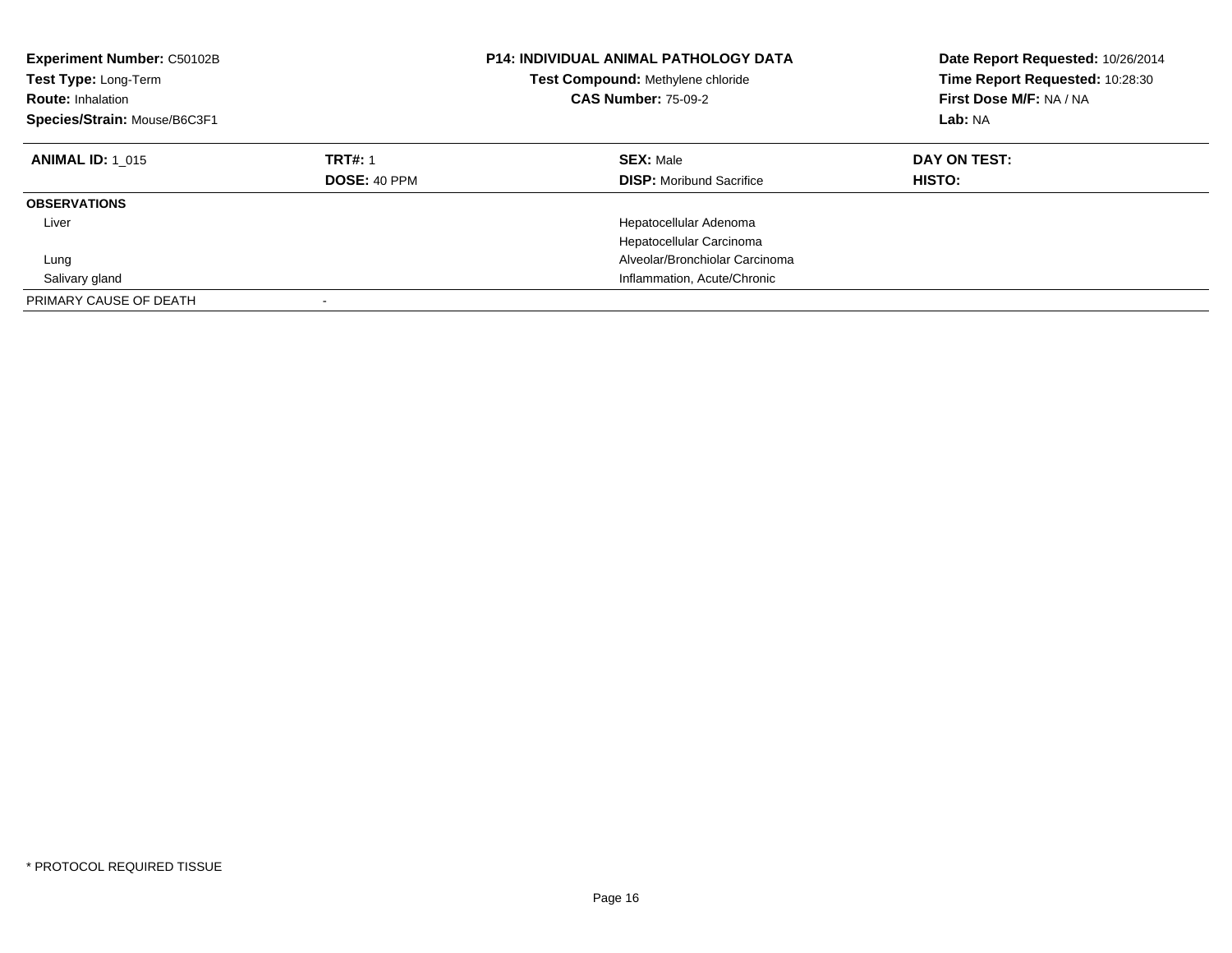| <b>Experiment Number: C50102B</b><br>Test Type: Long-Term<br><b>Route: Inhalation</b><br>Species/Strain: Mouse/B6C3F1 |                                       | <b>P14: INDIVIDUAL ANIMAL PATHOLOGY DATA</b><br>Test Compound: Methylene chloride<br><b>CAS Number: 75-09-2</b> | Date Report Requested: 10/26/2014<br>Time Report Requested: 10:28:30<br>First Dose M/F: NA / NA<br>Lab: NA |
|-----------------------------------------------------------------------------------------------------------------------|---------------------------------------|-----------------------------------------------------------------------------------------------------------------|------------------------------------------------------------------------------------------------------------|
| <b>ANIMAL ID: 1 015</b>                                                                                               | <b>TRT#: 1</b><br><b>DOSE: 40 PPM</b> | <b>SEX: Male</b><br><b>DISP:</b> Moribund Sacrifice                                                             | DAY ON TEST:<br>HISTO:                                                                                     |
| <b>OBSERVATIONS</b>                                                                                                   |                                       |                                                                                                                 |                                                                                                            |
| Liver                                                                                                                 |                                       | Hepatocellular Adenoma                                                                                          |                                                                                                            |
|                                                                                                                       |                                       | Hepatocellular Carcinoma                                                                                        |                                                                                                            |
| Lung                                                                                                                  |                                       | Alveolar/Bronchiolar Carcinoma                                                                                  |                                                                                                            |
| Salivary gland                                                                                                        |                                       | Inflammation, Acute/Chronic                                                                                     |                                                                                                            |
| PRIMARY CAUSE OF DEATH                                                                                                |                                       |                                                                                                                 |                                                                                                            |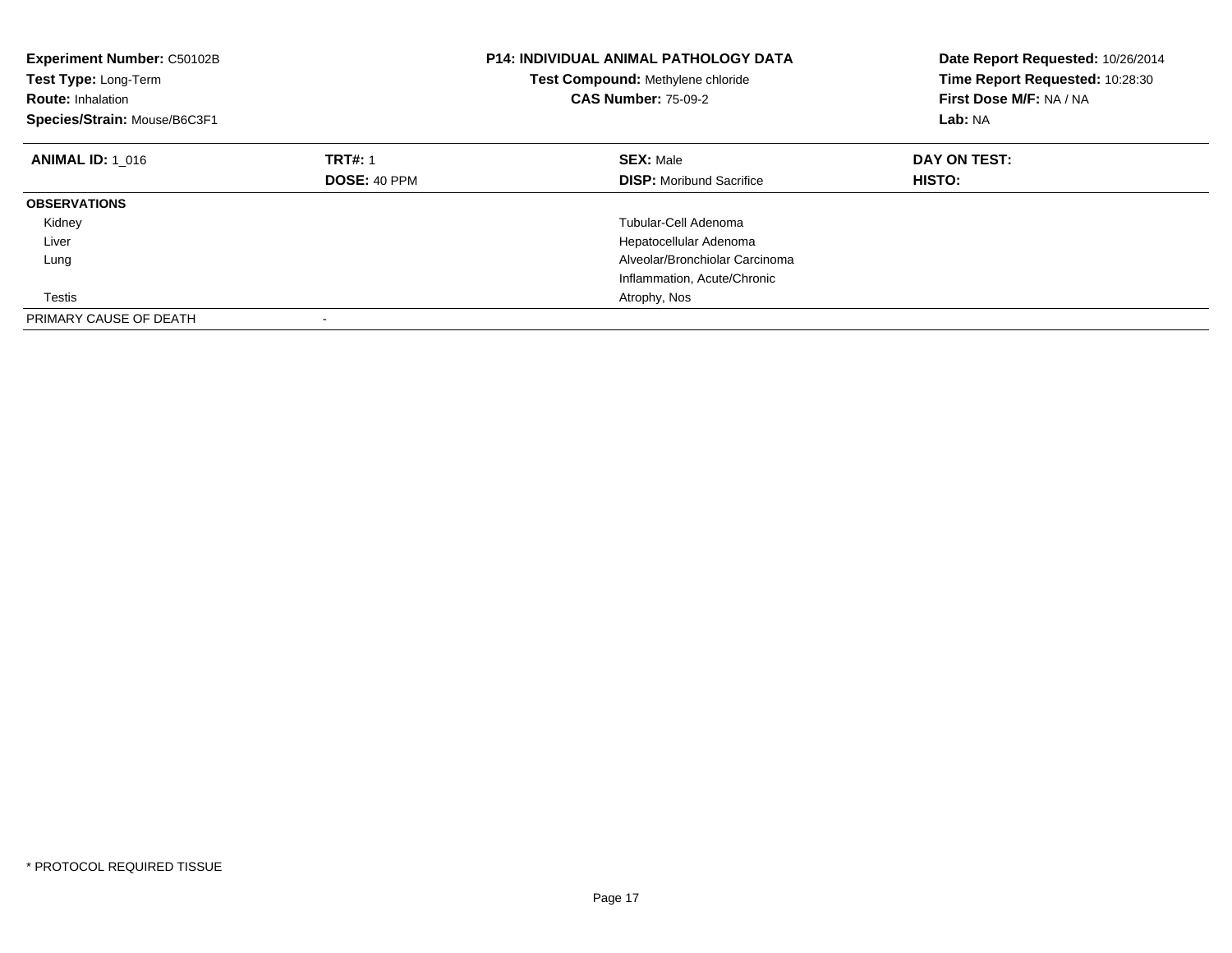| <b>Experiment Number: C50102B</b><br>Test Type: Long-Term<br><b>Route: Inhalation</b><br>Species/Strain: Mouse/B6C3F1 |                     | <b>P14: INDIVIDUAL ANIMAL PATHOLOGY DATA</b><br>Test Compound: Methylene chloride<br><b>CAS Number: 75-09-2</b> | Date Report Requested: 10/26/2014<br>Time Report Requested: 10:28:30<br>First Dose M/F: NA / NA<br>Lab: NA |
|-----------------------------------------------------------------------------------------------------------------------|---------------------|-----------------------------------------------------------------------------------------------------------------|------------------------------------------------------------------------------------------------------------|
| <b>ANIMAL ID: 1 016</b>                                                                                               | <b>TRT#: 1</b>      | <b>SEX: Male</b>                                                                                                | DAY ON TEST:                                                                                               |
|                                                                                                                       | <b>DOSE: 40 PPM</b> | <b>DISP:</b> Moribund Sacrifice                                                                                 | <b>HISTO:</b>                                                                                              |
| <b>OBSERVATIONS</b>                                                                                                   |                     |                                                                                                                 |                                                                                                            |
| Kidney                                                                                                                |                     | Tubular-Cell Adenoma                                                                                            |                                                                                                            |
| Liver                                                                                                                 |                     | Hepatocellular Adenoma                                                                                          |                                                                                                            |
| Lung                                                                                                                  |                     | Alveolar/Bronchiolar Carcinoma                                                                                  |                                                                                                            |
|                                                                                                                       |                     | Inflammation, Acute/Chronic                                                                                     |                                                                                                            |
| Testis                                                                                                                |                     | Atrophy, Nos                                                                                                    |                                                                                                            |
| PRIMARY CAUSE OF DEATH                                                                                                |                     |                                                                                                                 |                                                                                                            |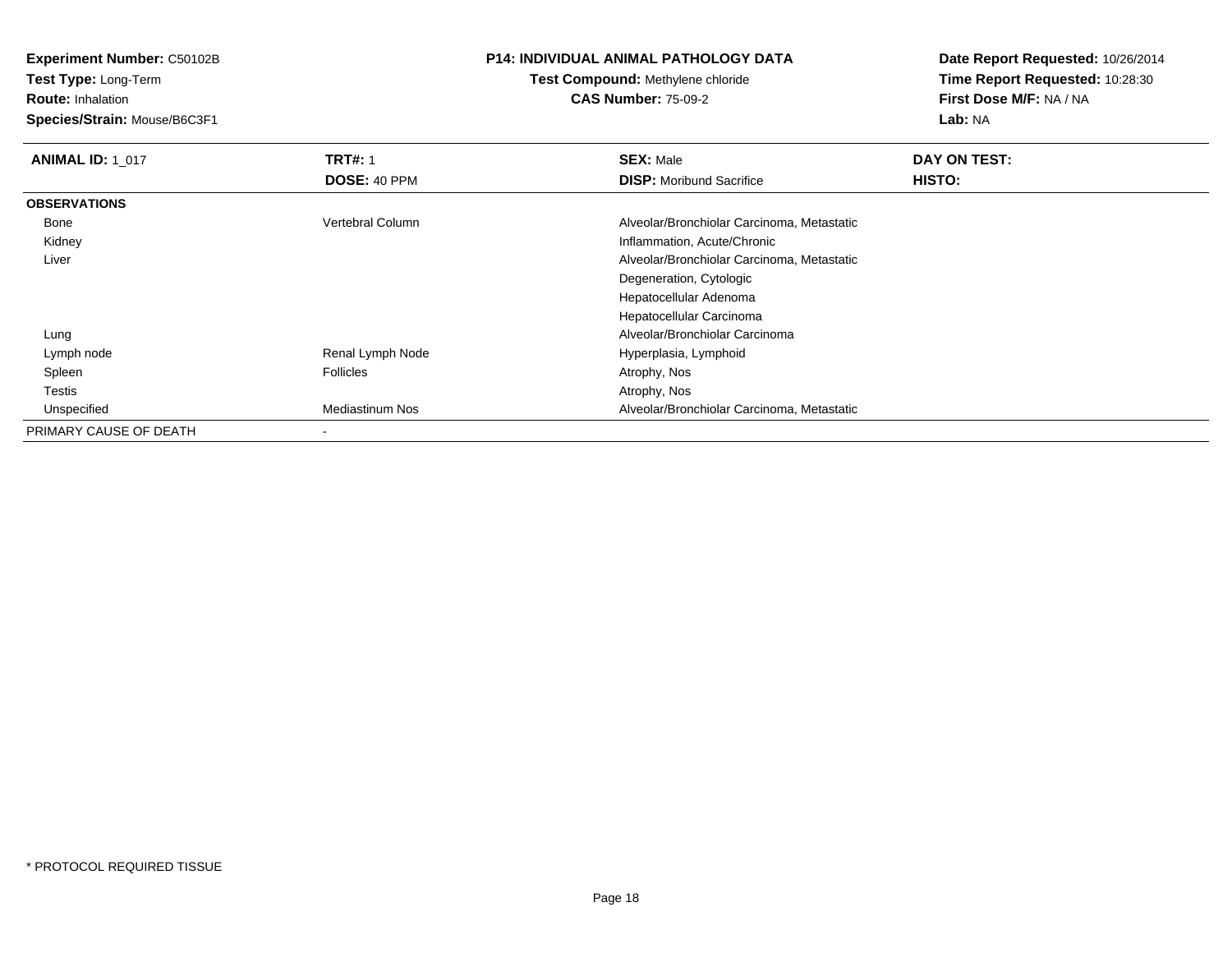**Test Type:** Long-Term

**Route:** Inhalation

**Species/Strain:** Mouse/B6C3F1

## **P14: INDIVIDUAL ANIMAL PATHOLOGY DATA**

#### **Test Compound:** Methylene chloride**CAS Number:** 75-09-2

| <b>ANIMAL ID: 1 017</b> | <b>TRT#: 1</b>   | <b>SEX: Male</b>                           | DAY ON TEST: |
|-------------------------|------------------|--------------------------------------------|--------------|
|                         | DOSE: 40 PPM     | <b>DISP:</b> Moribund Sacrifice            | HISTO:       |
| <b>OBSERVATIONS</b>     |                  |                                            |              |
| Bone                    | Vertebral Column | Alveolar/Bronchiolar Carcinoma, Metastatic |              |
| Kidney                  |                  | Inflammation, Acute/Chronic                |              |
| Liver                   |                  | Alveolar/Bronchiolar Carcinoma, Metastatic |              |
|                         |                  | Degeneration, Cytologic                    |              |
|                         |                  | Hepatocellular Adenoma                     |              |
|                         |                  | Hepatocellular Carcinoma                   |              |
| Lung                    |                  | Alveolar/Bronchiolar Carcinoma             |              |
| Lymph node              | Renal Lymph Node | Hyperplasia, Lymphoid                      |              |
| Spleen                  | Follicles        | Atrophy, Nos                               |              |
| Testis                  |                  | Atrophy, Nos                               |              |
| Unspecified             | Mediastinum Nos  | Alveolar/Bronchiolar Carcinoma, Metastatic |              |
| PRIMARY CAUSE OF DEATH  | $\blacksquare$   |                                            |              |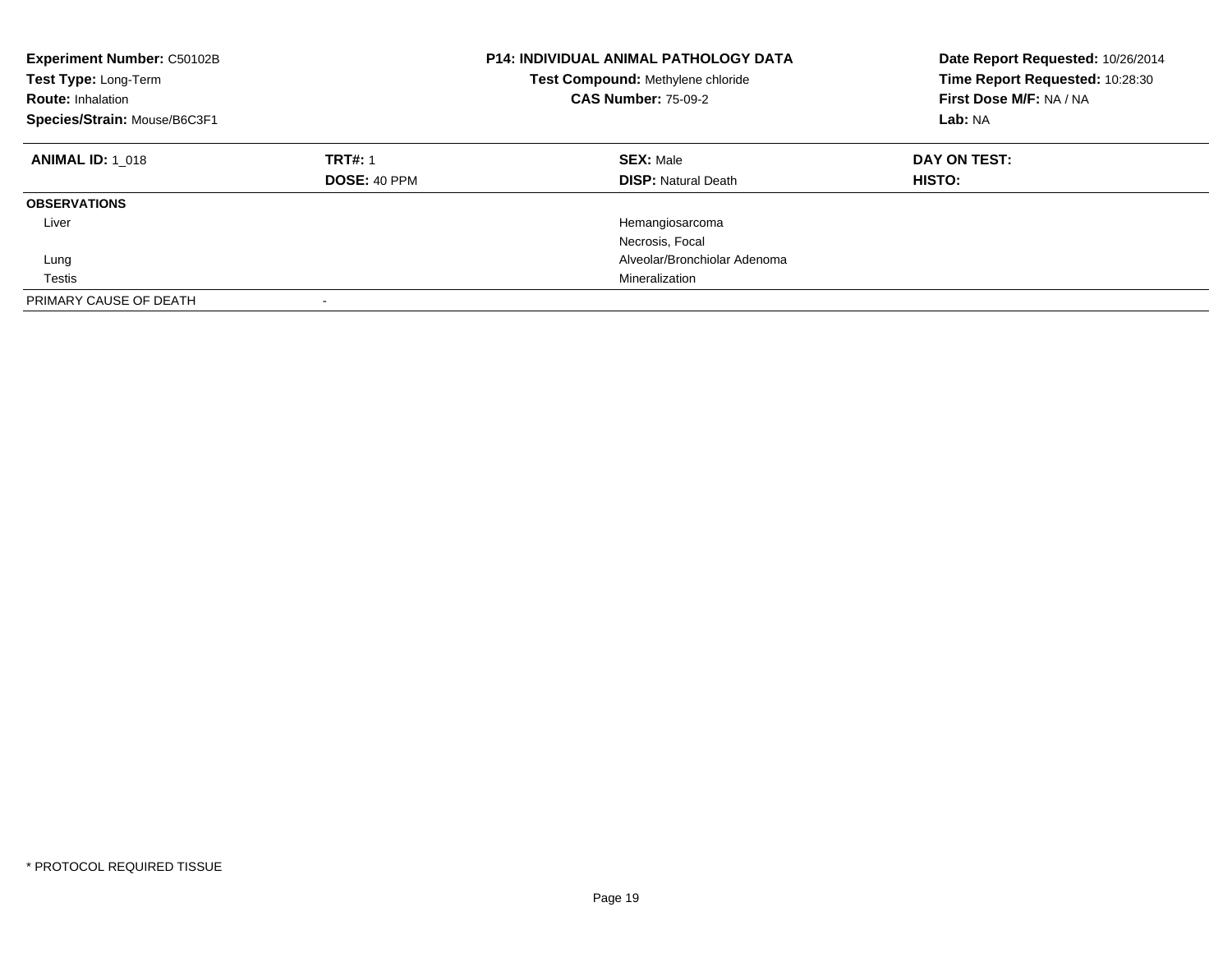| <b>Experiment Number: C50102B</b><br>Test Type: Long-Term<br><b>Route: Inhalation</b><br>Species/Strain: Mouse/B6C3F1 |                                       | <b>P14: INDIVIDUAL ANIMAL PATHOLOGY DATA</b><br>Test Compound: Methylene chloride<br><b>CAS Number: 75-09-2</b> | Date Report Requested: 10/26/2014<br>Time Report Requested: 10:28:30<br>First Dose M/F: NA / NA<br>Lab: NA |
|-----------------------------------------------------------------------------------------------------------------------|---------------------------------------|-----------------------------------------------------------------------------------------------------------------|------------------------------------------------------------------------------------------------------------|
| <b>ANIMAL ID: 1 018</b>                                                                                               | <b>TRT#: 1</b><br><b>DOSE: 40 PPM</b> | <b>SEX: Male</b><br><b>DISP:</b> Natural Death                                                                  | DAY ON TEST:<br><b>HISTO:</b>                                                                              |
| <b>OBSERVATIONS</b>                                                                                                   |                                       |                                                                                                                 |                                                                                                            |
| Liver                                                                                                                 |                                       | Hemangiosarcoma                                                                                                 |                                                                                                            |
|                                                                                                                       |                                       | Necrosis, Focal                                                                                                 |                                                                                                            |
| Lung                                                                                                                  |                                       | Alveolar/Bronchiolar Adenoma                                                                                    |                                                                                                            |
| Testis                                                                                                                |                                       | Mineralization                                                                                                  |                                                                                                            |
| PRIMARY CAUSE OF DEATH                                                                                                |                                       |                                                                                                                 |                                                                                                            |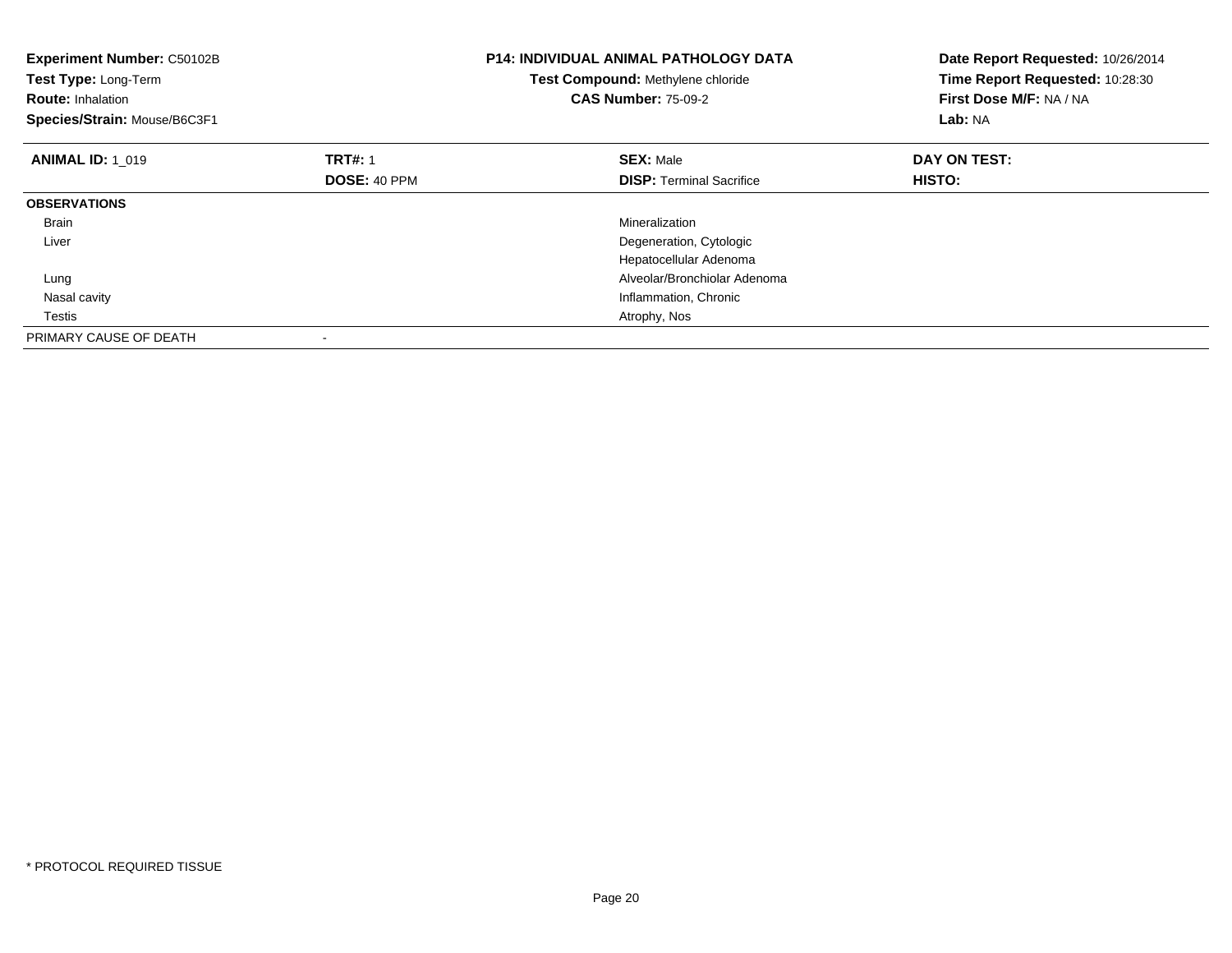| Experiment Number: C50102B<br>Test Type: Long-Term<br><b>Route: Inhalation</b><br>Species/Strain: Mouse/B6C3F1 |                     | <b>P14: INDIVIDUAL ANIMAL PATHOLOGY DATA</b><br>Test Compound: Methylene chloride<br><b>CAS Number: 75-09-2</b> | Date Report Requested: 10/26/2014<br>Time Report Requested: 10:28:30<br>First Dose M/F: NA / NA<br>Lab: NA |
|----------------------------------------------------------------------------------------------------------------|---------------------|-----------------------------------------------------------------------------------------------------------------|------------------------------------------------------------------------------------------------------------|
| <b>ANIMAL ID: 1 019</b>                                                                                        | <b>TRT#: 1</b>      | <b>SEX: Male</b>                                                                                                | DAY ON TEST:                                                                                               |
|                                                                                                                | <b>DOSE: 40 PPM</b> | <b>DISP:</b> Terminal Sacrifice                                                                                 | HISTO:                                                                                                     |
| <b>OBSERVATIONS</b>                                                                                            |                     |                                                                                                                 |                                                                                                            |
| Brain                                                                                                          |                     | Mineralization                                                                                                  |                                                                                                            |
| Liver                                                                                                          |                     | Degeneration, Cytologic                                                                                         |                                                                                                            |
|                                                                                                                |                     | Hepatocellular Adenoma                                                                                          |                                                                                                            |
| Lung                                                                                                           |                     | Alveolar/Bronchiolar Adenoma                                                                                    |                                                                                                            |
| Nasal cavity                                                                                                   |                     | Inflammation, Chronic                                                                                           |                                                                                                            |
| Testis                                                                                                         |                     | Atrophy, Nos                                                                                                    |                                                                                                            |
| PRIMARY CAUSE OF DEATH                                                                                         |                     |                                                                                                                 |                                                                                                            |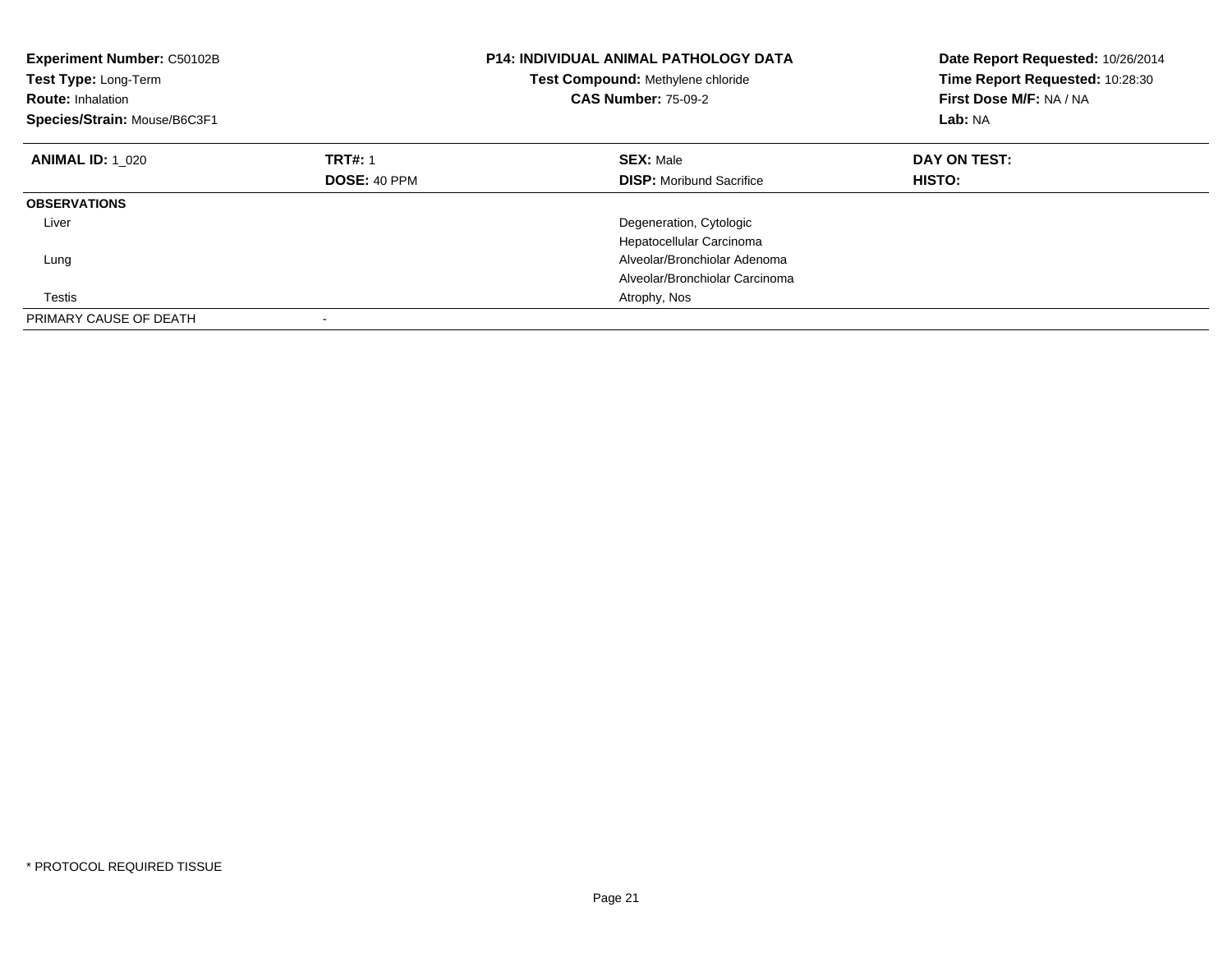| Experiment Number: C50102B<br>Test Type: Long-Term<br><b>Route: Inhalation</b><br>Species/Strain: Mouse/B6C3F1 |                | <b>P14: INDIVIDUAL ANIMAL PATHOLOGY DATA</b><br>Test Compound: Methylene chloride<br><b>CAS Number: 75-09-2</b> | Date Report Requested: 10/26/2014<br>Time Report Requested: 10:28:30<br>First Dose M/F: NA / NA<br>Lab: NA |
|----------------------------------------------------------------------------------------------------------------|----------------|-----------------------------------------------------------------------------------------------------------------|------------------------------------------------------------------------------------------------------------|
| <b>ANIMAL ID: 1 020</b>                                                                                        | <b>TRT#: 1</b> | <b>SEX: Male</b>                                                                                                | DAY ON TEST:                                                                                               |
|                                                                                                                | DOSE: 40 PPM   | <b>DISP:</b> Moribund Sacrifice                                                                                 | HISTO:                                                                                                     |
| <b>OBSERVATIONS</b>                                                                                            |                |                                                                                                                 |                                                                                                            |
| Liver                                                                                                          |                | Degeneration, Cytologic                                                                                         |                                                                                                            |
|                                                                                                                |                | Hepatocellular Carcinoma                                                                                        |                                                                                                            |
| Lung                                                                                                           |                | Alveolar/Bronchiolar Adenoma                                                                                    |                                                                                                            |
|                                                                                                                |                | Alveolar/Bronchiolar Carcinoma                                                                                  |                                                                                                            |
| Testis                                                                                                         |                | Atrophy, Nos                                                                                                    |                                                                                                            |
| PRIMARY CAUSE OF DEATH                                                                                         |                |                                                                                                                 |                                                                                                            |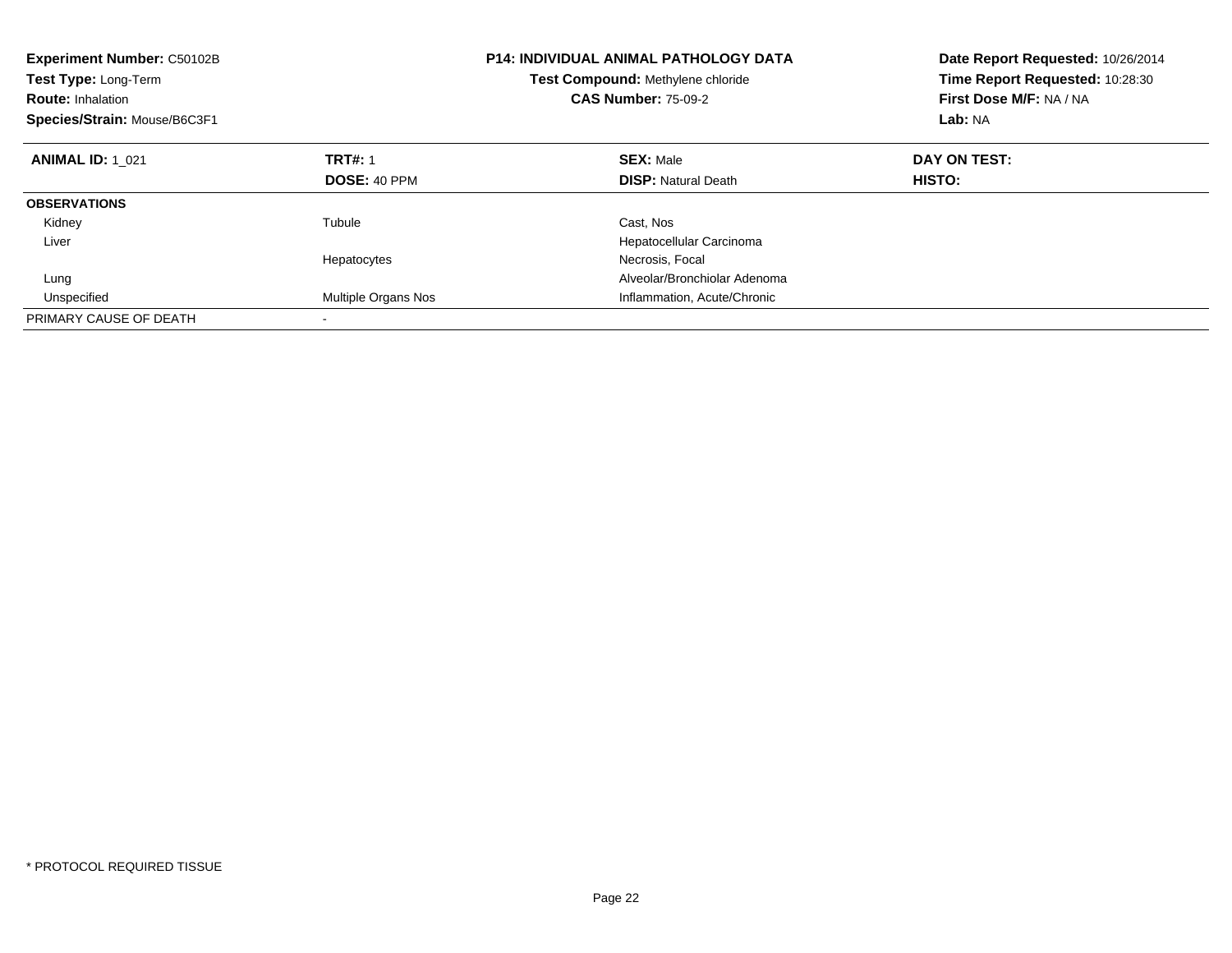| <b>Experiment Number: C50102B</b><br>Test Type: Long-Term<br><b>Route: Inhalation</b><br>Species/Strain: Mouse/B6C3F1 |                     | <b>P14: INDIVIDUAL ANIMAL PATHOLOGY DATA</b><br>Test Compound: Methylene chloride<br><b>CAS Number: 75-09-2</b> | Date Report Requested: 10/26/2014<br>Time Report Requested: 10:28:30<br>First Dose M/F: NA / NA<br>Lab: NA |  |
|-----------------------------------------------------------------------------------------------------------------------|---------------------|-----------------------------------------------------------------------------------------------------------------|------------------------------------------------------------------------------------------------------------|--|
| <b>ANIMAL ID: 1 021</b>                                                                                               | <b>TRT#: 1</b>      | <b>SEX: Male</b>                                                                                                | DAY ON TEST:                                                                                               |  |
|                                                                                                                       | DOSE: 40 PPM        | <b>DISP:</b> Natural Death                                                                                      | HISTO:                                                                                                     |  |
| <b>OBSERVATIONS</b>                                                                                                   |                     |                                                                                                                 |                                                                                                            |  |
| Kidney                                                                                                                | Tubule              | Cast, Nos                                                                                                       |                                                                                                            |  |
| Liver                                                                                                                 |                     | Hepatocellular Carcinoma                                                                                        |                                                                                                            |  |
|                                                                                                                       | Hepatocytes         | Necrosis, Focal                                                                                                 |                                                                                                            |  |
| Lung                                                                                                                  |                     | Alveolar/Bronchiolar Adenoma                                                                                    |                                                                                                            |  |
| Unspecified                                                                                                           | Multiple Organs Nos | Inflammation, Acute/Chronic                                                                                     |                                                                                                            |  |
| PRIMARY CAUSE OF DEATH                                                                                                |                     |                                                                                                                 |                                                                                                            |  |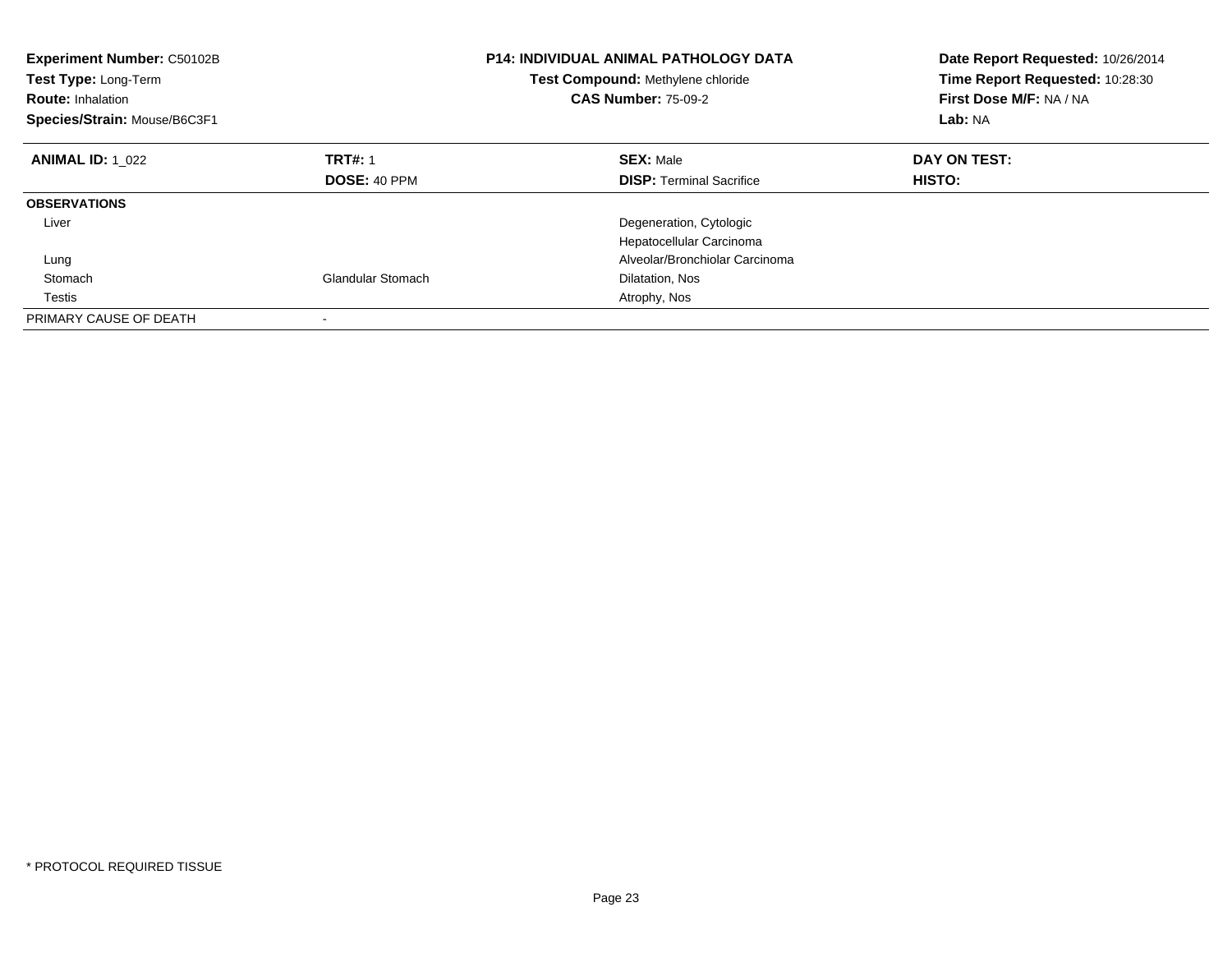| Experiment Number: C50102B<br>Test Type: Long-Term<br><b>Route: Inhalation</b><br>Species/Strain: Mouse/B6C3F1 |                          | <b>P14: INDIVIDUAL ANIMAL PATHOLOGY DATA</b><br>Test Compound: Methylene chloride<br><b>CAS Number: 75-09-2</b> | Date Report Requested: 10/26/2014<br>Time Report Requested: 10:28:30<br>First Dose M/F: NA / NA<br>Lab: NA |
|----------------------------------------------------------------------------------------------------------------|--------------------------|-----------------------------------------------------------------------------------------------------------------|------------------------------------------------------------------------------------------------------------|
| <b>ANIMAL ID: 1 022</b>                                                                                        | <b>TRT#: 1</b>           | <b>SEX: Male</b>                                                                                                | DAY ON TEST:                                                                                               |
|                                                                                                                | DOSE: 40 PPM             | <b>DISP:</b> Terminal Sacrifice                                                                                 | HISTO:                                                                                                     |
| <b>OBSERVATIONS</b>                                                                                            |                          |                                                                                                                 |                                                                                                            |
| Liver                                                                                                          |                          | Degeneration, Cytologic                                                                                         |                                                                                                            |
|                                                                                                                |                          | Hepatocellular Carcinoma                                                                                        |                                                                                                            |
| Lung                                                                                                           |                          | Alveolar/Bronchiolar Carcinoma                                                                                  |                                                                                                            |
| Stomach                                                                                                        | <b>Glandular Stomach</b> | Dilatation, Nos                                                                                                 |                                                                                                            |
| Testis                                                                                                         |                          | Atrophy, Nos                                                                                                    |                                                                                                            |
| PRIMARY CAUSE OF DEATH                                                                                         |                          |                                                                                                                 |                                                                                                            |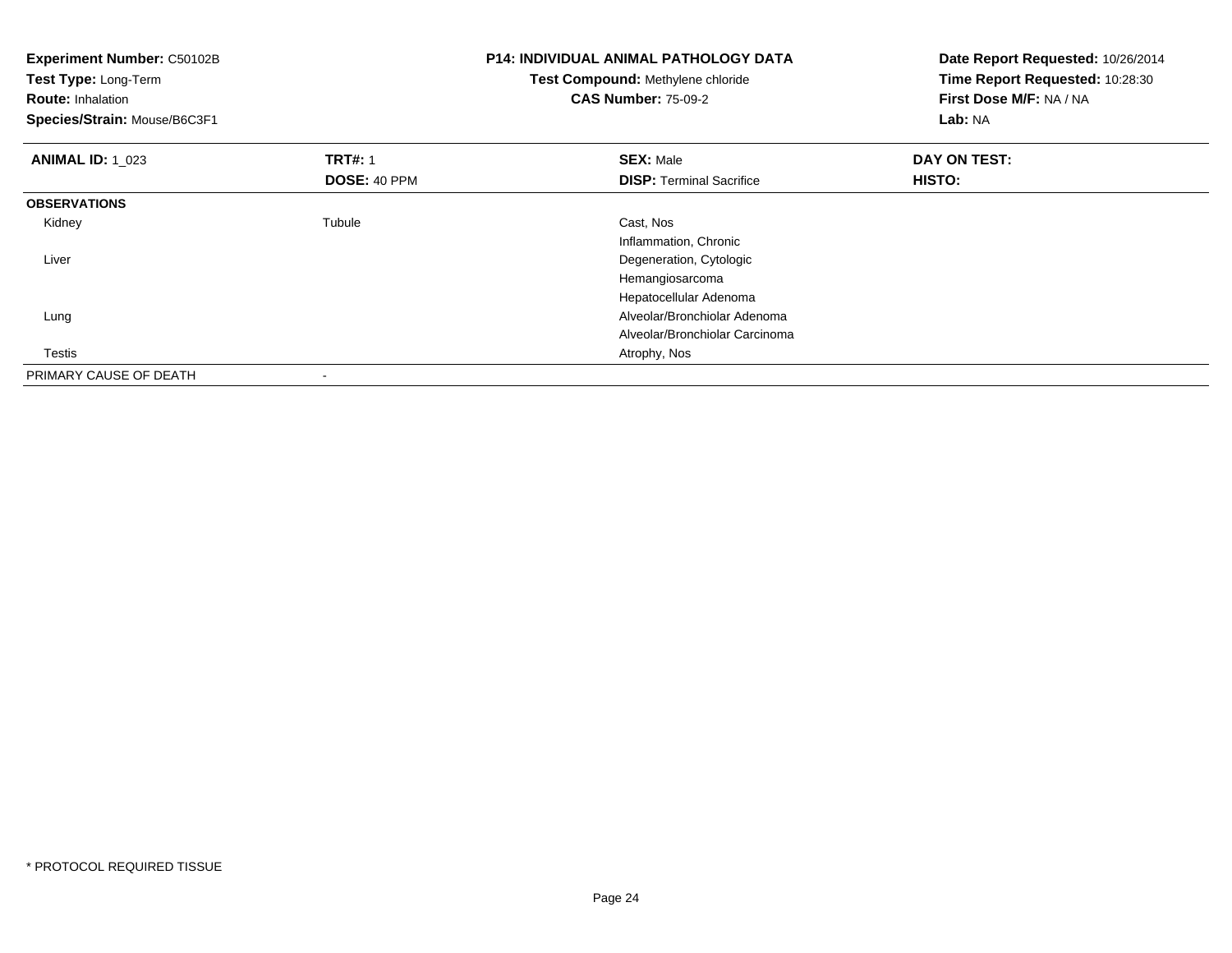| Experiment Number: C50102B<br>Test Type: Long-Term<br><b>Route: Inhalation</b><br>Species/Strain: Mouse/B6C3F1 |                | P14: INDIVIDUAL ANIMAL PATHOLOGY DATA<br>Test Compound: Methylene chloride<br><b>CAS Number: 75-09-2</b> | Date Report Requested: 10/26/2014<br>Time Report Requested: 10:28:30<br>First Dose M/F: NA / NA<br>Lab: NA |
|----------------------------------------------------------------------------------------------------------------|----------------|----------------------------------------------------------------------------------------------------------|------------------------------------------------------------------------------------------------------------|
| <b>ANIMAL ID:</b> 1 023                                                                                        | <b>TRT#: 1</b> | <b>SEX: Male</b>                                                                                         | DAY ON TEST:                                                                                               |
|                                                                                                                | DOSE: 40 PPM   | <b>DISP:</b> Terminal Sacrifice                                                                          | HISTO:                                                                                                     |
| <b>OBSERVATIONS</b>                                                                                            |                |                                                                                                          |                                                                                                            |
| Kidney                                                                                                         | Tubule         | Cast, Nos                                                                                                |                                                                                                            |
|                                                                                                                |                | Inflammation, Chronic                                                                                    |                                                                                                            |
| Liver                                                                                                          |                | Degeneration, Cytologic                                                                                  |                                                                                                            |
|                                                                                                                |                | Hemangiosarcoma                                                                                          |                                                                                                            |
|                                                                                                                |                | Hepatocellular Adenoma                                                                                   |                                                                                                            |
| Lung                                                                                                           |                | Alveolar/Bronchiolar Adenoma                                                                             |                                                                                                            |
|                                                                                                                |                | Alveolar/Bronchiolar Carcinoma                                                                           |                                                                                                            |
| Testis                                                                                                         |                | Atrophy, Nos                                                                                             |                                                                                                            |
| PRIMARY CAUSE OF DEATH                                                                                         |                |                                                                                                          |                                                                                                            |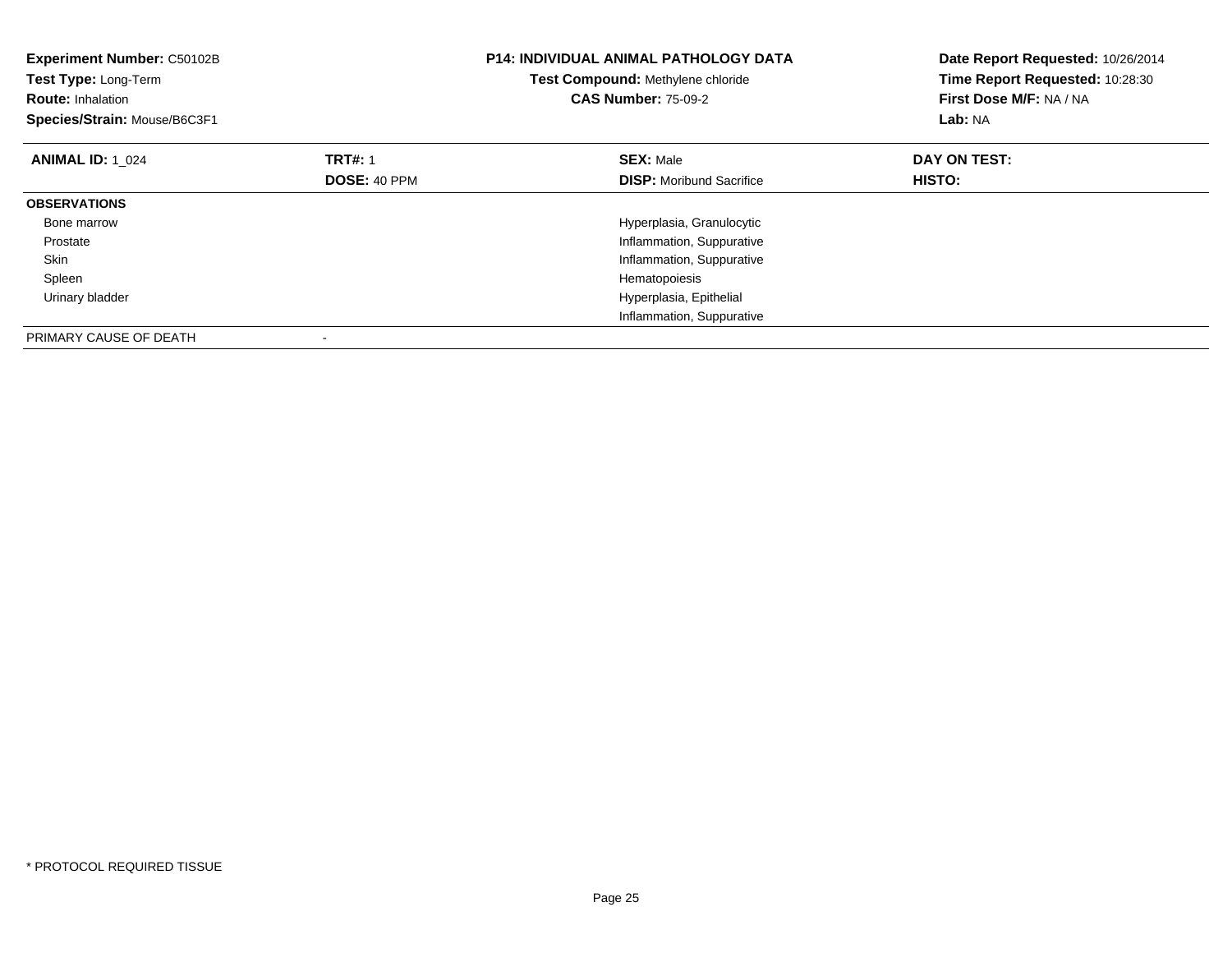| Experiment Number: C50102B<br>Test Type: Long-Term<br><b>Route: Inhalation</b><br>Species/Strain: Mouse/B6C3F1 |                | <b>P14: INDIVIDUAL ANIMAL PATHOLOGY DATA</b><br>Test Compound: Methylene chloride<br><b>CAS Number: 75-09-2</b> | Date Report Requested: 10/26/2014<br>Time Report Requested: 10:28:30<br>First Dose M/F: NA / NA<br>Lab: NA |
|----------------------------------------------------------------------------------------------------------------|----------------|-----------------------------------------------------------------------------------------------------------------|------------------------------------------------------------------------------------------------------------|
| <b>ANIMAL ID: 1 024</b>                                                                                        | <b>TRT#: 1</b> | <b>SEX: Male</b>                                                                                                | DAY ON TEST:                                                                                               |
|                                                                                                                | DOSE: 40 PPM   | <b>DISP:</b> Moribund Sacrifice                                                                                 | <b>HISTO:</b>                                                                                              |
| <b>OBSERVATIONS</b>                                                                                            |                |                                                                                                                 |                                                                                                            |
| Bone marrow                                                                                                    |                | Hyperplasia, Granulocytic                                                                                       |                                                                                                            |
| Prostate                                                                                                       |                | Inflammation, Suppurative                                                                                       |                                                                                                            |
| Skin                                                                                                           |                | Inflammation, Suppurative                                                                                       |                                                                                                            |
| Spleen                                                                                                         |                | Hematopoiesis                                                                                                   |                                                                                                            |
| Urinary bladder                                                                                                |                | Hyperplasia, Epithelial                                                                                         |                                                                                                            |
|                                                                                                                |                | Inflammation, Suppurative                                                                                       |                                                                                                            |
| PRIMARY CAUSE OF DEATH                                                                                         |                |                                                                                                                 |                                                                                                            |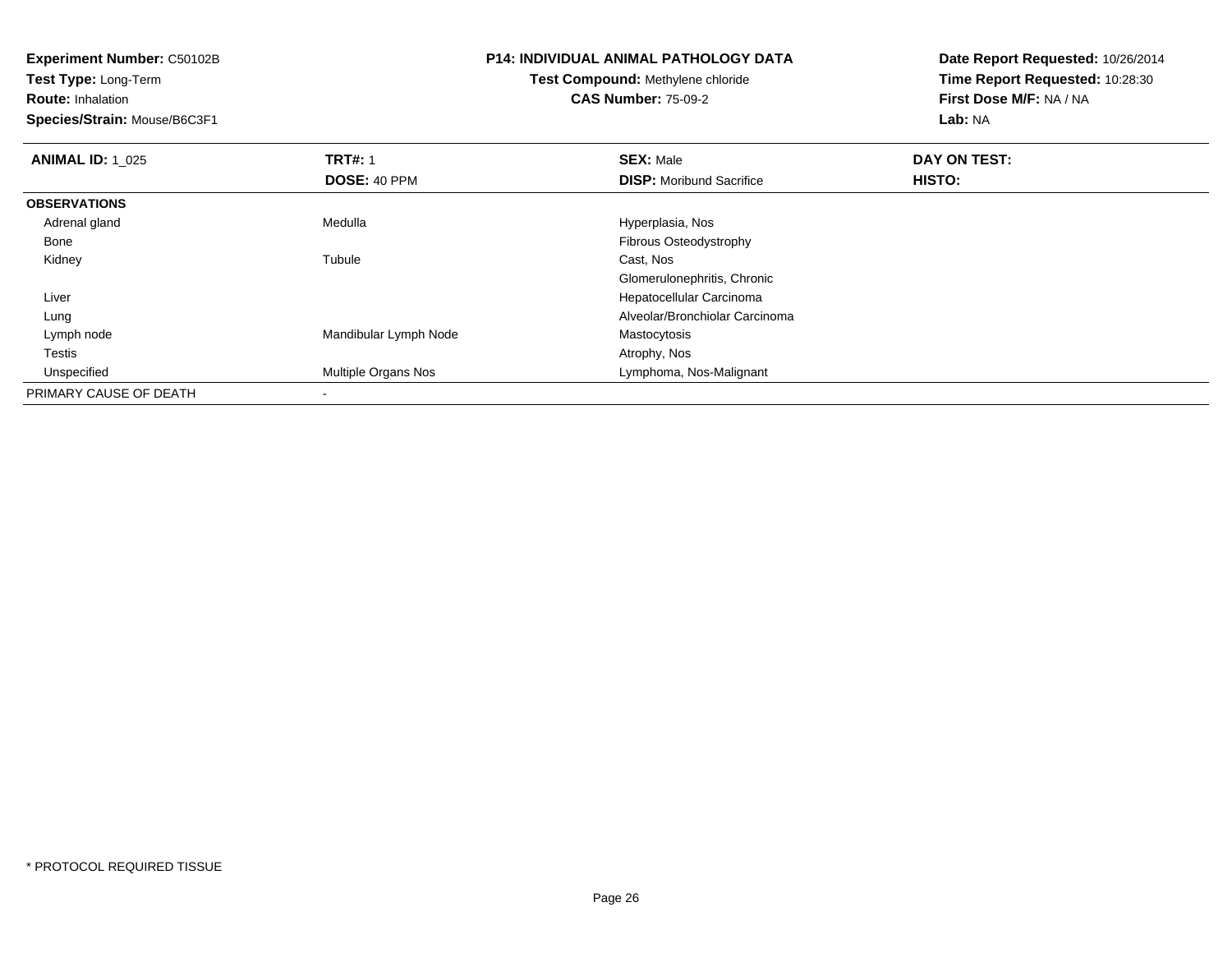**Test Type:** Long-Term

**Route:** Inhalation

**Species/Strain:** Mouse/B6C3F1

# **P14: INDIVIDUAL ANIMAL PATHOLOGY DATA**

#### **Test Compound:** Methylene chloride**CAS Number:** 75-09-2

| <b>ANIMAL ID: 1_025</b> | <b>TRT#: 1</b>             | <b>SEX: Male</b>                | DAY ON TEST: |  |
|-------------------------|----------------------------|---------------------------------|--------------|--|
|                         | DOSE: 40 PPM               | <b>DISP:</b> Moribund Sacrifice | HISTO:       |  |
| <b>OBSERVATIONS</b>     |                            |                                 |              |  |
| Adrenal gland           | Medulla                    | Hyperplasia, Nos                |              |  |
| Bone                    |                            | <b>Fibrous Osteodystrophy</b>   |              |  |
| Kidney                  | Tubule                     | Cast, Nos                       |              |  |
|                         |                            | Glomerulonephritis, Chronic     |              |  |
| Liver                   |                            | Hepatocellular Carcinoma        |              |  |
| Lung                    |                            | Alveolar/Bronchiolar Carcinoma  |              |  |
| Lymph node              | Mandibular Lymph Node      | Mastocytosis                    |              |  |
| Testis                  |                            | Atrophy, Nos                    |              |  |
| Unspecified             | <b>Multiple Organs Nos</b> | Lymphoma, Nos-Malignant         |              |  |
| PRIMARY CAUSE OF DEATH  |                            |                                 |              |  |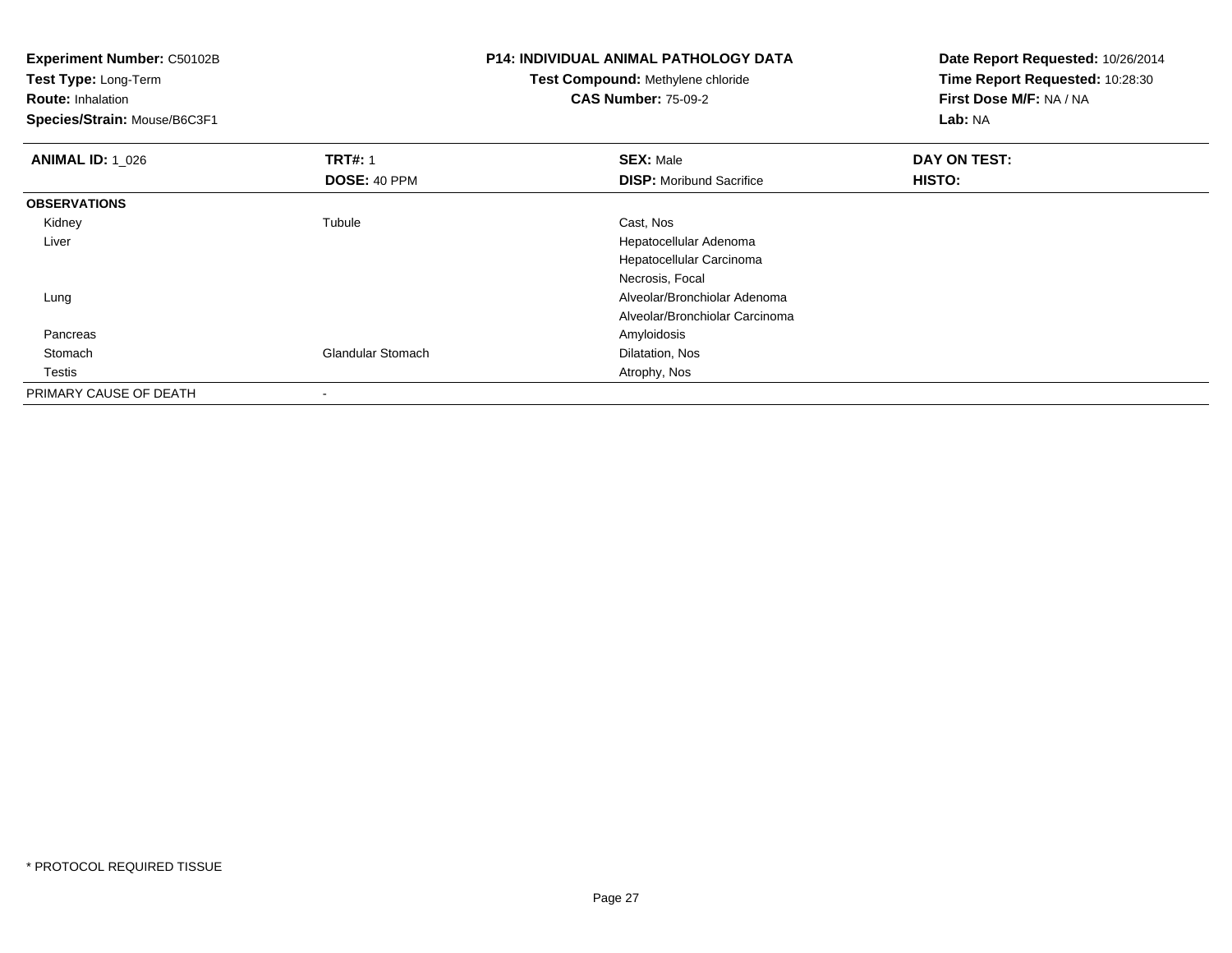**Experiment Number:** C50102B**Test Type:** Long-Term**Route:** Inhalation **Species/Strain:** Mouse/B6C3F1**P14: INDIVIDUAL ANIMAL PATHOLOGY DATATest Compound:** Methylene chloride**CAS Number:** 75-09-2**Date Report Requested:** 10/26/2014**Time Report Requested:** 10:28:30**First Dose M/F:** NA / NA**Lab:** NA**ANIMAL ID: 1\_026 6 DAY ON TRT#:** 1 **SEX:** Male **SEX:** Male **DAY ON TEST: DOSE:** 40 PPM**DISP:** Moribund Sacrifice **HISTO: OBSERVATIONS** Kidneyy the contract of the contract of the contract of the contract of the contract of the contract of the contract of the contract of the contract of the contract of the contract of the contract of the contract of the contract Tubule Cast, Nos Liver Hepatocellular Adenoma Hepatocellular CarcinomaNecrosis, Focal Lung Alveolar/Bronchiolar Adenoma Alveolar/Bronchiolar Carcinoma Pancreass and the contract of the contract of the contract of the contract of the contract of the contract of the contract of the contract of the contract of the contract of the contract of the contract of the contract of the cont StomachGlandular Stomach Dilatation, Nos **Testis**  Atrophy, Nos PRIMARY CAUSE OF DEATH-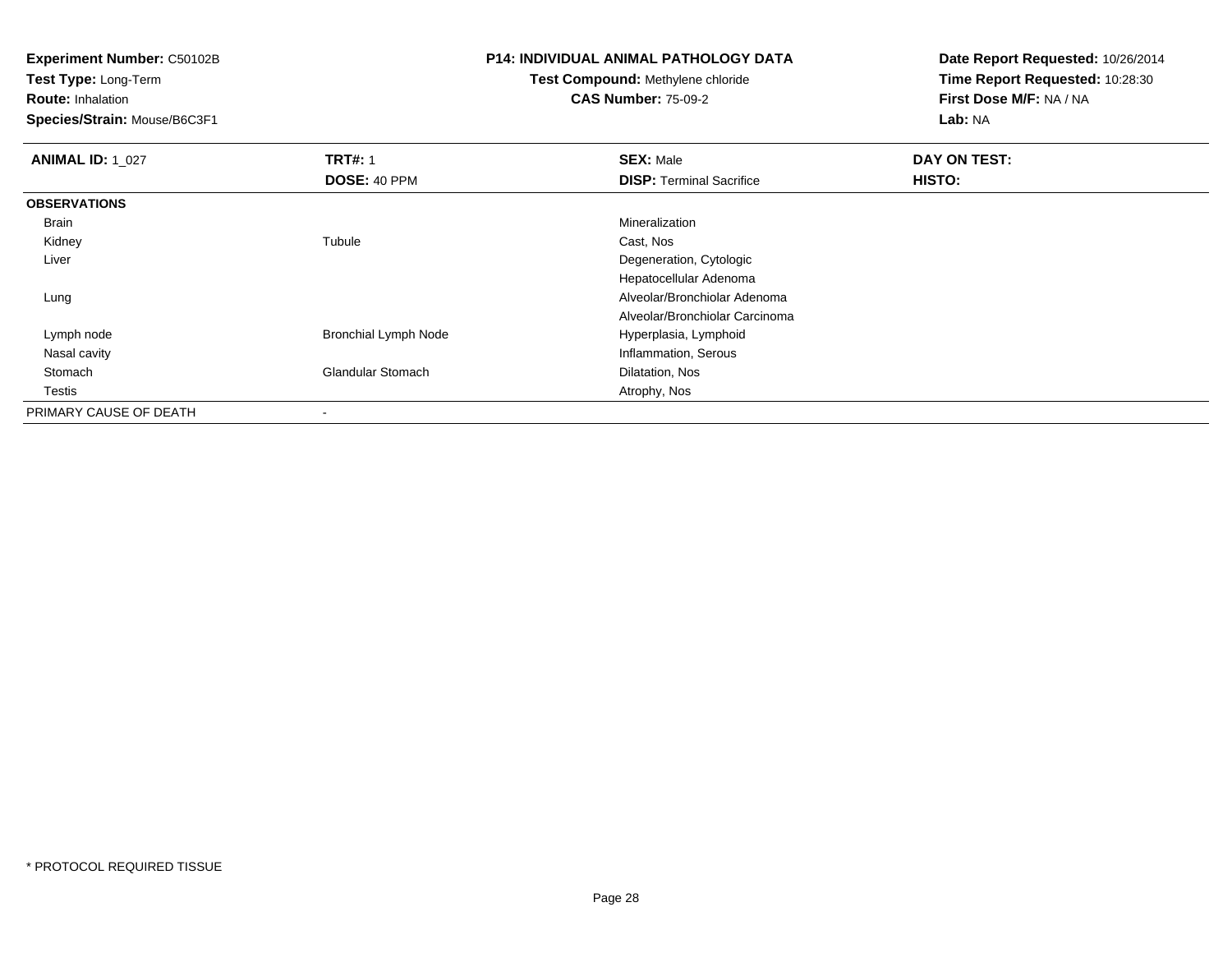**Test Type:** Long-Term

**Route:** Inhalation

**Species/Strain:** Mouse/B6C3F1

## **P14: INDIVIDUAL ANIMAL PATHOLOGY DATA**

#### **Test Compound:** Methylene chloride**CAS Number:** 75-09-2

| <b>ANIMAL ID: 1 027</b> | <b>TRT#: 1</b>              | <b>SEX: Male</b>                | DAY ON TEST:  |
|-------------------------|-----------------------------|---------------------------------|---------------|
|                         | <b>DOSE: 40 PPM</b>         | <b>DISP: Terminal Sacrifice</b> | <b>HISTO:</b> |
| <b>OBSERVATIONS</b>     |                             |                                 |               |
| Brain                   |                             | Mineralization                  |               |
| Kidney                  | Tubule                      | Cast, Nos                       |               |
| Liver                   |                             | Degeneration, Cytologic         |               |
|                         |                             | Hepatocellular Adenoma          |               |
| Lung                    |                             | Alveolar/Bronchiolar Adenoma    |               |
|                         |                             | Alveolar/Bronchiolar Carcinoma  |               |
| Lymph node              | <b>Bronchial Lymph Node</b> | Hyperplasia, Lymphoid           |               |
| Nasal cavity            |                             | Inflammation, Serous            |               |
| Stomach                 | <b>Glandular Stomach</b>    | Dilatation, Nos                 |               |
| Testis                  |                             | Atrophy, Nos                    |               |
| PRIMARY CAUSE OF DEATH  |                             |                                 |               |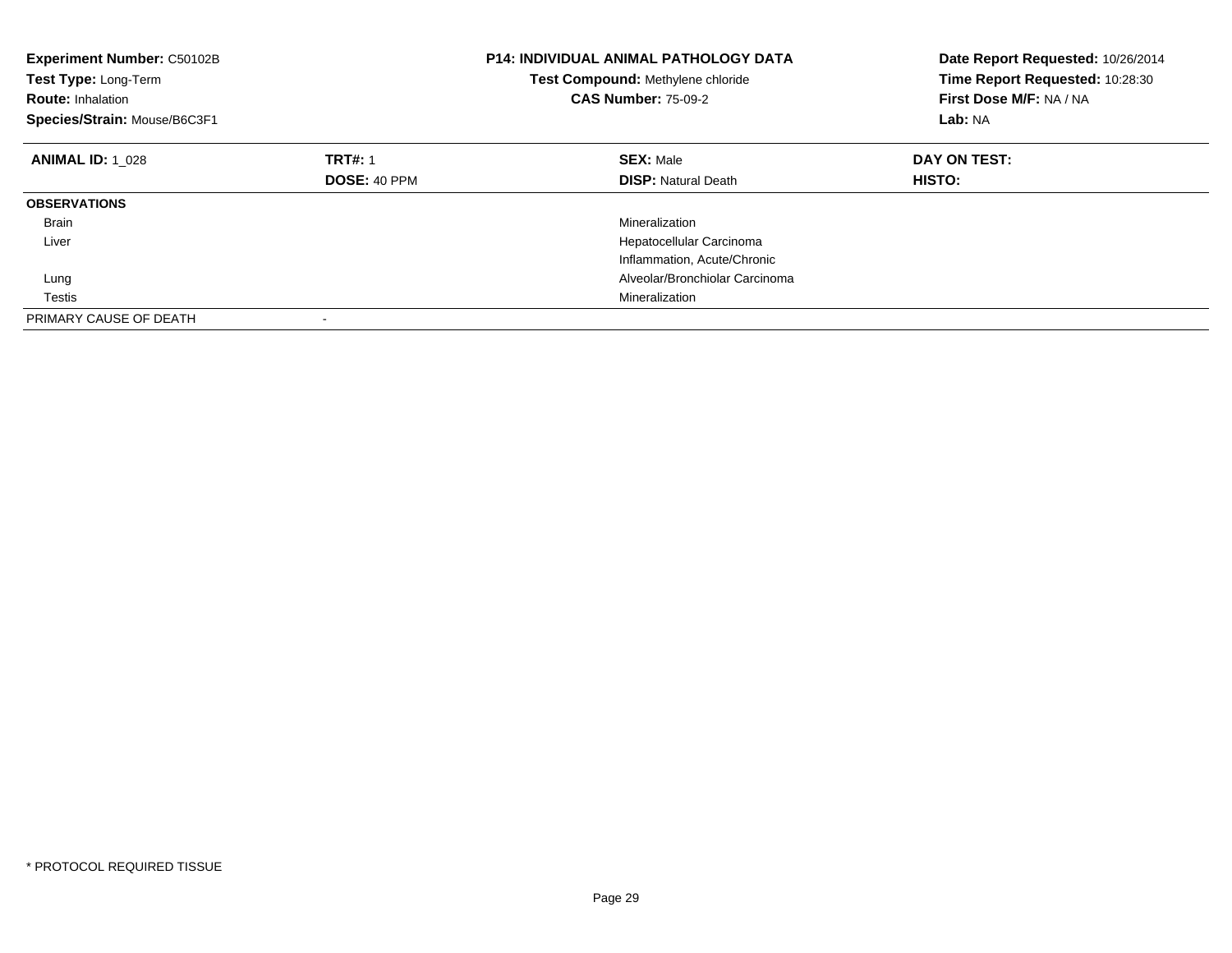| <b>Experiment Number: C50102B</b><br>Test Type: Long-Term<br><b>Route: Inhalation</b><br>Species/Strain: Mouse/B6C3F1 |                     | <b>P14: INDIVIDUAL ANIMAL PATHOLOGY DATA</b><br>Test Compound: Methylene chloride<br><b>CAS Number: 75-09-2</b> | Date Report Requested: 10/26/2014<br>Time Report Requested: 10:28:30<br>First Dose M/F: NA / NA<br>Lab: NA |
|-----------------------------------------------------------------------------------------------------------------------|---------------------|-----------------------------------------------------------------------------------------------------------------|------------------------------------------------------------------------------------------------------------|
| <b>ANIMAL ID: 1 028</b>                                                                                               | <b>TRT#: 1</b>      | <b>SEX: Male</b>                                                                                                | DAY ON TEST:                                                                                               |
|                                                                                                                       | <b>DOSE: 40 PPM</b> | <b>DISP: Natural Death</b>                                                                                      | <b>HISTO:</b>                                                                                              |
| <b>OBSERVATIONS</b>                                                                                                   |                     |                                                                                                                 |                                                                                                            |
| <b>Brain</b>                                                                                                          |                     | Mineralization                                                                                                  |                                                                                                            |
| Liver                                                                                                                 |                     | Hepatocellular Carcinoma                                                                                        |                                                                                                            |
|                                                                                                                       |                     | Inflammation, Acute/Chronic                                                                                     |                                                                                                            |
| Lung                                                                                                                  |                     | Alveolar/Bronchiolar Carcinoma                                                                                  |                                                                                                            |
| Testis                                                                                                                |                     | Mineralization                                                                                                  |                                                                                                            |
| PRIMARY CAUSE OF DEATH                                                                                                |                     |                                                                                                                 |                                                                                                            |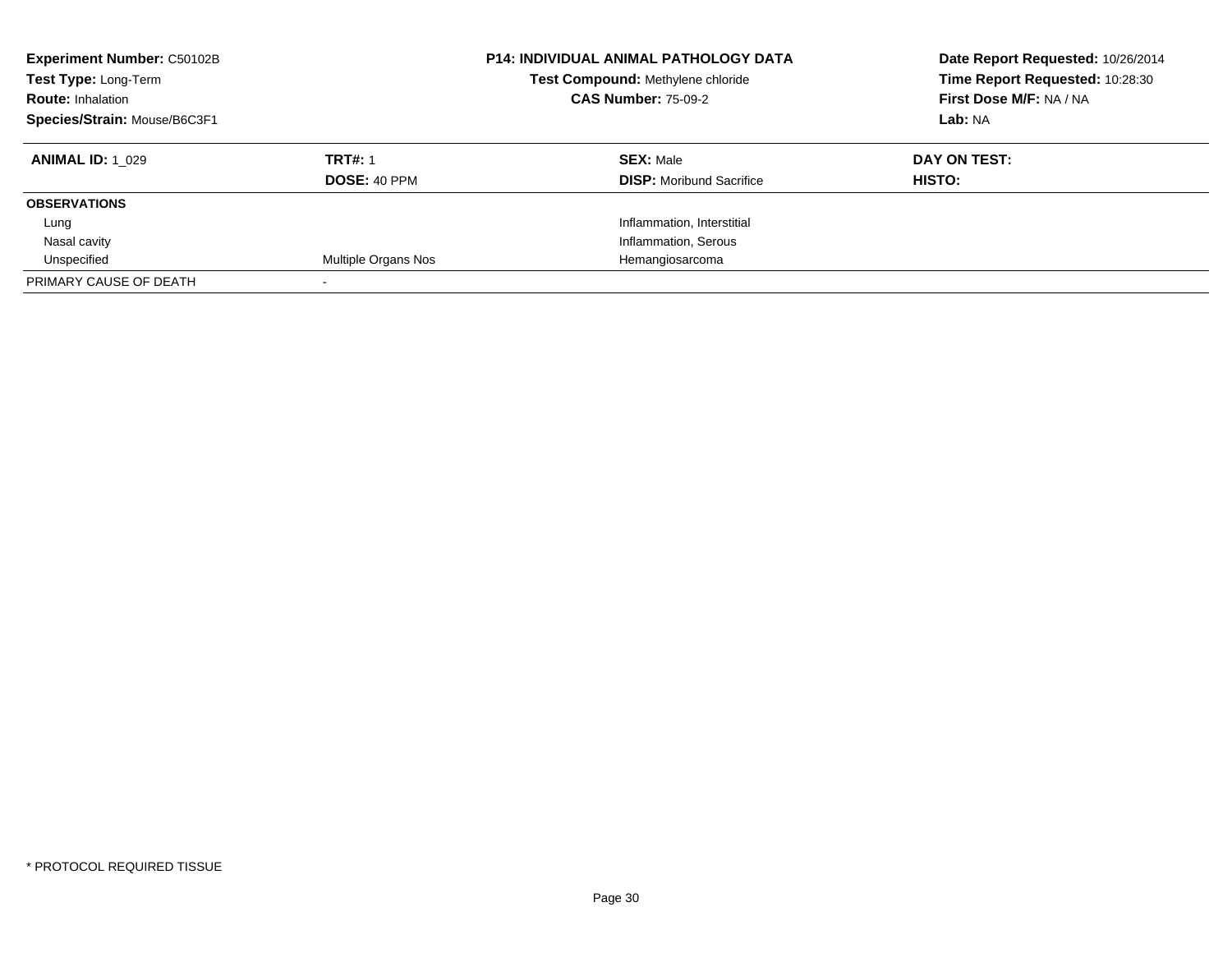| <b>Experiment Number: C50102B</b><br>Test Type: Long-Term<br><b>Route: Inhalation</b><br>Species/Strain: Mouse/B6C3F1 |                     | <b>P14: INDIVIDUAL ANIMAL PATHOLOGY DATA</b><br>Test Compound: Methylene chloride<br><b>CAS Number: 75-09-2</b> | Date Report Requested: 10/26/2014<br>Time Report Requested: 10:28:30<br>First Dose M/F: NA / NA<br>Lab: NA |
|-----------------------------------------------------------------------------------------------------------------------|---------------------|-----------------------------------------------------------------------------------------------------------------|------------------------------------------------------------------------------------------------------------|
| <b>ANIMAL ID: 1 029</b>                                                                                               | <b>TRT#: 1</b>      | <b>SEX: Male</b>                                                                                                | DAY ON TEST:                                                                                               |
|                                                                                                                       | <b>DOSE: 40 PPM</b> | <b>DISP:</b> Moribund Sacrifice                                                                                 | HISTO:                                                                                                     |
| <b>OBSERVATIONS</b>                                                                                                   |                     |                                                                                                                 |                                                                                                            |
| Lung                                                                                                                  |                     | Inflammation, Interstitial                                                                                      |                                                                                                            |
| Nasal cavity                                                                                                          |                     | Inflammation, Serous                                                                                            |                                                                                                            |
| Unspecified                                                                                                           | Multiple Organs Nos | Hemangiosarcoma                                                                                                 |                                                                                                            |
| PRIMARY CAUSE OF DEATH                                                                                                |                     |                                                                                                                 |                                                                                                            |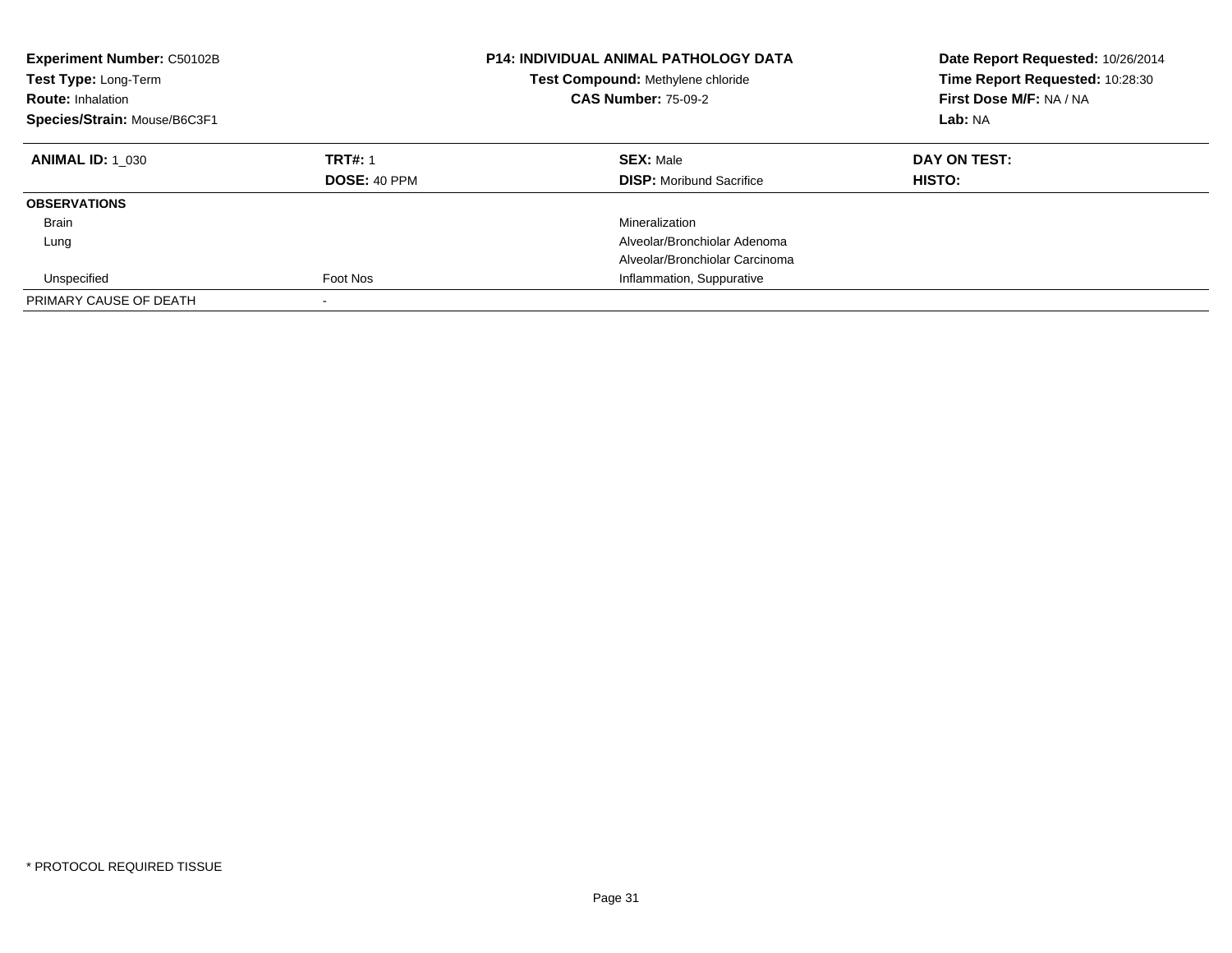| Experiment Number: C50102B<br>Test Type: Long-Term<br><b>Route: Inhalation</b><br>Species/Strain: Mouse/B6C3F1 |                                       | <b>P14: INDIVIDUAL ANIMAL PATHOLOGY DATA</b><br>Test Compound: Methylene chloride<br><b>CAS Number: 75-09-2</b> | Date Report Requested: 10/26/2014<br>Time Report Requested: 10:28:30<br>First Dose M/F: NA / NA<br>Lab: NA |
|----------------------------------------------------------------------------------------------------------------|---------------------------------------|-----------------------------------------------------------------------------------------------------------------|------------------------------------------------------------------------------------------------------------|
| <b>ANIMAL ID: 1 030</b>                                                                                        | <b>TRT#: 1</b><br><b>DOSE: 40 PPM</b> | <b>SEX: Male</b><br><b>DISP:</b> Moribund Sacrifice                                                             | DAY ON TEST:<br>HISTO:                                                                                     |
| <b>OBSERVATIONS</b>                                                                                            |                                       |                                                                                                                 |                                                                                                            |
| Brain                                                                                                          |                                       | Mineralization                                                                                                  |                                                                                                            |
| Lung                                                                                                           |                                       | Alveolar/Bronchiolar Adenoma                                                                                    |                                                                                                            |
|                                                                                                                |                                       | Alveolar/Bronchiolar Carcinoma                                                                                  |                                                                                                            |
| Unspecified                                                                                                    | Foot Nos                              | Inflammation, Suppurative                                                                                       |                                                                                                            |
| PRIMARY CAUSE OF DEATH                                                                                         |                                       |                                                                                                                 |                                                                                                            |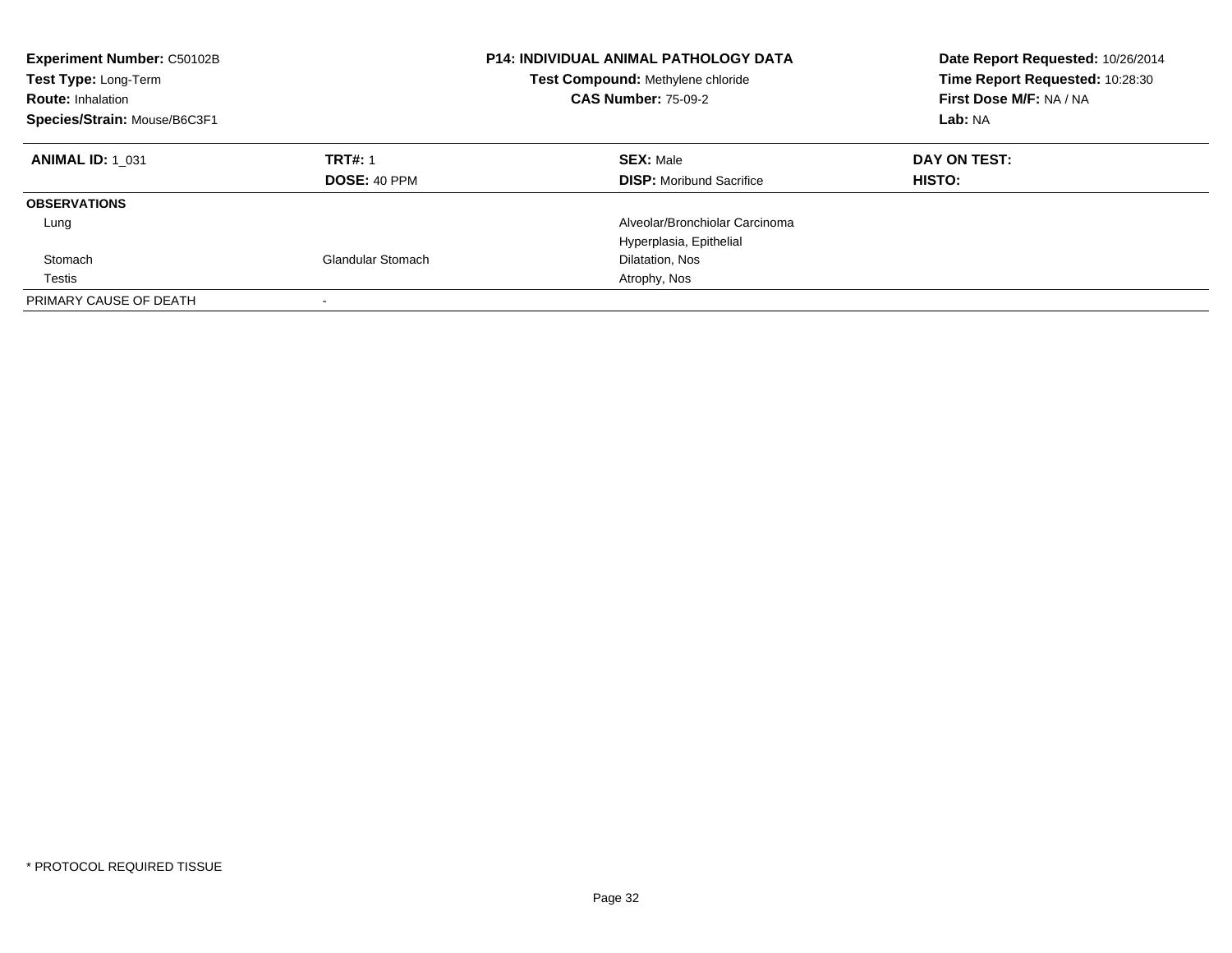| <b>Experiment Number: C50102B</b><br>Test Type: Long-Term<br><b>Route: Inhalation</b><br>Species/Strain: Mouse/B6C3F1 |                                       | <b>P14: INDIVIDUAL ANIMAL PATHOLOGY DATA</b><br>Test Compound: Methylene chloride<br><b>CAS Number: 75-09-2</b> | Date Report Requested: 10/26/2014<br>Time Report Requested: 10:28:30<br>First Dose M/F: NA / NA<br>Lab: NA |
|-----------------------------------------------------------------------------------------------------------------------|---------------------------------------|-----------------------------------------------------------------------------------------------------------------|------------------------------------------------------------------------------------------------------------|
| <b>ANIMAL ID: 1 031</b>                                                                                               | <b>TRT#: 1</b><br><b>DOSE: 40 PPM</b> | <b>SEX: Male</b><br><b>DISP:</b> Moribund Sacrifice                                                             | DAY ON TEST:<br><b>HISTO:</b>                                                                              |
| <b>OBSERVATIONS</b>                                                                                                   |                                       |                                                                                                                 |                                                                                                            |
| Lung                                                                                                                  |                                       | Alveolar/Bronchiolar Carcinoma                                                                                  |                                                                                                            |
|                                                                                                                       |                                       | Hyperplasia, Epithelial                                                                                         |                                                                                                            |
| Stomach                                                                                                               | Glandular Stomach                     | Dilatation, Nos                                                                                                 |                                                                                                            |
| Testis                                                                                                                |                                       | Atrophy, Nos                                                                                                    |                                                                                                            |
| PRIMARY CAUSE OF DEATH                                                                                                |                                       |                                                                                                                 |                                                                                                            |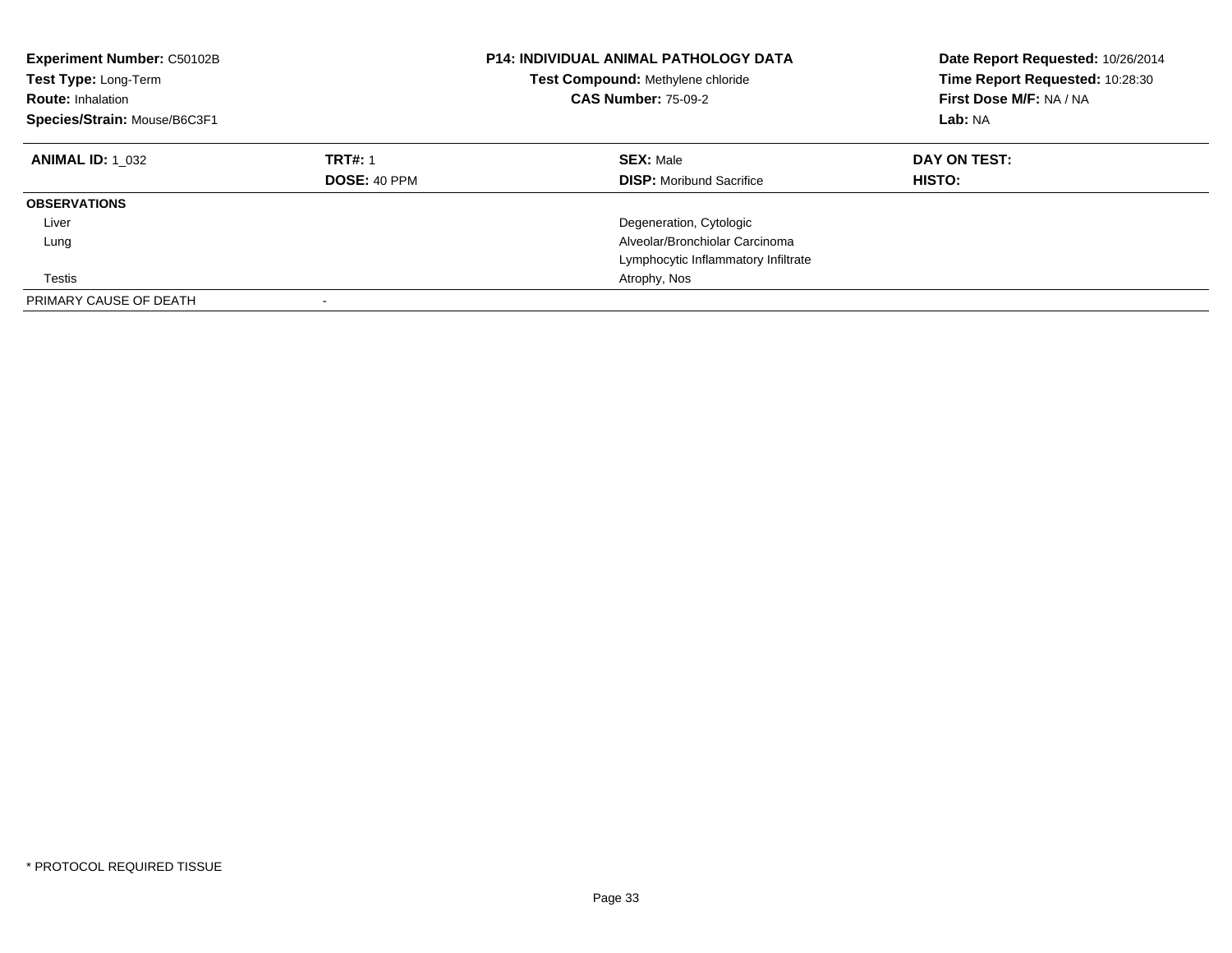| Experiment Number: C50102B<br>Test Type: Long-Term<br><b>Route: Inhalation</b><br>Species/Strain: Mouse/B6C3F1 |                                | <b>P14: INDIVIDUAL ANIMAL PATHOLOGY DATA</b><br>Test Compound: Methylene chloride<br><b>CAS Number: 75-09-2</b> | Date Report Requested: 10/26/2014<br>Time Report Requested: 10:28:30<br>First Dose M/F: NA / NA<br>Lab: NA |
|----------------------------------------------------------------------------------------------------------------|--------------------------------|-----------------------------------------------------------------------------------------------------------------|------------------------------------------------------------------------------------------------------------|
| <b>ANIMAL ID: 1 032</b>                                                                                        | <b>TRT#: 1</b><br>DOSE: 40 PPM | <b>SEX: Male</b><br><b>DISP:</b> Moribund Sacrifice                                                             | DAY ON TEST:<br><b>HISTO:</b>                                                                              |
| <b>OBSERVATIONS</b>                                                                                            |                                |                                                                                                                 |                                                                                                            |
| Liver                                                                                                          |                                | Degeneration, Cytologic                                                                                         |                                                                                                            |
| Lung                                                                                                           |                                | Alveolar/Bronchiolar Carcinoma                                                                                  |                                                                                                            |
|                                                                                                                |                                | Lymphocytic Inflammatory Infiltrate                                                                             |                                                                                                            |
| Testis                                                                                                         |                                | Atrophy, Nos                                                                                                    |                                                                                                            |
| PRIMARY CAUSE OF DEATH                                                                                         |                                |                                                                                                                 |                                                                                                            |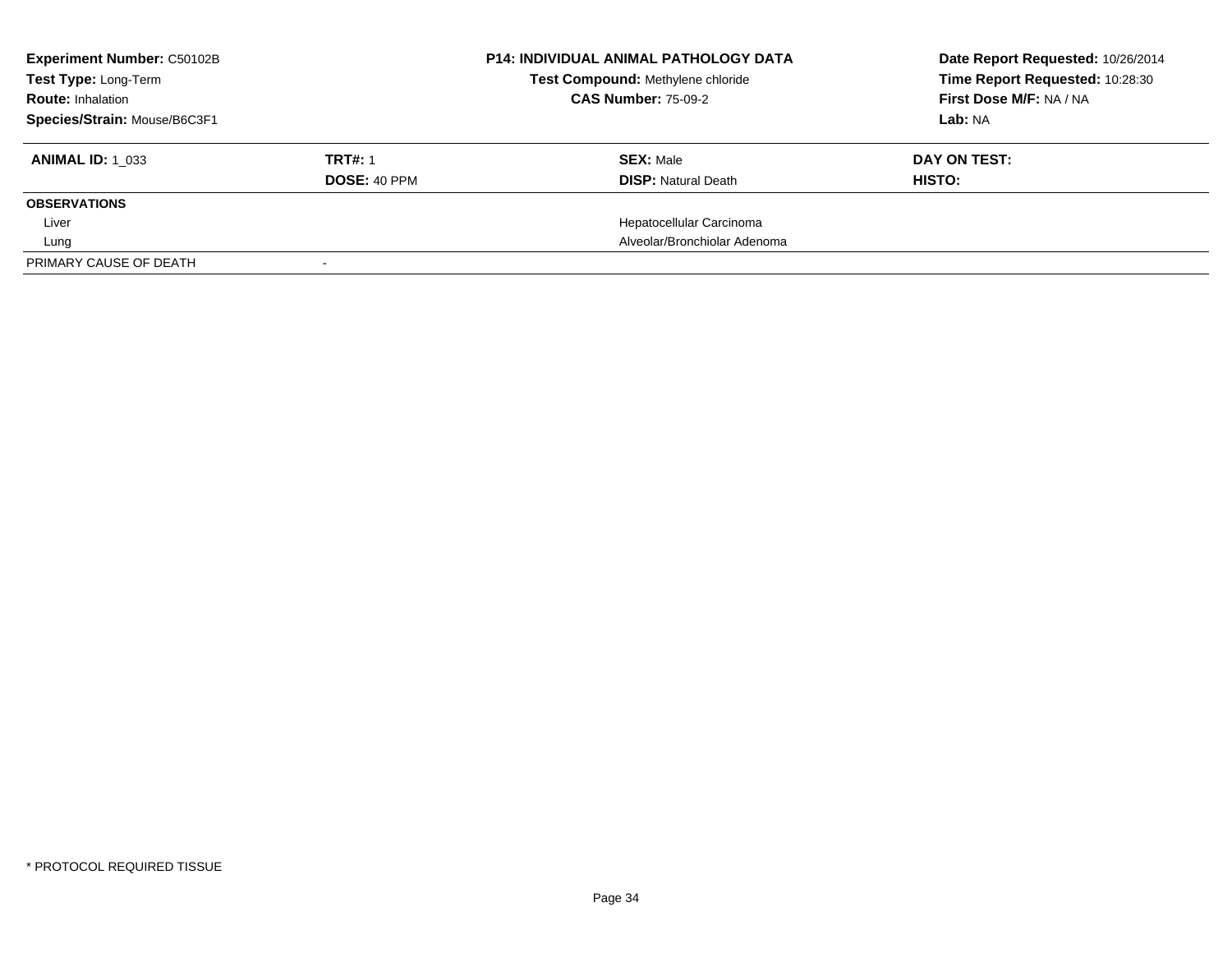| <b>Experiment Number: C50102B</b><br>Test Type: Long-Term |                     | <b>P14: INDIVIDUAL ANIMAL PATHOLOGY DATA</b><br>Test Compound: Methylene chloride | Date Report Requested: 10/26/2014<br>Time Report Requested: 10:28:30 |
|-----------------------------------------------------------|---------------------|-----------------------------------------------------------------------------------|----------------------------------------------------------------------|
| <b>Route: Inhalation</b>                                  |                     | <b>CAS Number: 75-09-2</b>                                                        | First Dose M/F: NA / NA                                              |
| Species/Strain: Mouse/B6C3F1                              |                     |                                                                                   | Lab: NA                                                              |
| <b>ANIMAL ID: 1 033</b>                                   | <b>TRT#: 1</b>      | <b>SEX: Male</b>                                                                  | DAY ON TEST:                                                         |
|                                                           | <b>DOSE: 40 PPM</b> | <b>DISP:</b> Natural Death                                                        | HISTO:                                                               |
| <b>OBSERVATIONS</b>                                       |                     |                                                                                   |                                                                      |
| Liver                                                     |                     | Hepatocellular Carcinoma                                                          |                                                                      |
| Lung                                                      |                     | Alveolar/Bronchiolar Adenoma                                                      |                                                                      |
| PRIMARY CAUSE OF DEATH                                    |                     |                                                                                   |                                                                      |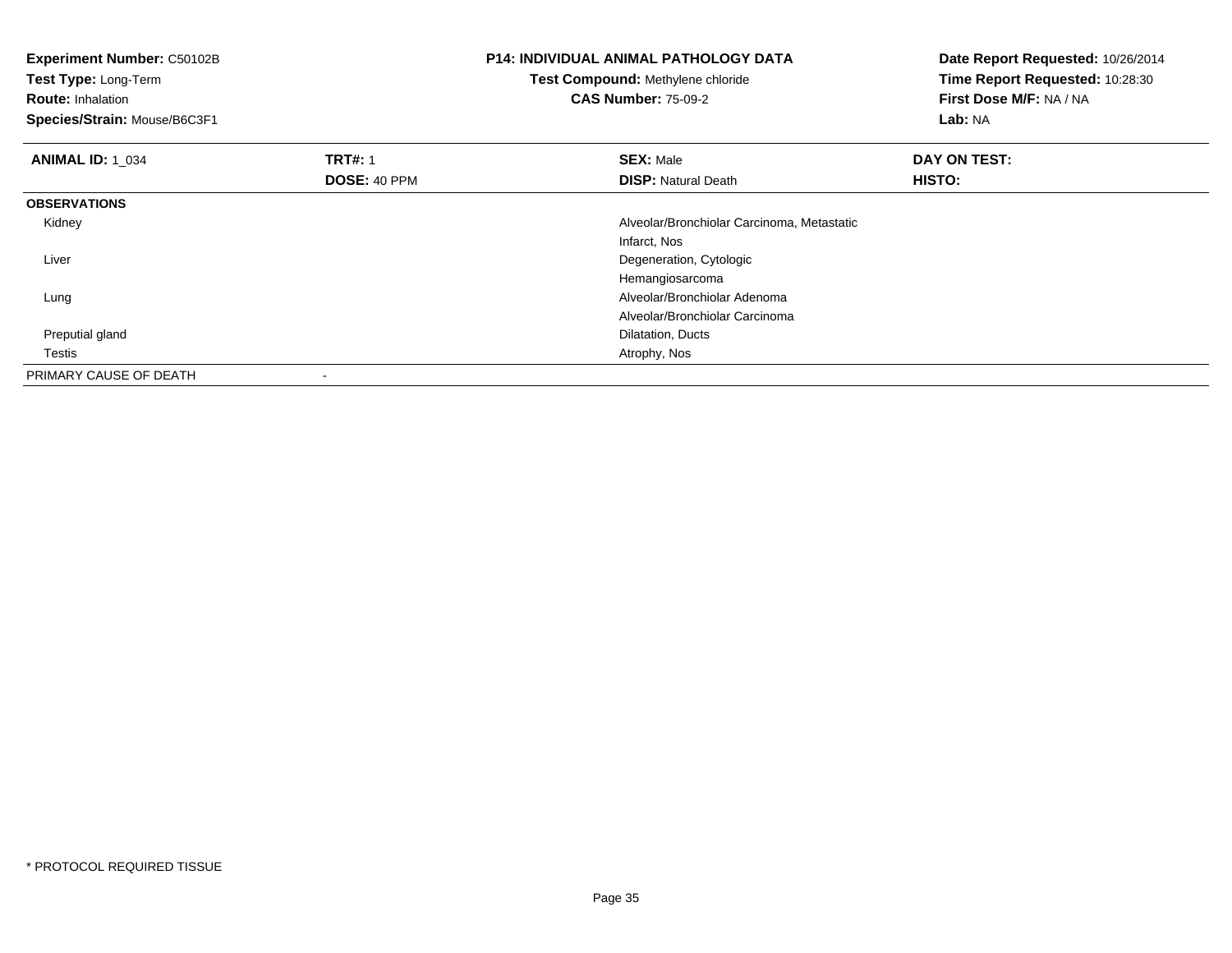**Experiment Number:** C50102B**Test Type:** Long-Term**Route:** Inhalation **Species/Strain:** Mouse/B6C3F1**P14: INDIVIDUAL ANIMAL PATHOLOGY DATATest Compound:** Methylene chloride**CAS Number:** 75-09-2**Date Report Requested:** 10/26/2014**Time Report Requested:** 10:28:30**First Dose M/F:** NA / NA**Lab:** NA**ANIMAL ID:** 1\_034**1 TRT#:** 1 **SEX:** Male **DAY ON TEST: DOSE:** 40 PPM**DISP:** Natural Death **HISTO: OBSERVATIONS** Kidney Alveolar/Bronchiolar Carcinoma, Metastatic Infarct, Nos Degeneration, Cytologic LiverHemangiosarcoma Alveolar/Bronchiolar Adenoma LungAlveolar/Bronchiolar Carcinoma Preputial gland Dilatation, Ducts Testis Atrophy, Nos PRIMARY CAUSE OF DEATH-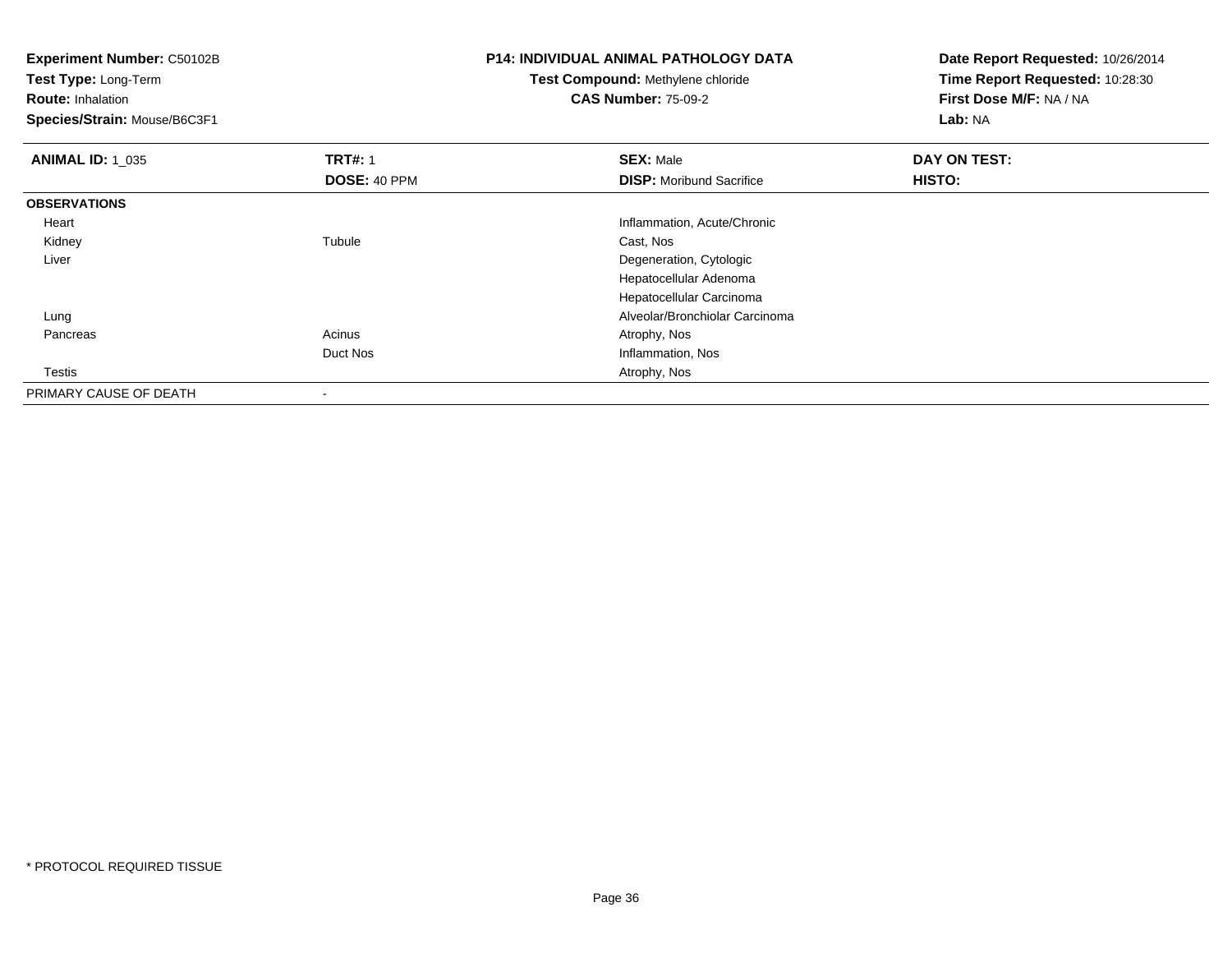**Experiment Number:** C50102B**Test Type:** Long-Term**Route:** Inhalation **Species/Strain:** Mouse/B6C3F1**P14: INDIVIDUAL ANIMAL PATHOLOGY DATATest Compound:** Methylene chloride**CAS Number:** 75-09-2**Date Report Requested:** 10/26/2014**Time Report Requested:** 10:28:30**First Dose M/F:** NA / NA**Lab:** NA**ANIMAL ID: 1\_035 TRT#:** <sup>1</sup> **SEX:** Male **DAY ON TEST: DOSE:** 40 PPM**DISP:** Moribund Sacrifice **HISTO: OBSERVATIONS** Heart Inflammation, Acute/Chronic Kidneyy the contract of the contract of the contract of the contract of the contract of the contract of the contract of the contract of the contract of the contract of the contract of the contract of the contract of the contract Tubule Cast, Nos Liver Degeneration, Cytologic Hepatocellular Adenoma Hepatocellular Carcinoma Alveolar/Bronchiolar Carcinoma Lung Pancreass and the contract of the contract of the contract of the contract of the contract  $\mathsf{A}$  at  $\mathsf{A}$  and  $\mathsf{A}$  and  $\mathsf{A}$  and  $\mathsf{A}$  and  $\mathsf{A}$  are contract of  $\mathsf{A}$  and  $\mathsf{A}$  and  $\mathsf{A}$  are contract of Duct Nos Inflammation, Nos **Testis**  Atrophy, Nos PRIMARY CAUSE OF DEATH-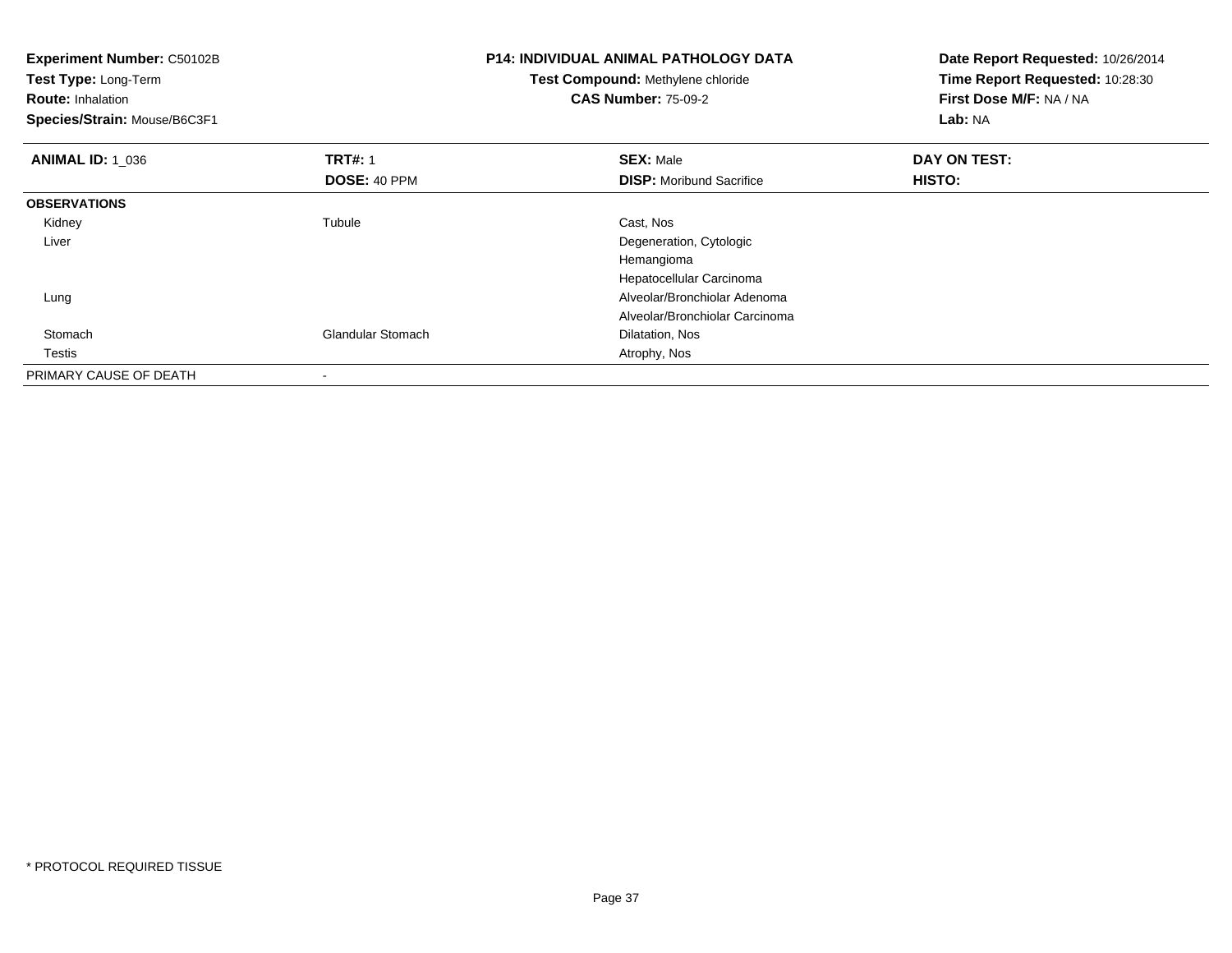| <b>Experiment Number: C50102B</b><br>Test Type: Long-Term<br><b>Route: Inhalation</b><br>Species/Strain: Mouse/B6C3F1 |                          | <b>P14: INDIVIDUAL ANIMAL PATHOLOGY DATA</b><br>Test Compound: Methylene chloride<br><b>CAS Number: 75-09-2</b> | Date Report Requested: 10/26/2014<br>Time Report Requested: 10:28:30<br>First Dose M/F: NA / NA<br>Lab: NA |
|-----------------------------------------------------------------------------------------------------------------------|--------------------------|-----------------------------------------------------------------------------------------------------------------|------------------------------------------------------------------------------------------------------------|
| <b>ANIMAL ID: 1_036</b>                                                                                               | <b>TRT#: 1</b>           | <b>SEX: Male</b>                                                                                                | DAY ON TEST:                                                                                               |
|                                                                                                                       | <b>DOSE: 40 PPM</b>      | <b>DISP:</b> Moribund Sacrifice                                                                                 | HISTO:                                                                                                     |
| <b>OBSERVATIONS</b>                                                                                                   |                          |                                                                                                                 |                                                                                                            |
| Kidney                                                                                                                | Tubule                   | Cast, Nos                                                                                                       |                                                                                                            |
| Liver                                                                                                                 |                          | Degeneration, Cytologic                                                                                         |                                                                                                            |
|                                                                                                                       |                          | Hemangioma                                                                                                      |                                                                                                            |
|                                                                                                                       |                          | Hepatocellular Carcinoma                                                                                        |                                                                                                            |
| Lung                                                                                                                  |                          | Alveolar/Bronchiolar Adenoma                                                                                    |                                                                                                            |
|                                                                                                                       |                          | Alveolar/Bronchiolar Carcinoma                                                                                  |                                                                                                            |
| Stomach                                                                                                               | <b>Glandular Stomach</b> | Dilatation, Nos                                                                                                 |                                                                                                            |
| Testis                                                                                                                |                          | Atrophy, Nos                                                                                                    |                                                                                                            |
| PRIMARY CAUSE OF DEATH                                                                                                |                          |                                                                                                                 |                                                                                                            |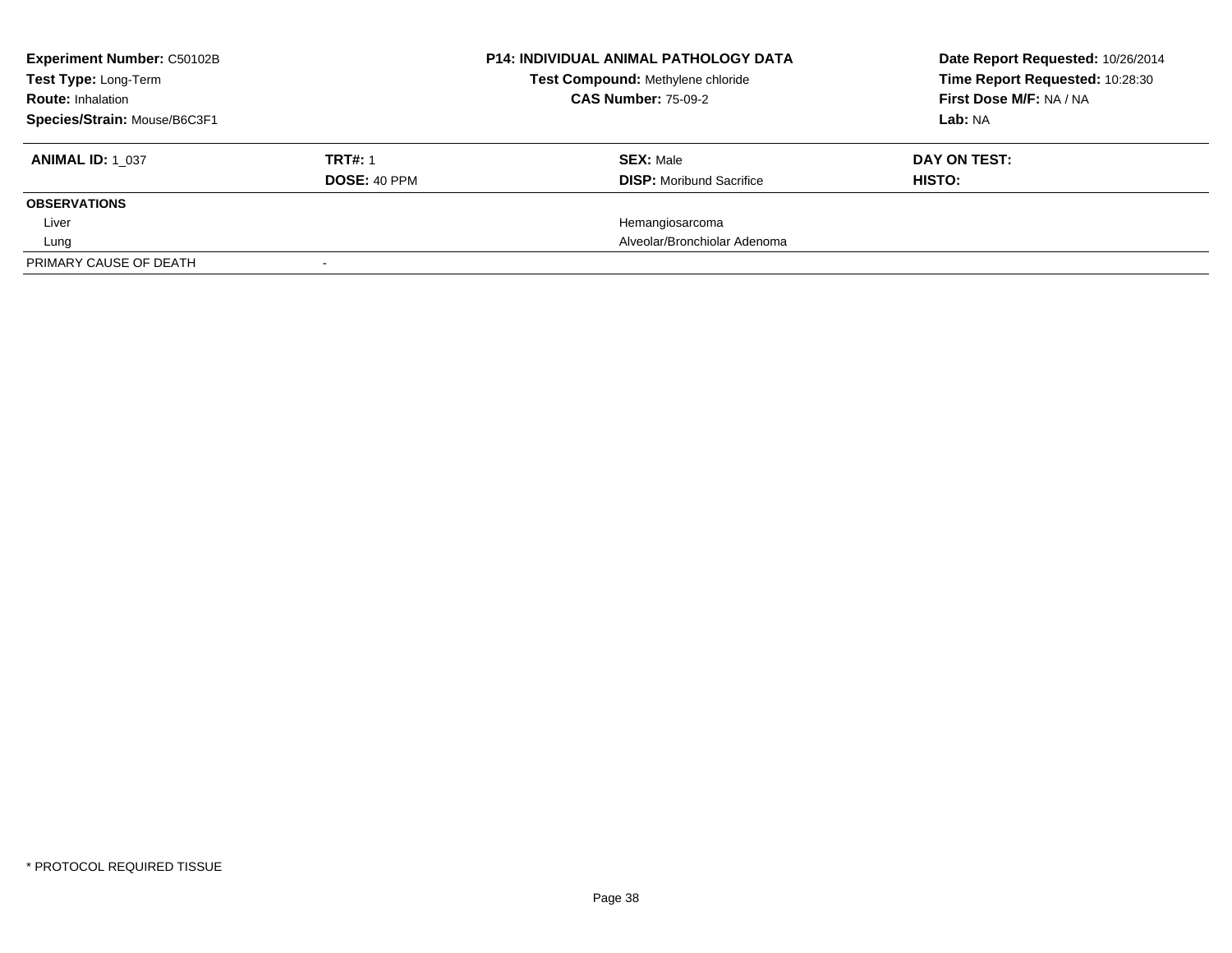| <b>Experiment Number: C50102B</b><br><b>Test Type: Long-Term</b> |                     | <b>P14: INDIVIDUAL ANIMAL PATHOLOGY DATA</b><br>Test Compound: Methylene chloride | Date Report Requested: 10/26/2014<br>Time Report Requested: 10:28:30 |  |
|------------------------------------------------------------------|---------------------|-----------------------------------------------------------------------------------|----------------------------------------------------------------------|--|
| <b>Route: Inhalation</b>                                         |                     | <b>CAS Number: 75-09-2</b>                                                        | First Dose M/F: NA / NA                                              |  |
| Species/Strain: Mouse/B6C3F1                                     |                     |                                                                                   | Lab: NA                                                              |  |
| <b>ANIMAL ID: 1 037</b>                                          | <b>TRT#: 1</b>      | <b>SEX: Male</b>                                                                  | DAY ON TEST:                                                         |  |
|                                                                  | <b>DOSE: 40 PPM</b> | <b>DISP:</b> Moribund Sacrifice                                                   | HISTO:                                                               |  |
| <b>OBSERVATIONS</b>                                              |                     |                                                                                   |                                                                      |  |
| Liver                                                            |                     | Hemangiosarcoma                                                                   |                                                                      |  |
| Lung                                                             |                     | Alveolar/Bronchiolar Adenoma                                                      |                                                                      |  |
| PRIMARY CAUSE OF DEATH                                           |                     |                                                                                   |                                                                      |  |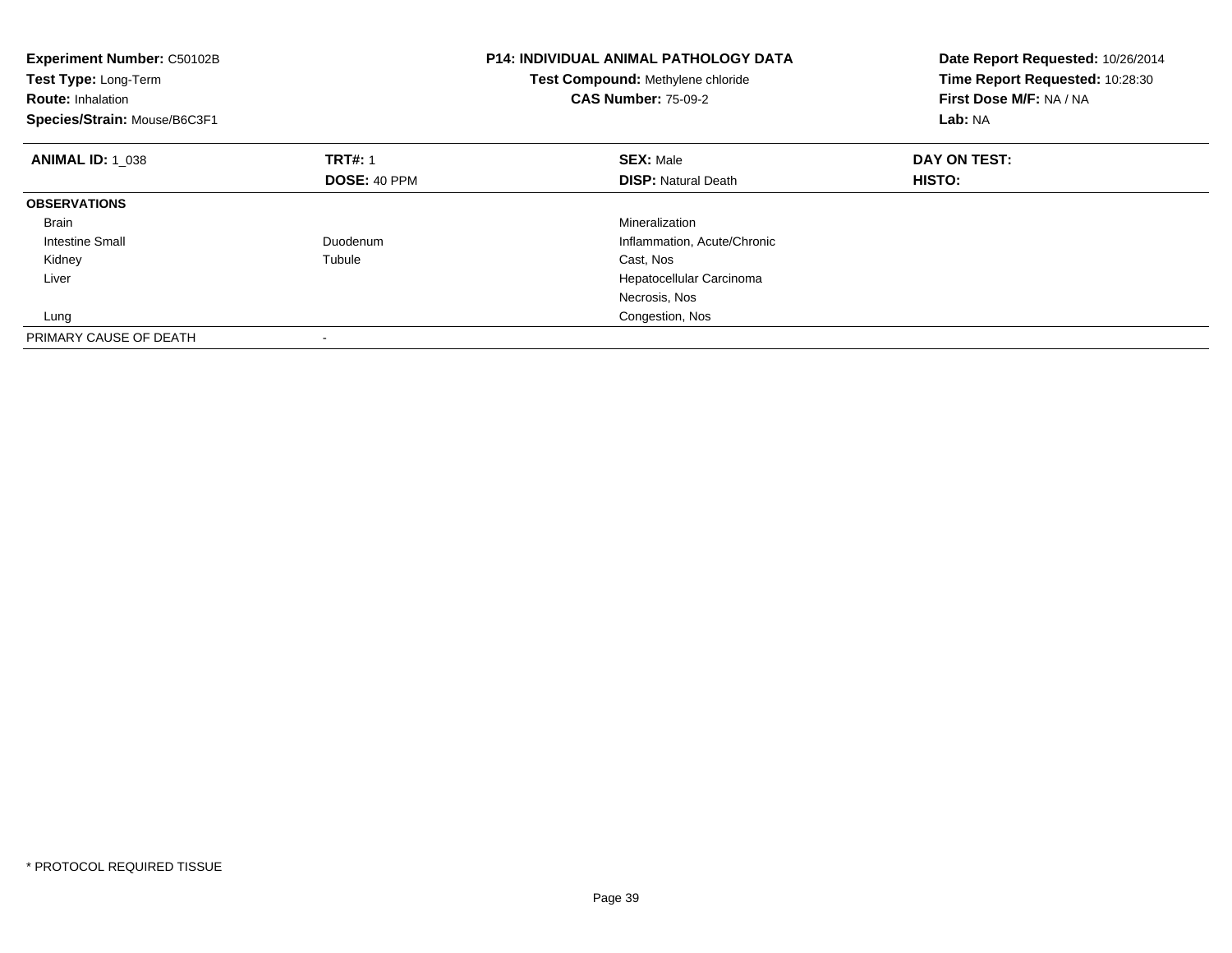| <b>Experiment Number: C50102B</b><br><b>Test Type: Long-Term</b><br><b>Route: Inhalation</b><br>Species/Strain: Mouse/B6C3F1 |                     | P14: INDIVIDUAL ANIMAL PATHOLOGY DATA<br>Test Compound: Methylene chloride<br><b>CAS Number: 75-09-2</b> | Date Report Requested: 10/26/2014<br>Time Report Requested: 10:28:30<br>First Dose M/F: NA / NA<br>Lab: NA |  |
|------------------------------------------------------------------------------------------------------------------------------|---------------------|----------------------------------------------------------------------------------------------------------|------------------------------------------------------------------------------------------------------------|--|
| <b>ANIMAL ID: 1 038</b>                                                                                                      | <b>TRT#: 1</b>      | <b>SEX: Male</b>                                                                                         | DAY ON TEST:                                                                                               |  |
|                                                                                                                              | <b>DOSE: 40 PPM</b> | <b>DISP:</b> Natural Death                                                                               | HISTO:                                                                                                     |  |
| <b>OBSERVATIONS</b>                                                                                                          |                     |                                                                                                          |                                                                                                            |  |
| Brain                                                                                                                        |                     | Mineralization                                                                                           |                                                                                                            |  |
| Intestine Small                                                                                                              | Duodenum            | Inflammation, Acute/Chronic                                                                              |                                                                                                            |  |
| Kidney                                                                                                                       | Tubule              | Cast, Nos                                                                                                |                                                                                                            |  |
| Liver                                                                                                                        |                     | Hepatocellular Carcinoma                                                                                 |                                                                                                            |  |
|                                                                                                                              |                     | Necrosis, Nos                                                                                            |                                                                                                            |  |
| Lung                                                                                                                         |                     | Congestion, Nos                                                                                          |                                                                                                            |  |
| PRIMARY CAUSE OF DEATH                                                                                                       |                     |                                                                                                          |                                                                                                            |  |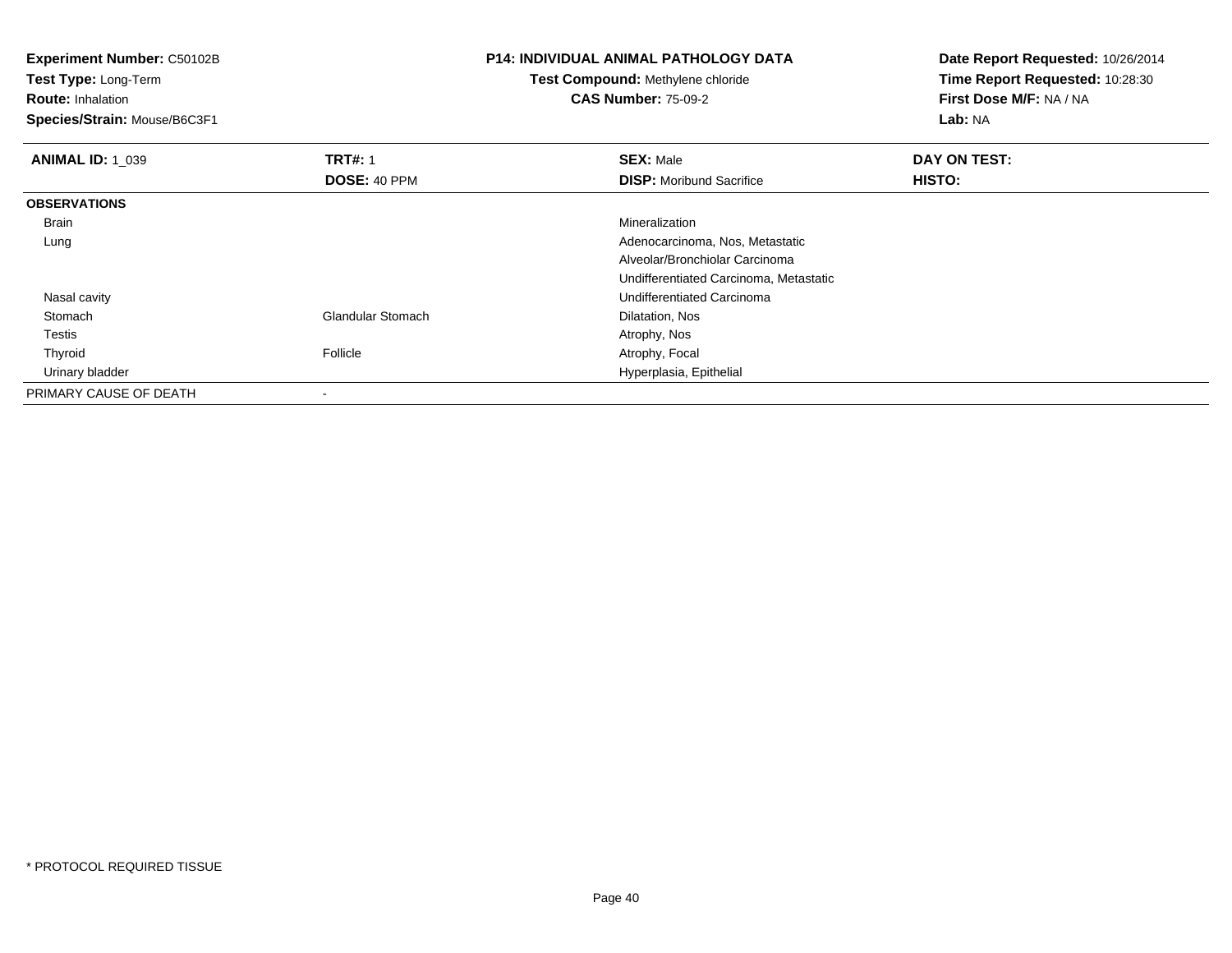**Experiment Number:** C50102B**Test Type:** Long-Term**Route:** Inhalation **Species/Strain:** Mouse/B6C3F1**P14: INDIVIDUAL ANIMAL PATHOLOGY DATATest Compound:** Methylene chloride**CAS Number:** 75-09-2**Date Report Requested:** 10/26/2014**Time Report Requested:** 10:28:30**First Dose M/F:** NA / NA**Lab:** NA**ANIMAL ID: 1\_039 9 TRT#:** 1 **SEX:** Male **SEX:** Male **DAY ON TEST: DOSE:** 40 PPM**DISP:** Moribund Sacrifice **HISTO: OBSERVATIONS** Brainn and the control of the control of the control of the control of the control of the control of the control of the control of the control of the control of the control of the control of the control of the control of the co Lung Adenocarcinoma, Nos, Metastatic Alveolar/Bronchiolar Carcinoma Undifferentiated Carcinoma, Metastatic Nasal cavity Undifferentiated Carcinoma StomachGlandular Stomach Dilatation, Nos Testiss and the contract of the contract of the contract of the contract of the contract of the contract of the contract of the contract of the contract of the contract of the contract of the contract of the contract of the cont Thyroid Follicle Atrophy, Focal Urinary bladder Hyperplasia, Epithelial PRIMARY CAUSE OF DEATH-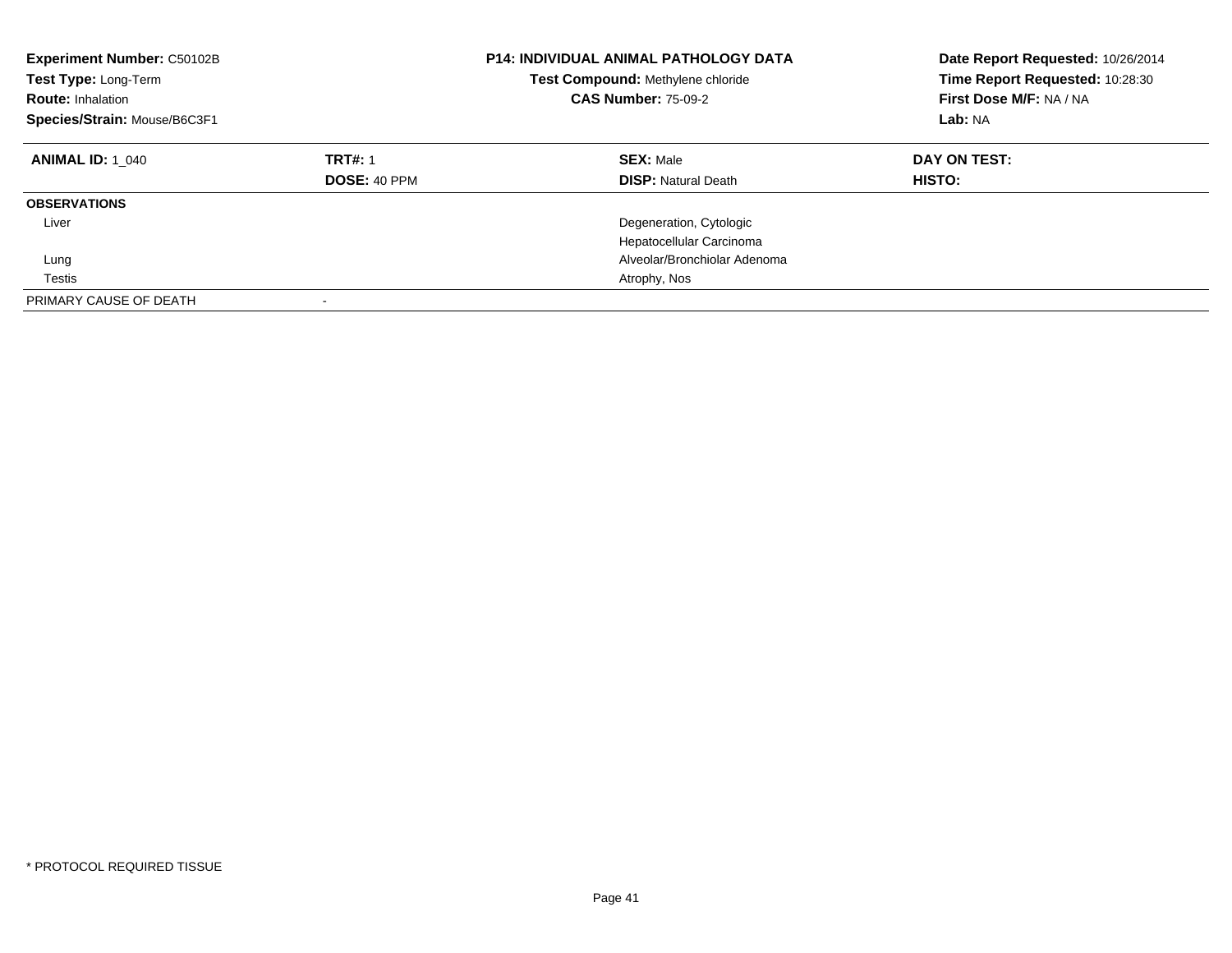| Experiment Number: C50102B<br>Test Type: Long-Term<br><b>Route: Inhalation</b><br>Species/Strain: Mouse/B6C3F1 |                                       | <b>P14: INDIVIDUAL ANIMAL PATHOLOGY DATA</b><br>Test Compound: Methylene chloride<br><b>CAS Number: 75-09-2</b> | Date Report Requested: 10/26/2014<br>Time Report Requested: 10:28:30<br>First Dose M/F: NA / NA<br>Lab: NA |
|----------------------------------------------------------------------------------------------------------------|---------------------------------------|-----------------------------------------------------------------------------------------------------------------|------------------------------------------------------------------------------------------------------------|
| <b>ANIMAL ID: 1 040</b>                                                                                        | <b>TRT#: 1</b><br><b>DOSE: 40 PPM</b> | <b>SEX: Male</b><br><b>DISP: Natural Death</b>                                                                  | DAY ON TEST:<br>HISTO:                                                                                     |
| <b>OBSERVATIONS</b>                                                                                            |                                       |                                                                                                                 |                                                                                                            |
| Liver                                                                                                          |                                       | Degeneration, Cytologic<br>Hepatocellular Carcinoma                                                             |                                                                                                            |
| Lung                                                                                                           |                                       | Alveolar/Bronchiolar Adenoma                                                                                    |                                                                                                            |
| Testis                                                                                                         |                                       | Atrophy, Nos                                                                                                    |                                                                                                            |
| PRIMARY CAUSE OF DEATH                                                                                         |                                       |                                                                                                                 |                                                                                                            |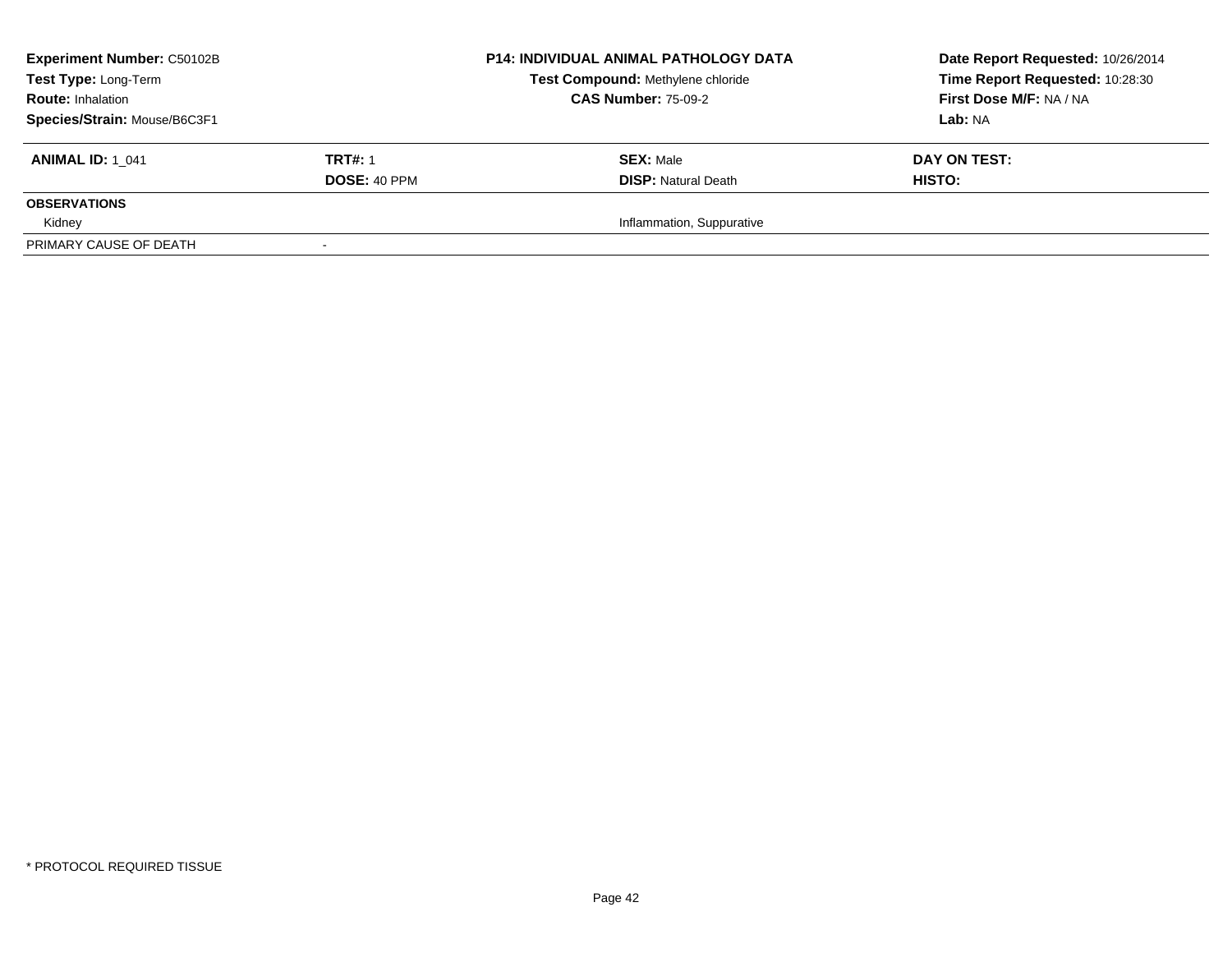| <b>Experiment Number: C50102B</b><br>Test Type: Long-Term<br><b>Route: Inhalation</b> |                     | <b>P14: INDIVIDUAL ANIMAL PATHOLOGY DATA</b> | Date Report Requested: 10/26/2014 |  |
|---------------------------------------------------------------------------------------|---------------------|----------------------------------------------|-----------------------------------|--|
|                                                                                       |                     | Test Compound: Methylene chloride            | Time Report Requested: 10:28:30   |  |
|                                                                                       |                     | <b>CAS Number: 75-09-2</b>                   | First Dose M/F: NA / NA           |  |
| Species/Strain: Mouse/B6C3F1                                                          |                     |                                              | <b>Lab:</b> NA                    |  |
| <b>ANIMAL ID: 1 041</b>                                                               | <b>TRT#: 1</b>      | <b>SEX: Male</b>                             | DAY ON TEST:                      |  |
|                                                                                       | <b>DOSE: 40 PPM</b> | <b>DISP:</b> Natural Death                   | <b>HISTO:</b>                     |  |
| <b>OBSERVATIONS</b>                                                                   |                     |                                              |                                   |  |
| Kidney                                                                                |                     | Inflammation, Suppurative                    |                                   |  |
| PRIMARY CAUSE OF DEATH                                                                |                     |                                              |                                   |  |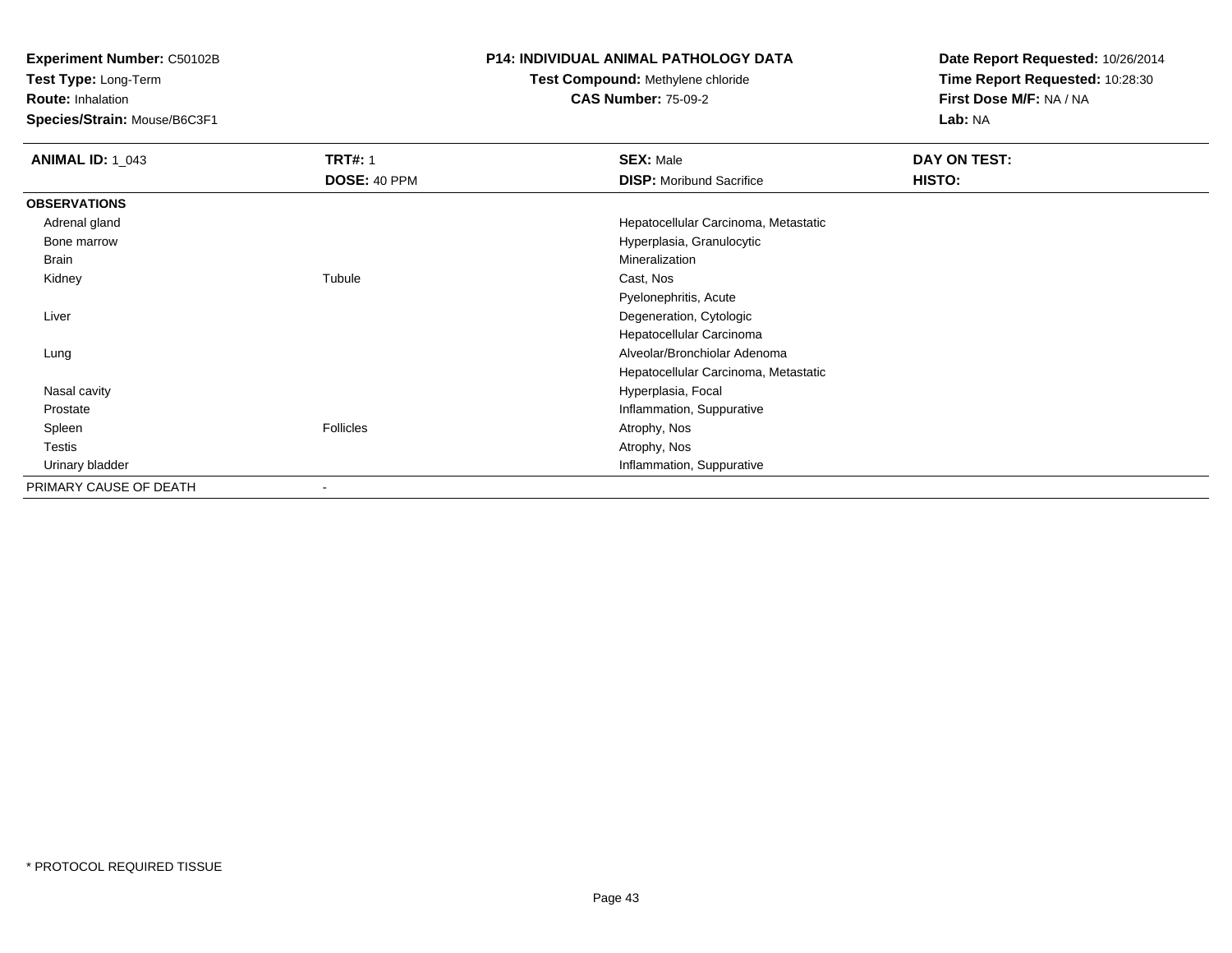**Experiment Number:** C50102B

**Test Type:** Long-Term

**Route:** Inhalation

**Species/Strain:** Mouse/B6C3F1

#### **P14: INDIVIDUAL ANIMAL PATHOLOGY DATA**

# **Test Compound:** Methylene chloride**CAS Number:** 75-09-2

**Date Report Requested:** 10/26/2014**Time Report Requested:** 10:28:30**First Dose M/F:** NA / NA**Lab:** NA

| <b>ANIMAL ID: 1_043</b> | <b>TRT#: 1</b>           | <b>SEX: Male</b>                     | DAY ON TEST: |  |
|-------------------------|--------------------------|--------------------------------------|--------------|--|
|                         | DOSE: 40 PPM             | <b>DISP:</b> Moribund Sacrifice      | HISTO:       |  |
| <b>OBSERVATIONS</b>     |                          |                                      |              |  |
| Adrenal gland           |                          | Hepatocellular Carcinoma, Metastatic |              |  |
| Bone marrow             |                          | Hyperplasia, Granulocytic            |              |  |
| Brain                   |                          | Mineralization                       |              |  |
| Kidney                  | Tubule                   | Cast, Nos                            |              |  |
|                         |                          | Pyelonephritis, Acute                |              |  |
| Liver                   |                          | Degeneration, Cytologic              |              |  |
|                         |                          | Hepatocellular Carcinoma             |              |  |
| Lung                    |                          | Alveolar/Bronchiolar Adenoma         |              |  |
|                         |                          | Hepatocellular Carcinoma, Metastatic |              |  |
| Nasal cavity            |                          | Hyperplasia, Focal                   |              |  |
| Prostate                |                          | Inflammation, Suppurative            |              |  |
| Spleen                  | Follicles                | Atrophy, Nos                         |              |  |
| Testis                  |                          | Atrophy, Nos                         |              |  |
| Urinary bladder         |                          | Inflammation, Suppurative            |              |  |
| PRIMARY CAUSE OF DEATH  | $\overline{\phantom{a}}$ |                                      |              |  |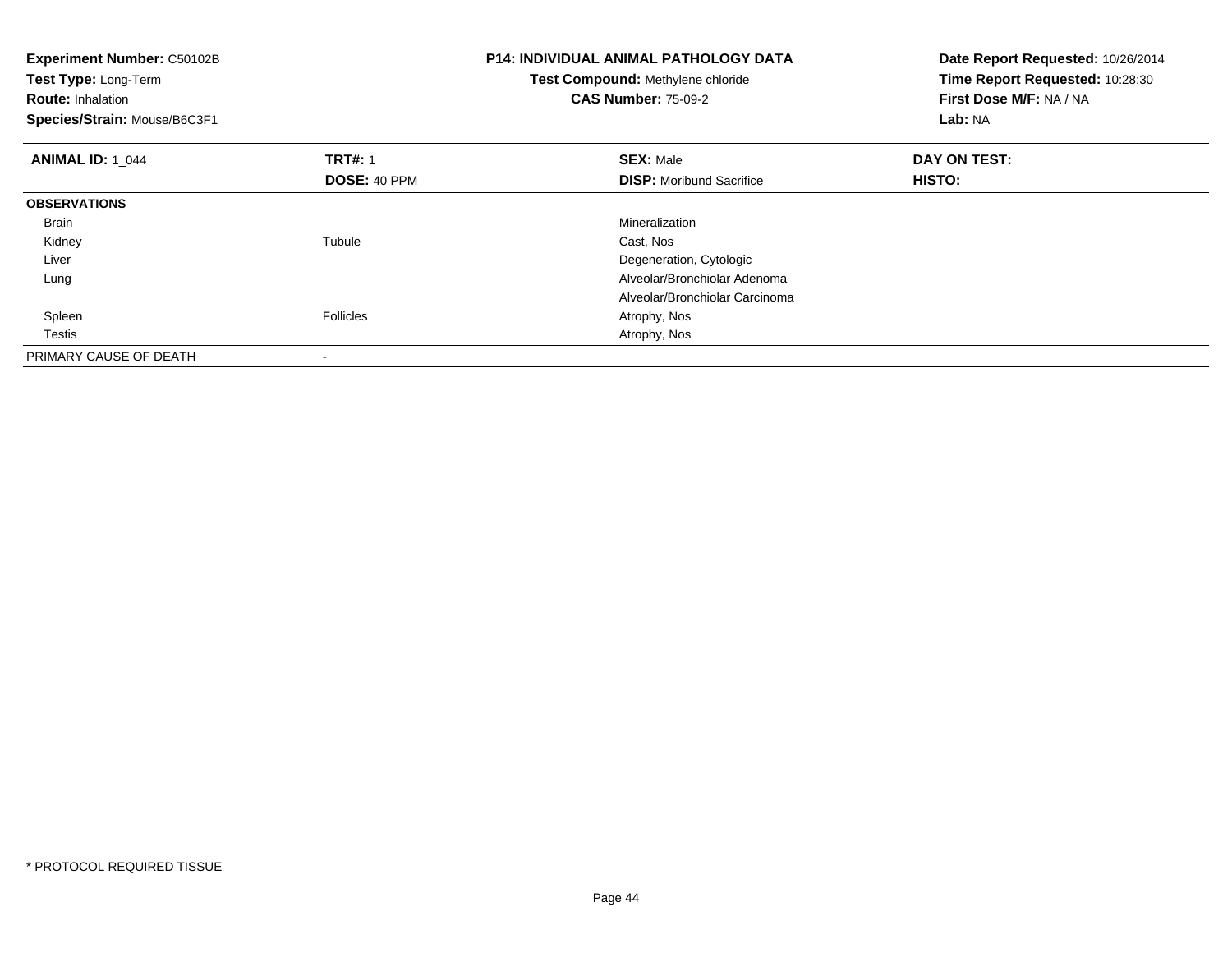| <b>Experiment Number: C50102B</b><br>Test Type: Long-Term<br><b>Route: Inhalation</b><br>Species/Strain: Mouse/B6C3F1 |                     | <b>P14: INDIVIDUAL ANIMAL PATHOLOGY DATA</b><br>Test Compound: Methylene chloride<br><b>CAS Number: 75-09-2</b> | Date Report Requested: 10/26/2014<br>Time Report Requested: 10:28:30<br>First Dose M/F: NA / NA<br>Lab: NA |  |
|-----------------------------------------------------------------------------------------------------------------------|---------------------|-----------------------------------------------------------------------------------------------------------------|------------------------------------------------------------------------------------------------------------|--|
| <b>ANIMAL ID: 1 044</b>                                                                                               | <b>TRT#: 1</b>      | <b>SEX: Male</b>                                                                                                | DAY ON TEST:                                                                                               |  |
|                                                                                                                       | <b>DOSE: 40 PPM</b> | <b>DISP:</b> Moribund Sacrifice                                                                                 | HISTO:                                                                                                     |  |
| <b>OBSERVATIONS</b>                                                                                                   |                     |                                                                                                                 |                                                                                                            |  |
| Brain                                                                                                                 |                     | <b>Mineralization</b>                                                                                           |                                                                                                            |  |
| Kidney                                                                                                                | Tubule              | Cast, Nos                                                                                                       |                                                                                                            |  |
| Liver                                                                                                                 |                     | Degeneration, Cytologic                                                                                         |                                                                                                            |  |
| Lung                                                                                                                  |                     | Alveolar/Bronchiolar Adenoma                                                                                    |                                                                                                            |  |
|                                                                                                                       |                     | Alveolar/Bronchiolar Carcinoma                                                                                  |                                                                                                            |  |
| Spleen                                                                                                                | <b>Follicles</b>    | Atrophy, Nos                                                                                                    |                                                                                                            |  |
| Testis                                                                                                                |                     | Atrophy, Nos                                                                                                    |                                                                                                            |  |
| PRIMARY CAUSE OF DEATH                                                                                                |                     |                                                                                                                 |                                                                                                            |  |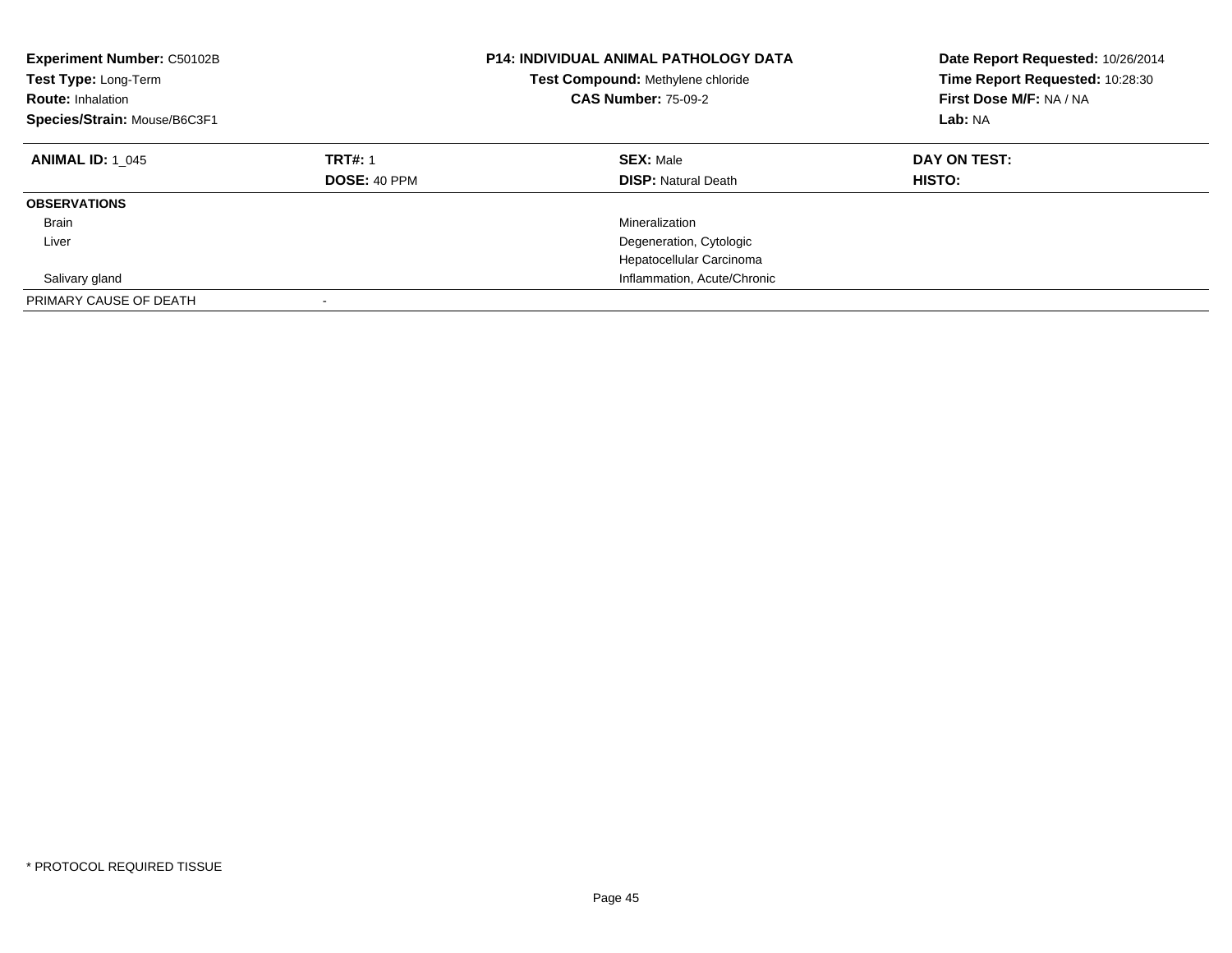| Experiment Number: C50102B<br><b>Test Type: Long-Term</b><br><b>Route: Inhalation</b><br>Species/Strain: Mouse/B6C3F1 | <b>P14: INDIVIDUAL ANIMAL PATHOLOGY DATA</b><br>Test Compound: Methylene chloride<br><b>CAS Number: 75-09-2</b> |                                                | Date Report Requested: 10/26/2014<br>Time Report Requested: 10:28:30<br>First Dose M/F: NA / NA<br>Lab: NA |
|-----------------------------------------------------------------------------------------------------------------------|-----------------------------------------------------------------------------------------------------------------|------------------------------------------------|------------------------------------------------------------------------------------------------------------|
| <b>ANIMAL ID: 1 045</b>                                                                                               | <b>TRT#: 1</b><br><b>DOSE: 40 PPM</b>                                                                           | <b>SEX: Male</b><br><b>DISP: Natural Death</b> | DAY ON TEST:<br>HISTO:                                                                                     |
| <b>OBSERVATIONS</b>                                                                                                   |                                                                                                                 |                                                |                                                                                                            |
| <b>Brain</b>                                                                                                          |                                                                                                                 | Mineralization                                 |                                                                                                            |
| Liver                                                                                                                 |                                                                                                                 | Degeneration, Cytologic                        |                                                                                                            |
|                                                                                                                       |                                                                                                                 | Hepatocellular Carcinoma                       |                                                                                                            |
| Salivary gland                                                                                                        |                                                                                                                 | Inflammation, Acute/Chronic                    |                                                                                                            |
| PRIMARY CAUSE OF DEATH                                                                                                |                                                                                                                 |                                                |                                                                                                            |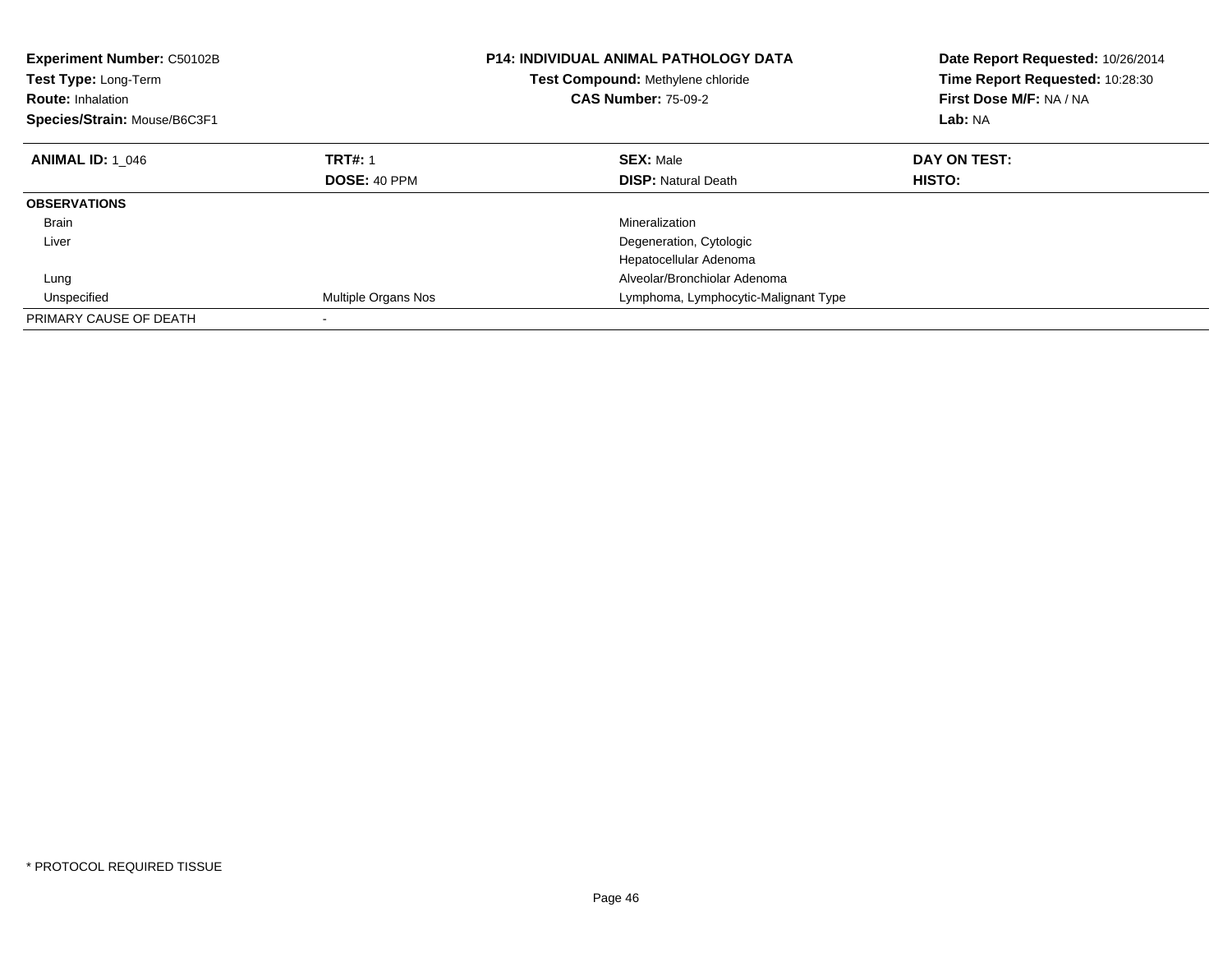| <b>Experiment Number: C50102B</b><br>Test Type: Long-Term<br><b>Route: Inhalation</b><br>Species/Strain: Mouse/B6C3F1 |                     | <b>P14: INDIVIDUAL ANIMAL PATHOLOGY DATA</b><br>Test Compound: Methylene chloride<br><b>CAS Number: 75-09-2</b> | Date Report Requested: 10/26/2014<br>Time Report Requested: 10:28:30<br>First Dose M/F: NA / NA<br>Lab: NA |  |
|-----------------------------------------------------------------------------------------------------------------------|---------------------|-----------------------------------------------------------------------------------------------------------------|------------------------------------------------------------------------------------------------------------|--|
| <b>ANIMAL ID: 1 046</b>                                                                                               | <b>TRT#: 1</b>      | <b>SEX: Male</b>                                                                                                | DAY ON TEST:                                                                                               |  |
|                                                                                                                       | <b>DOSE: 40 PPM</b> | <b>DISP: Natural Death</b>                                                                                      | <b>HISTO:</b>                                                                                              |  |
| <b>OBSERVATIONS</b>                                                                                                   |                     |                                                                                                                 |                                                                                                            |  |
| <b>Brain</b>                                                                                                          |                     | Mineralization                                                                                                  |                                                                                                            |  |
| Liver                                                                                                                 |                     | Degeneration, Cytologic                                                                                         |                                                                                                            |  |
|                                                                                                                       |                     | Hepatocellular Adenoma                                                                                          |                                                                                                            |  |
| Lung                                                                                                                  |                     | Alveolar/Bronchiolar Adenoma                                                                                    |                                                                                                            |  |
| Unspecified                                                                                                           | Multiple Organs Nos | Lymphoma, Lymphocytic-Malignant Type                                                                            |                                                                                                            |  |
| PRIMARY CAUSE OF DEATH                                                                                                |                     |                                                                                                                 |                                                                                                            |  |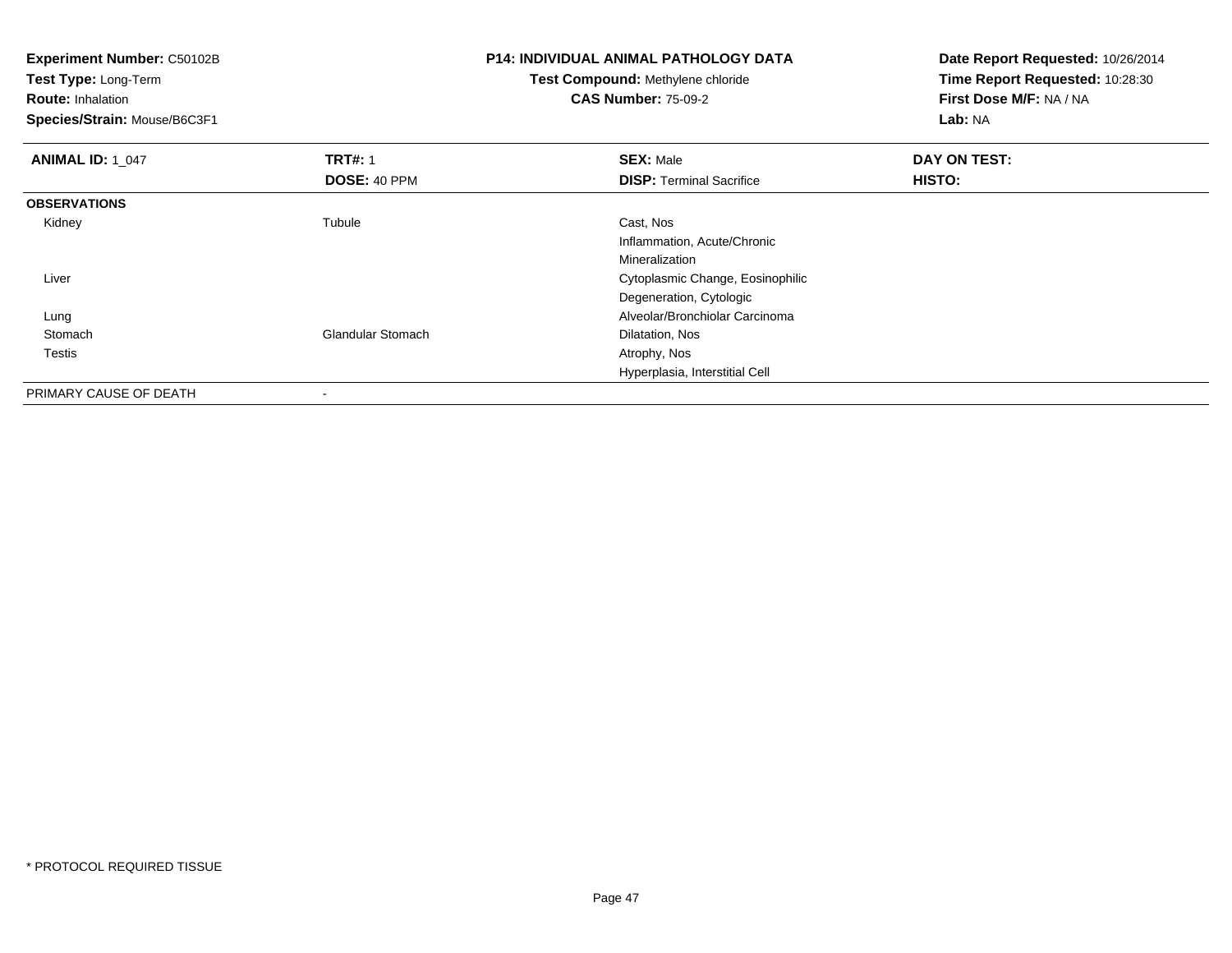| <b>Experiment Number: C50102B</b><br>Test Type: Long-Term<br><b>Route: Inhalation</b><br>Species/Strain: Mouse/B6C3F1 |                   | <b>P14: INDIVIDUAL ANIMAL PATHOLOGY DATA</b><br>Test Compound: Methylene chloride<br><b>CAS Number: 75-09-2</b> | Date Report Requested: 10/26/2014<br>Time Report Requested: 10:28:30<br>First Dose M/F: NA / NA<br>Lab: NA |  |
|-----------------------------------------------------------------------------------------------------------------------|-------------------|-----------------------------------------------------------------------------------------------------------------|------------------------------------------------------------------------------------------------------------|--|
| <b>ANIMAL ID: 1 047</b>                                                                                               | <b>TRT#: 1</b>    | <b>SEX: Male</b>                                                                                                | DAY ON TEST:                                                                                               |  |
|                                                                                                                       | DOSE: 40 PPM      | <b>DISP: Terminal Sacrifice</b>                                                                                 | <b>HISTO:</b>                                                                                              |  |
| <b>OBSERVATIONS</b>                                                                                                   |                   |                                                                                                                 |                                                                                                            |  |
| Kidney                                                                                                                | Tubule            | Cast, Nos                                                                                                       |                                                                                                            |  |
|                                                                                                                       |                   | Inflammation, Acute/Chronic                                                                                     |                                                                                                            |  |
|                                                                                                                       |                   | Mineralization                                                                                                  |                                                                                                            |  |
| Liver                                                                                                                 |                   | Cytoplasmic Change, Eosinophilic                                                                                |                                                                                                            |  |
|                                                                                                                       |                   | Degeneration, Cytologic                                                                                         |                                                                                                            |  |
| Lung                                                                                                                  |                   | Alveolar/Bronchiolar Carcinoma                                                                                  |                                                                                                            |  |
| Stomach                                                                                                               | Glandular Stomach | Dilatation, Nos                                                                                                 |                                                                                                            |  |
| Testis                                                                                                                |                   | Atrophy, Nos                                                                                                    |                                                                                                            |  |
|                                                                                                                       |                   | Hyperplasia, Interstitial Cell                                                                                  |                                                                                                            |  |
| PRIMARY CAUSE OF DEATH                                                                                                | -                 |                                                                                                                 |                                                                                                            |  |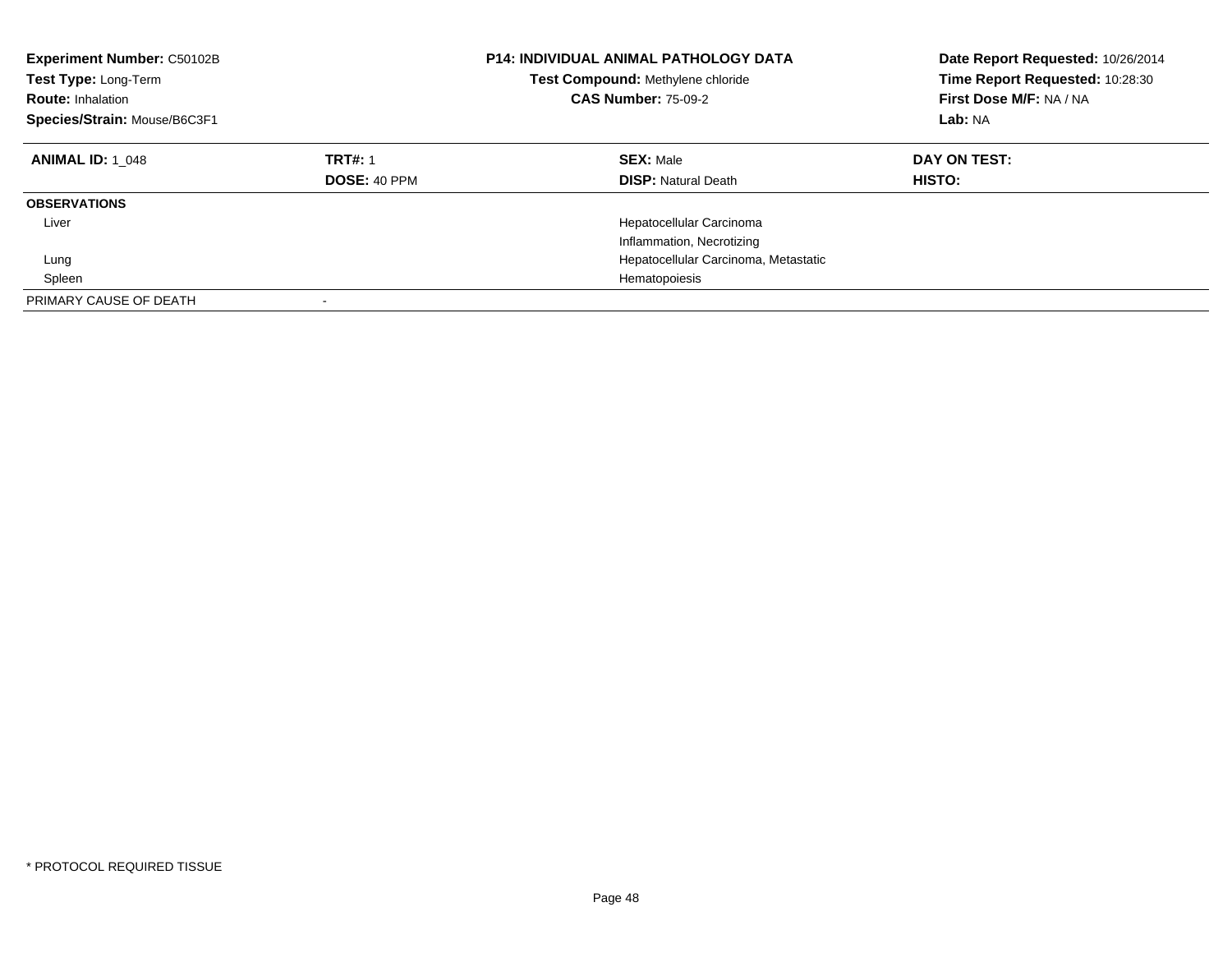| <b>Experiment Number: C50102B</b><br>Test Type: Long-Term<br><b>Route: Inhalation</b><br>Species/Strain: Mouse/B6C3F1 |                                       | <b>P14: INDIVIDUAL ANIMAL PATHOLOGY DATA</b><br>Test Compound: Methylene chloride<br><b>CAS Number: 75-09-2</b> | Date Report Requested: 10/26/2014<br>Time Report Requested: 10:28:30<br>First Dose M/F: NA / NA<br>Lab: NA |
|-----------------------------------------------------------------------------------------------------------------------|---------------------------------------|-----------------------------------------------------------------------------------------------------------------|------------------------------------------------------------------------------------------------------------|
| <b>ANIMAL ID: 1 048</b>                                                                                               | <b>TRT#: 1</b><br><b>DOSE: 40 PPM</b> | <b>SEX: Male</b><br><b>DISP: Natural Death</b>                                                                  | DAY ON TEST:<br><b>HISTO:</b>                                                                              |
| <b>OBSERVATIONS</b>                                                                                                   |                                       |                                                                                                                 |                                                                                                            |
| Liver                                                                                                                 |                                       | Hepatocellular Carcinoma<br>Inflammation, Necrotizing                                                           |                                                                                                            |
| Lung                                                                                                                  |                                       | Hepatocellular Carcinoma, Metastatic                                                                            |                                                                                                            |
| Spleen                                                                                                                |                                       | Hematopoiesis                                                                                                   |                                                                                                            |
| PRIMARY CAUSE OF DEATH                                                                                                |                                       |                                                                                                                 |                                                                                                            |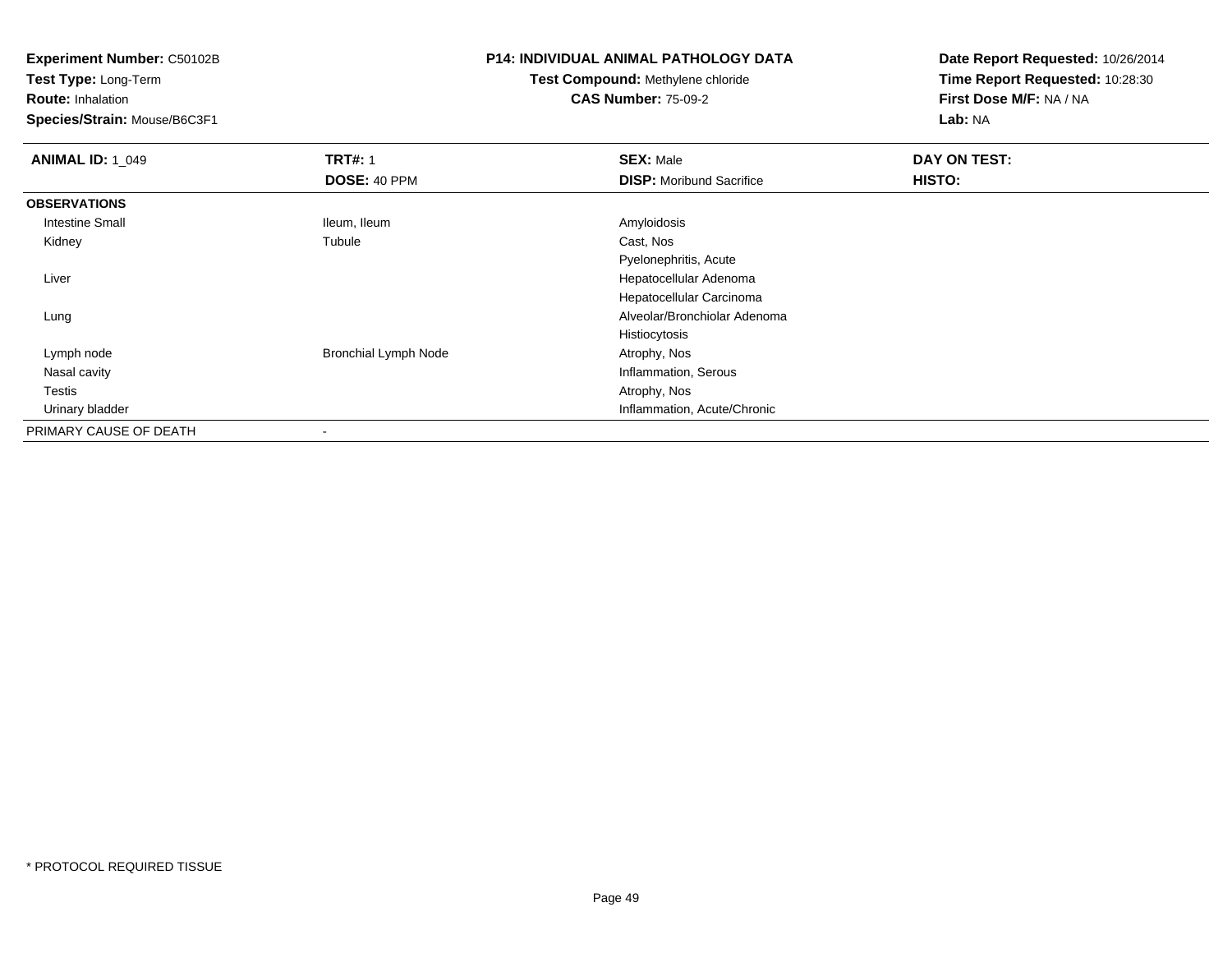**Experiment Number:** C50102B

**Test Type:** Long-Term

**Route:** Inhalation

**Species/Strain:** Mouse/B6C3F1

# **P14: INDIVIDUAL ANIMAL PATHOLOGY DATA**

# **Test Compound:** Methylene chloride**CAS Number:** 75-09-2

**Date Report Requested:** 10/26/2014**Time Report Requested:** 10:28:30**First Dose M/F:** NA / NA**Lab:** NA

| <b>ANIMAL ID: 1_049</b> | <b>TRT#: 1</b>              | <b>SEX: Male</b>                | DAY ON TEST: |  |
|-------------------------|-----------------------------|---------------------------------|--------------|--|
|                         | DOSE: 40 PPM                | <b>DISP:</b> Moribund Sacrifice | HISTO:       |  |
| <b>OBSERVATIONS</b>     |                             |                                 |              |  |
| <b>Intestine Small</b>  | Ileum, Ileum                | Amyloidosis                     |              |  |
| Kidney                  | Tubule                      | Cast, Nos                       |              |  |
|                         |                             | Pyelonephritis, Acute           |              |  |
| Liver                   |                             | Hepatocellular Adenoma          |              |  |
|                         |                             | Hepatocellular Carcinoma        |              |  |
| Lung                    |                             | Alveolar/Bronchiolar Adenoma    |              |  |
|                         |                             | Histiocytosis                   |              |  |
| Lymph node              | <b>Bronchial Lymph Node</b> | Atrophy, Nos                    |              |  |
| Nasal cavity            |                             | Inflammation, Serous            |              |  |
| Testis                  |                             | Atrophy, Nos                    |              |  |
| Urinary bladder         |                             | Inflammation, Acute/Chronic     |              |  |
| PRIMARY CAUSE OF DEATH  |                             |                                 |              |  |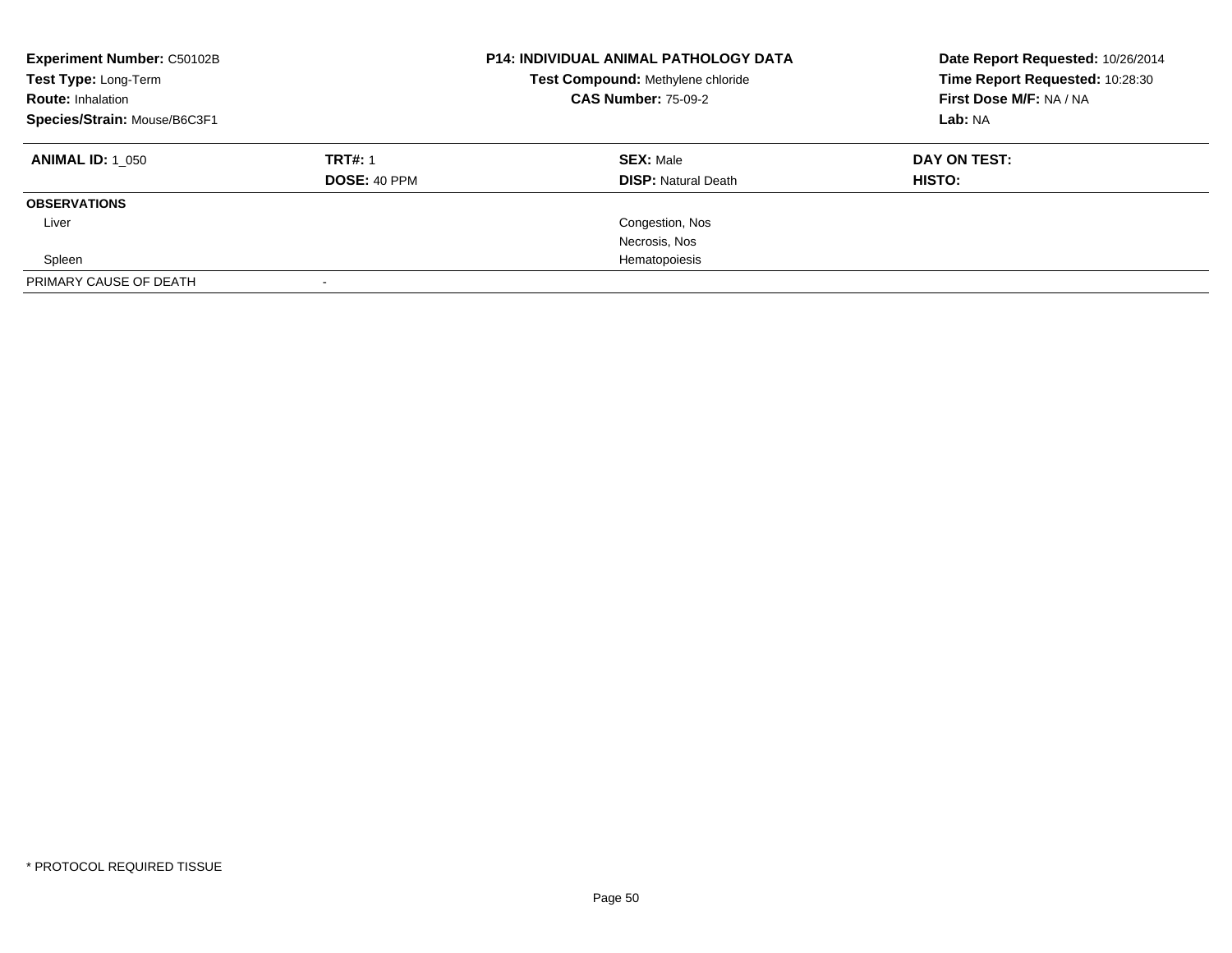| <b>Experiment Number: C50102B</b><br>Test Type: Long-Term<br><b>Route: Inhalation</b><br>Species/Strain: Mouse/B6C3F1 |                                       | <b>P14: INDIVIDUAL ANIMAL PATHOLOGY DATA</b><br>Test Compound: Methylene chloride<br><b>CAS Number: 75-09-2</b> | Date Report Requested: 10/26/2014<br>Time Report Requested: 10:28:30<br>First Dose M/F: NA / NA<br>Lab: NA |
|-----------------------------------------------------------------------------------------------------------------------|---------------------------------------|-----------------------------------------------------------------------------------------------------------------|------------------------------------------------------------------------------------------------------------|
| <b>ANIMAL ID: 1 050</b>                                                                                               | <b>TRT#: 1</b><br><b>DOSE: 40 PPM</b> | <b>SEX: Male</b><br><b>DISP:</b> Natural Death                                                                  | DAY ON TEST:<br><b>HISTO:</b>                                                                              |
| <b>OBSERVATIONS</b>                                                                                                   |                                       |                                                                                                                 |                                                                                                            |
| Liver                                                                                                                 |                                       | Congestion, Nos                                                                                                 |                                                                                                            |
|                                                                                                                       |                                       | Necrosis, Nos                                                                                                   |                                                                                                            |
| Spleen                                                                                                                |                                       | Hematopoiesis                                                                                                   |                                                                                                            |
| PRIMARY CAUSE OF DEATH                                                                                                |                                       |                                                                                                                 |                                                                                                            |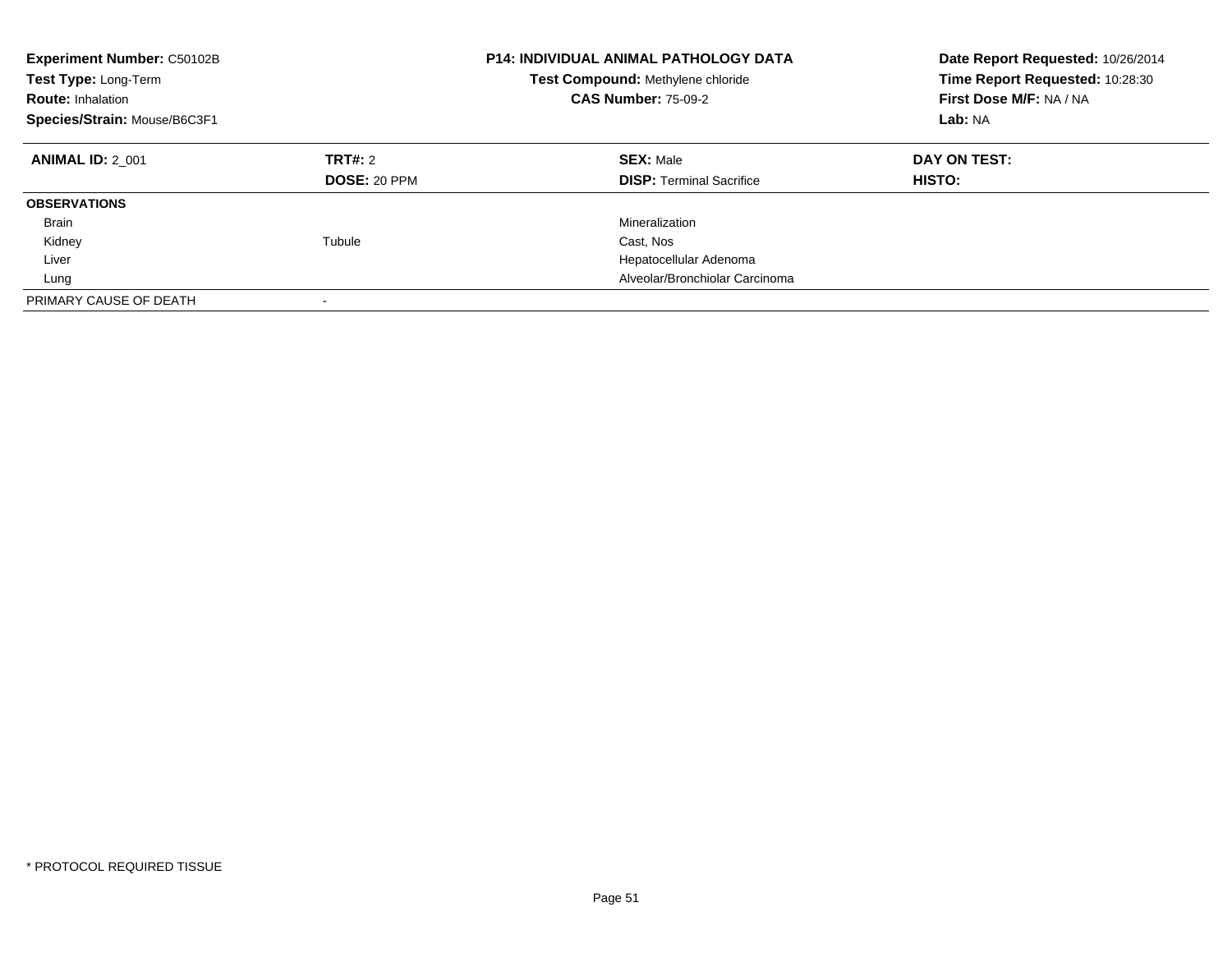| <b>Experiment Number: C50102B</b><br>Test Type: Long-Term<br><b>Route: Inhalation</b><br>Species/Strain: Mouse/B6C3F1 |                                | <b>P14: INDIVIDUAL ANIMAL PATHOLOGY DATA</b><br>Test Compound: Methylene chloride<br><b>CAS Number: 75-09-2</b> | Date Report Requested: 10/26/2014<br>Time Report Requested: 10:28:30<br>First Dose M/F: NA / NA<br>Lab: NA |
|-----------------------------------------------------------------------------------------------------------------------|--------------------------------|-----------------------------------------------------------------------------------------------------------------|------------------------------------------------------------------------------------------------------------|
| <b>ANIMAL ID: 2 001</b>                                                                                               | TRT#: 2<br><b>DOSE: 20 PPM</b> | <b>SEX: Male</b><br><b>DISP:</b> Terminal Sacrifice                                                             | DAY ON TEST:<br><b>HISTO:</b>                                                                              |
| <b>OBSERVATIONS</b>                                                                                                   |                                |                                                                                                                 |                                                                                                            |
| Brain                                                                                                                 |                                | Mineralization                                                                                                  |                                                                                                            |
| Kidney                                                                                                                | Tubule                         | Cast, Nos                                                                                                       |                                                                                                            |
| Liver                                                                                                                 |                                | Hepatocellular Adenoma                                                                                          |                                                                                                            |
| Lung                                                                                                                  |                                | Alveolar/Bronchiolar Carcinoma                                                                                  |                                                                                                            |
| PRIMARY CAUSE OF DEATH                                                                                                |                                |                                                                                                                 |                                                                                                            |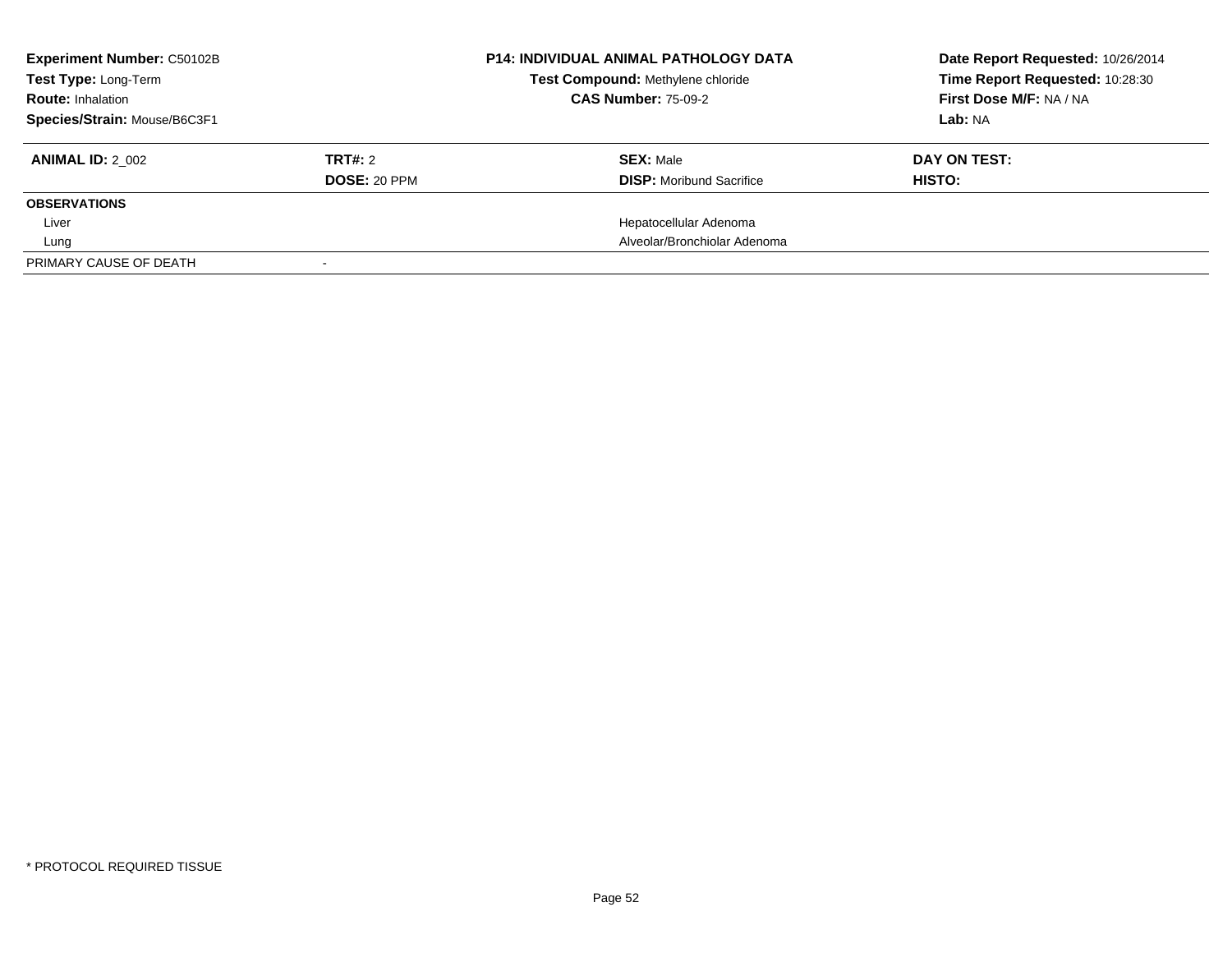| <b>Experiment Number: C50102B</b><br><b>Test Type: Long-Term</b> |                     | <b>P14: INDIVIDUAL ANIMAL PATHOLOGY DATA</b><br>Test Compound: Methylene chloride | Date Report Requested: 10/26/2014<br>Time Report Requested: 10:28:30 |
|------------------------------------------------------------------|---------------------|-----------------------------------------------------------------------------------|----------------------------------------------------------------------|
| <b>Route: Inhalation</b>                                         |                     | <b>CAS Number: 75-09-2</b>                                                        | First Dose M/F: NA / NA                                              |
| Species/Strain: Mouse/B6C3F1                                     |                     |                                                                                   | Lab: NA                                                              |
| <b>ANIMAL ID: 2 002</b>                                          | TRT#: 2             | <b>SEX: Male</b>                                                                  | DAY ON TEST:                                                         |
|                                                                  | <b>DOSE: 20 PPM</b> | <b>DISP:</b> Moribund Sacrifice                                                   | HISTO:                                                               |
| <b>OBSERVATIONS</b>                                              |                     |                                                                                   |                                                                      |
| Liver                                                            |                     | Hepatocellular Adenoma                                                            |                                                                      |
| Lung                                                             |                     | Alveolar/Bronchiolar Adenoma                                                      |                                                                      |
| PRIMARY CAUSE OF DEATH                                           |                     |                                                                                   |                                                                      |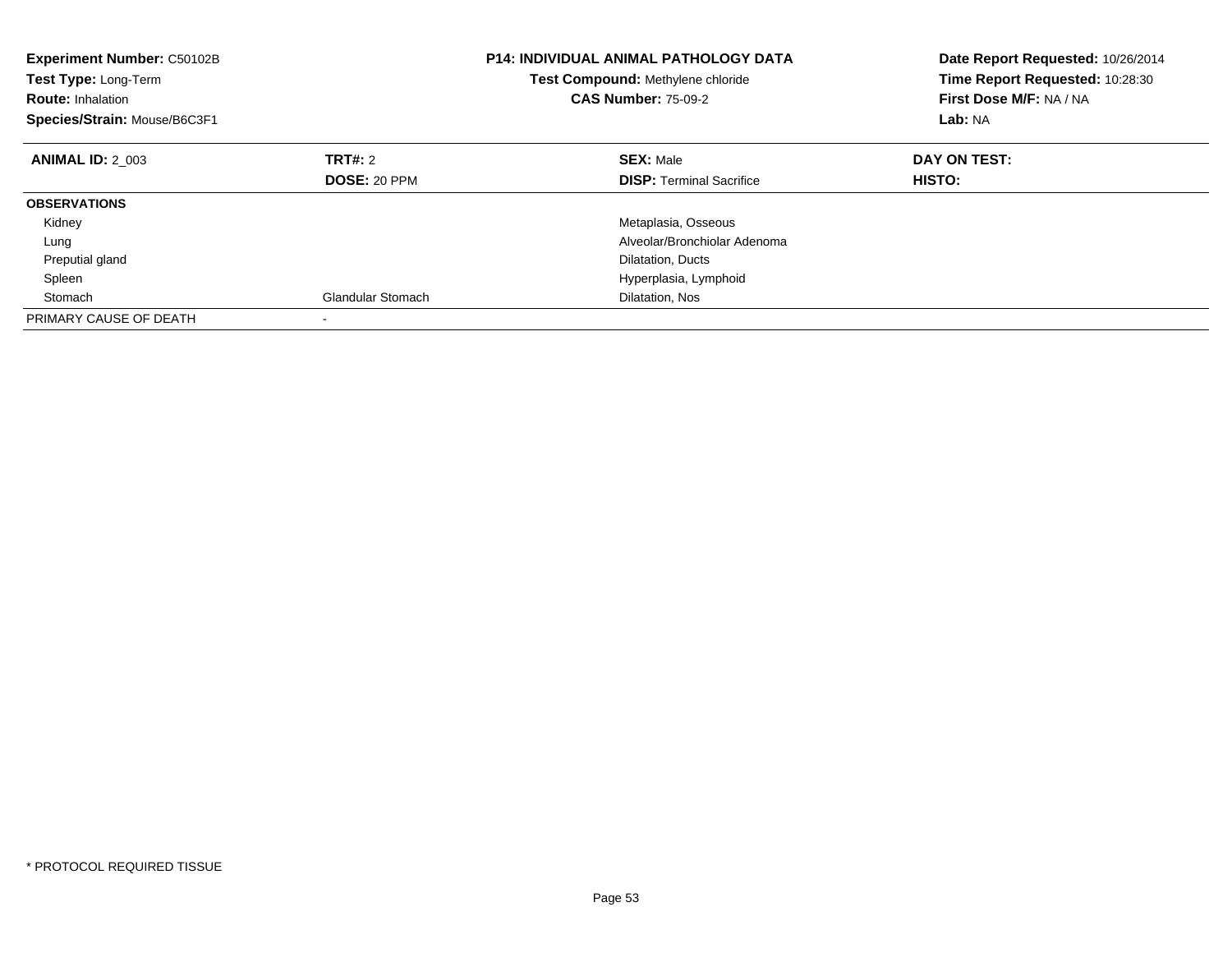| <b>Experiment Number: C50102B</b><br><b>Test Type: Long-Term</b><br><b>Route: Inhalation</b><br>Species/Strain: Mouse/B6C3F1 |                          | <b>P14: INDIVIDUAL ANIMAL PATHOLOGY DATA</b><br><b>Test Compound: Methylene chloride</b><br><b>CAS Number: 75-09-2</b> | Date Report Requested: 10/26/2014<br>Time Report Requested: 10:28:30<br>First Dose M/F: NA / NA<br>Lab: NA |
|------------------------------------------------------------------------------------------------------------------------------|--------------------------|------------------------------------------------------------------------------------------------------------------------|------------------------------------------------------------------------------------------------------------|
| <b>ANIMAL ID: 2 003</b>                                                                                                      | TRT#: 2                  | <b>SEX: Male</b>                                                                                                       | DAY ON TEST:                                                                                               |
|                                                                                                                              | <b>DOSE: 20 PPM</b>      | <b>DISP:</b> Terminal Sacrifice                                                                                        | <b>HISTO:</b>                                                                                              |
| <b>OBSERVATIONS</b>                                                                                                          |                          |                                                                                                                        |                                                                                                            |
| Kidney                                                                                                                       |                          | Metaplasia, Osseous                                                                                                    |                                                                                                            |
| Lung                                                                                                                         |                          | Alveolar/Bronchiolar Adenoma                                                                                           |                                                                                                            |
| Preputial gland                                                                                                              |                          | Dilatation, Ducts                                                                                                      |                                                                                                            |
| Spleen                                                                                                                       |                          | Hyperplasia, Lymphoid                                                                                                  |                                                                                                            |
| Stomach                                                                                                                      | <b>Glandular Stomach</b> | Dilatation, Nos                                                                                                        |                                                                                                            |
| PRIMARY CAUSE OF DEATH                                                                                                       |                          |                                                                                                                        |                                                                                                            |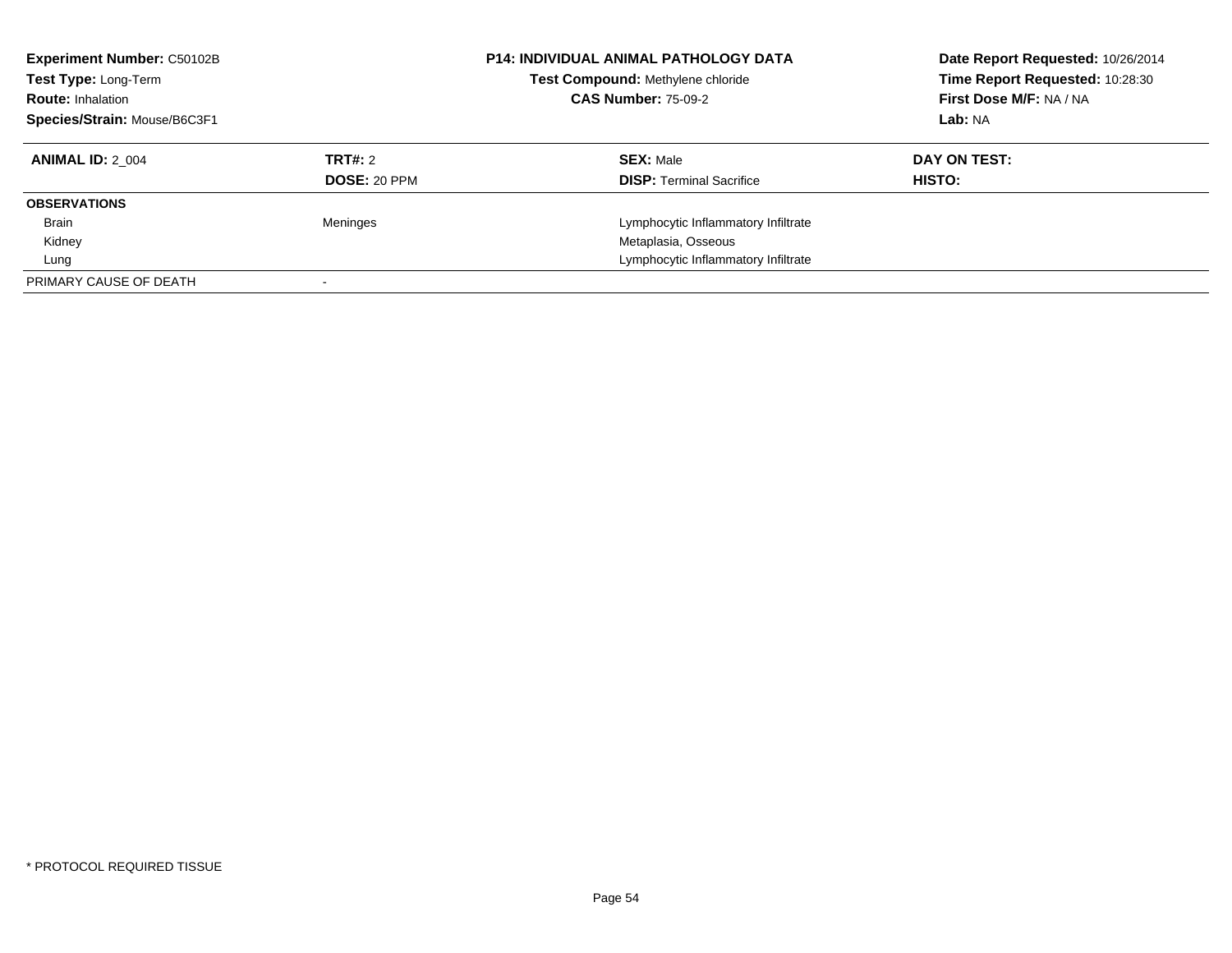| <b>Experiment Number: C50102B</b><br>Test Type: Long-Term<br><b>Route: Inhalation</b><br>Species/Strain: Mouse/B6C3F1 |                     | <b>P14: INDIVIDUAL ANIMAL PATHOLOGY DATA</b><br>Test Compound: Methylene chloride<br><b>CAS Number: 75-09-2</b> | Date Report Requested: 10/26/2014<br>Time Report Requested: 10:28:30<br>First Dose M/F: NA / NA<br>Lab: NA |
|-----------------------------------------------------------------------------------------------------------------------|---------------------|-----------------------------------------------------------------------------------------------------------------|------------------------------------------------------------------------------------------------------------|
| <b>ANIMAL ID: 2 004</b>                                                                                               | TRT#: 2             | <b>SEX: Male</b>                                                                                                | DAY ON TEST:                                                                                               |
|                                                                                                                       | <b>DOSE: 20 PPM</b> | <b>DISP:</b> Terminal Sacrifice                                                                                 | HISTO:                                                                                                     |
| <b>OBSERVATIONS</b>                                                                                                   |                     |                                                                                                                 |                                                                                                            |
| <b>Brain</b>                                                                                                          | Meninges            | Lymphocytic Inflammatory Infiltrate                                                                             |                                                                                                            |
| Kidney                                                                                                                |                     | Metaplasia, Osseous                                                                                             |                                                                                                            |
| Lung                                                                                                                  |                     | Lymphocytic Inflammatory Infiltrate                                                                             |                                                                                                            |
| PRIMARY CAUSE OF DEATH                                                                                                |                     |                                                                                                                 |                                                                                                            |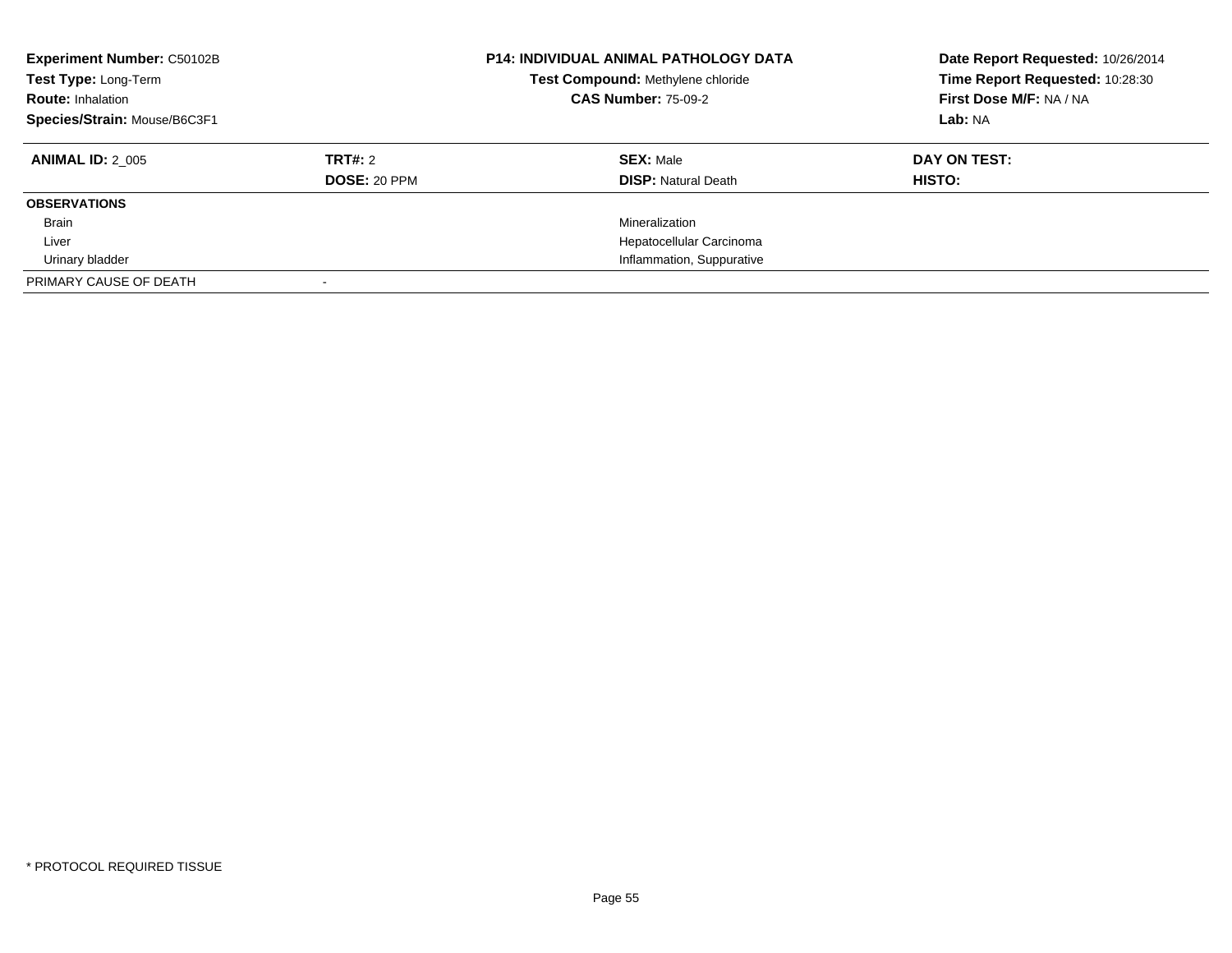| <b>Experiment Number: C50102B</b><br>Test Type: Long-Term<br><b>Route: Inhalation</b><br>Species/Strain: Mouse/B6C3F1 |                                | <b>P14: INDIVIDUAL ANIMAL PATHOLOGY DATA</b><br>Test Compound: Methylene chloride<br><b>CAS Number: 75-09-2</b> | Date Report Requested: 10/26/2014<br>Time Report Requested: 10:28:30<br>First Dose M/F: NA / NA<br>Lab: NA |
|-----------------------------------------------------------------------------------------------------------------------|--------------------------------|-----------------------------------------------------------------------------------------------------------------|------------------------------------------------------------------------------------------------------------|
| <b>ANIMAL ID: 2 005</b>                                                                                               | TRT#: 2<br><b>DOSE: 20 PPM</b> | <b>SEX: Male</b><br><b>DISP: Natural Death</b>                                                                  | DAY ON TEST:<br>HISTO:                                                                                     |
| <b>OBSERVATIONS</b>                                                                                                   |                                |                                                                                                                 |                                                                                                            |
| <b>Brain</b>                                                                                                          |                                | Mineralization                                                                                                  |                                                                                                            |
| Liver                                                                                                                 |                                | Hepatocellular Carcinoma                                                                                        |                                                                                                            |
| Urinary bladder                                                                                                       |                                | Inflammation, Suppurative                                                                                       |                                                                                                            |
| PRIMARY CAUSE OF DEATH                                                                                                |                                |                                                                                                                 |                                                                                                            |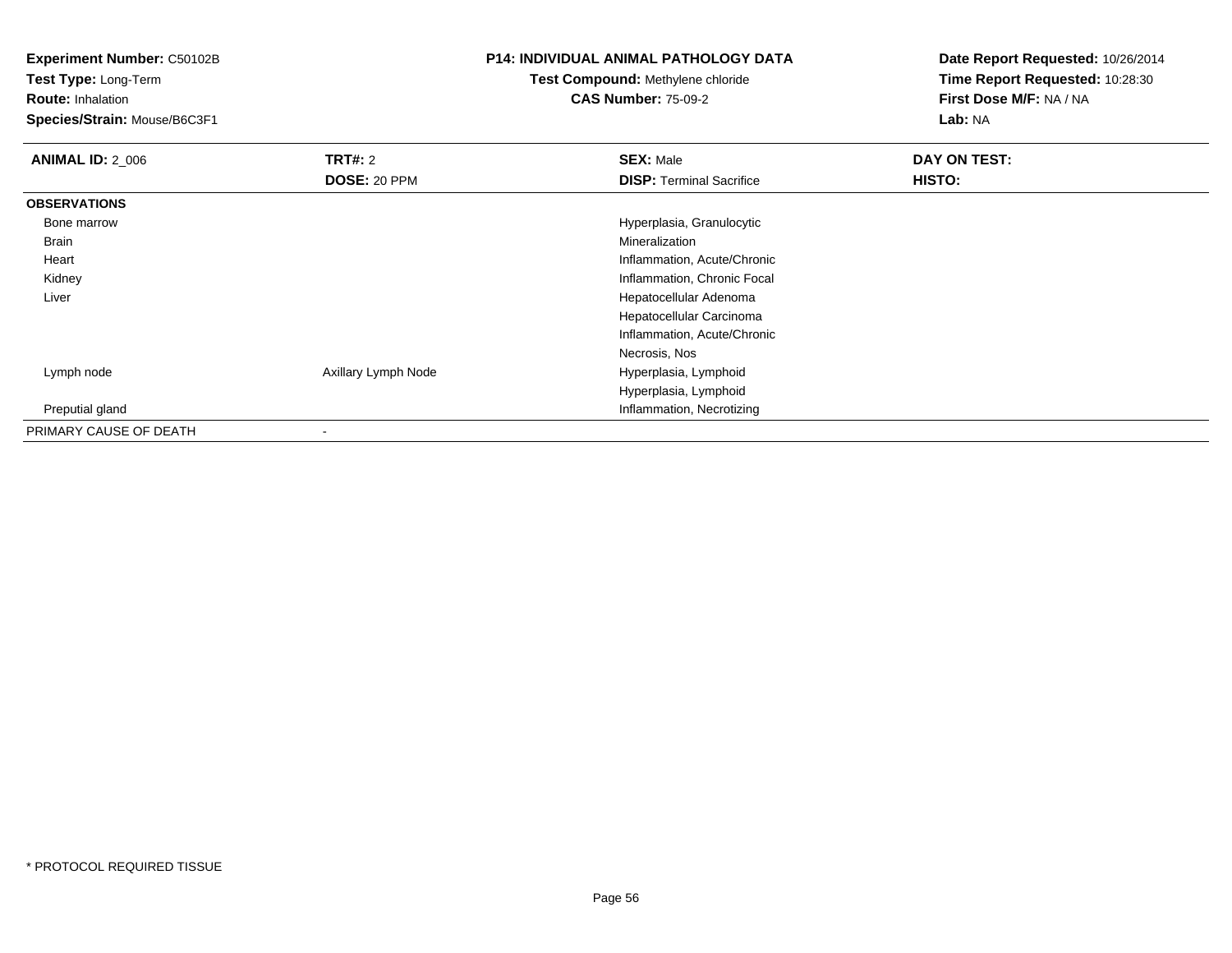**Experiment Number:** C50102B

**Test Type:** Long-Term**Route:** Inhalation

**Species/Strain:** Mouse/B6C3F1

# **P14: INDIVIDUAL ANIMAL PATHOLOGY DATA**

# **Test Compound:** Methylene chloride**CAS Number:** 75-09-2

**Date Report Requested:** 10/26/2014**Time Report Requested:** 10:28:30**First Dose M/F:** NA / NA**Lab:** NA

| <b>ANIMAL ID: 2_006</b> | TRT#: 2             | <b>SEX: Male</b>                | DAY ON TEST: |  |
|-------------------------|---------------------|---------------------------------|--------------|--|
|                         | DOSE: 20 PPM        | <b>DISP: Terminal Sacrifice</b> | HISTO:       |  |
| <b>OBSERVATIONS</b>     |                     |                                 |              |  |
| Bone marrow             |                     | Hyperplasia, Granulocytic       |              |  |
| Brain                   |                     | Mineralization                  |              |  |
| Heart                   |                     | Inflammation, Acute/Chronic     |              |  |
| Kidney                  |                     | Inflammation, Chronic Focal     |              |  |
| Liver                   |                     | Hepatocellular Adenoma          |              |  |
|                         |                     | Hepatocellular Carcinoma        |              |  |
|                         |                     | Inflammation, Acute/Chronic     |              |  |
|                         |                     | Necrosis, Nos                   |              |  |
| Lymph node              | Axillary Lymph Node | Hyperplasia, Lymphoid           |              |  |
|                         |                     | Hyperplasia, Lymphoid           |              |  |
| Preputial gland         |                     | Inflammation, Necrotizing       |              |  |
| PRIMARY CAUSE OF DEATH  | $\blacksquare$      |                                 |              |  |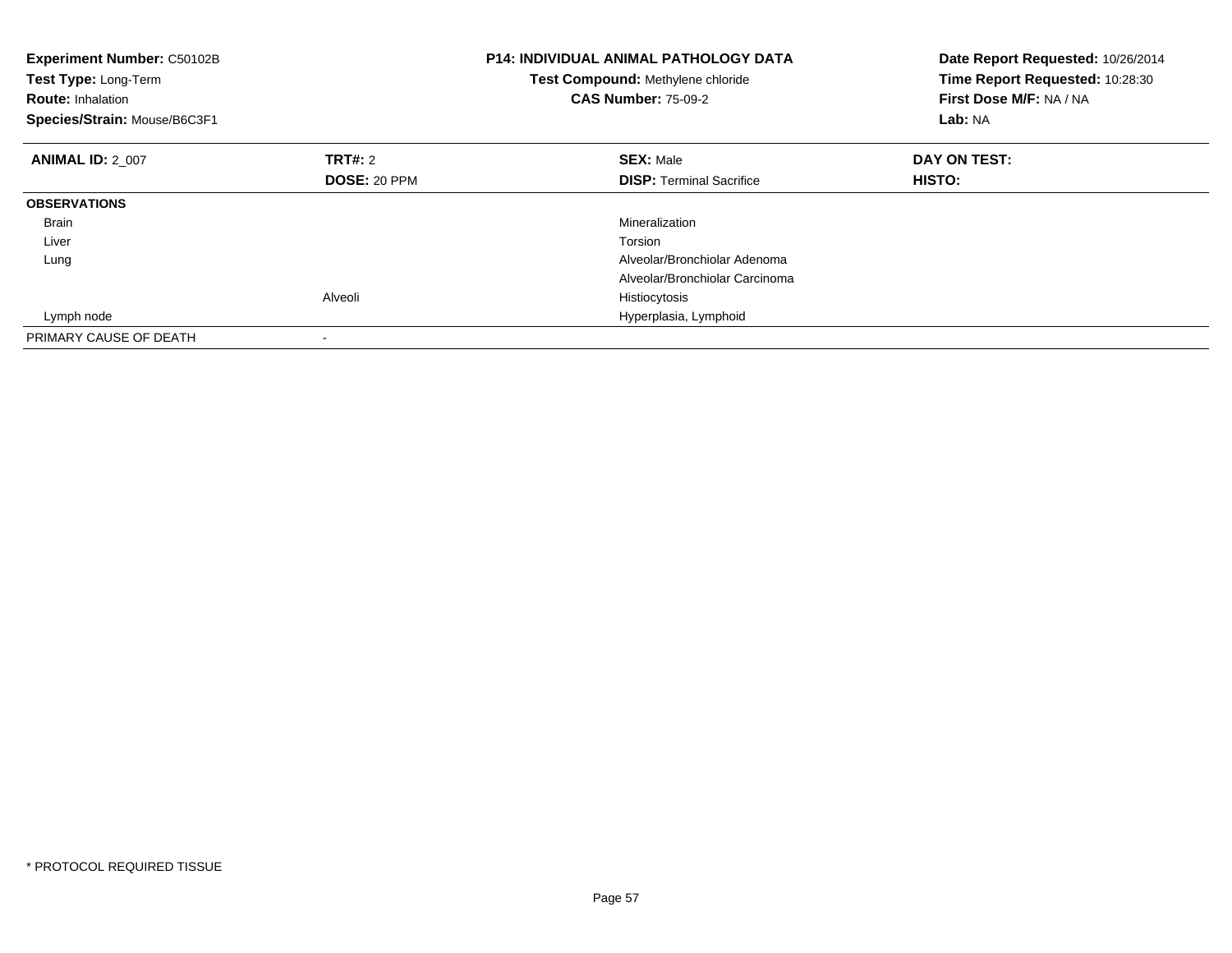| <b>Experiment Number: C50102B</b><br>Test Type: Long-Term<br><b>Route: Inhalation</b><br>Species/Strain: Mouse/B6C3F1 |              | <b>P14: INDIVIDUAL ANIMAL PATHOLOGY DATA</b><br>Test Compound: Methylene chloride<br><b>CAS Number: 75-09-2</b> | Date Report Requested: 10/26/2014<br>Time Report Requested: 10:28:30<br>First Dose M/F: NA / NA<br>Lab: NA |
|-----------------------------------------------------------------------------------------------------------------------|--------------|-----------------------------------------------------------------------------------------------------------------|------------------------------------------------------------------------------------------------------------|
| <b>ANIMAL ID: 2 007</b>                                                                                               | TRT#: 2      | <b>SEX: Male</b>                                                                                                | DAY ON TEST:                                                                                               |
|                                                                                                                       | DOSE: 20 PPM | <b>DISP:</b> Terminal Sacrifice                                                                                 | HISTO:                                                                                                     |
| <b>OBSERVATIONS</b>                                                                                                   |              |                                                                                                                 |                                                                                                            |
| <b>Brain</b>                                                                                                          |              | Mineralization                                                                                                  |                                                                                                            |
| Liver                                                                                                                 |              | Torsion                                                                                                         |                                                                                                            |
| Lung                                                                                                                  |              | Alveolar/Bronchiolar Adenoma                                                                                    |                                                                                                            |
|                                                                                                                       |              | Alveolar/Bronchiolar Carcinoma                                                                                  |                                                                                                            |
|                                                                                                                       | Alveoli      | Histiocytosis                                                                                                   |                                                                                                            |
| Lymph node                                                                                                            |              | Hyperplasia, Lymphoid                                                                                           |                                                                                                            |
| PRIMARY CAUSE OF DEATH                                                                                                |              |                                                                                                                 |                                                                                                            |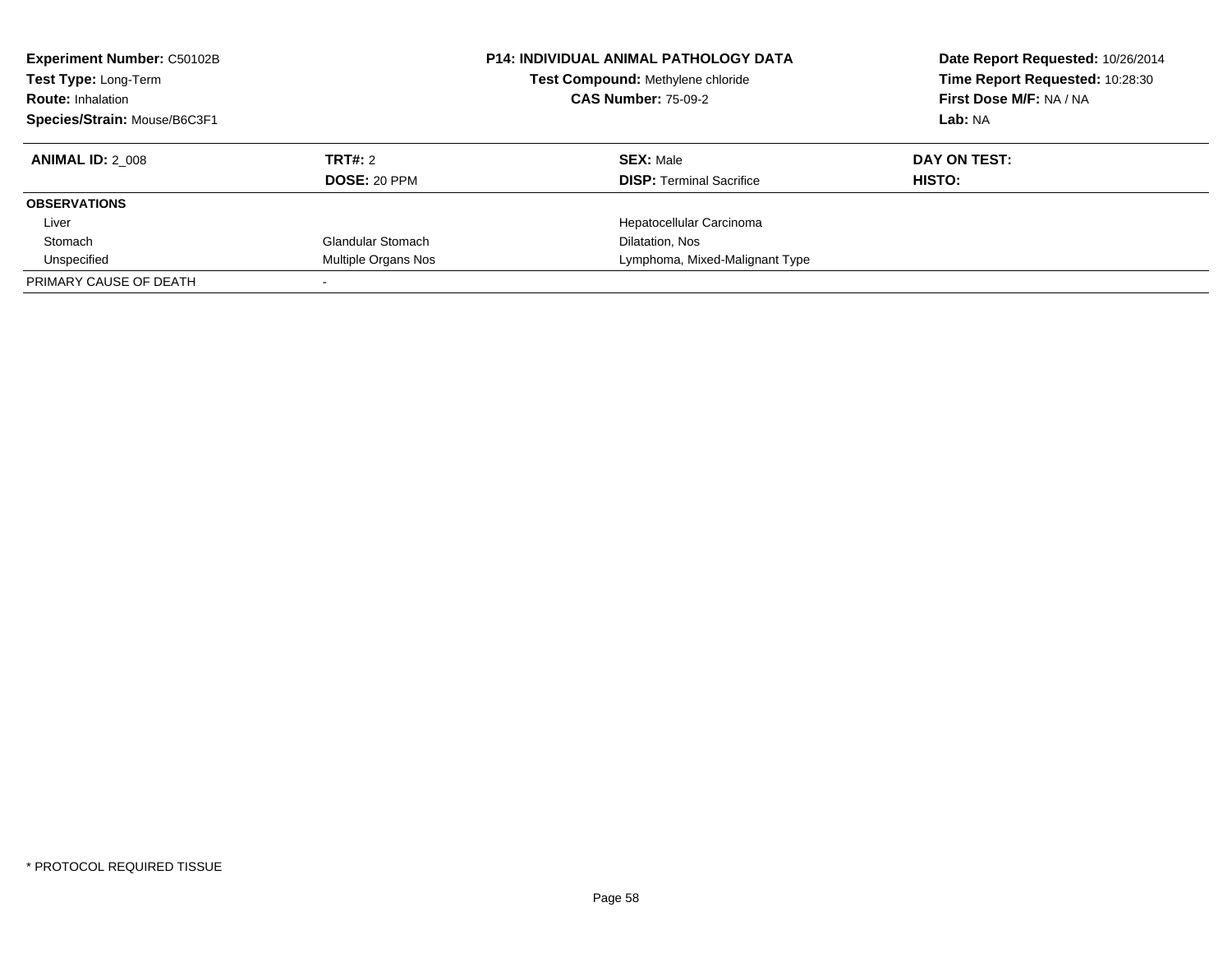| <b>Experiment Number: C50102B</b><br>Test Type: Long-Term<br><b>Route: Inhalation</b><br>Species/Strain: Mouse/B6C3F1 |                     | <b>P14: INDIVIDUAL ANIMAL PATHOLOGY DATA</b><br>Test Compound: Methylene chloride<br><b>CAS Number: 75-09-2</b> | Date Report Requested: 10/26/2014<br>Time Report Requested: 10:28:30<br>First Dose M/F: NA / NA<br>Lab: NA |
|-----------------------------------------------------------------------------------------------------------------------|---------------------|-----------------------------------------------------------------------------------------------------------------|------------------------------------------------------------------------------------------------------------|
| <b>ANIMAL ID: 2 008</b>                                                                                               | TRT#: 2             | <b>SEX: Male</b>                                                                                                | DAY ON TEST:                                                                                               |
|                                                                                                                       | <b>DOSE: 20 PPM</b> | <b>DISP:</b> Terminal Sacrifice                                                                                 | HISTO:                                                                                                     |
| <b>OBSERVATIONS</b>                                                                                                   |                     |                                                                                                                 |                                                                                                            |
| Liver                                                                                                                 |                     | Hepatocellular Carcinoma                                                                                        |                                                                                                            |
| Stomach                                                                                                               | Glandular Stomach   | Dilatation, Nos                                                                                                 |                                                                                                            |
| Unspecified                                                                                                           | Multiple Organs Nos | Lymphoma, Mixed-Malignant Type                                                                                  |                                                                                                            |
| PRIMARY CAUSE OF DEATH                                                                                                |                     |                                                                                                                 |                                                                                                            |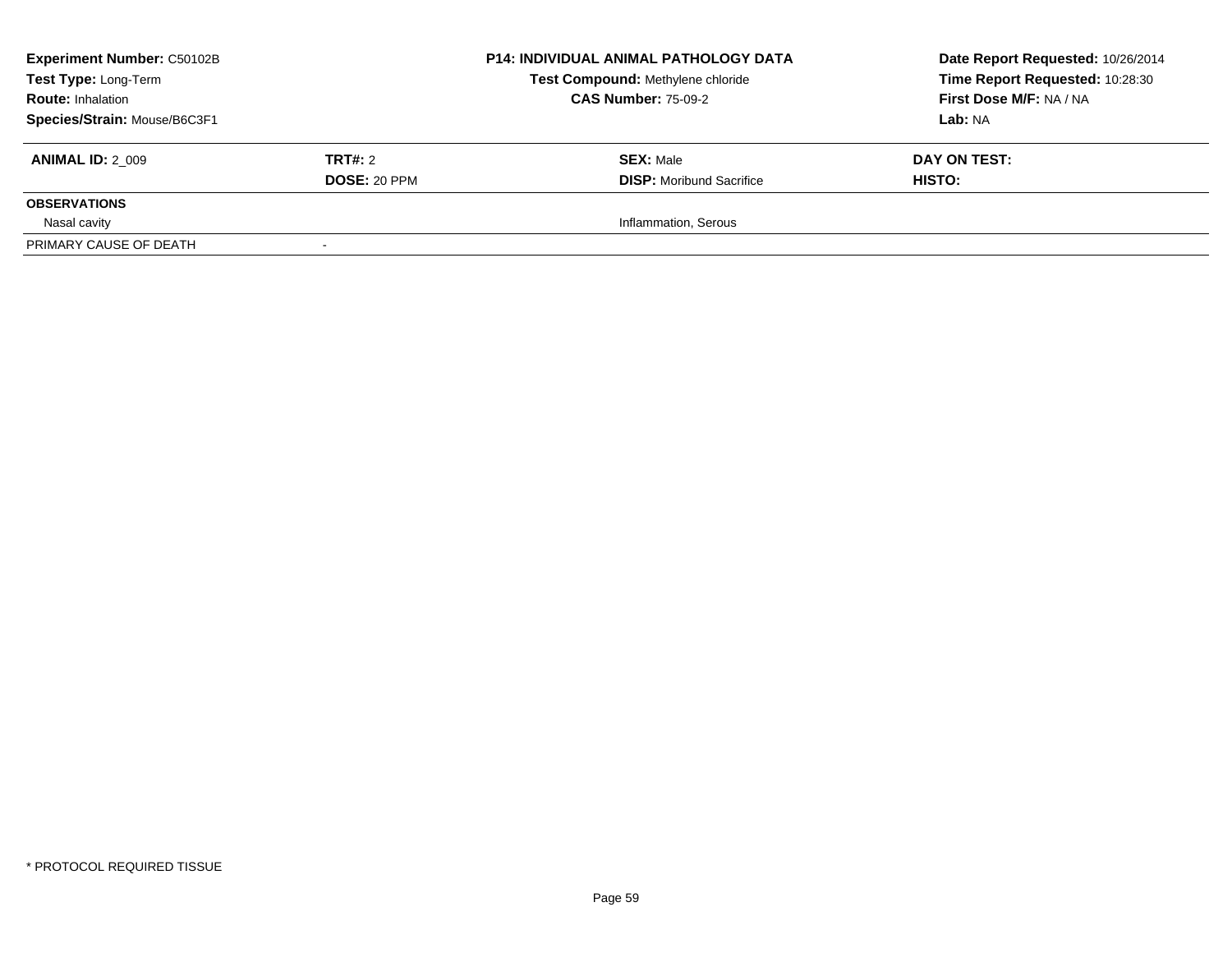| <b>Experiment Number: C50102B</b><br><b>Test Type: Long-Term</b><br><b>Route: Inhalation</b><br>Species/Strain: Mouse/B6C3F1 |                                | <b>P14: INDIVIDUAL ANIMAL PATHOLOGY DATA</b><br>Test Compound: Methylene chloride<br><b>CAS Number: 75-09-2</b> | Date Report Requested: 10/26/2014<br>Time Report Requested: 10:28:30<br>First Dose M/F: NA / NA<br>Lab: NA |
|------------------------------------------------------------------------------------------------------------------------------|--------------------------------|-----------------------------------------------------------------------------------------------------------------|------------------------------------------------------------------------------------------------------------|
| <b>ANIMAL ID: 2 009</b>                                                                                                      | TRT#: 2<br><b>DOSE: 20 PPM</b> | <b>SEX: Male</b><br><b>DISP:</b> Moribund Sacrifice                                                             | DAY ON TEST:<br>HISTO:                                                                                     |
| <b>OBSERVATIONS</b>                                                                                                          |                                |                                                                                                                 |                                                                                                            |
| Nasal cavity                                                                                                                 |                                | Inflammation, Serous                                                                                            |                                                                                                            |
| PRIMARY CAUSE OF DEATH                                                                                                       |                                |                                                                                                                 |                                                                                                            |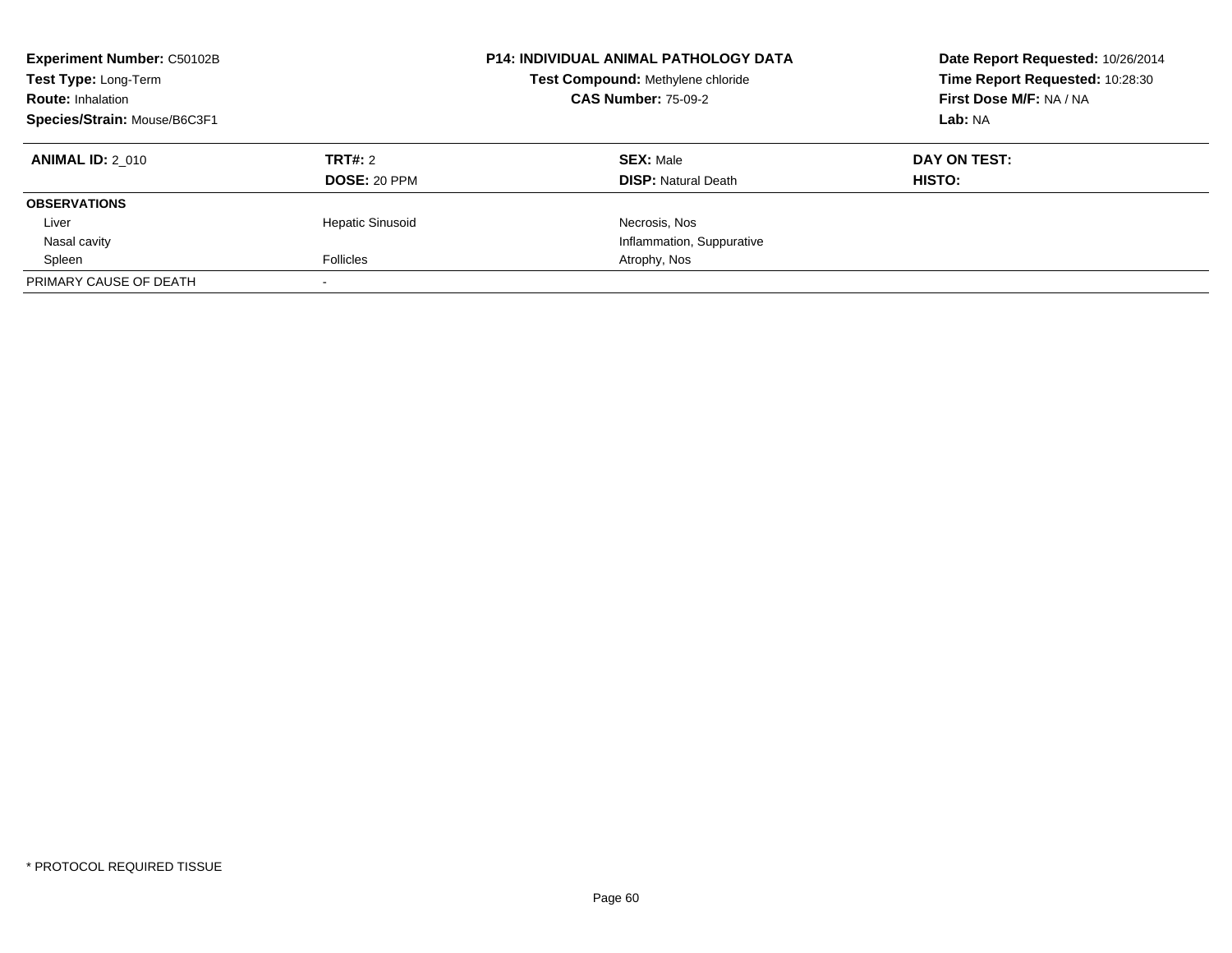| <b>Experiment Number: C50102B</b><br>Test Type: Long-Term<br><b>Route: Inhalation</b><br>Species/Strain: Mouse/B6C3F1 |                         | <b>P14: INDIVIDUAL ANIMAL PATHOLOGY DATA</b><br>Test Compound: Methylene chloride<br><b>CAS Number: 75-09-2</b> | Date Report Requested: 10/26/2014<br>Time Report Requested: 10:28:30<br>First Dose M/F: NA / NA<br>Lab: NA |
|-----------------------------------------------------------------------------------------------------------------------|-------------------------|-----------------------------------------------------------------------------------------------------------------|------------------------------------------------------------------------------------------------------------|
| <b>ANIMAL ID: 2 010</b>                                                                                               | TRT#: 2                 | <b>SEX: Male</b>                                                                                                | DAY ON TEST:                                                                                               |
|                                                                                                                       | <b>DOSE: 20 PPM</b>     | <b>DISP:</b> Natural Death                                                                                      | HISTO:                                                                                                     |
| <b>OBSERVATIONS</b>                                                                                                   |                         |                                                                                                                 |                                                                                                            |
| Liver                                                                                                                 | <b>Hepatic Sinusoid</b> | Necrosis, Nos                                                                                                   |                                                                                                            |
| Nasal cavity                                                                                                          |                         | Inflammation, Suppurative                                                                                       |                                                                                                            |
| Spleen                                                                                                                | <b>Follicles</b>        | Atrophy, Nos                                                                                                    |                                                                                                            |
| PRIMARY CAUSE OF DEATH                                                                                                |                         |                                                                                                                 |                                                                                                            |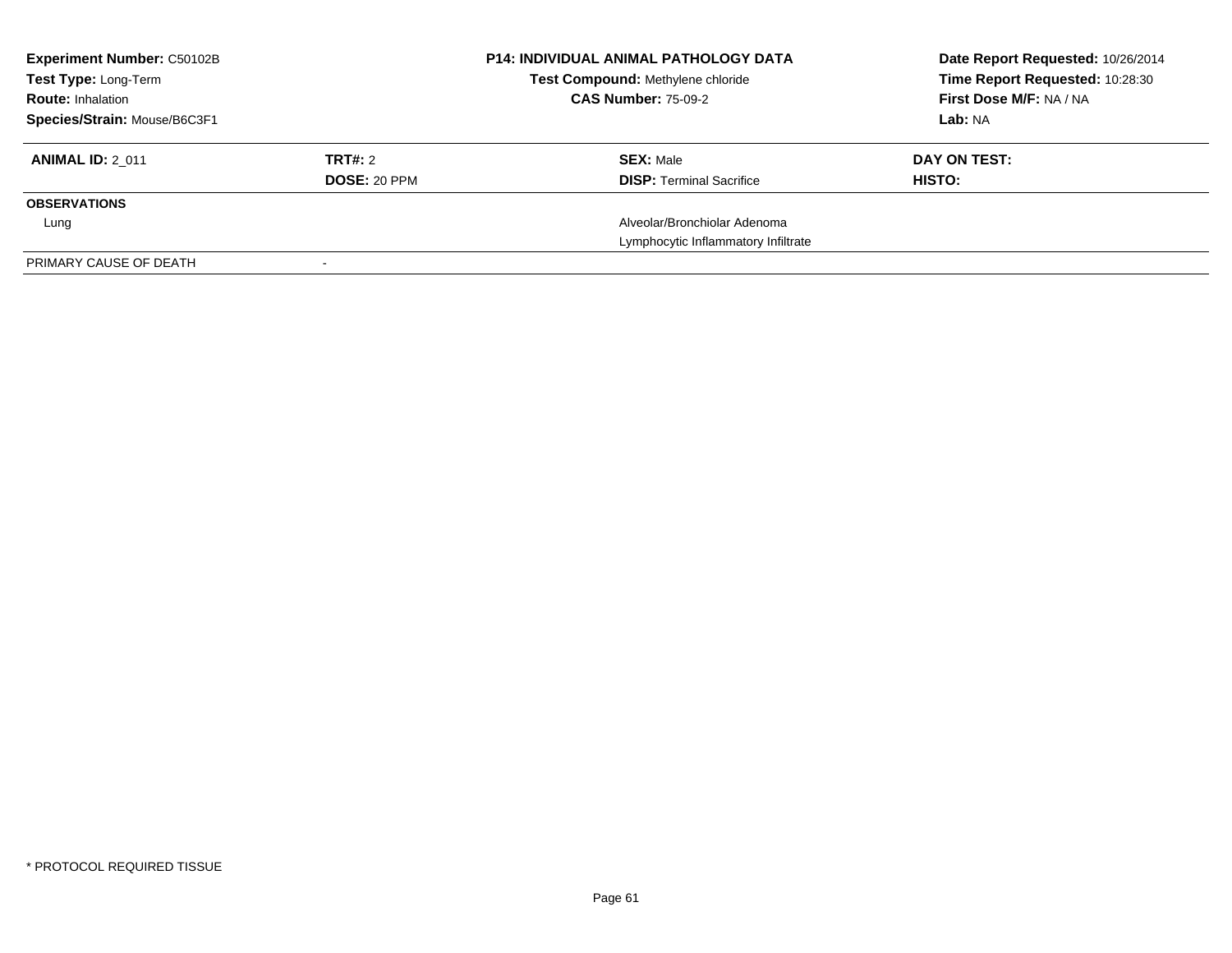| <b>Experiment Number: C50102B</b><br>Test Type: Long-Term |                     | <b>P14: INDIVIDUAL ANIMAL PATHOLOGY DATA</b><br><b>Test Compound: Methylene chloride</b> | Date Report Requested: 10/26/2014<br>Time Report Requested: 10:28:30 |
|-----------------------------------------------------------|---------------------|------------------------------------------------------------------------------------------|----------------------------------------------------------------------|
| <b>Route: Inhalation</b>                                  |                     | <b>CAS Number: 75-09-2</b>                                                               | First Dose M/F: NA / NA                                              |
| Species/Strain: Mouse/B6C3F1                              |                     |                                                                                          | Lab: NA                                                              |
| <b>ANIMAL ID: 2 011</b>                                   | TRT#: 2             | <b>SEX: Male</b>                                                                         | DAY ON TEST:                                                         |
|                                                           | <b>DOSE: 20 PPM</b> | <b>DISP:</b> Terminal Sacrifice                                                          | HISTO:                                                               |
| <b>OBSERVATIONS</b>                                       |                     |                                                                                          |                                                                      |
| Lung                                                      |                     | Alveolar/Bronchiolar Adenoma                                                             |                                                                      |
|                                                           |                     | Lymphocytic Inflammatory Infiltrate                                                      |                                                                      |
| PRIMARY CAUSE OF DEATH                                    |                     |                                                                                          |                                                                      |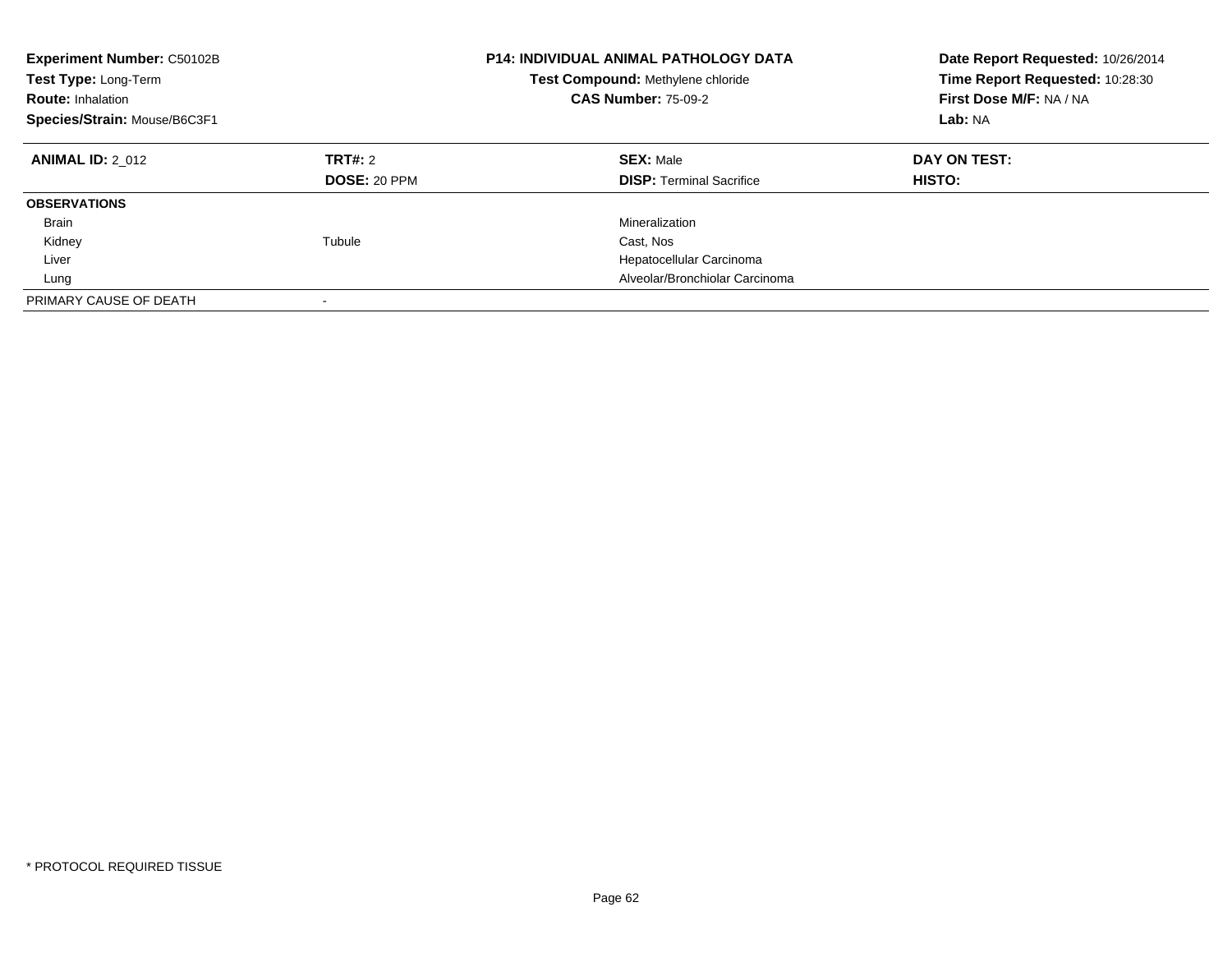| <b>Experiment Number: C50102B</b><br>Test Type: Long-Term<br><b>Route: Inhalation</b><br>Species/Strain: Mouse/B6C3F1 |                                | P14: INDIVIDUAL ANIMAL PATHOLOGY DATA<br>Test Compound: Methylene chloride<br><b>CAS Number: 75-09-2</b> | Date Report Requested: 10/26/2014<br>Time Report Requested: 10:28:30<br>First Dose M/F: NA / NA<br>Lab: NA |
|-----------------------------------------------------------------------------------------------------------------------|--------------------------------|----------------------------------------------------------------------------------------------------------|------------------------------------------------------------------------------------------------------------|
| <b>ANIMAL ID: 2 012</b>                                                                                               | TRT#: 2<br><b>DOSE: 20 PPM</b> | <b>SEX: Male</b><br><b>DISP: Terminal Sacrifice</b>                                                      | DAY ON TEST:<br><b>HISTO:</b>                                                                              |
| <b>OBSERVATIONS</b>                                                                                                   |                                |                                                                                                          |                                                                                                            |
| Brain                                                                                                                 |                                | Mineralization                                                                                           |                                                                                                            |
| Kidney                                                                                                                | Tubule                         | Cast, Nos                                                                                                |                                                                                                            |
| Liver                                                                                                                 |                                | Hepatocellular Carcinoma                                                                                 |                                                                                                            |
| Lung                                                                                                                  |                                | Alveolar/Bronchiolar Carcinoma                                                                           |                                                                                                            |
| PRIMARY CAUSE OF DEATH                                                                                                |                                |                                                                                                          |                                                                                                            |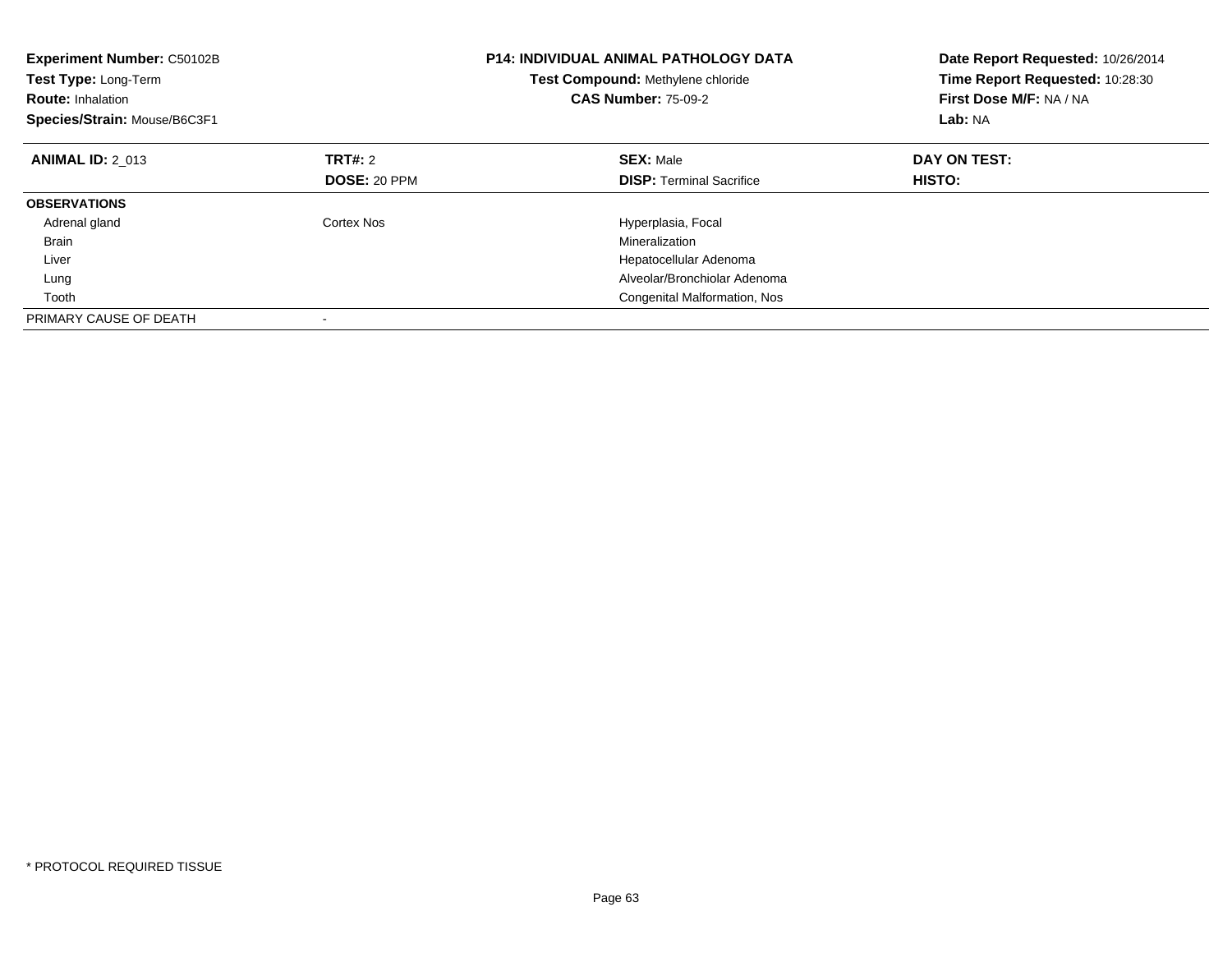| <b>Experiment Number: C50102B</b><br>Test Type: Long-Term<br><b>Route: Inhalation</b><br>Species/Strain: Mouse/B6C3F1 |              | <b>P14: INDIVIDUAL ANIMAL PATHOLOGY DATA</b><br>Test Compound: Methylene chloride<br><b>CAS Number: 75-09-2</b> | Date Report Requested: 10/26/2014<br>Time Report Requested: 10:28:30<br>First Dose M/F: NA / NA<br>Lab: NA |
|-----------------------------------------------------------------------------------------------------------------------|--------------|-----------------------------------------------------------------------------------------------------------------|------------------------------------------------------------------------------------------------------------|
| <b>ANIMAL ID: 2 013</b>                                                                                               | TRT#: 2      | <b>SEX: Male</b>                                                                                                | DAY ON TEST:                                                                                               |
|                                                                                                                       | DOSE: 20 PPM | <b>DISP:</b> Terminal Sacrifice                                                                                 | HISTO:                                                                                                     |
| <b>OBSERVATIONS</b>                                                                                                   |              |                                                                                                                 |                                                                                                            |
| Adrenal gland                                                                                                         | Cortex Nos   | Hyperplasia, Focal                                                                                              |                                                                                                            |
| <b>Brain</b>                                                                                                          |              | Mineralization                                                                                                  |                                                                                                            |
| Liver                                                                                                                 |              | Hepatocellular Adenoma                                                                                          |                                                                                                            |
| Lung                                                                                                                  |              | Alveolar/Bronchiolar Adenoma                                                                                    |                                                                                                            |
| Tooth                                                                                                                 |              | Congenital Malformation, Nos                                                                                    |                                                                                                            |
| PRIMARY CAUSE OF DEATH                                                                                                |              |                                                                                                                 |                                                                                                            |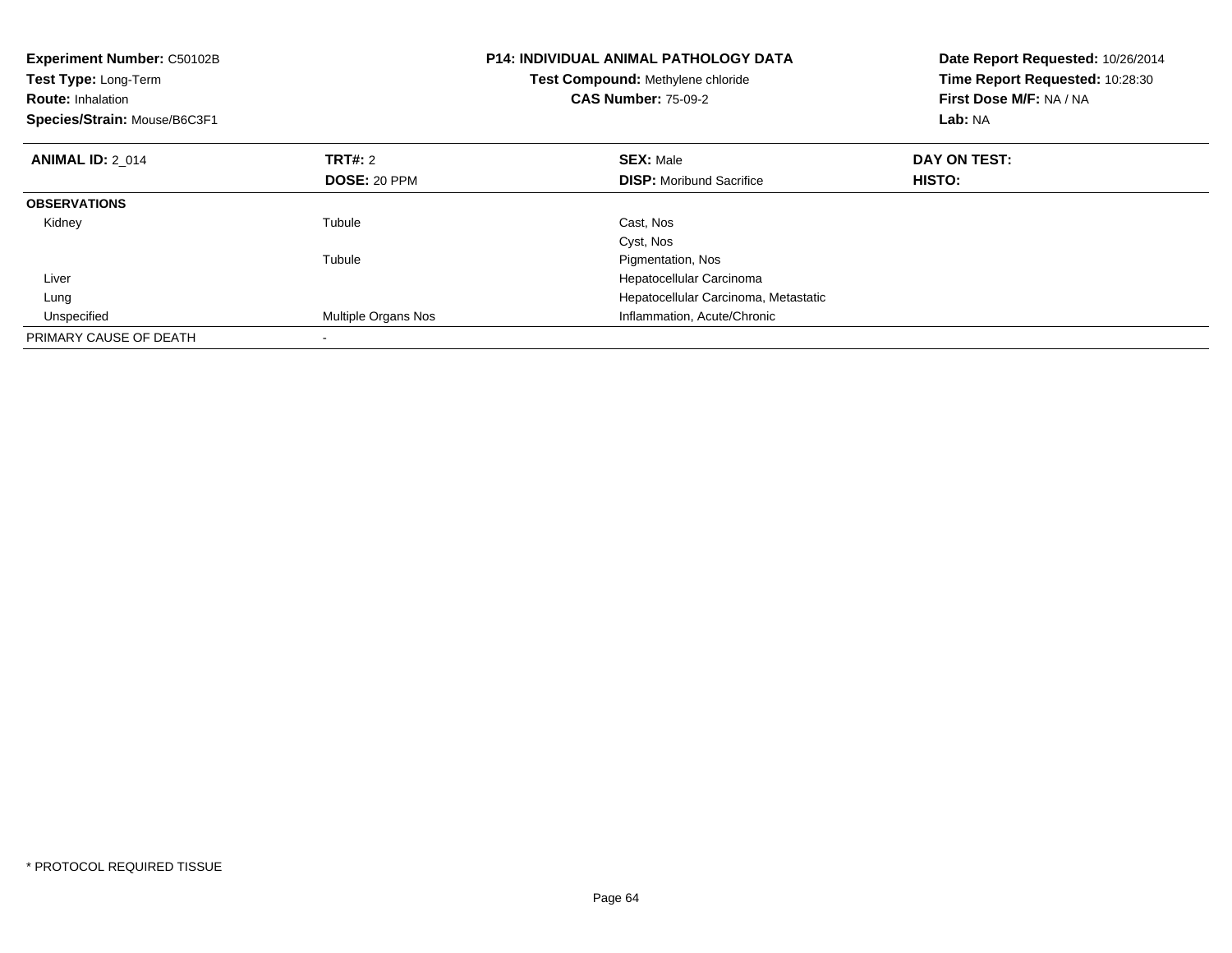| <b>Experiment Number: C50102B</b><br><b>Test Type: Long-Term</b><br><b>Route: Inhalation</b><br>Species/Strain: Mouse/B6C3F1 |                     | <b>P14: INDIVIDUAL ANIMAL PATHOLOGY DATA</b><br>Test Compound: Methylene chloride<br><b>CAS Number: 75-09-2</b> | Date Report Requested: 10/26/2014<br>Time Report Requested: 10:28:30<br>First Dose M/F: NA / NA<br>Lab: NA |
|------------------------------------------------------------------------------------------------------------------------------|---------------------|-----------------------------------------------------------------------------------------------------------------|------------------------------------------------------------------------------------------------------------|
| <b>ANIMAL ID: 2 014</b>                                                                                                      | TRT#: 2             | <b>SEX: Male</b>                                                                                                | DAY ON TEST:                                                                                               |
|                                                                                                                              | <b>DOSE: 20 PPM</b> | <b>DISP:</b> Moribund Sacrifice                                                                                 | HISTO:                                                                                                     |
| <b>OBSERVATIONS</b>                                                                                                          |                     |                                                                                                                 |                                                                                                            |
| Kidney                                                                                                                       | Tubule              | Cast, Nos                                                                                                       |                                                                                                            |
|                                                                                                                              |                     | Cyst, Nos                                                                                                       |                                                                                                            |
|                                                                                                                              | Tubule              | Pigmentation, Nos                                                                                               |                                                                                                            |
| Liver                                                                                                                        |                     | Hepatocellular Carcinoma                                                                                        |                                                                                                            |
| Lung                                                                                                                         |                     | Hepatocellular Carcinoma, Metastatic                                                                            |                                                                                                            |
| Unspecified                                                                                                                  | Multiple Organs Nos | Inflammation, Acute/Chronic                                                                                     |                                                                                                            |
| PRIMARY CAUSE OF DEATH                                                                                                       |                     |                                                                                                                 |                                                                                                            |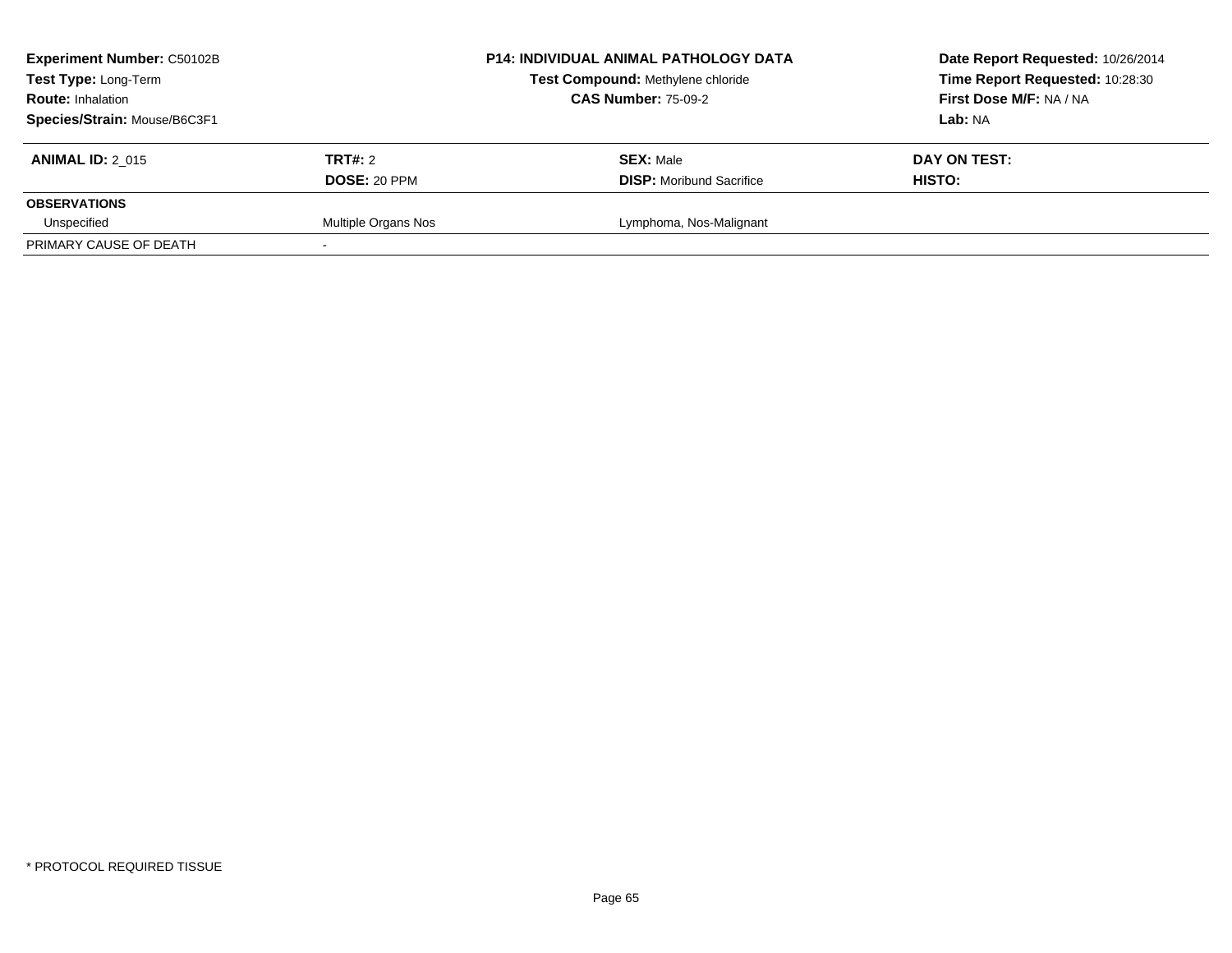| <b>Experiment Number: C50102B</b><br>Test Type: Long-Term<br><b>Route: Inhalation</b><br>Species/Strain: Mouse/B6C3F1 |                         | <b>P14: INDIVIDUAL ANIMAL PATHOLOGY DATA</b><br>Test Compound: Methylene chloride<br><b>CAS Number: 75-09-2</b> | Date Report Requested: 10/26/2014<br>Time Report Requested: 10:28:30<br>First Dose M/F: NA / NA<br>Lab: NA |
|-----------------------------------------------------------------------------------------------------------------------|-------------------------|-----------------------------------------------------------------------------------------------------------------|------------------------------------------------------------------------------------------------------------|
| <b>ANIMAL ID: 2 015</b>                                                                                               | TRT#: 2<br>DOSE: 20 PPM | <b>SEX: Male</b><br><b>DISP:</b> Moribund Sacrifice                                                             | DAY ON TEST:<br><b>HISTO:</b>                                                                              |
| <b>OBSERVATIONS</b><br>Unspecified                                                                                    | Multiple Organs Nos     | Lymphoma, Nos-Malignant                                                                                         |                                                                                                            |
| PRIMARY CAUSE OF DEATH                                                                                                |                         |                                                                                                                 |                                                                                                            |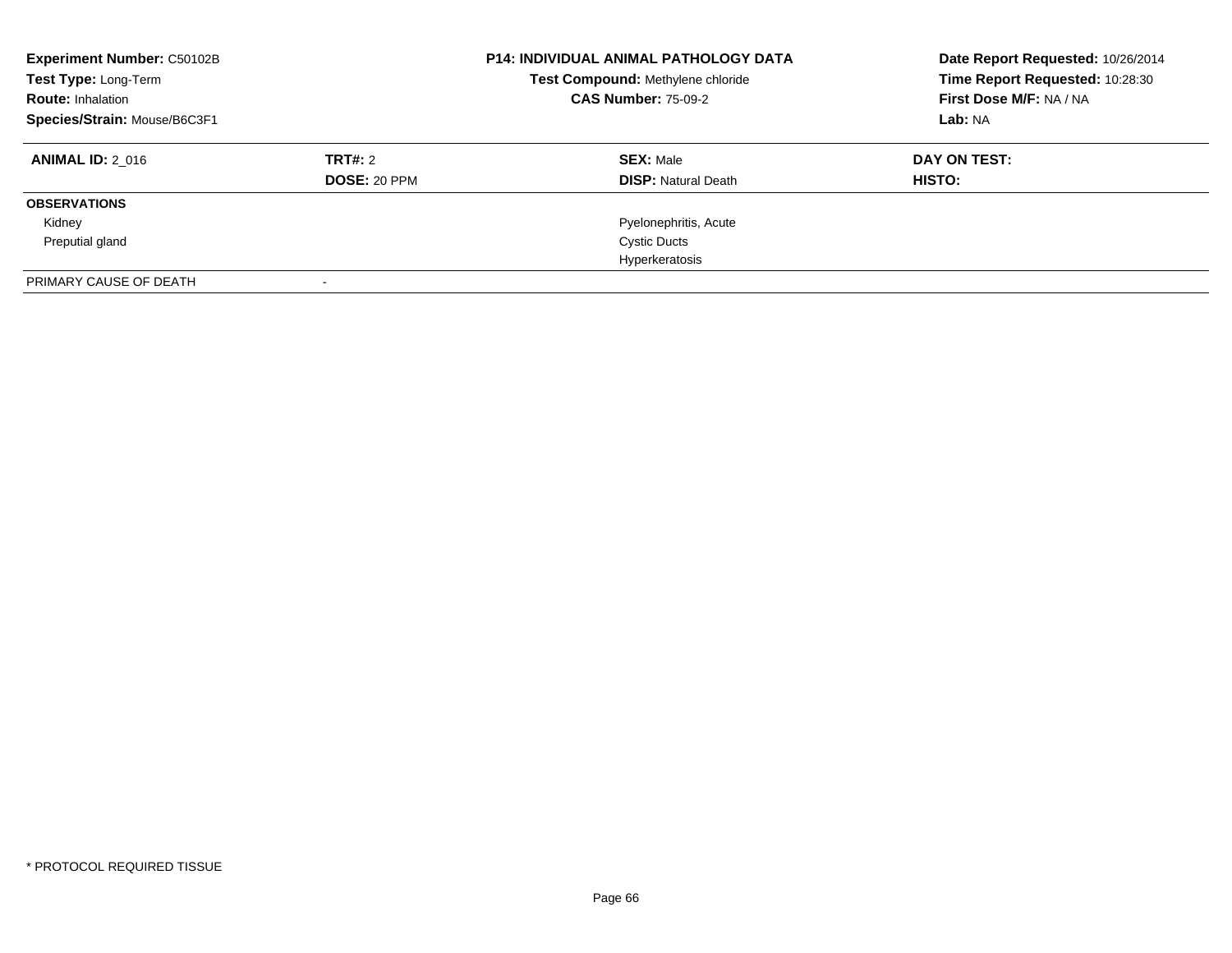| <b>Experiment Number: C50102B</b><br>Test Type: Long-Term<br><b>Route: Inhalation</b><br>Species/Strain: Mouse/B6C3F1 |                                | <b>P14: INDIVIDUAL ANIMAL PATHOLOGY DATA</b><br>Test Compound: Methylene chloride<br><b>CAS Number: 75-09-2</b> | Date Report Requested: 10/26/2014<br>Time Report Requested: 10:28:30<br>First Dose M/F: NA / NA<br>Lab: NA |
|-----------------------------------------------------------------------------------------------------------------------|--------------------------------|-----------------------------------------------------------------------------------------------------------------|------------------------------------------------------------------------------------------------------------|
| <b>ANIMAL ID: 2 016</b>                                                                                               | TRT#: 2<br><b>DOSE: 20 PPM</b> | <b>SEX: Male</b><br><b>DISP:</b> Natural Death                                                                  | DAY ON TEST:<br>HISTO:                                                                                     |
| <b>OBSERVATIONS</b>                                                                                                   |                                |                                                                                                                 |                                                                                                            |
| Kidney                                                                                                                |                                | Pyelonephritis, Acute                                                                                           |                                                                                                            |
| Preputial gland                                                                                                       |                                | <b>Cystic Ducts</b>                                                                                             |                                                                                                            |
|                                                                                                                       |                                | Hyperkeratosis                                                                                                  |                                                                                                            |
| PRIMARY CAUSE OF DEATH                                                                                                |                                |                                                                                                                 |                                                                                                            |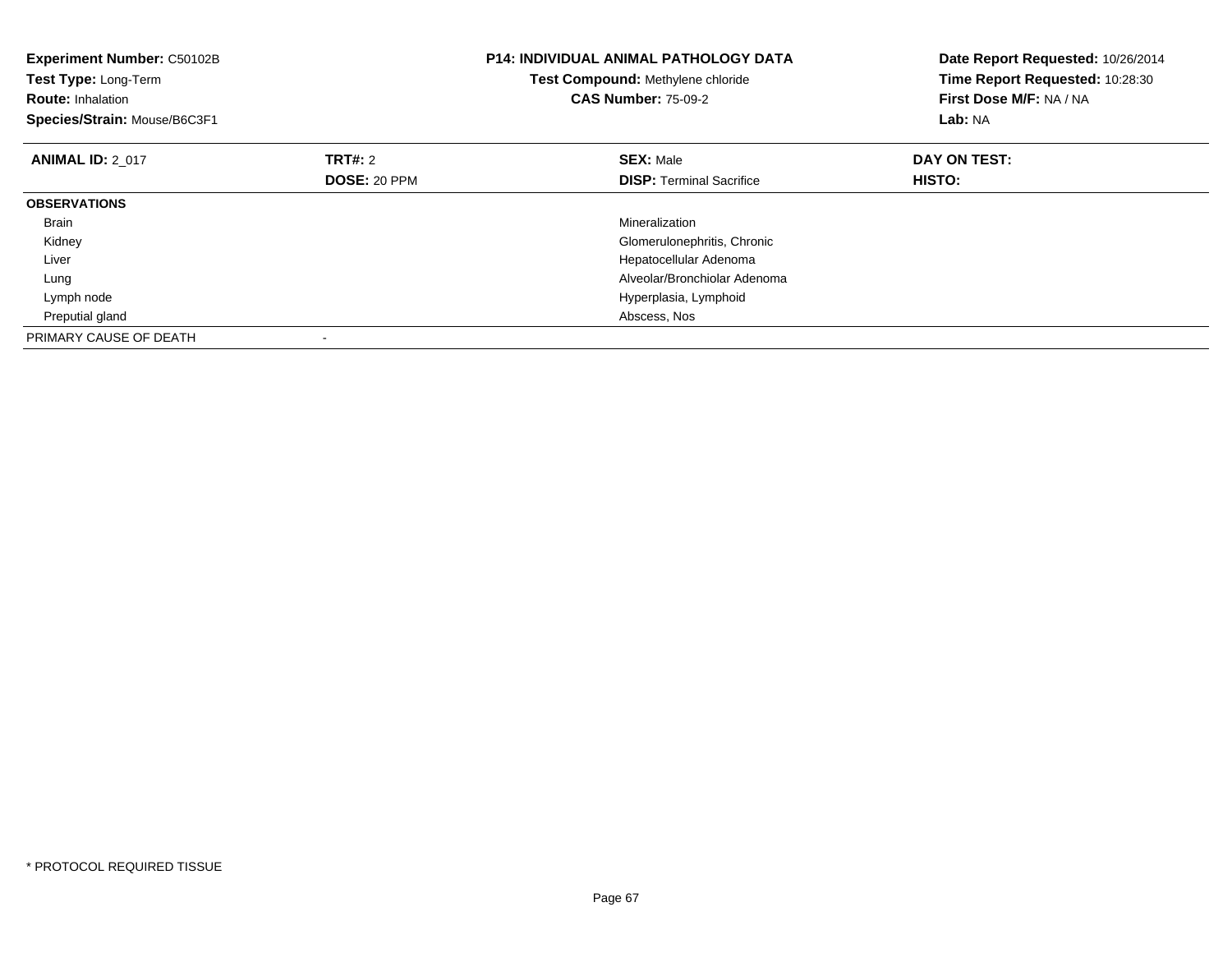| <b>Experiment Number: C50102B</b><br>Test Type: Long-Term<br><b>Route: Inhalation</b><br>Species/Strain: Mouse/B6C3F1 |                     | <b>P14: INDIVIDUAL ANIMAL PATHOLOGY DATA</b><br>Test Compound: Methylene chloride<br><b>CAS Number: 75-09-2</b> | Date Report Requested: 10/26/2014<br>Time Report Requested: 10:28:30<br>First Dose M/F: NA / NA<br>Lab: NA |
|-----------------------------------------------------------------------------------------------------------------------|---------------------|-----------------------------------------------------------------------------------------------------------------|------------------------------------------------------------------------------------------------------------|
| <b>ANIMAL ID: 2 017</b>                                                                                               | <b>TRT#: 2</b>      | <b>SEX: Male</b>                                                                                                | DAY ON TEST:                                                                                               |
|                                                                                                                       | <b>DOSE: 20 PPM</b> | <b>DISP:</b> Terminal Sacrifice                                                                                 | <b>HISTO:</b>                                                                                              |
| <b>OBSERVATIONS</b>                                                                                                   |                     |                                                                                                                 |                                                                                                            |
| <b>Brain</b>                                                                                                          |                     | Mineralization                                                                                                  |                                                                                                            |
| Kidney                                                                                                                |                     | Glomerulonephritis, Chronic                                                                                     |                                                                                                            |
| Liver                                                                                                                 |                     | Hepatocellular Adenoma                                                                                          |                                                                                                            |
| Lung                                                                                                                  |                     | Alveolar/Bronchiolar Adenoma                                                                                    |                                                                                                            |
| Lymph node                                                                                                            |                     | Hyperplasia, Lymphoid                                                                                           |                                                                                                            |
| Preputial gland                                                                                                       |                     | Abscess, Nos                                                                                                    |                                                                                                            |
| PRIMARY CAUSE OF DEATH                                                                                                |                     |                                                                                                                 |                                                                                                            |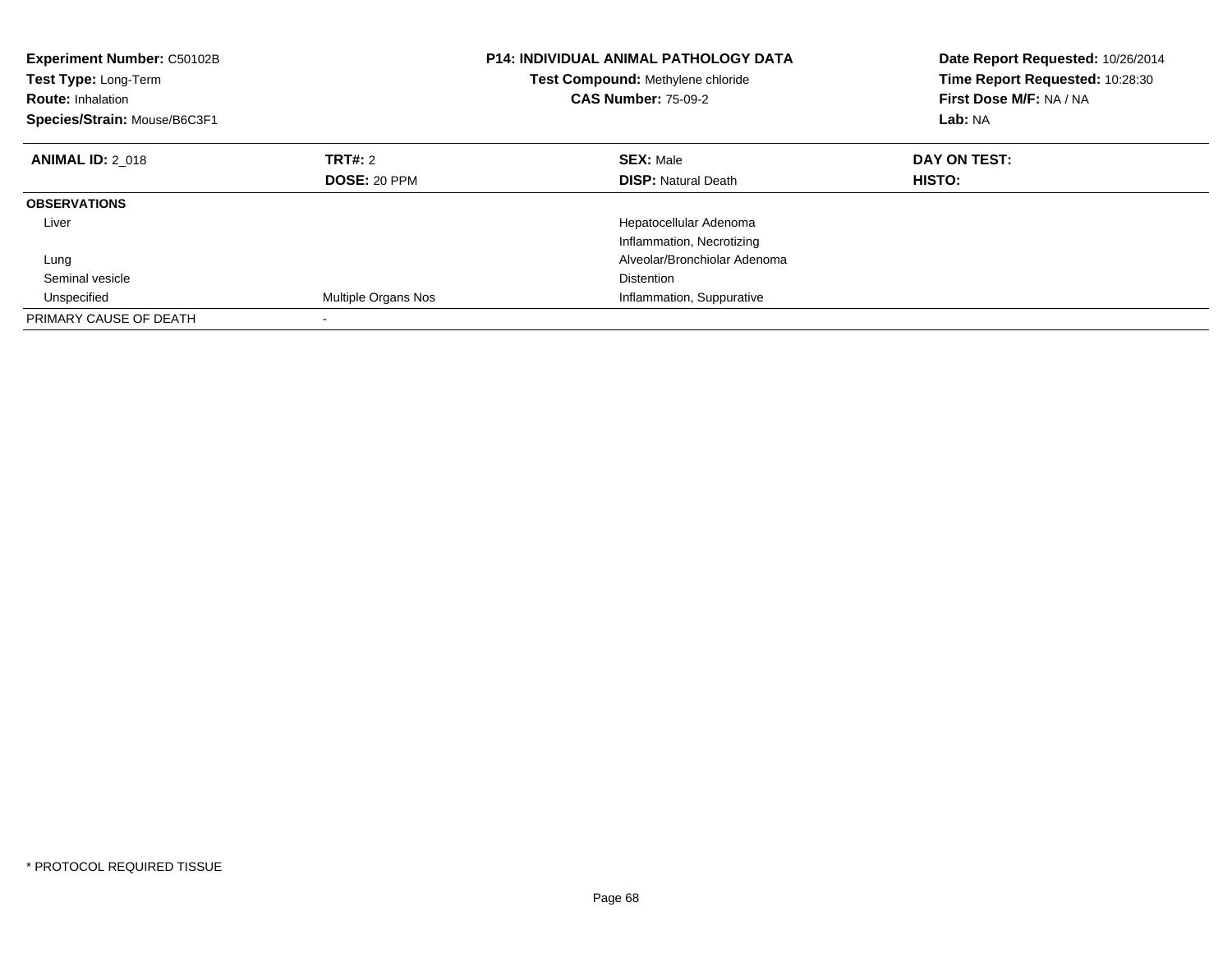| Experiment Number: C50102B<br>Test Type: Long-Term<br><b>Route: Inhalation</b><br>Species/Strain: Mouse/B6C3F1 |                     | <b>P14: INDIVIDUAL ANIMAL PATHOLOGY DATA</b><br>Test Compound: Methylene chloride<br><b>CAS Number: 75-09-2</b> | Date Report Requested: 10/26/2014<br>Time Report Requested: 10:28:30<br>First Dose M/F: NA / NA<br>Lab: NA |
|----------------------------------------------------------------------------------------------------------------|---------------------|-----------------------------------------------------------------------------------------------------------------|------------------------------------------------------------------------------------------------------------|
| <b>ANIMAL ID: 2 018</b>                                                                                        | <b>TRT#: 2</b>      | <b>SEX: Male</b>                                                                                                | DAY ON TEST:                                                                                               |
|                                                                                                                | DOSE: 20 PPM        | <b>DISP:</b> Natural Death                                                                                      | HISTO:                                                                                                     |
| <b>OBSERVATIONS</b>                                                                                            |                     |                                                                                                                 |                                                                                                            |
| Liver                                                                                                          |                     | Hepatocellular Adenoma                                                                                          |                                                                                                            |
|                                                                                                                |                     | Inflammation, Necrotizing                                                                                       |                                                                                                            |
| Lung                                                                                                           |                     | Alveolar/Bronchiolar Adenoma                                                                                    |                                                                                                            |
| Seminal vesicle                                                                                                |                     | <b>Distention</b>                                                                                               |                                                                                                            |
| Unspecified                                                                                                    | Multiple Organs Nos | Inflammation, Suppurative                                                                                       |                                                                                                            |
| PRIMARY CAUSE OF DEATH                                                                                         |                     |                                                                                                                 |                                                                                                            |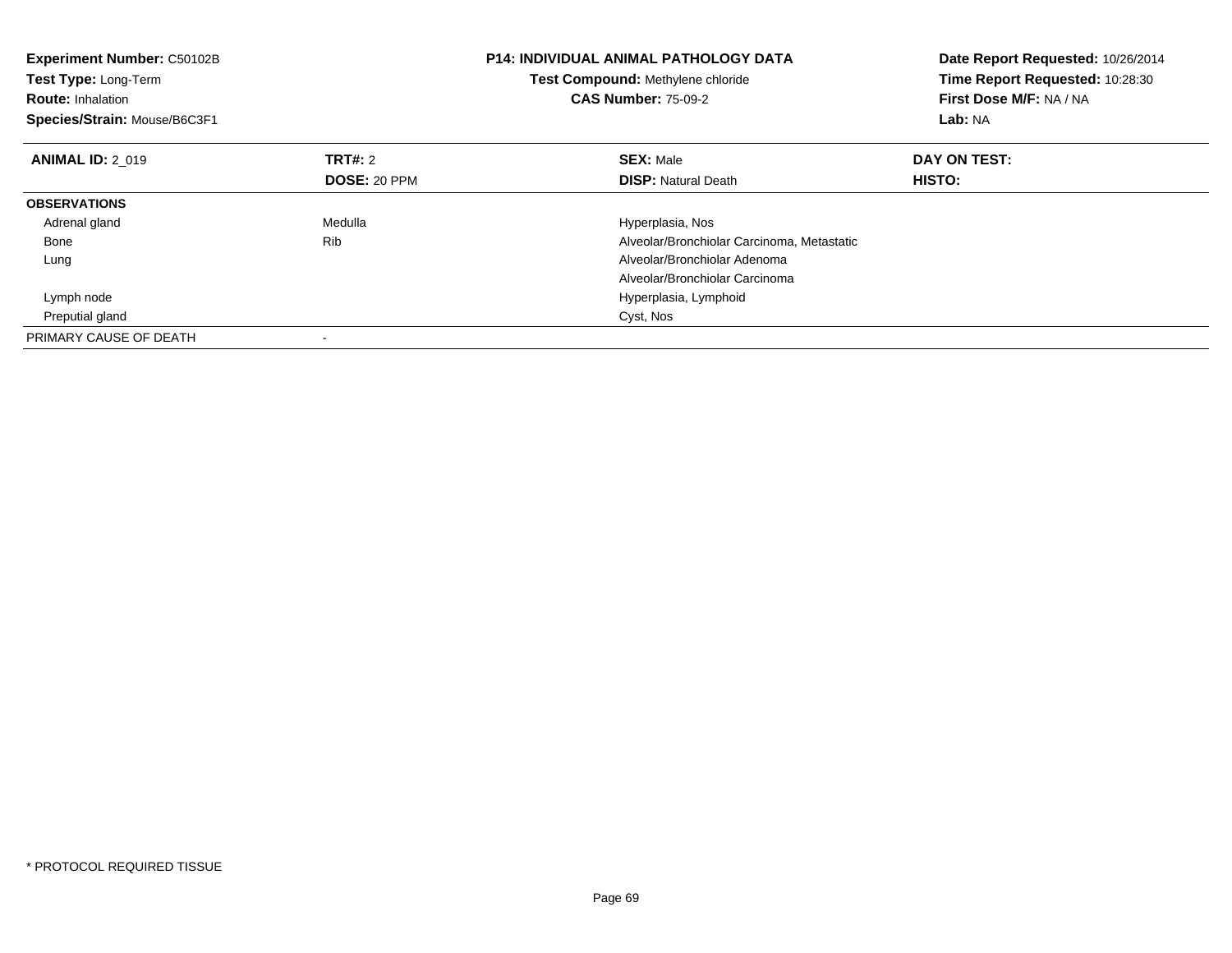| <b>Experiment Number: C50102B</b><br>Test Type: Long-Term<br><b>Route: Inhalation</b><br>Species/Strain: Mouse/B6C3F1 |                     | <b>P14: INDIVIDUAL ANIMAL PATHOLOGY DATA</b><br>Test Compound: Methylene chloride<br><b>CAS Number: 75-09-2</b> | Date Report Requested: 10/26/2014<br>Time Report Requested: 10:28:30<br>First Dose M/F: NA / NA<br>Lab: NA |
|-----------------------------------------------------------------------------------------------------------------------|---------------------|-----------------------------------------------------------------------------------------------------------------|------------------------------------------------------------------------------------------------------------|
| <b>ANIMAL ID: 2 019</b>                                                                                               | <b>TRT#: 2</b>      | <b>SEX: Male</b>                                                                                                | DAY ON TEST:                                                                                               |
|                                                                                                                       | <b>DOSE: 20 PPM</b> | <b>DISP:</b> Natural Death                                                                                      | <b>HISTO:</b>                                                                                              |
| <b>OBSERVATIONS</b>                                                                                                   |                     |                                                                                                                 |                                                                                                            |
| Adrenal gland                                                                                                         | Medulla             | Hyperplasia, Nos                                                                                                |                                                                                                            |
| Bone                                                                                                                  | <b>Rib</b>          | Alveolar/Bronchiolar Carcinoma, Metastatic                                                                      |                                                                                                            |
| Lung                                                                                                                  |                     | Alveolar/Bronchiolar Adenoma                                                                                    |                                                                                                            |
|                                                                                                                       |                     | Alveolar/Bronchiolar Carcinoma                                                                                  |                                                                                                            |
| Lymph node                                                                                                            |                     | Hyperplasia, Lymphoid                                                                                           |                                                                                                            |
| Preputial gland                                                                                                       |                     | Cyst, Nos                                                                                                       |                                                                                                            |
| PRIMARY CAUSE OF DEATH                                                                                                |                     |                                                                                                                 |                                                                                                            |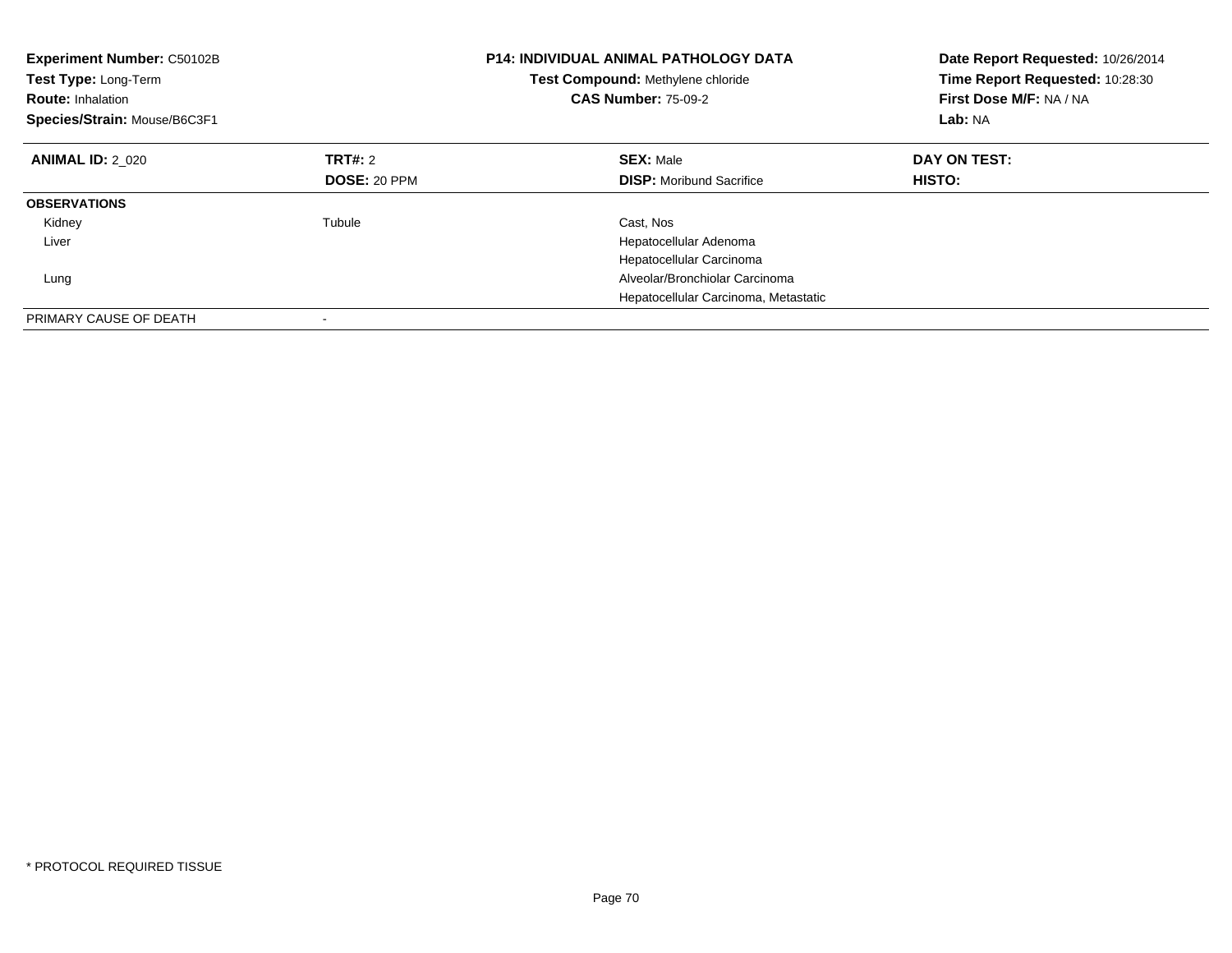| Experiment Number: C50102B<br>Test Type: Long-Term<br><b>Route: Inhalation</b><br>Species/Strain: Mouse/B6C3F1 |                     | <b>P14: INDIVIDUAL ANIMAL PATHOLOGY DATA</b><br>Test Compound: Methylene chloride<br><b>CAS Number: 75-09-2</b> | Date Report Requested: 10/26/2014<br>Time Report Requested: 10:28:30<br>First Dose M/F: NA / NA<br>Lab: NA |
|----------------------------------------------------------------------------------------------------------------|---------------------|-----------------------------------------------------------------------------------------------------------------|------------------------------------------------------------------------------------------------------------|
| <b>ANIMAL ID: 2 020</b>                                                                                        | TRT#: 2             | <b>SEX: Male</b>                                                                                                | DAY ON TEST:                                                                                               |
|                                                                                                                | <b>DOSE: 20 PPM</b> | <b>DISP:</b> Moribund Sacrifice                                                                                 | <b>HISTO:</b>                                                                                              |
| <b>OBSERVATIONS</b>                                                                                            |                     |                                                                                                                 |                                                                                                            |
| Kidney                                                                                                         | Tubule              | Cast, Nos                                                                                                       |                                                                                                            |
| Liver                                                                                                          |                     | Hepatocellular Adenoma                                                                                          |                                                                                                            |
|                                                                                                                |                     | Hepatocellular Carcinoma                                                                                        |                                                                                                            |
| Lung                                                                                                           |                     | Alveolar/Bronchiolar Carcinoma                                                                                  |                                                                                                            |
|                                                                                                                |                     | Hepatocellular Carcinoma, Metastatic                                                                            |                                                                                                            |
| PRIMARY CAUSE OF DEATH                                                                                         |                     |                                                                                                                 |                                                                                                            |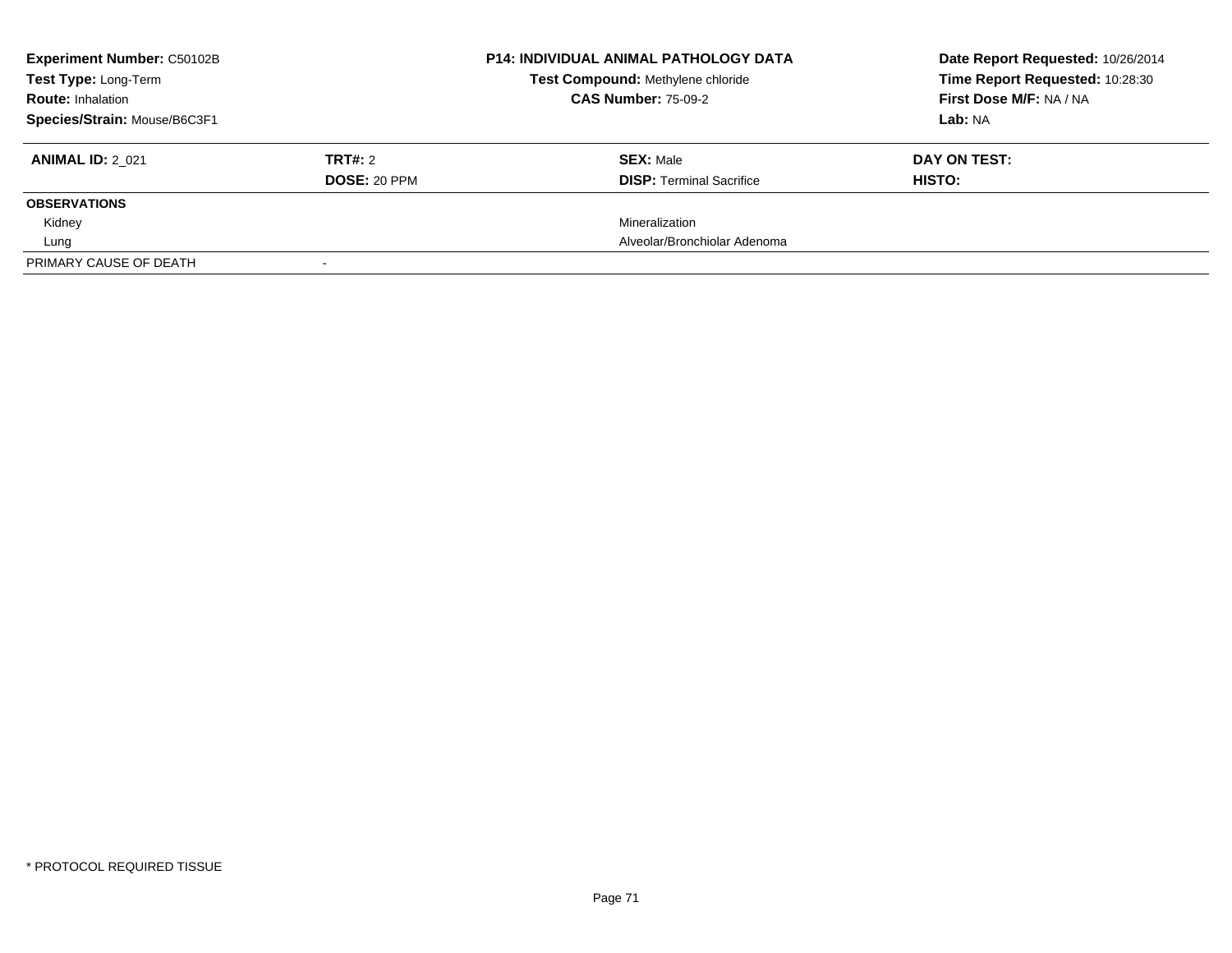| <b>Experiment Number: C50102B</b><br><b>Test Type: Long-Term</b><br><b>Route: Inhalation</b> |                     | <b>P14: INDIVIDUAL ANIMAL PATHOLOGY DATA</b><br>Test Compound: Methylene chloride<br><b>CAS Number: 75-09-2</b> | Date Report Requested: 10/26/2014<br>Time Report Requested: 10:28:30<br>First Dose M/F: NA / NA |
|----------------------------------------------------------------------------------------------|---------------------|-----------------------------------------------------------------------------------------------------------------|-------------------------------------------------------------------------------------------------|
|                                                                                              |                     |                                                                                                                 |                                                                                                 |
| Species/Strain: Mouse/B6C3F1                                                                 |                     |                                                                                                                 | Lab: NA                                                                                         |
| <b>ANIMAL ID: 2 021</b>                                                                      | TRT#: 2             | <b>SEX: Male</b>                                                                                                | DAY ON TEST:                                                                                    |
|                                                                                              | <b>DOSE: 20 PPM</b> | <b>DISP:</b> Terminal Sacrifice                                                                                 | HISTO:                                                                                          |
| <b>OBSERVATIONS</b>                                                                          |                     |                                                                                                                 |                                                                                                 |
| Kidney                                                                                       |                     | Mineralization                                                                                                  |                                                                                                 |
| Lung                                                                                         |                     | Alveolar/Bronchiolar Adenoma                                                                                    |                                                                                                 |
| PRIMARY CAUSE OF DEATH                                                                       |                     |                                                                                                                 |                                                                                                 |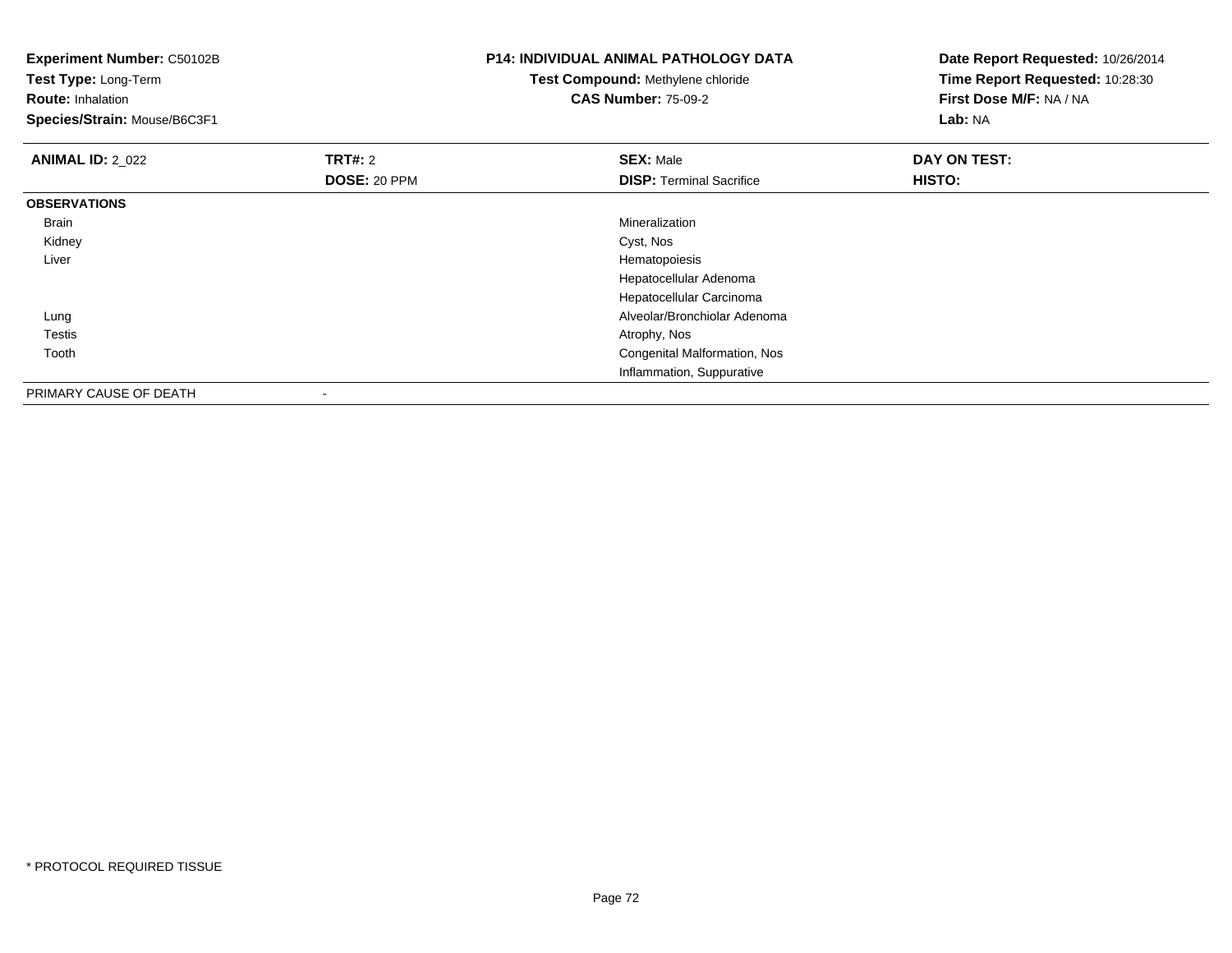| <b>Experiment Number: C50102B</b><br>Test Type: Long-Term<br><b>Route: Inhalation</b><br>Species/Strain: Mouse/B6C3F1 |                | <b>P14: INDIVIDUAL ANIMAL PATHOLOGY DATA</b><br>Test Compound: Methylene chloride<br><b>CAS Number: 75-09-2</b> | Date Report Requested: 10/26/2014<br>Time Report Requested: 10:28:30<br>First Dose M/F: NA / NA<br>Lab: NA |
|-----------------------------------------------------------------------------------------------------------------------|----------------|-----------------------------------------------------------------------------------------------------------------|------------------------------------------------------------------------------------------------------------|
| <b>ANIMAL ID: 2_022</b>                                                                                               | <b>TRT#: 2</b> | <b>SEX: Male</b>                                                                                                | DAY ON TEST:                                                                                               |
|                                                                                                                       | DOSE: 20 PPM   | <b>DISP: Terminal Sacrifice</b>                                                                                 | HISTO:                                                                                                     |
| <b>OBSERVATIONS</b>                                                                                                   |                |                                                                                                                 |                                                                                                            |
| Brain                                                                                                                 |                | Mineralization                                                                                                  |                                                                                                            |
| Kidney                                                                                                                |                | Cyst, Nos                                                                                                       |                                                                                                            |
| Liver                                                                                                                 |                | Hematopoiesis                                                                                                   |                                                                                                            |
|                                                                                                                       |                | Hepatocellular Adenoma                                                                                          |                                                                                                            |
|                                                                                                                       |                | Hepatocellular Carcinoma                                                                                        |                                                                                                            |
| Lung                                                                                                                  |                | Alveolar/Bronchiolar Adenoma                                                                                    |                                                                                                            |
| Testis                                                                                                                |                | Atrophy, Nos                                                                                                    |                                                                                                            |
| Tooth                                                                                                                 |                | Congenital Malformation, Nos                                                                                    |                                                                                                            |
|                                                                                                                       |                | Inflammation, Suppurative                                                                                       |                                                                                                            |
| PRIMARY CAUSE OF DEATH                                                                                                | $\,$           |                                                                                                                 |                                                                                                            |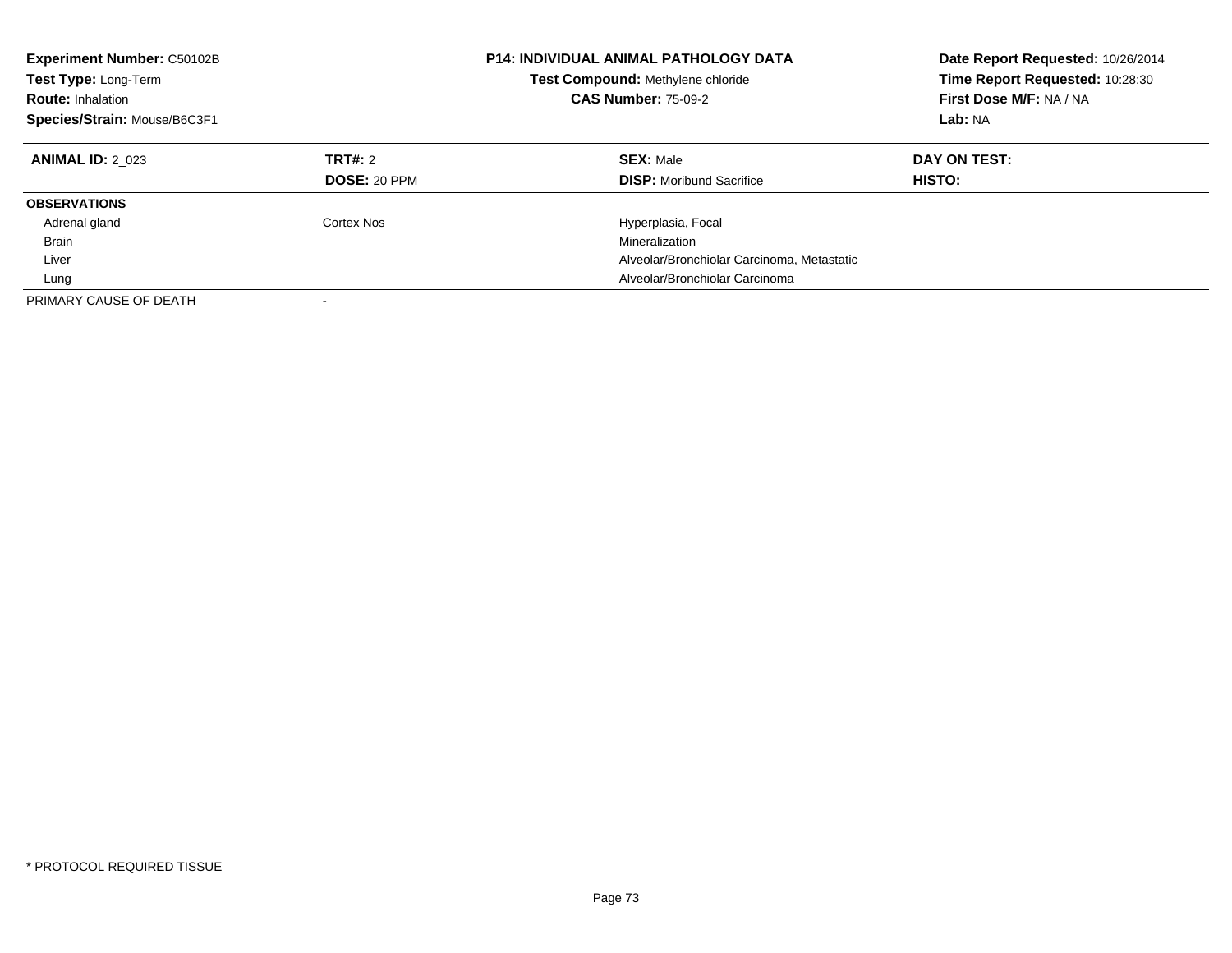| <b>Experiment Number: C50102B</b><br>Test Type: Long-Term<br><b>Route: Inhalation</b><br>Species/Strain: Mouse/B6C3F1 |                                | <b>P14: INDIVIDUAL ANIMAL PATHOLOGY DATA</b><br>Test Compound: Methylene chloride<br><b>CAS Number: 75-09-2</b> | Date Report Requested: 10/26/2014<br>Time Report Requested: 10:28:30<br>First Dose M/F: NA / NA<br>Lab: NA |
|-----------------------------------------------------------------------------------------------------------------------|--------------------------------|-----------------------------------------------------------------------------------------------------------------|------------------------------------------------------------------------------------------------------------|
| <b>ANIMAL ID: 2 023</b>                                                                                               | TRT#: 2<br><b>DOSE: 20 PPM</b> | <b>SEX: Male</b><br><b>DISP:</b> Moribund Sacrifice                                                             | DAY ON TEST:<br>HISTO:                                                                                     |
| <b>OBSERVATIONS</b>                                                                                                   |                                |                                                                                                                 |                                                                                                            |
| Adrenal gland                                                                                                         | Cortex Nos                     | Hyperplasia, Focal                                                                                              |                                                                                                            |
| <b>Brain</b>                                                                                                          |                                | Mineralization                                                                                                  |                                                                                                            |
| Liver                                                                                                                 |                                | Alveolar/Bronchiolar Carcinoma, Metastatic                                                                      |                                                                                                            |
| Lung                                                                                                                  |                                | Alveolar/Bronchiolar Carcinoma                                                                                  |                                                                                                            |
| PRIMARY CAUSE OF DEATH                                                                                                |                                |                                                                                                                 |                                                                                                            |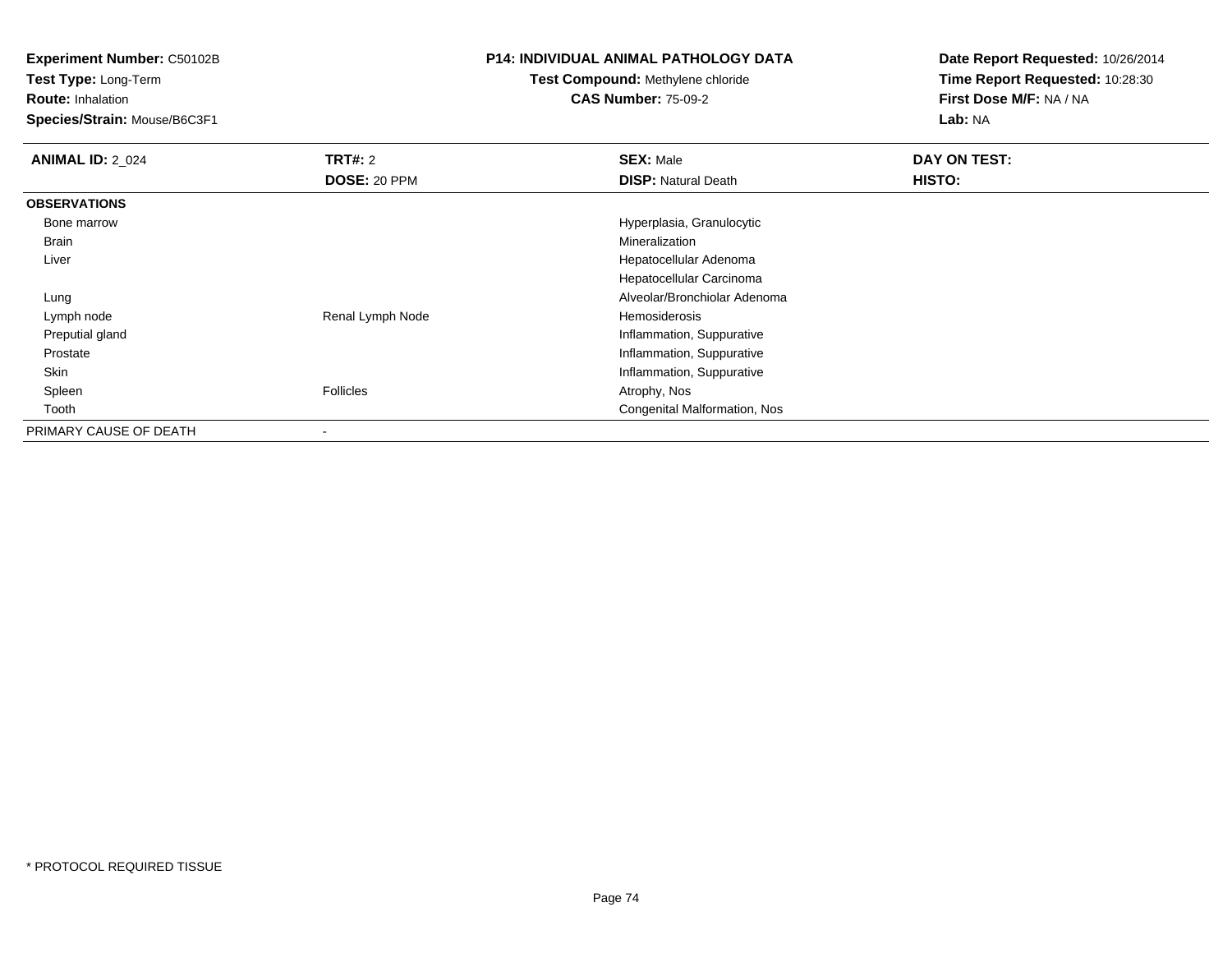**Experiment Number:** C50102B

**Test Type:** Long-Term

## **Route:** Inhalation

**Species/Strain:** Mouse/B6C3F1

## **P14: INDIVIDUAL ANIMAL PATHOLOGY DATA**

## **Test Compound:** Methylene chloride**CAS Number:** 75-09-2

**Date Report Requested:** 10/26/2014**Time Report Requested:** 10:28:30**First Dose M/F:** NA / NA**Lab:** NA

| <b>ANIMAL ID: 2_024</b> | <b>TRT#: 2</b>      | <b>SEX: Male</b>             | DAY ON TEST: |  |
|-------------------------|---------------------|------------------------------|--------------|--|
|                         | <b>DOSE: 20 PPM</b> | <b>DISP: Natural Death</b>   | HISTO:       |  |
| <b>OBSERVATIONS</b>     |                     |                              |              |  |
| Bone marrow             |                     | Hyperplasia, Granulocytic    |              |  |
| <b>Brain</b>            |                     | Mineralization               |              |  |
| Liver                   |                     | Hepatocellular Adenoma       |              |  |
|                         |                     | Hepatocellular Carcinoma     |              |  |
| Lung                    |                     | Alveolar/Bronchiolar Adenoma |              |  |
| Lymph node              | Renal Lymph Node    | Hemosiderosis                |              |  |
| Preputial gland         |                     | Inflammation, Suppurative    |              |  |
| Prostate                |                     | Inflammation, Suppurative    |              |  |
| Skin                    |                     | Inflammation, Suppurative    |              |  |
| Spleen                  | Follicles           | Atrophy, Nos                 |              |  |
| Tooth                   |                     | Congenital Malformation, Nos |              |  |
| PRIMARY CAUSE OF DEATH  |                     |                              |              |  |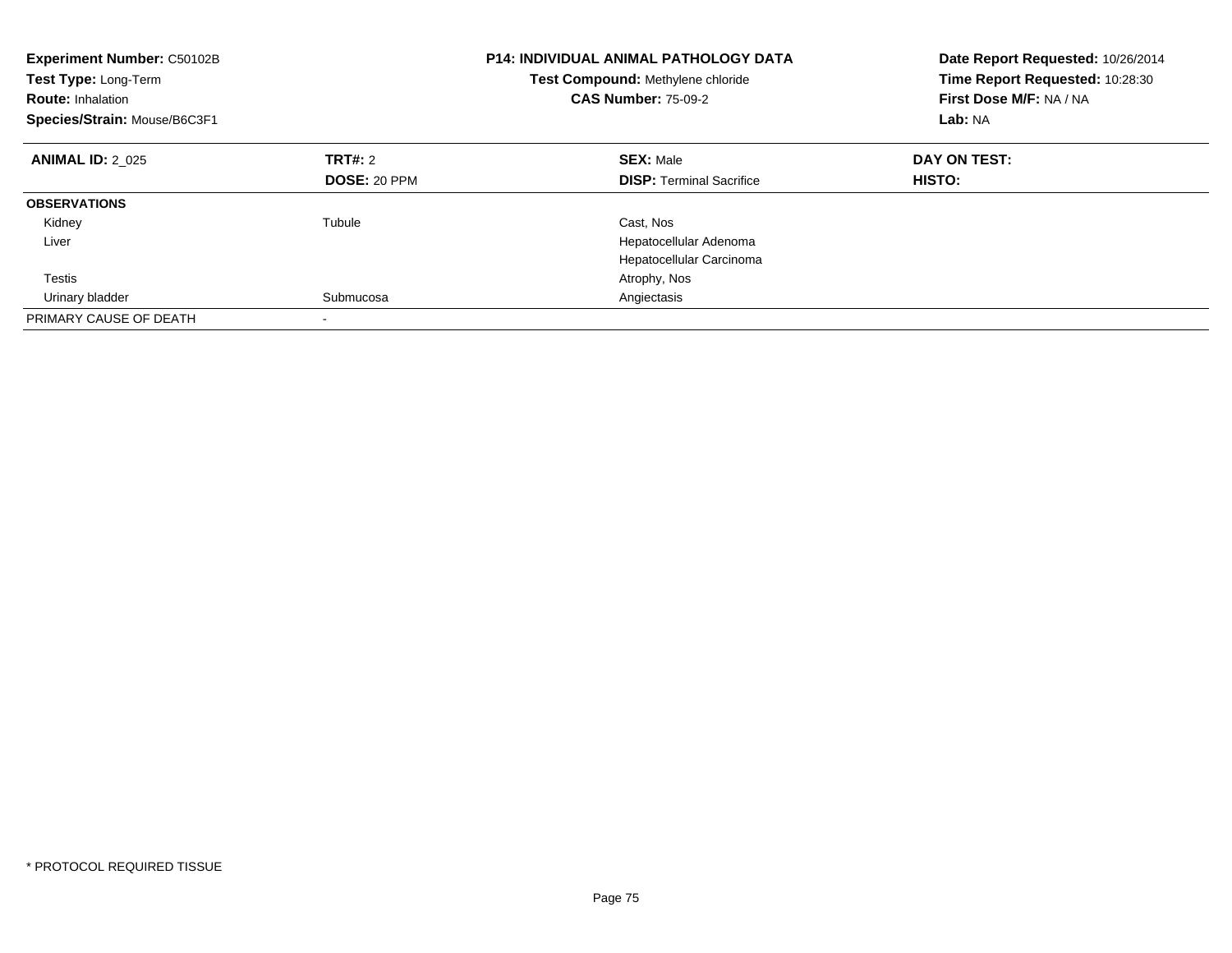| Experiment Number: C50102B<br>Test Type: Long-Term<br><b>Route: Inhalation</b><br>Species/Strain: Mouse/B6C3F1 |                     | <b>P14: INDIVIDUAL ANIMAL PATHOLOGY DATA</b><br>Test Compound: Methylene chloride<br><b>CAS Number: 75-09-2</b> | Date Report Requested: 10/26/2014<br>Time Report Requested: 10:28:30<br>First Dose M/F: NA / NA<br>Lab: NA |
|----------------------------------------------------------------------------------------------------------------|---------------------|-----------------------------------------------------------------------------------------------------------------|------------------------------------------------------------------------------------------------------------|
| <b>ANIMAL ID: 2 025</b>                                                                                        | TRT#: 2             | <b>SEX: Male</b>                                                                                                | DAY ON TEST:                                                                                               |
|                                                                                                                | <b>DOSE: 20 PPM</b> | <b>DISP:</b> Terminal Sacrifice                                                                                 | HISTO:                                                                                                     |
| <b>OBSERVATIONS</b>                                                                                            |                     |                                                                                                                 |                                                                                                            |
| Kidney                                                                                                         | Tubule              | Cast, Nos                                                                                                       |                                                                                                            |
| Liver                                                                                                          |                     | Hepatocellular Adenoma                                                                                          |                                                                                                            |
|                                                                                                                |                     | Hepatocellular Carcinoma                                                                                        |                                                                                                            |
| <b>Testis</b>                                                                                                  |                     | Atrophy, Nos                                                                                                    |                                                                                                            |
| Urinary bladder                                                                                                | Submucosa           | Angiectasis                                                                                                     |                                                                                                            |
| PRIMARY CAUSE OF DEATH                                                                                         |                     |                                                                                                                 |                                                                                                            |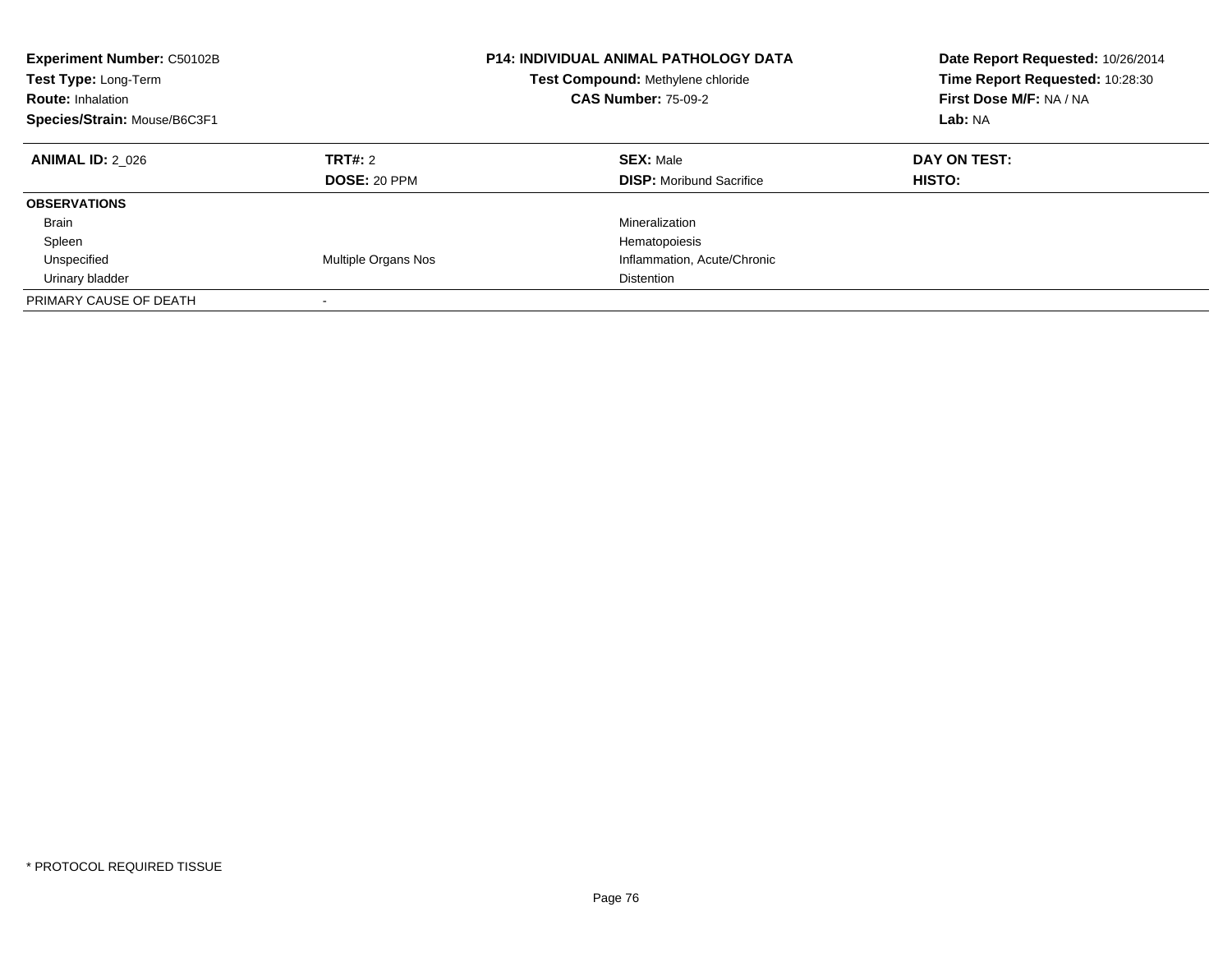| Experiment Number: C50102B<br>Test Type: Long-Term<br><b>Route: Inhalation</b><br>Species/Strain: Mouse/B6C3F1 | <b>P14: INDIVIDUAL ANIMAL PATHOLOGY DATA</b><br>Test Compound: Methylene chloride<br><b>CAS Number: 75-09-2</b> |                                                     | Date Report Requested: 10/26/2014<br>Time Report Requested: 10:28:30<br>First Dose M/F: NA / NA<br>Lab: NA |
|----------------------------------------------------------------------------------------------------------------|-----------------------------------------------------------------------------------------------------------------|-----------------------------------------------------|------------------------------------------------------------------------------------------------------------|
| <b>ANIMAL ID: 2 026</b>                                                                                        | TRT#: 2<br>DOSE: 20 PPM                                                                                         | <b>SEX: Male</b><br><b>DISP:</b> Moribund Sacrifice | DAY ON TEST:<br><b>HISTO:</b>                                                                              |
| <b>OBSERVATIONS</b>                                                                                            |                                                                                                                 |                                                     |                                                                                                            |
| <b>Brain</b>                                                                                                   |                                                                                                                 | Mineralization                                      |                                                                                                            |
| Spleen                                                                                                         |                                                                                                                 | Hematopoiesis                                       |                                                                                                            |
| Unspecified                                                                                                    | Multiple Organs Nos                                                                                             | Inflammation, Acute/Chronic                         |                                                                                                            |
| Urinary bladder                                                                                                |                                                                                                                 | <b>Distention</b>                                   |                                                                                                            |
| PRIMARY CAUSE OF DEATH                                                                                         | $\overline{\phantom{a}}$                                                                                        |                                                     |                                                                                                            |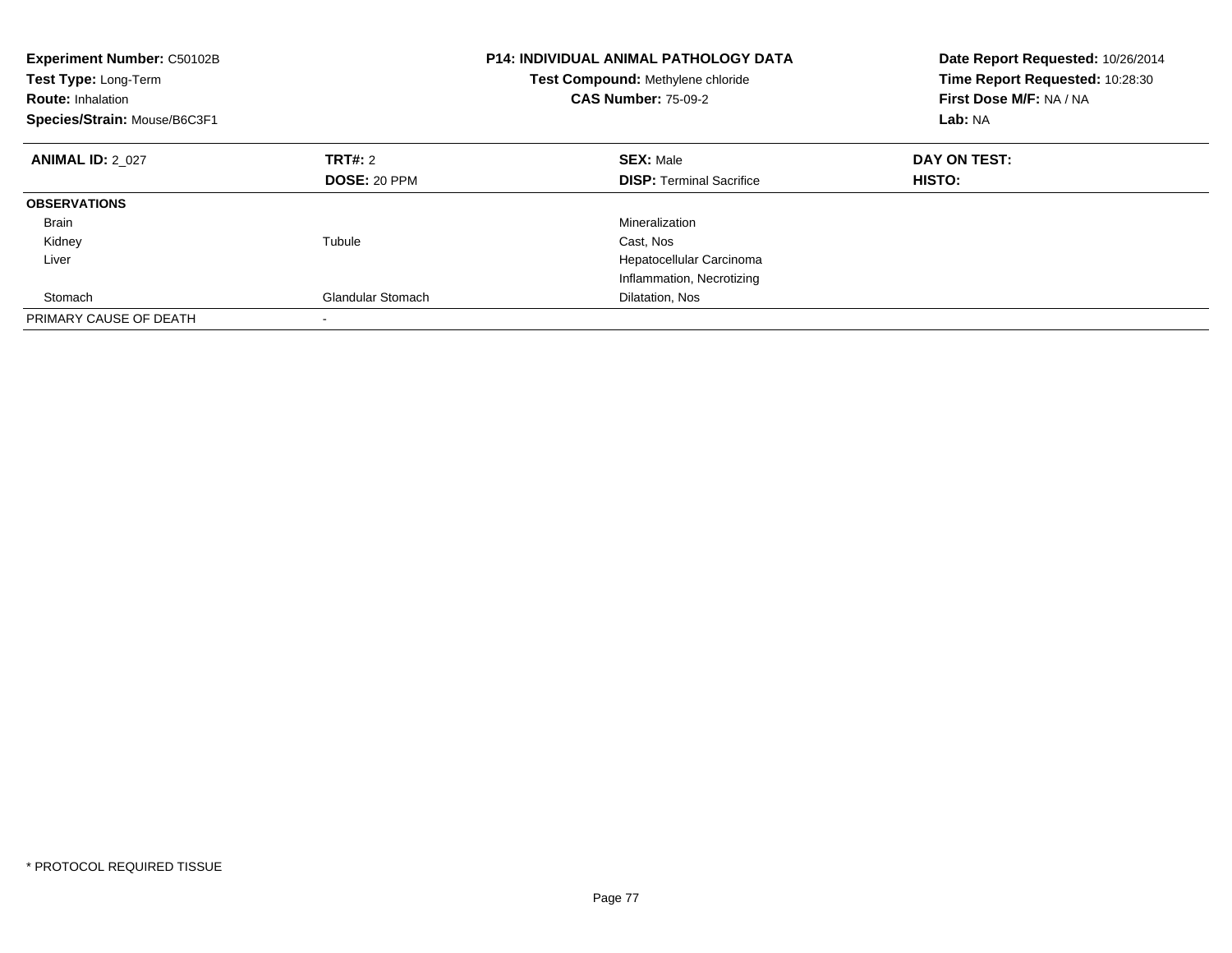| <b>Experiment Number: C50102B</b><br>Test Type: Long-Term<br><b>Route: Inhalation</b><br>Species/Strain: Mouse/B6C3F1 |                          | <b>P14: INDIVIDUAL ANIMAL PATHOLOGY DATA</b><br>Test Compound: Methylene chloride<br><b>CAS Number: 75-09-2</b> | Date Report Requested: 10/26/2014<br>Time Report Requested: 10:28:30<br>First Dose M/F: NA / NA<br>Lab: NA |
|-----------------------------------------------------------------------------------------------------------------------|--------------------------|-----------------------------------------------------------------------------------------------------------------|------------------------------------------------------------------------------------------------------------|
| <b>ANIMAL ID: 2 027</b>                                                                                               | <b>TRT#: 2</b>           | <b>SEX: Male</b>                                                                                                | DAY ON TEST:                                                                                               |
|                                                                                                                       | <b>DOSE: 20 PPM</b>      | <b>DISP:</b> Terminal Sacrifice                                                                                 | <b>HISTO:</b>                                                                                              |
| <b>OBSERVATIONS</b>                                                                                                   |                          |                                                                                                                 |                                                                                                            |
| <b>Brain</b>                                                                                                          |                          | Mineralization                                                                                                  |                                                                                                            |
| Kidney                                                                                                                | Tubule                   | Cast, Nos                                                                                                       |                                                                                                            |
| Liver                                                                                                                 |                          | Hepatocellular Carcinoma                                                                                        |                                                                                                            |
|                                                                                                                       |                          | Inflammation, Necrotizing                                                                                       |                                                                                                            |
| Stomach                                                                                                               | <b>Glandular Stomach</b> | Dilatation, Nos                                                                                                 |                                                                                                            |
| PRIMARY CAUSE OF DEATH                                                                                                |                          |                                                                                                                 |                                                                                                            |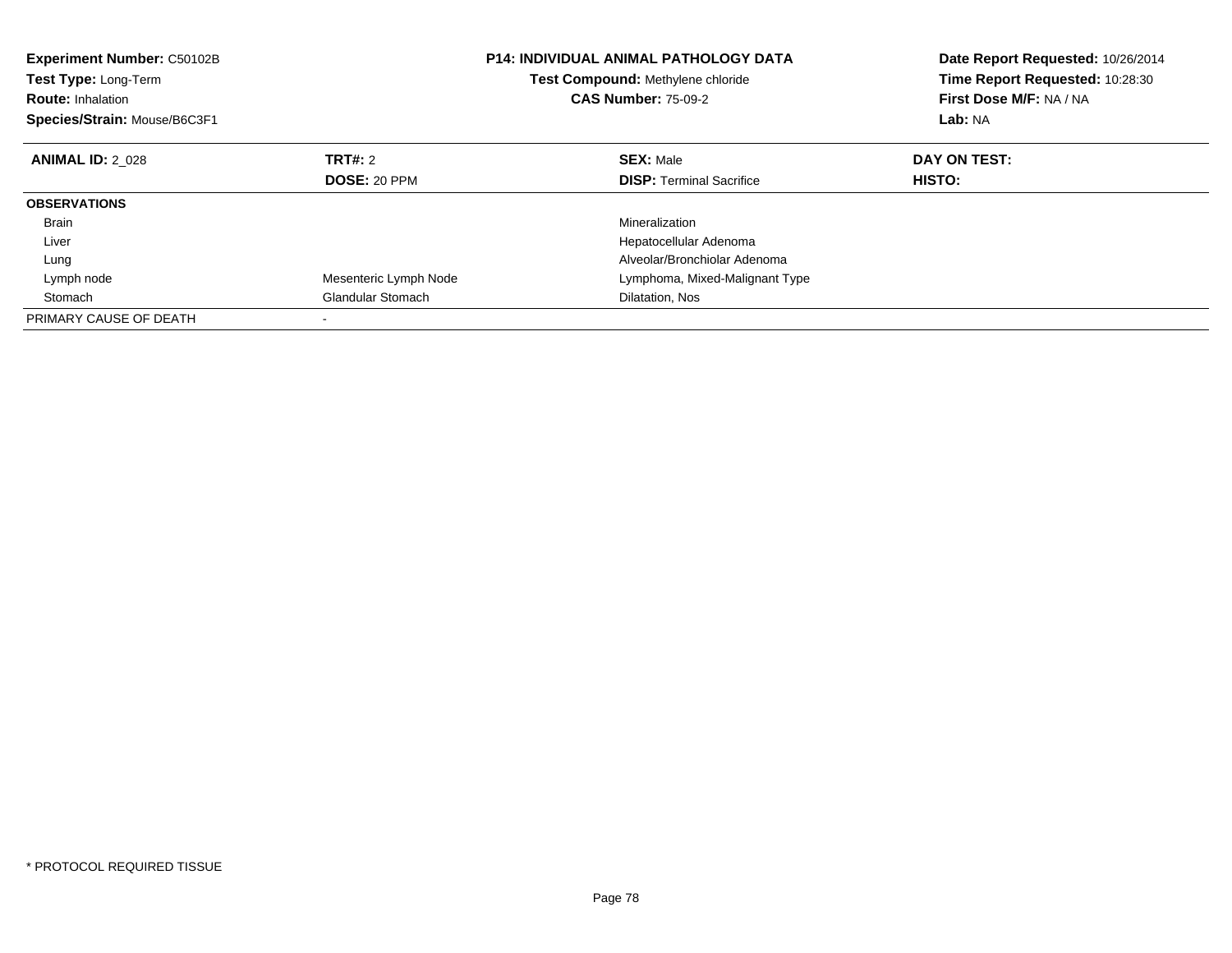| Experiment Number: C50102B<br>Test Type: Long-Term<br><b>Route: Inhalation</b><br>Species/Strain: Mouse/B6C3F1 | <b>P14: INDIVIDUAL ANIMAL PATHOLOGY DATA</b><br>Test Compound: Methylene chloride<br><b>CAS Number: 75-09-2</b> |  | Date Report Requested: 10/26/2014<br>Time Report Requested: 10:28:30<br>First Dose M/F: NA / NA<br>Lab: NA |              |
|----------------------------------------------------------------------------------------------------------------|-----------------------------------------------------------------------------------------------------------------|--|------------------------------------------------------------------------------------------------------------|--------------|
| <b>ANIMAL ID: 2 028</b>                                                                                        | TRT#: 2                                                                                                         |  | <b>SEX: Male</b>                                                                                           | DAY ON TEST: |
|                                                                                                                | DOSE: 20 PPM                                                                                                    |  | <b>DISP:</b> Terminal Sacrifice                                                                            | HISTO:       |
| <b>OBSERVATIONS</b>                                                                                            |                                                                                                                 |  |                                                                                                            |              |
| <b>Brain</b>                                                                                                   |                                                                                                                 |  | Mineralization                                                                                             |              |
| Liver                                                                                                          |                                                                                                                 |  | Hepatocellular Adenoma                                                                                     |              |
| Lung                                                                                                           |                                                                                                                 |  | Alveolar/Bronchiolar Adenoma                                                                               |              |
| Lymph node                                                                                                     | Mesenteric Lymph Node                                                                                           |  | Lymphoma, Mixed-Malignant Type                                                                             |              |
| Stomach                                                                                                        | <b>Glandular Stomach</b>                                                                                        |  | Dilatation, Nos                                                                                            |              |
| PRIMARY CAUSE OF DEATH                                                                                         |                                                                                                                 |  |                                                                                                            |              |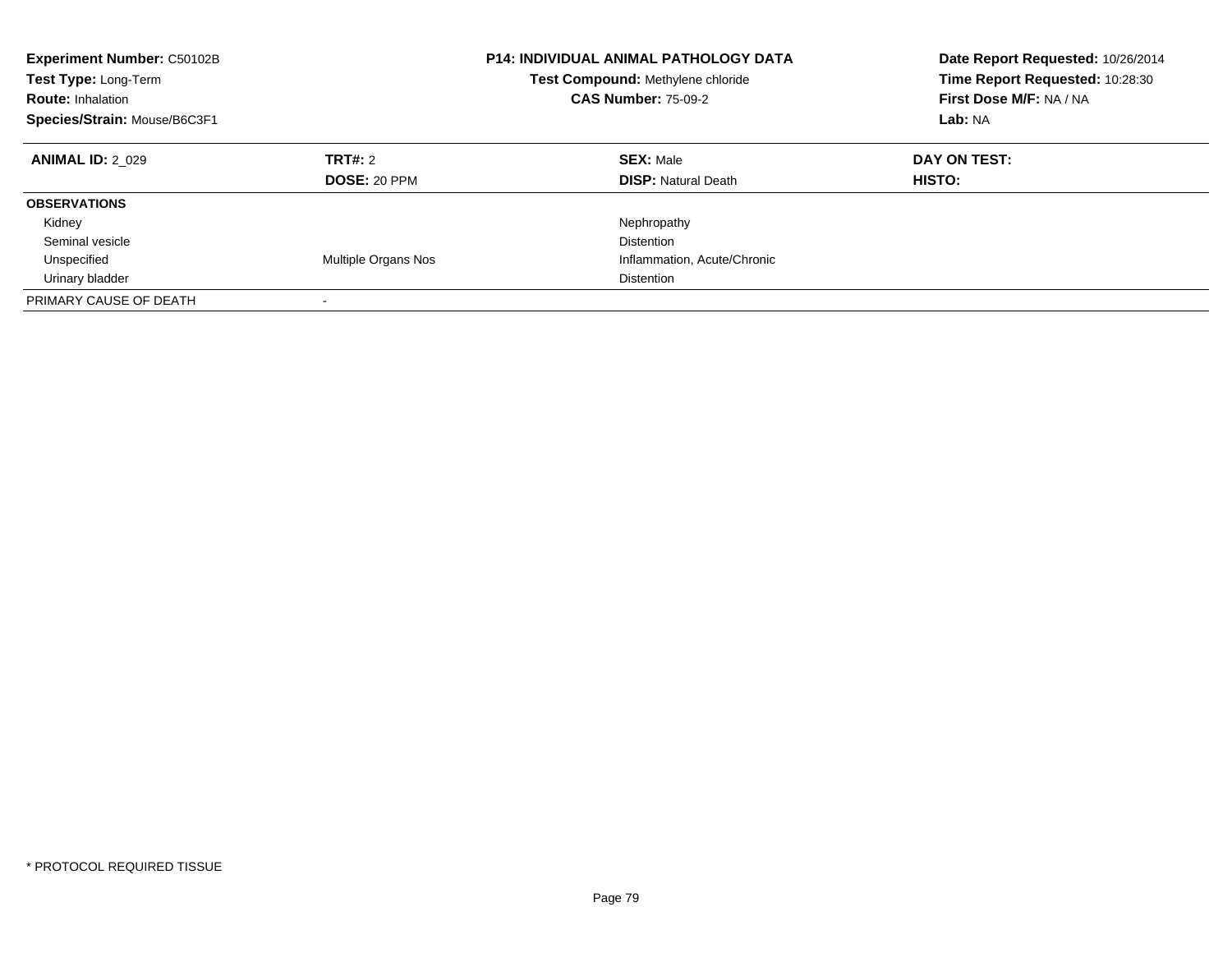| <b>Experiment Number: C50102B</b><br>Test Type: Long-Term<br><b>Route: Inhalation</b><br>Species/Strain: Mouse/B6C3F1 |                         | <b>P14: INDIVIDUAL ANIMAL PATHOLOGY DATA</b><br>Test Compound: Methylene chloride<br><b>CAS Number: 75-09-2</b> | Date Report Requested: 10/26/2014<br>Time Report Requested: 10:28:30<br>First Dose M/F: NA / NA<br>Lab: NA |
|-----------------------------------------------------------------------------------------------------------------------|-------------------------|-----------------------------------------------------------------------------------------------------------------|------------------------------------------------------------------------------------------------------------|
| <b>ANIMAL ID: 2 029</b>                                                                                               | TRT#: 2<br>DOSE: 20 PPM | <b>SEX: Male</b><br><b>DISP:</b> Natural Death                                                                  | DAY ON TEST:<br><b>HISTO:</b>                                                                              |
| <b>OBSERVATIONS</b>                                                                                                   |                         |                                                                                                                 |                                                                                                            |
| Kidney                                                                                                                |                         | Nephropathy                                                                                                     |                                                                                                            |
| Seminal vesicle                                                                                                       |                         | Distention                                                                                                      |                                                                                                            |
| Unspecified                                                                                                           | Multiple Organs Nos     | Inflammation, Acute/Chronic                                                                                     |                                                                                                            |
| Urinary bladder                                                                                                       |                         | <b>Distention</b>                                                                                               |                                                                                                            |
| PRIMARY CAUSE OF DEATH                                                                                                |                         |                                                                                                                 |                                                                                                            |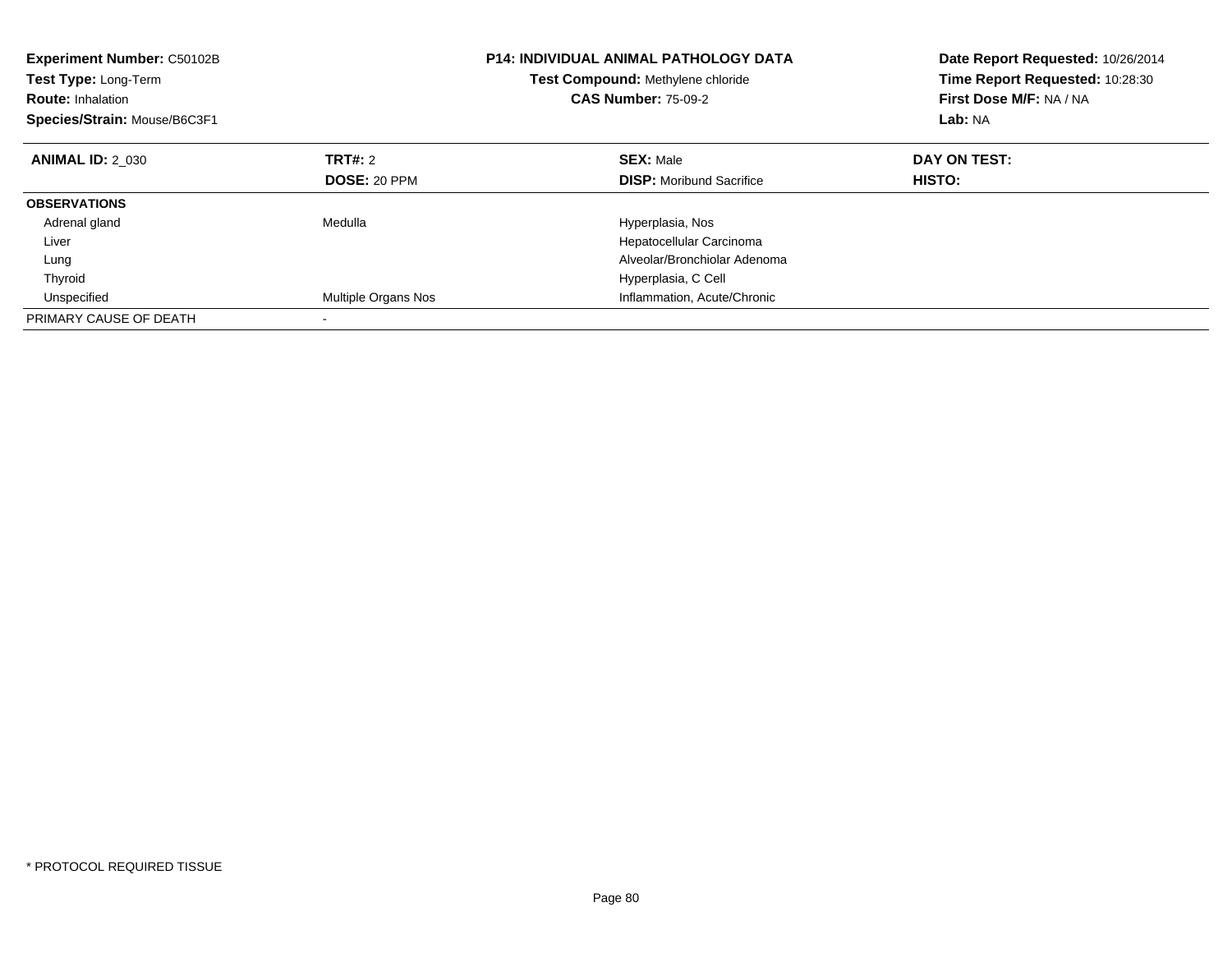| <b>Experiment Number: C50102B</b><br>Test Type: Long-Term<br><b>Route: Inhalation</b><br>Species/Strain: Mouse/B6C3F1 |                            | <b>P14: INDIVIDUAL ANIMAL PATHOLOGY DATA</b><br>Test Compound: Methylene chloride<br><b>CAS Number: 75-09-2</b> | Date Report Requested: 10/26/2014<br>Time Report Requested: 10:28:30<br>First Dose M/F: NA / NA<br>Lab: NA |
|-----------------------------------------------------------------------------------------------------------------------|----------------------------|-----------------------------------------------------------------------------------------------------------------|------------------------------------------------------------------------------------------------------------|
| <b>ANIMAL ID: 2 030</b>                                                                                               | TRT#: 2                    | <b>SEX: Male</b>                                                                                                | DAY ON TEST:                                                                                               |
|                                                                                                                       | DOSE: 20 PPM               | <b>DISP:</b> Moribund Sacrifice                                                                                 | HISTO:                                                                                                     |
| <b>OBSERVATIONS</b>                                                                                                   |                            |                                                                                                                 |                                                                                                            |
| Adrenal gland                                                                                                         | Medulla                    | Hyperplasia, Nos                                                                                                |                                                                                                            |
| Liver                                                                                                                 |                            | Hepatocellular Carcinoma                                                                                        |                                                                                                            |
| Lung                                                                                                                  |                            | Alveolar/Bronchiolar Adenoma                                                                                    |                                                                                                            |
| Thyroid                                                                                                               |                            | Hyperplasia, C Cell                                                                                             |                                                                                                            |
| Unspecified                                                                                                           | <b>Multiple Organs Nos</b> | Inflammation, Acute/Chronic                                                                                     |                                                                                                            |
| PRIMARY CAUSE OF DEATH                                                                                                |                            |                                                                                                                 |                                                                                                            |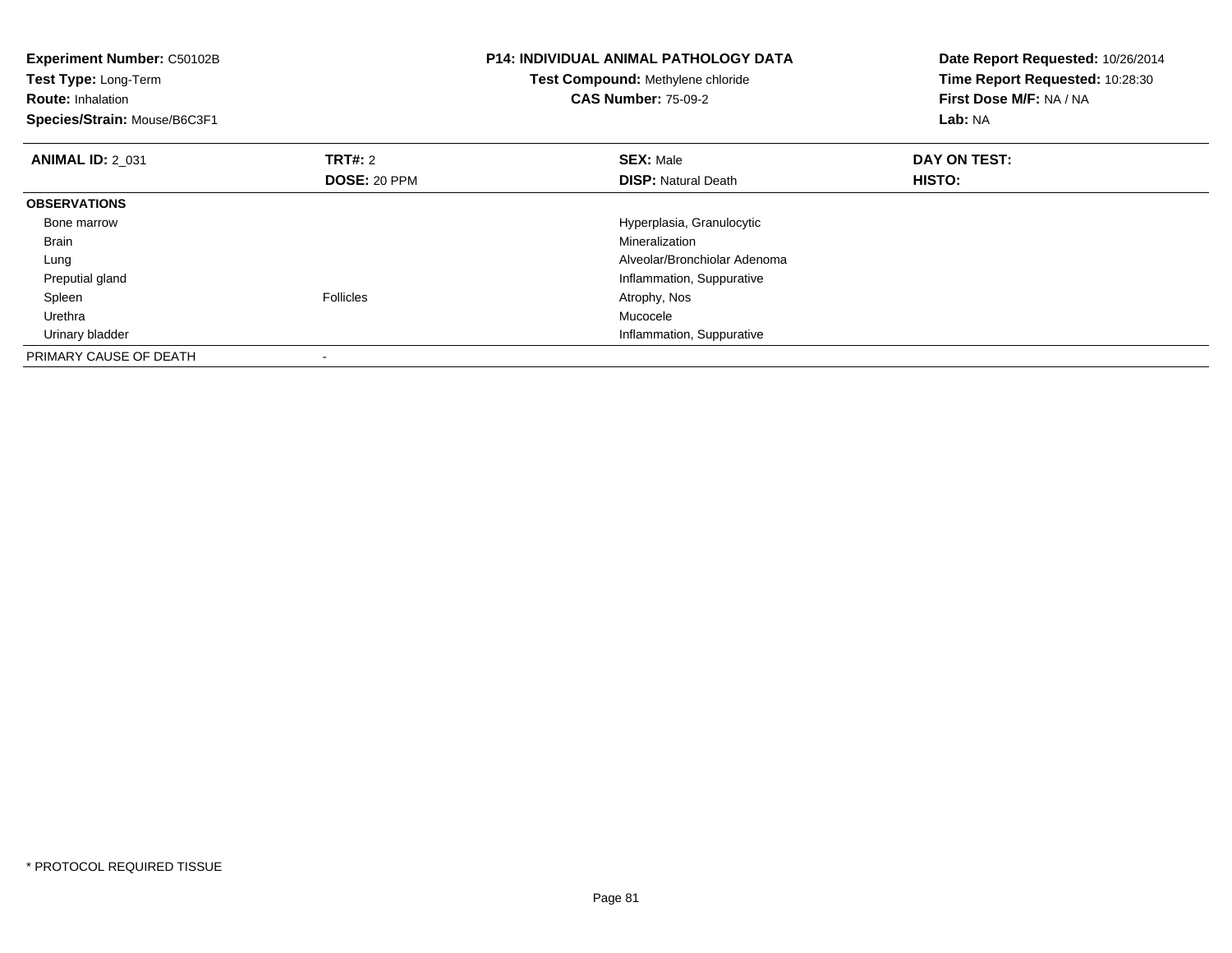| Experiment Number: C50102B<br>Test Type: Long-Term<br><b>Route: Inhalation</b><br>Species/Strain: Mouse/B6C3F1 |                                | <b>P14: INDIVIDUAL ANIMAL PATHOLOGY DATA</b><br>Test Compound: Methylene chloride<br><b>CAS Number: 75-09-2</b> | Date Report Requested: 10/26/2014<br>Time Report Requested: 10:28:30<br>First Dose M/F: NA / NA<br>Lab: NA |
|----------------------------------------------------------------------------------------------------------------|--------------------------------|-----------------------------------------------------------------------------------------------------------------|------------------------------------------------------------------------------------------------------------|
| <b>ANIMAL ID: 2_031</b>                                                                                        | <b>TRT#: 2</b><br>DOSE: 20 PPM | <b>SEX: Male</b><br><b>DISP: Natural Death</b>                                                                  | DAY ON TEST:<br>HISTO:                                                                                     |
| <b>OBSERVATIONS</b>                                                                                            |                                |                                                                                                                 |                                                                                                            |
| Bone marrow                                                                                                    |                                | Hyperplasia, Granulocytic                                                                                       |                                                                                                            |
| Brain                                                                                                          |                                | Mineralization                                                                                                  |                                                                                                            |
| Lung                                                                                                           |                                | Alveolar/Bronchiolar Adenoma                                                                                    |                                                                                                            |
| Preputial gland                                                                                                |                                | Inflammation, Suppurative                                                                                       |                                                                                                            |
| Spleen                                                                                                         | <b>Follicles</b>               | Atrophy, Nos                                                                                                    |                                                                                                            |
| Urethra                                                                                                        |                                | Mucocele                                                                                                        |                                                                                                            |
| Urinary bladder                                                                                                |                                | Inflammation, Suppurative                                                                                       |                                                                                                            |
| PRIMARY CAUSE OF DEATH                                                                                         |                                |                                                                                                                 |                                                                                                            |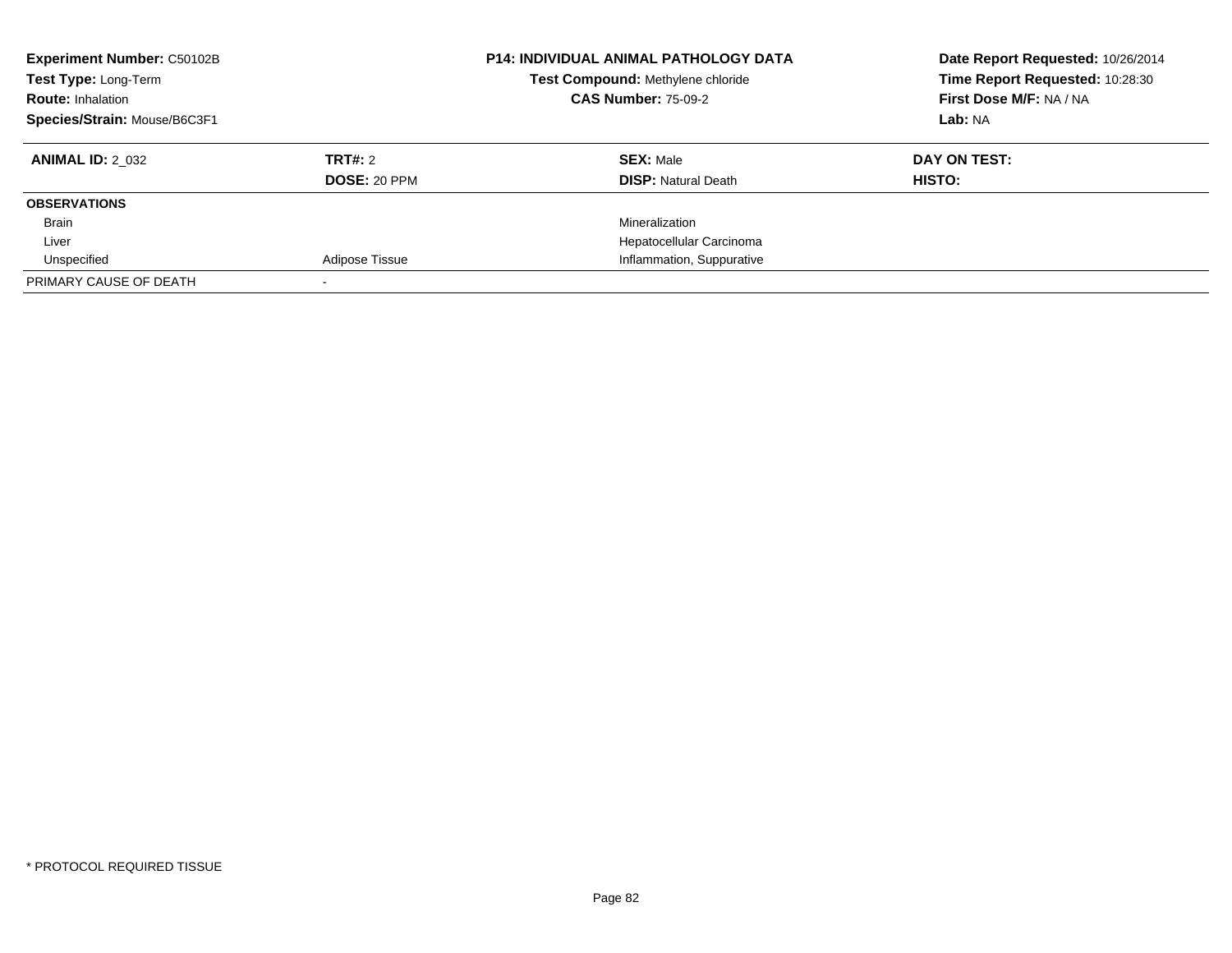| <b>Experiment Number: C50102B</b><br>Test Type: Long-Term<br><b>Route: Inhalation</b><br>Species/Strain: Mouse/B6C3F1 |                         | <b>P14: INDIVIDUAL ANIMAL PATHOLOGY DATA</b><br>Test Compound: Methylene chloride<br><b>CAS Number: 75-09-2</b> | Date Report Requested: 10/26/2014<br>Time Report Requested: 10:28:30<br>First Dose M/F: NA / NA<br>Lab: NA |
|-----------------------------------------------------------------------------------------------------------------------|-------------------------|-----------------------------------------------------------------------------------------------------------------|------------------------------------------------------------------------------------------------------------|
| <b>ANIMAL ID: 2 032</b>                                                                                               | TRT#: 2<br>DOSE: 20 PPM | <b>SEX: Male</b><br><b>DISP:</b> Natural Death                                                                  | DAY ON TEST:<br>HISTO:                                                                                     |
| <b>OBSERVATIONS</b>                                                                                                   |                         |                                                                                                                 |                                                                                                            |
| Brain                                                                                                                 |                         | Mineralization                                                                                                  |                                                                                                            |
| Liver                                                                                                                 |                         | Hepatocellular Carcinoma                                                                                        |                                                                                                            |
| Unspecified                                                                                                           | Adipose Tissue          | Inflammation, Suppurative                                                                                       |                                                                                                            |
| PRIMARY CAUSE OF DEATH                                                                                                |                         |                                                                                                                 |                                                                                                            |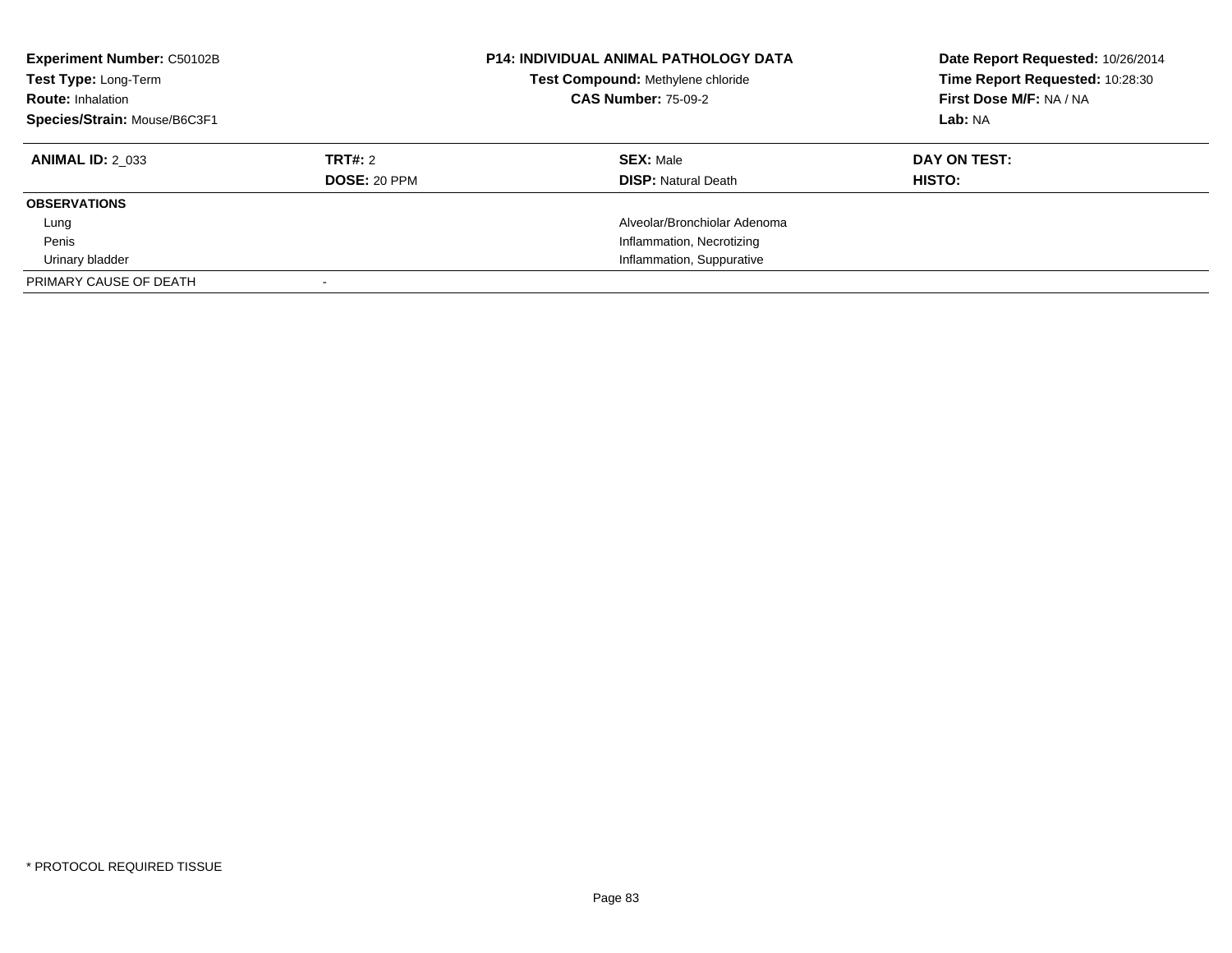| <b>Experiment Number: C50102B</b><br>Test Type: Long-Term<br><b>Route: Inhalation</b><br>Species/Strain: Mouse/B6C3F1 |                     | <b>P14: INDIVIDUAL ANIMAL PATHOLOGY DATA</b><br>Test Compound: Methylene chloride<br><b>CAS Number: 75-09-2</b> | Date Report Requested: 10/26/2014<br>Time Report Requested: 10:28:30<br>First Dose M/F: NA / NA<br>Lab: NA |
|-----------------------------------------------------------------------------------------------------------------------|---------------------|-----------------------------------------------------------------------------------------------------------------|------------------------------------------------------------------------------------------------------------|
| <b>ANIMAL ID: 2 033</b>                                                                                               | TRT#: 2             | <b>SEX: Male</b>                                                                                                | DAY ON TEST:                                                                                               |
|                                                                                                                       | <b>DOSE: 20 PPM</b> | <b>DISP:</b> Natural Death                                                                                      | HISTO:                                                                                                     |
| <b>OBSERVATIONS</b>                                                                                                   |                     |                                                                                                                 |                                                                                                            |
| Lung                                                                                                                  |                     | Alveolar/Bronchiolar Adenoma                                                                                    |                                                                                                            |
| Penis                                                                                                                 |                     | Inflammation, Necrotizing                                                                                       |                                                                                                            |
| Urinary bladder                                                                                                       |                     | Inflammation, Suppurative                                                                                       |                                                                                                            |
| PRIMARY CAUSE OF DEATH                                                                                                |                     |                                                                                                                 |                                                                                                            |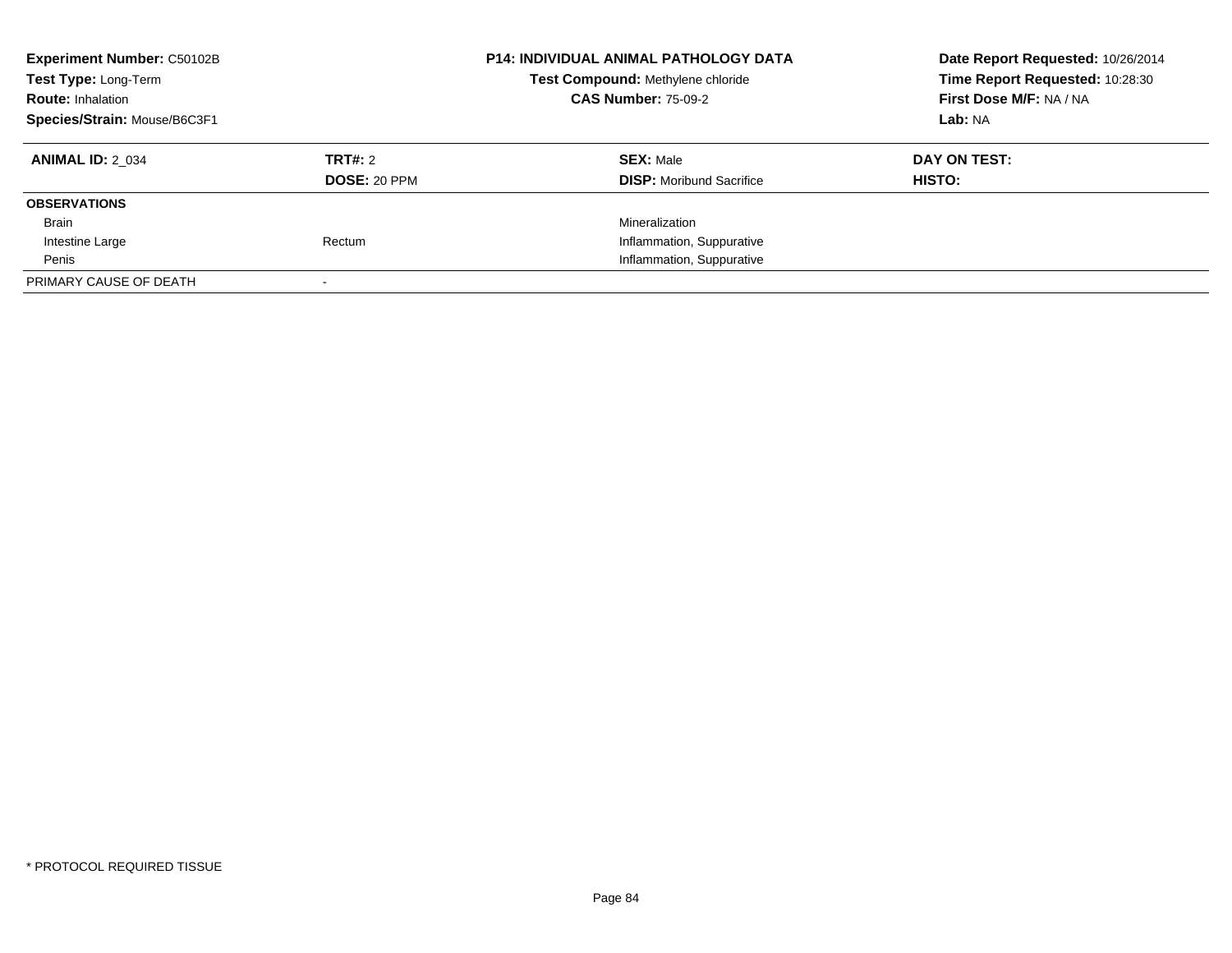| <b>Experiment Number: C50102B</b><br>Test Type: Long-Term<br><b>Route: Inhalation</b><br>Species/Strain: Mouse/B6C3F1 |                                | <b>P14: INDIVIDUAL ANIMAL PATHOLOGY DATA</b><br>Test Compound: Methylene chloride<br><b>CAS Number: 75-09-2</b> | Date Report Requested: 10/26/2014<br>Time Report Requested: 10:28:30<br>First Dose M/F: NA / NA<br>Lab: NA |
|-----------------------------------------------------------------------------------------------------------------------|--------------------------------|-----------------------------------------------------------------------------------------------------------------|------------------------------------------------------------------------------------------------------------|
| <b>ANIMAL ID: 2 034</b>                                                                                               | TRT#: 2<br><b>DOSE: 20 PPM</b> | <b>SEX: Male</b><br><b>DISP:</b> Moribund Sacrifice                                                             | DAY ON TEST:<br>HISTO:                                                                                     |
| <b>OBSERVATIONS</b>                                                                                                   |                                |                                                                                                                 |                                                                                                            |
| Brain                                                                                                                 |                                | Mineralization                                                                                                  |                                                                                                            |
| Intestine Large                                                                                                       | Rectum                         | Inflammation, Suppurative                                                                                       |                                                                                                            |
| Penis                                                                                                                 |                                | Inflammation, Suppurative                                                                                       |                                                                                                            |
| PRIMARY CAUSE OF DEATH                                                                                                |                                |                                                                                                                 |                                                                                                            |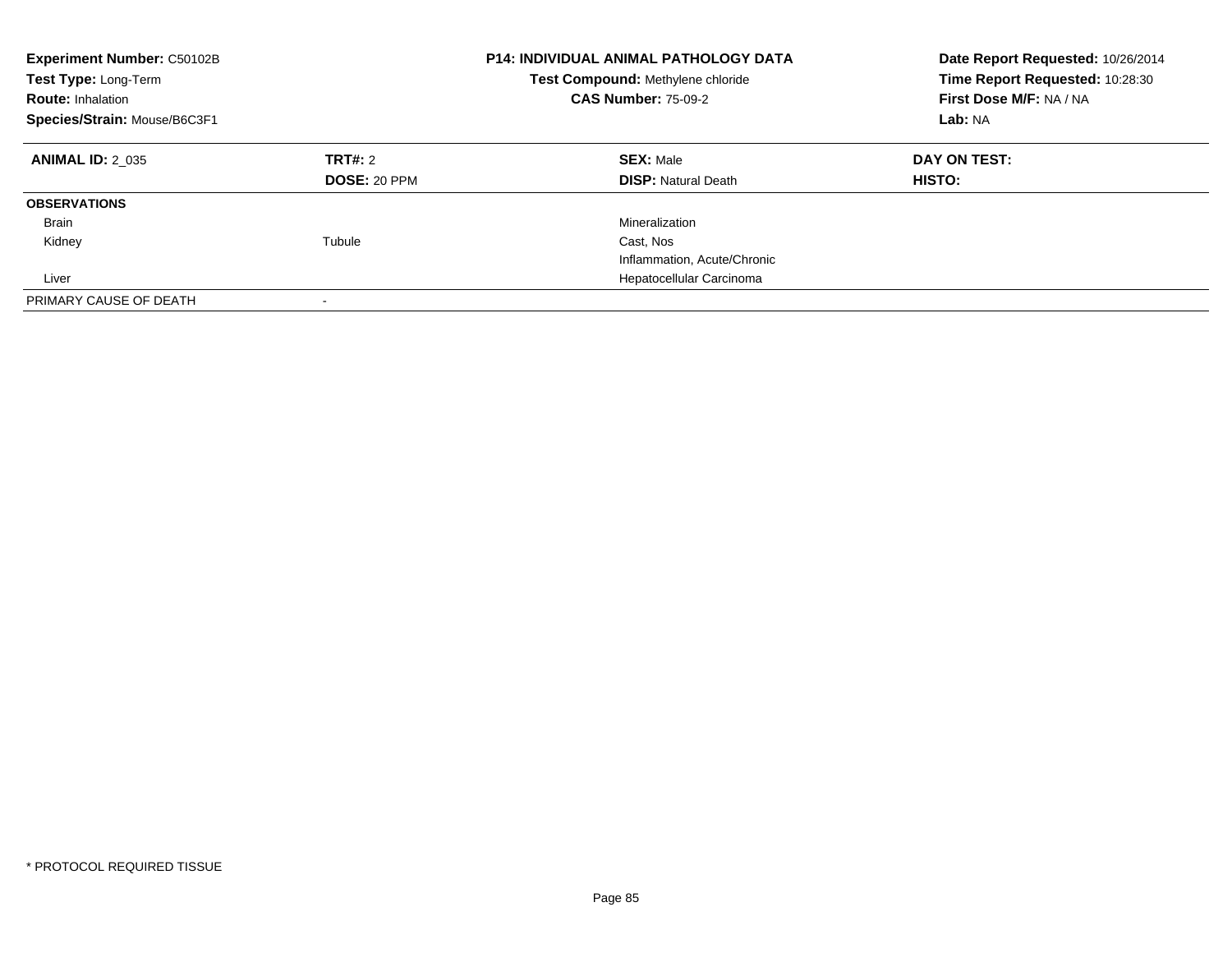| <b>Experiment Number: C50102B</b><br>Test Type: Long-Term<br><b>Route: Inhalation</b><br>Species/Strain: Mouse/B6C3F1 |                                | <b>P14: INDIVIDUAL ANIMAL PATHOLOGY DATA</b><br>Test Compound: Methylene chloride<br><b>CAS Number: 75-09-2</b> | Date Report Requested: 10/26/2014<br>Time Report Requested: 10:28:30<br>First Dose M/F: NA / NA<br>Lab: NA |
|-----------------------------------------------------------------------------------------------------------------------|--------------------------------|-----------------------------------------------------------------------------------------------------------------|------------------------------------------------------------------------------------------------------------|
| <b>ANIMAL ID: 2 035</b>                                                                                               | TRT#: 2<br><b>DOSE: 20 PPM</b> | <b>SEX: Male</b><br><b>DISP: Natural Death</b>                                                                  | DAY ON TEST:<br><b>HISTO:</b>                                                                              |
| <b>OBSERVATIONS</b>                                                                                                   |                                |                                                                                                                 |                                                                                                            |
| <b>Brain</b>                                                                                                          |                                | Mineralization                                                                                                  |                                                                                                            |
| Kidney                                                                                                                | Tubule                         | Cast, Nos                                                                                                       |                                                                                                            |
|                                                                                                                       |                                | Inflammation, Acute/Chronic                                                                                     |                                                                                                            |
| Liver                                                                                                                 |                                | Hepatocellular Carcinoma                                                                                        |                                                                                                            |
| PRIMARY CAUSE OF DEATH                                                                                                |                                |                                                                                                                 |                                                                                                            |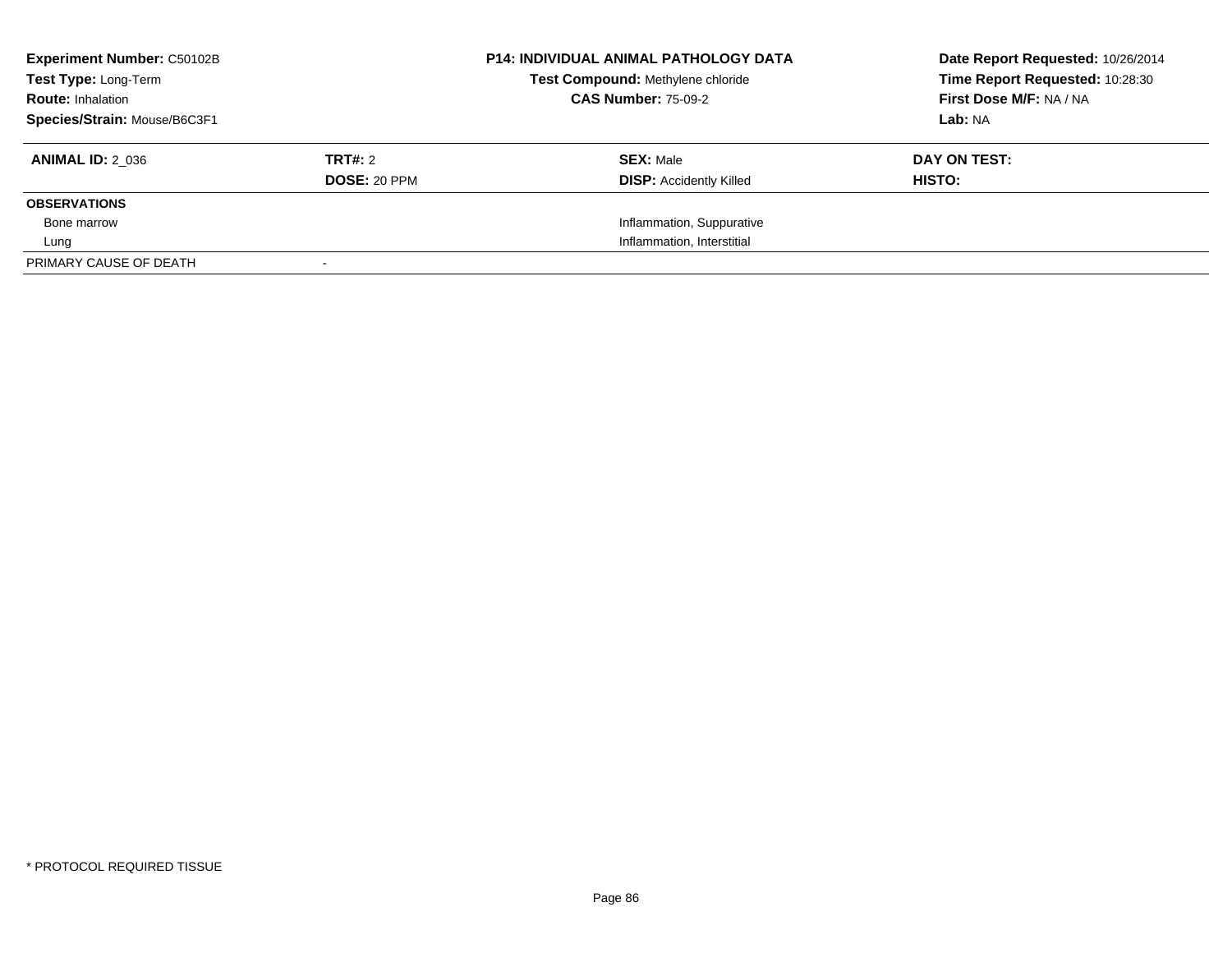| <b>Experiment Number: C50102B</b><br>Test Type: Long-Term |                     | <b>P14: INDIVIDUAL ANIMAL PATHOLOGY DATA</b><br>Test Compound: Methylene chloride | Date Report Requested: 10/26/2014<br>Time Report Requested: 10:28:30 |
|-----------------------------------------------------------|---------------------|-----------------------------------------------------------------------------------|----------------------------------------------------------------------|
| <b>Route: Inhalation</b>                                  |                     | <b>CAS Number: 75-09-2</b>                                                        | First Dose M/F: NA / NA                                              |
| Species/Strain: Mouse/B6C3F1                              |                     |                                                                                   | Lab: NA                                                              |
| <b>ANIMAL ID: 2 036</b>                                   | TRT#: 2             | <b>SEX: Male</b>                                                                  | DAY ON TEST:                                                         |
|                                                           | <b>DOSE: 20 PPM</b> | <b>DISP:</b> Accidently Killed                                                    | HISTO:                                                               |
| <b>OBSERVATIONS</b>                                       |                     |                                                                                   |                                                                      |
| Bone marrow                                               |                     | Inflammation, Suppurative                                                         |                                                                      |
| Lung                                                      |                     | Inflammation, Interstitial                                                        |                                                                      |
| PRIMARY CAUSE OF DEATH                                    |                     |                                                                                   |                                                                      |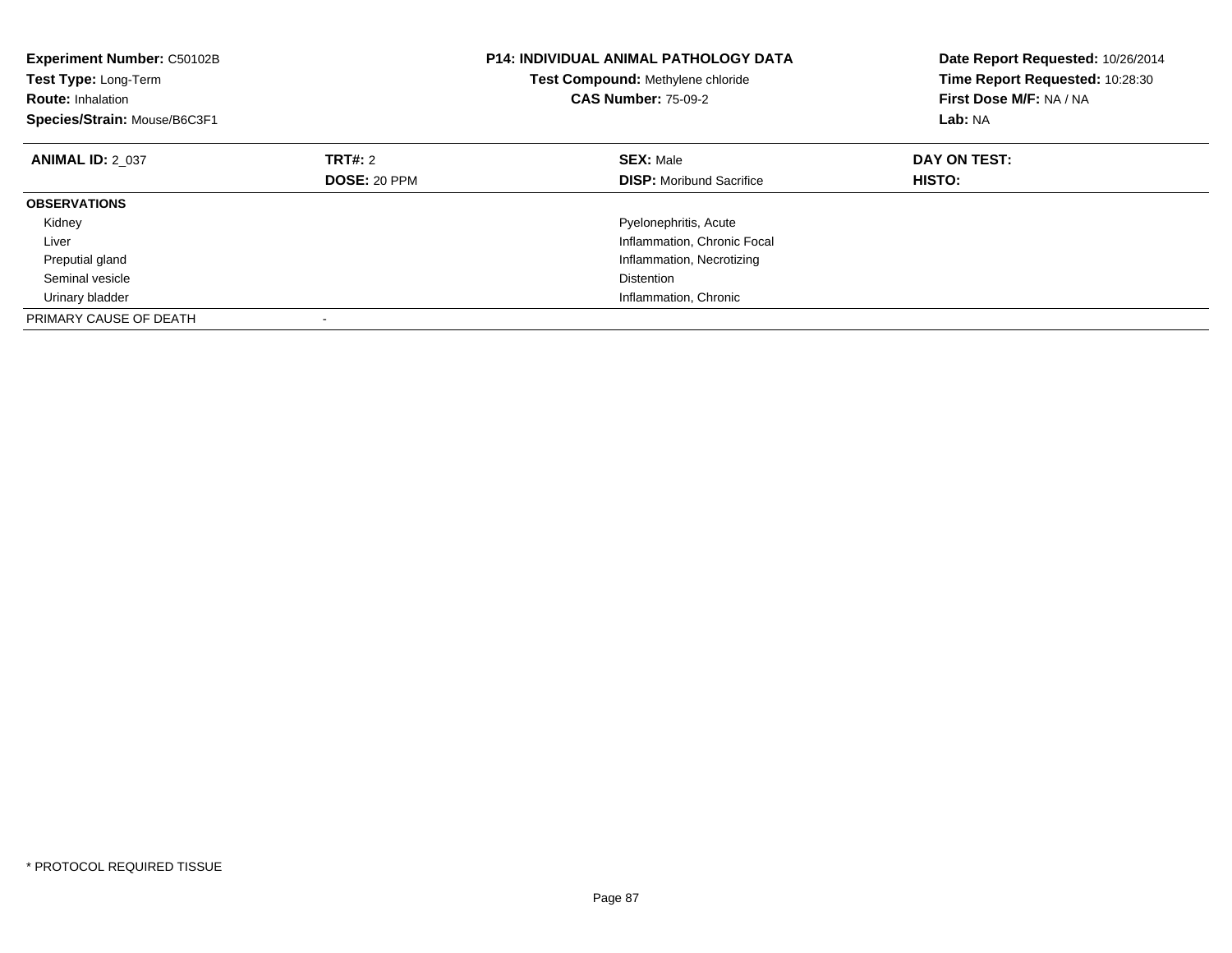| <b>Experiment Number: C50102B</b><br>Test Type: Long-Term<br><b>Route: Inhalation</b><br>Species/Strain: Mouse/B6C3F1 |              | <b>P14: INDIVIDUAL ANIMAL PATHOLOGY DATA</b><br>Test Compound: Methylene chloride<br><b>CAS Number: 75-09-2</b> | Date Report Requested: 10/26/2014<br>Time Report Requested: 10:28:30<br>First Dose M/F: NA / NA<br>Lab: NA |
|-----------------------------------------------------------------------------------------------------------------------|--------------|-----------------------------------------------------------------------------------------------------------------|------------------------------------------------------------------------------------------------------------|
| <b>ANIMAL ID: 2 037</b>                                                                                               | TRT#: 2      | <b>SEX: Male</b>                                                                                                | DAY ON TEST:                                                                                               |
|                                                                                                                       | DOSE: 20 PPM | <b>DISP:</b> Moribund Sacrifice                                                                                 | HISTO:                                                                                                     |
| <b>OBSERVATIONS</b>                                                                                                   |              |                                                                                                                 |                                                                                                            |
| Kidney                                                                                                                |              | Pyelonephritis, Acute                                                                                           |                                                                                                            |
| Liver                                                                                                                 |              | Inflammation, Chronic Focal                                                                                     |                                                                                                            |
| Preputial gland                                                                                                       |              | Inflammation, Necrotizing                                                                                       |                                                                                                            |
| Seminal vesicle                                                                                                       |              | <b>Distention</b>                                                                                               |                                                                                                            |
| Urinary bladder                                                                                                       |              | Inflammation, Chronic                                                                                           |                                                                                                            |
| PRIMARY CAUSE OF DEATH                                                                                                |              |                                                                                                                 |                                                                                                            |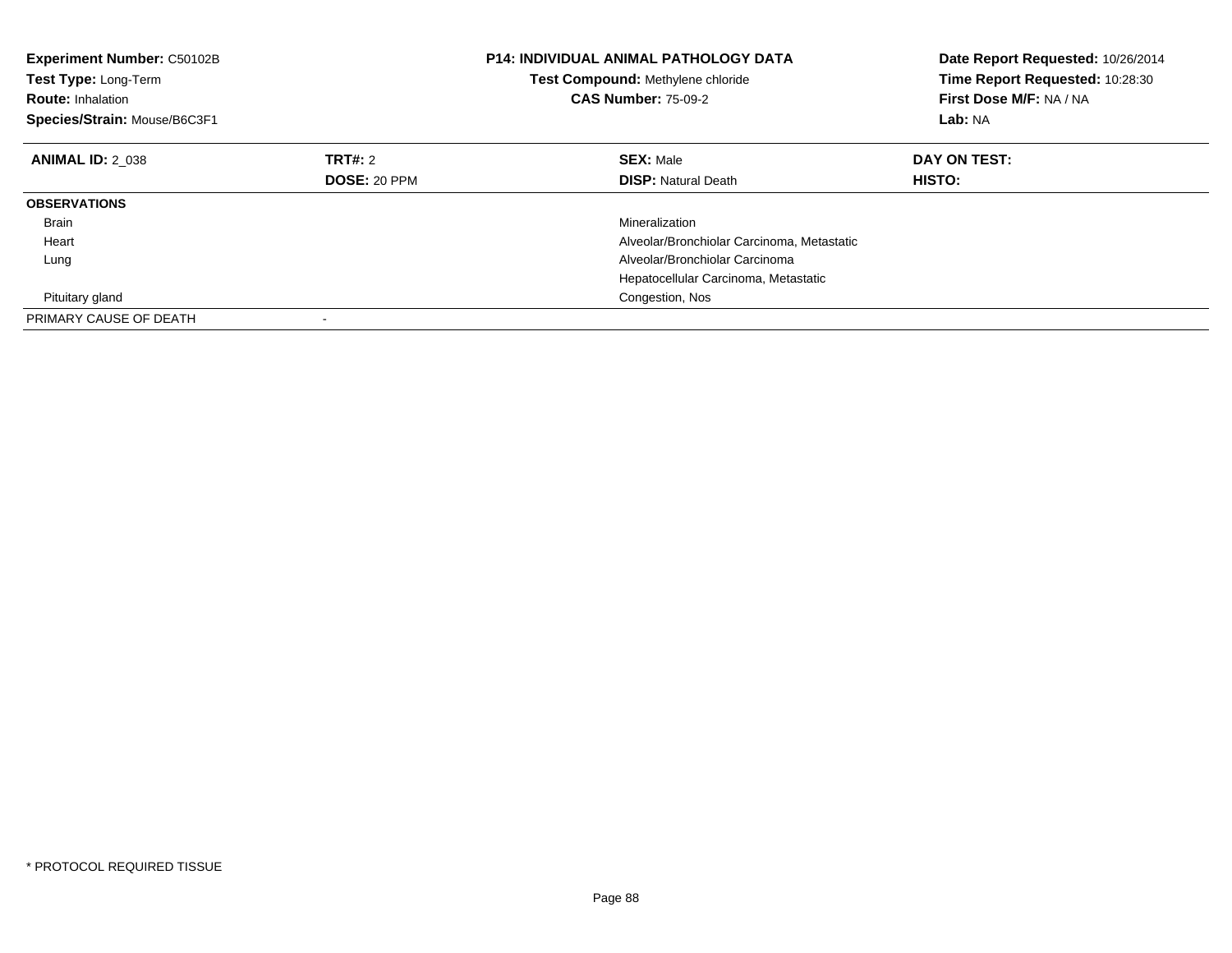| <b>Experiment Number: C50102B</b><br>Test Type: Long-Term<br><b>Route: Inhalation</b><br>Species/Strain: Mouse/B6C3F1 |                     | <b>P14: INDIVIDUAL ANIMAL PATHOLOGY DATA</b><br>Test Compound: Methylene chloride<br><b>CAS Number: 75-09-2</b> | Date Report Requested: 10/26/2014<br>Time Report Requested: 10:28:30<br>First Dose M/F: NA / NA<br>Lab: NA |
|-----------------------------------------------------------------------------------------------------------------------|---------------------|-----------------------------------------------------------------------------------------------------------------|------------------------------------------------------------------------------------------------------------|
| <b>ANIMAL ID: 2 038</b>                                                                                               | TRT#: 2             | <b>SEX: Male</b>                                                                                                | DAY ON TEST:                                                                                               |
|                                                                                                                       | <b>DOSE: 20 PPM</b> | <b>DISP:</b> Natural Death                                                                                      | <b>HISTO:</b>                                                                                              |
| <b>OBSERVATIONS</b>                                                                                                   |                     |                                                                                                                 |                                                                                                            |
| <b>Brain</b>                                                                                                          |                     | Mineralization                                                                                                  |                                                                                                            |
| Heart                                                                                                                 |                     | Alveolar/Bronchiolar Carcinoma, Metastatic                                                                      |                                                                                                            |
| Lung                                                                                                                  |                     | Alveolar/Bronchiolar Carcinoma                                                                                  |                                                                                                            |
|                                                                                                                       |                     | Hepatocellular Carcinoma, Metastatic                                                                            |                                                                                                            |
| Pituitary gland                                                                                                       |                     | Congestion, Nos                                                                                                 |                                                                                                            |
| PRIMARY CAUSE OF DEATH                                                                                                |                     |                                                                                                                 |                                                                                                            |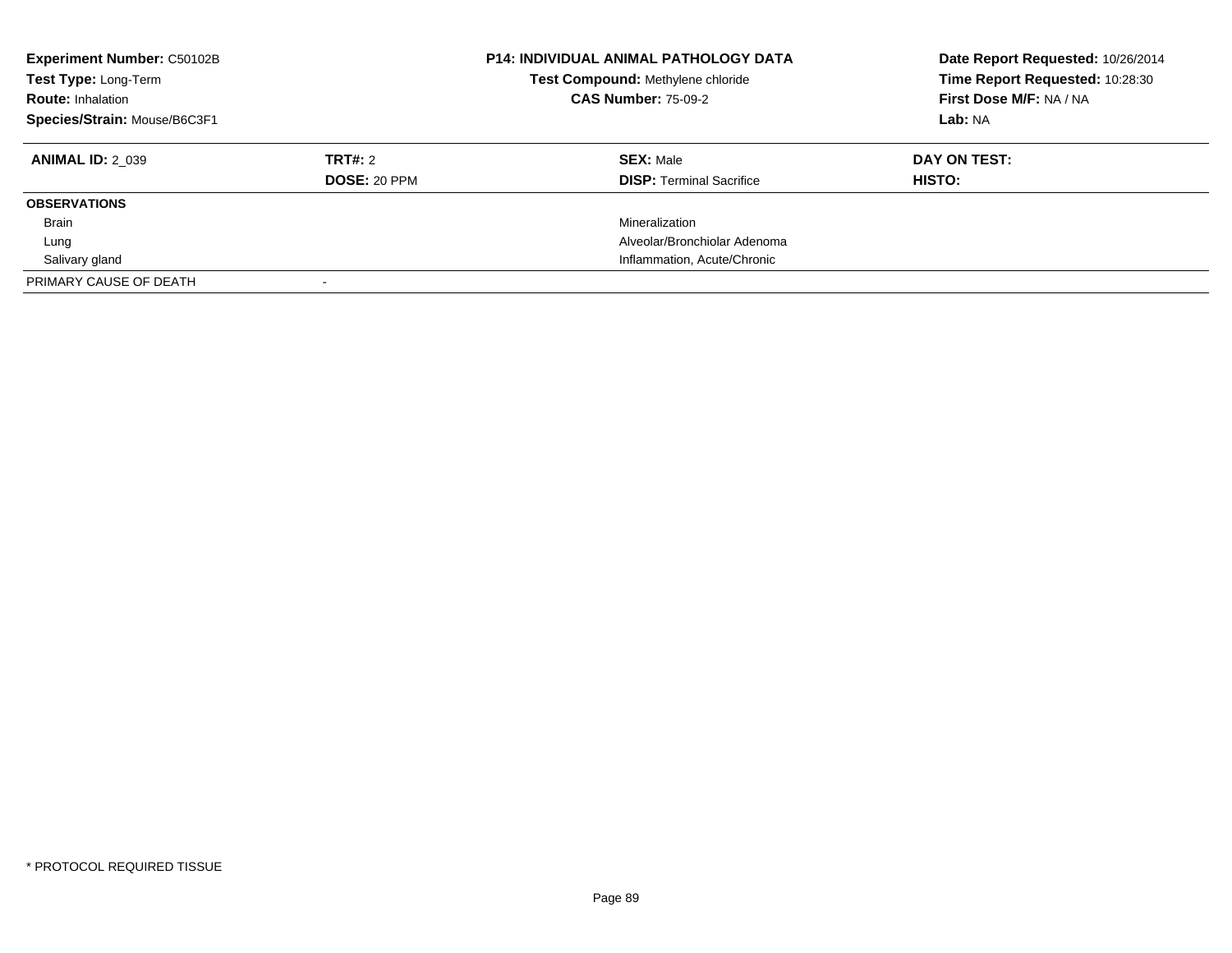| <b>Experiment Number: C50102B</b><br>Test Type: Long-Term<br><b>Route: Inhalation</b><br>Species/Strain: Mouse/B6C3F1 |                         | <b>P14: INDIVIDUAL ANIMAL PATHOLOGY DATA</b><br>Test Compound: Methylene chloride<br><b>CAS Number: 75-09-2</b> | Date Report Requested: 10/26/2014<br>Time Report Requested: 10:28:30<br>First Dose M/F: NA / NA<br>Lab: NA |
|-----------------------------------------------------------------------------------------------------------------------|-------------------------|-----------------------------------------------------------------------------------------------------------------|------------------------------------------------------------------------------------------------------------|
| <b>ANIMAL ID: 2 039</b>                                                                                               | TRT#: 2<br>DOSE: 20 PPM | <b>SEX: Male</b><br><b>DISP:</b> Terminal Sacrifice                                                             | DAY ON TEST:<br><b>HISTO:</b>                                                                              |
| <b>OBSERVATIONS</b>                                                                                                   |                         |                                                                                                                 |                                                                                                            |
| <b>Brain</b>                                                                                                          |                         | Mineralization                                                                                                  |                                                                                                            |
| Lung                                                                                                                  |                         | Alveolar/Bronchiolar Adenoma                                                                                    |                                                                                                            |
| Salivary gland                                                                                                        |                         | Inflammation, Acute/Chronic                                                                                     |                                                                                                            |
| PRIMARY CAUSE OF DEATH                                                                                                |                         |                                                                                                                 |                                                                                                            |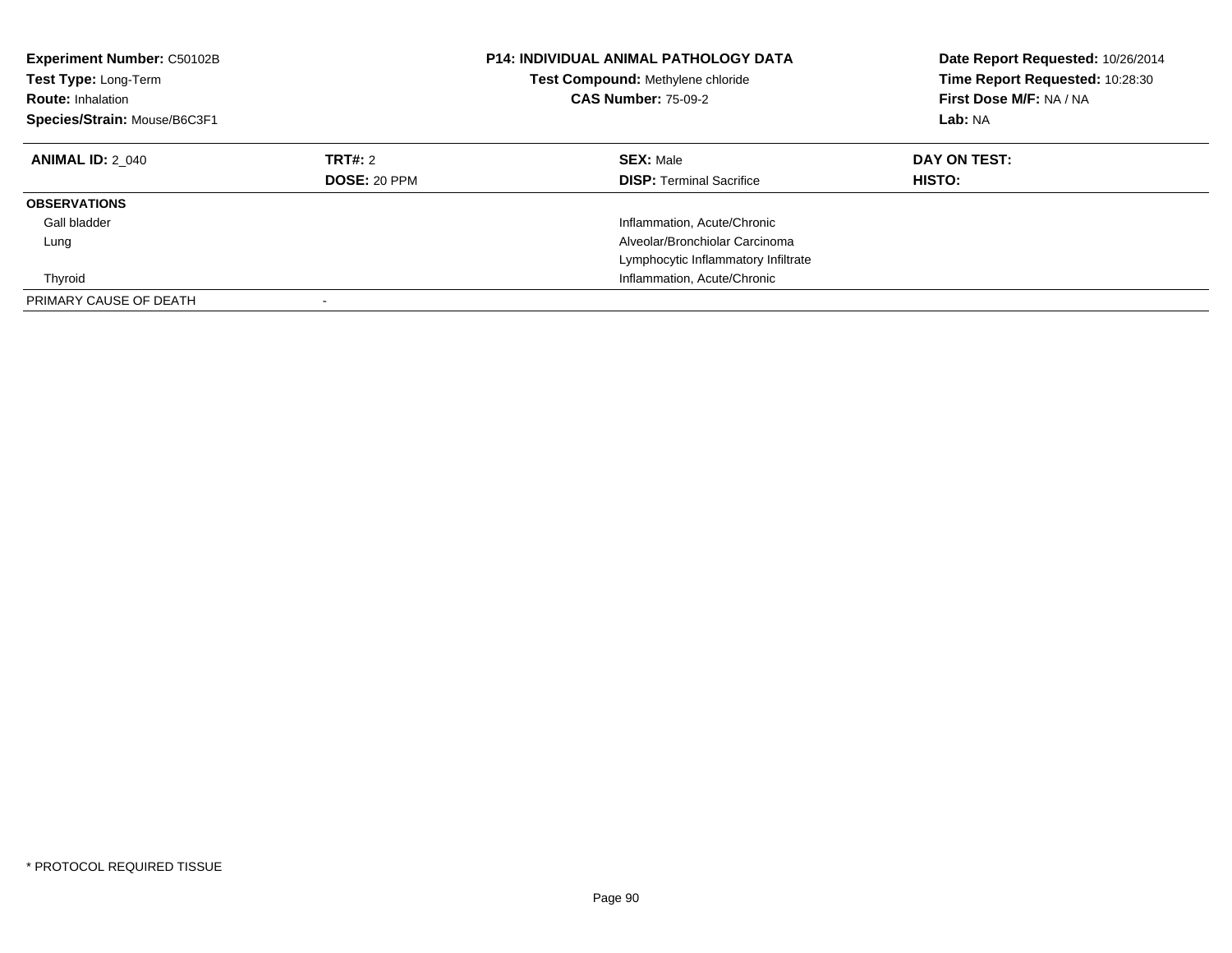| Experiment Number: C50102B<br><b>Test Type: Long-Term</b><br><b>Route: Inhalation</b><br>Species/Strain: Mouse/B6C3F1 |                                | <b>P14: INDIVIDUAL ANIMAL PATHOLOGY DATA</b><br>Test Compound: Methylene chloride<br><b>CAS Number: 75-09-2</b> | Date Report Requested: 10/26/2014<br>Time Report Requested: 10:28:30<br>First Dose M/F: NA / NA<br>Lab: NA |
|-----------------------------------------------------------------------------------------------------------------------|--------------------------------|-----------------------------------------------------------------------------------------------------------------|------------------------------------------------------------------------------------------------------------|
| <b>ANIMAL ID: 2 040</b>                                                                                               | TRT#: 2<br><b>DOSE: 20 PPM</b> | <b>SEX: Male</b><br><b>DISP: Terminal Sacrifice</b>                                                             | DAY ON TEST:<br><b>HISTO:</b>                                                                              |
| <b>OBSERVATIONS</b>                                                                                                   |                                |                                                                                                                 |                                                                                                            |
| Gall bladder                                                                                                          |                                | Inflammation, Acute/Chronic                                                                                     |                                                                                                            |
| Lung                                                                                                                  |                                | Alveolar/Bronchiolar Carcinoma                                                                                  |                                                                                                            |
|                                                                                                                       |                                | Lymphocytic Inflammatory Infiltrate                                                                             |                                                                                                            |
| Thyroid                                                                                                               |                                | Inflammation, Acute/Chronic                                                                                     |                                                                                                            |
| PRIMARY CAUSE OF DEATH                                                                                                |                                |                                                                                                                 |                                                                                                            |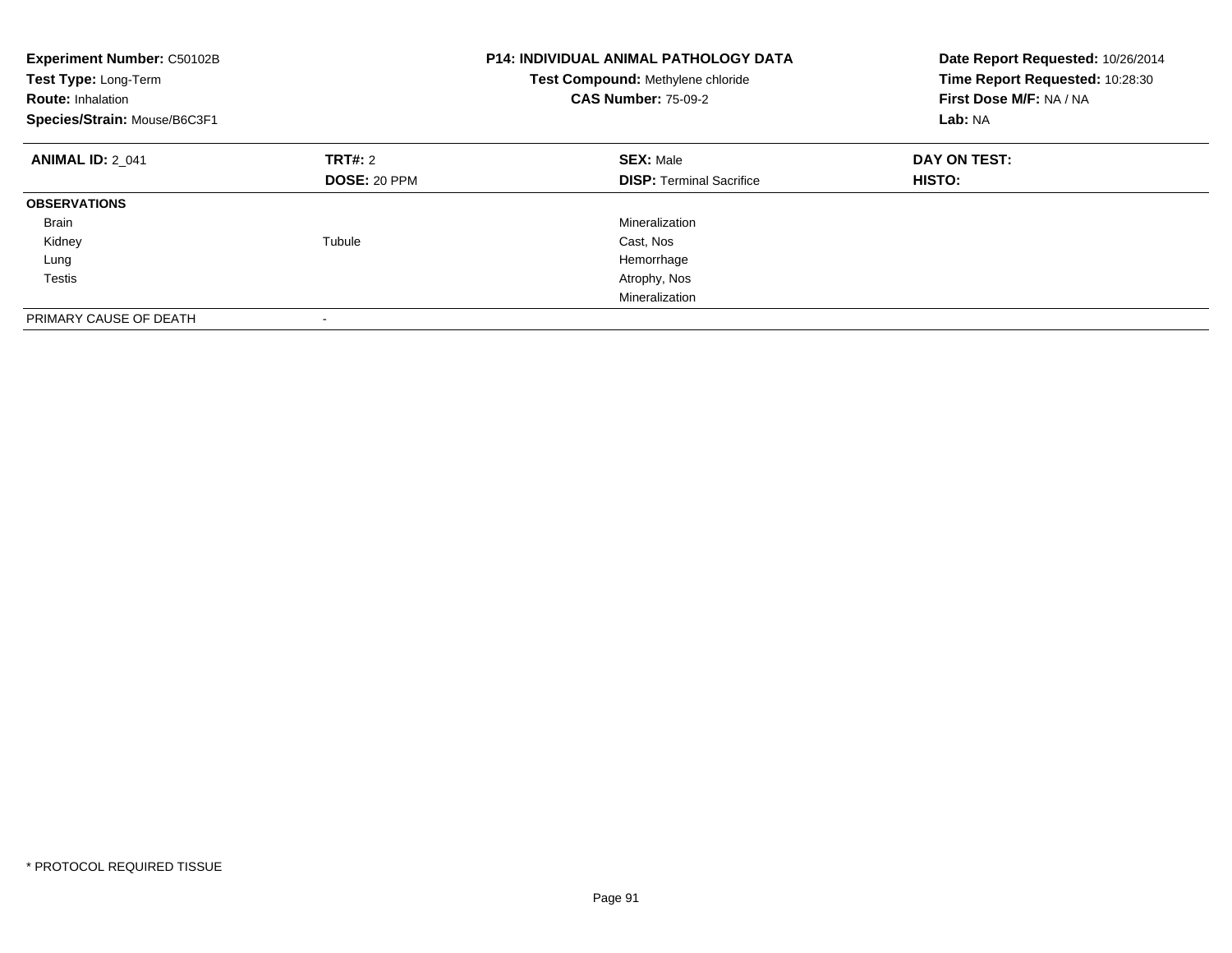| Experiment Number: C50102B<br>Test Type: Long-Term<br><b>Route: Inhalation</b><br>Species/Strain: Mouse/B6C3F1 |                     | <b>P14: INDIVIDUAL ANIMAL PATHOLOGY DATA</b><br>Test Compound: Methylene chloride<br><b>CAS Number: 75-09-2</b> | Date Report Requested: 10/26/2014<br>Time Report Requested: 10:28:30<br>First Dose M/F: NA / NA<br>Lab: NA |
|----------------------------------------------------------------------------------------------------------------|---------------------|-----------------------------------------------------------------------------------------------------------------|------------------------------------------------------------------------------------------------------------|
| <b>ANIMAL ID: 2 041</b>                                                                                        | TRT#: 2             | <b>SEX: Male</b>                                                                                                | DAY ON TEST:                                                                                               |
|                                                                                                                | <b>DOSE: 20 PPM</b> | <b>DISP:</b> Terminal Sacrifice                                                                                 | <b>HISTO:</b>                                                                                              |
| <b>OBSERVATIONS</b>                                                                                            |                     |                                                                                                                 |                                                                                                            |
| <b>Brain</b>                                                                                                   |                     | Mineralization                                                                                                  |                                                                                                            |
| Kidney                                                                                                         | Tubule              | Cast, Nos                                                                                                       |                                                                                                            |
| Lung                                                                                                           |                     | Hemorrhage                                                                                                      |                                                                                                            |
| Testis                                                                                                         |                     | Atrophy, Nos                                                                                                    |                                                                                                            |
|                                                                                                                |                     | Mineralization                                                                                                  |                                                                                                            |
| PRIMARY CAUSE OF DEATH                                                                                         |                     |                                                                                                                 |                                                                                                            |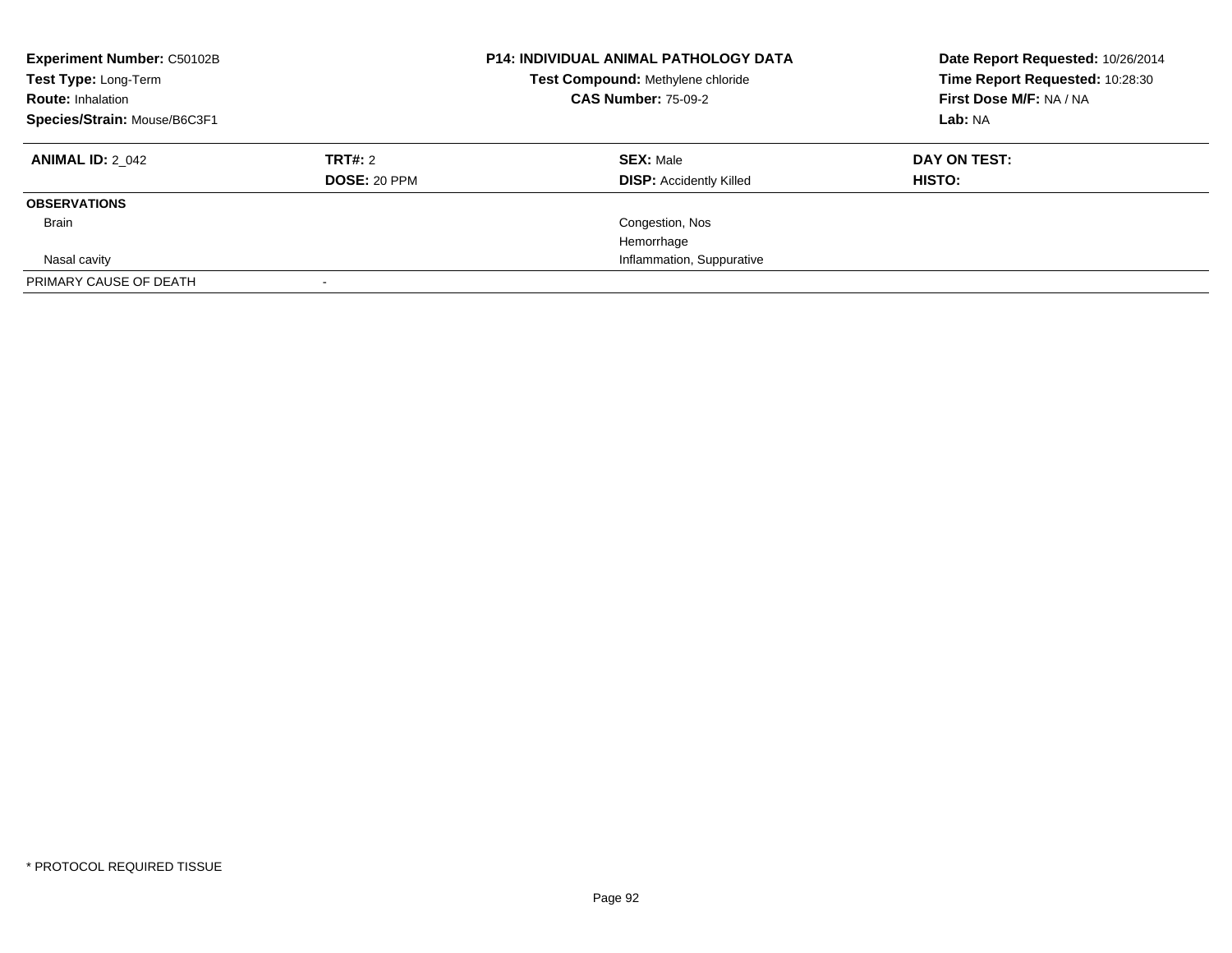| <b>Experiment Number: C50102B</b><br>Test Type: Long-Term<br><b>Route: Inhalation</b><br>Species/Strain: Mouse/B6C3F1 |                         | <b>P14: INDIVIDUAL ANIMAL PATHOLOGY DATA</b><br>Test Compound: Methylene chloride<br><b>CAS Number: 75-09-2</b> | Date Report Requested: 10/26/2014<br>Time Report Requested: 10:28:30<br>First Dose M/F: NA / NA<br>Lab: NA |
|-----------------------------------------------------------------------------------------------------------------------|-------------------------|-----------------------------------------------------------------------------------------------------------------|------------------------------------------------------------------------------------------------------------|
| <b>ANIMAL ID: 2 042</b>                                                                                               | TRT#: 2<br>DOSE: 20 PPM | <b>SEX: Male</b><br><b>DISP:</b> Accidently Killed                                                              | DAY ON TEST:<br><b>HISTO:</b>                                                                              |
| <b>OBSERVATIONS</b>                                                                                                   |                         |                                                                                                                 |                                                                                                            |
| <b>Brain</b>                                                                                                          |                         | Congestion, Nos                                                                                                 |                                                                                                            |
|                                                                                                                       |                         | Hemorrhage                                                                                                      |                                                                                                            |
| Nasal cavity                                                                                                          |                         | Inflammation, Suppurative                                                                                       |                                                                                                            |
| PRIMARY CAUSE OF DEATH                                                                                                |                         |                                                                                                                 |                                                                                                            |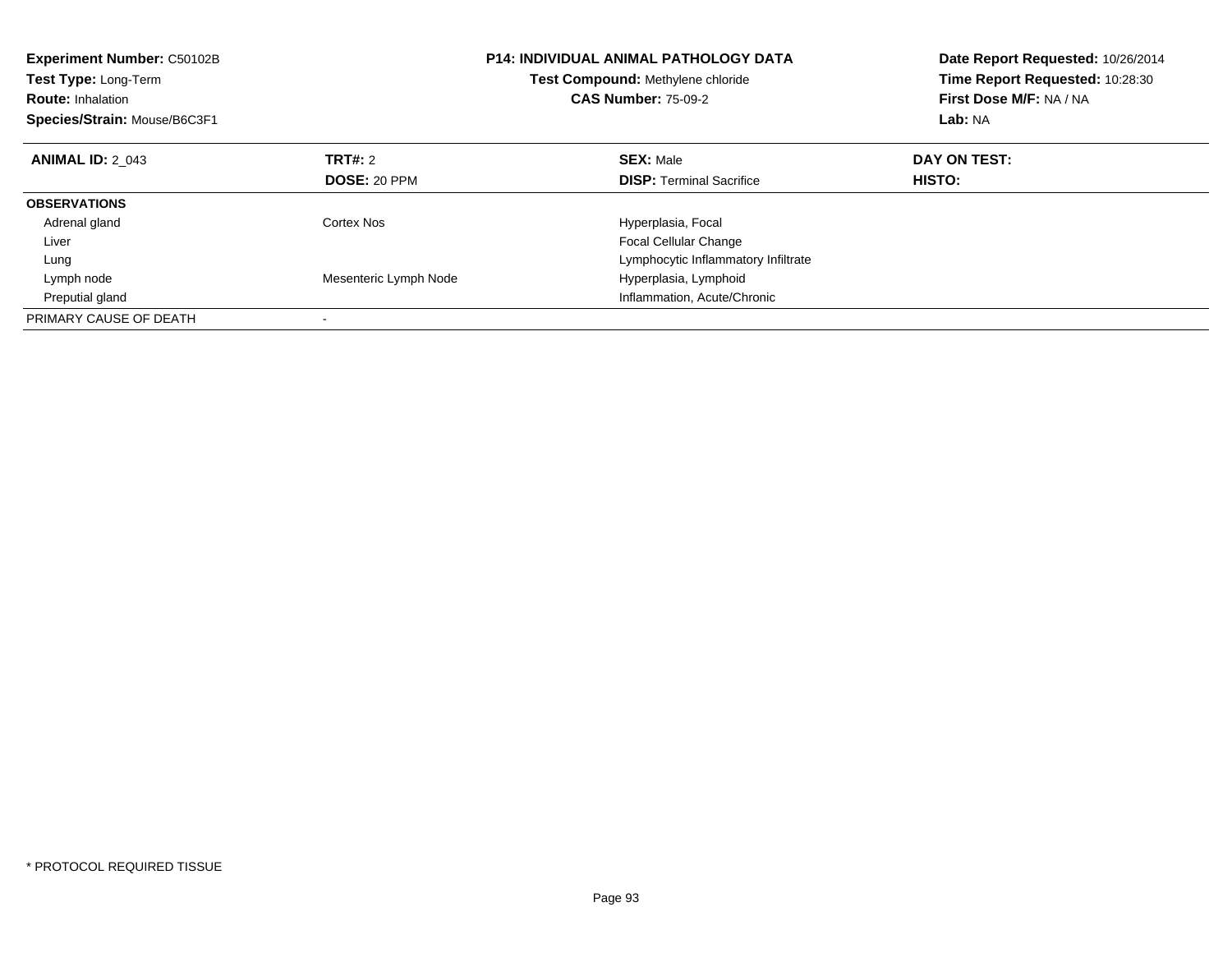| Experiment Number: C50102B<br>Test Type: Long-Term<br><b>Route: Inhalation</b><br>Species/Strain: Mouse/B6C3F1 |                       | <b>P14: INDIVIDUAL ANIMAL PATHOLOGY DATA</b><br><b>Test Compound: Methylene chloride</b><br><b>CAS Number: 75-09-2</b> | Date Report Requested: 10/26/2014<br>Time Report Requested: 10:28:30<br>First Dose M/F: NA / NA<br>Lab: NA |
|----------------------------------------------------------------------------------------------------------------|-----------------------|------------------------------------------------------------------------------------------------------------------------|------------------------------------------------------------------------------------------------------------|
| <b>ANIMAL ID: 2 043</b>                                                                                        | <b>TRT#: 2</b>        | <b>SEX: Male</b>                                                                                                       | DAY ON TEST:                                                                                               |
|                                                                                                                | <b>DOSE: 20 PPM</b>   | <b>DISP:</b> Terminal Sacrifice                                                                                        | <b>HISTO:</b>                                                                                              |
| <b>OBSERVATIONS</b>                                                                                            |                       |                                                                                                                        |                                                                                                            |
| Adrenal gland                                                                                                  | Cortex Nos            | Hyperplasia, Focal                                                                                                     |                                                                                                            |
| Liver                                                                                                          |                       | Focal Cellular Change                                                                                                  |                                                                                                            |
| Lung                                                                                                           |                       | Lymphocytic Inflammatory Infiltrate                                                                                    |                                                                                                            |
| Lymph node                                                                                                     | Mesenteric Lymph Node | Hyperplasia, Lymphoid                                                                                                  |                                                                                                            |
| Preputial gland                                                                                                |                       | Inflammation, Acute/Chronic                                                                                            |                                                                                                            |
| PRIMARY CAUSE OF DEATH                                                                                         |                       |                                                                                                                        |                                                                                                            |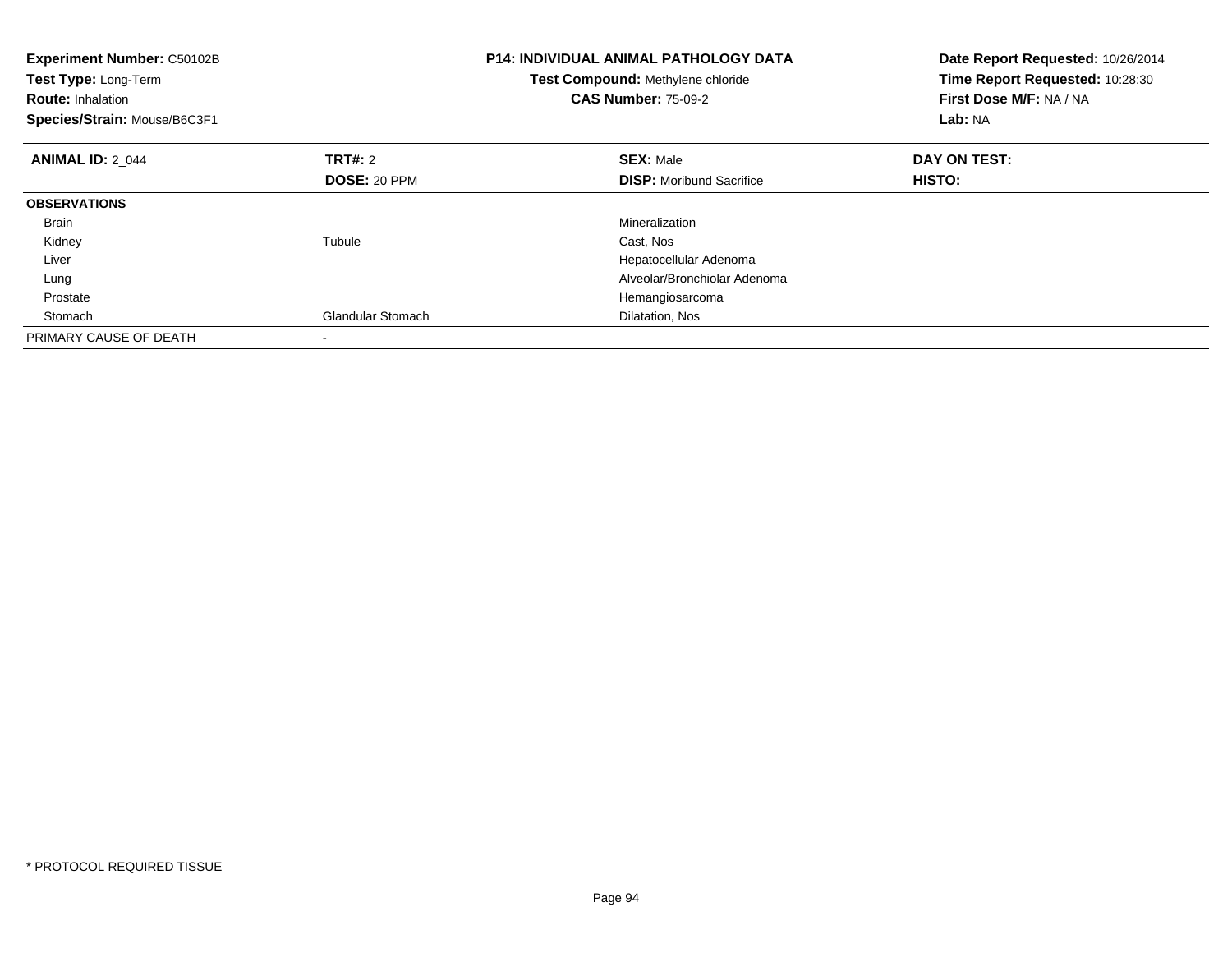| <b>Experiment Number: C50102B</b><br>Test Type: Long-Term<br><b>Route: Inhalation</b><br>Species/Strain: Mouse/B6C3F1 |                          | <b>P14: INDIVIDUAL ANIMAL PATHOLOGY DATA</b><br>Test Compound: Methylene chloride<br><b>CAS Number: 75-09-2</b> | Date Report Requested: 10/26/2014<br>Time Report Requested: 10:28:30<br>First Dose M/F: NA / NA<br>Lab: NA |
|-----------------------------------------------------------------------------------------------------------------------|--------------------------|-----------------------------------------------------------------------------------------------------------------|------------------------------------------------------------------------------------------------------------|
| <b>ANIMAL ID: 2 044</b>                                                                                               | TRT#: 2                  | <b>SEX: Male</b>                                                                                                | DAY ON TEST:                                                                                               |
|                                                                                                                       | <b>DOSE: 20 PPM</b>      | <b>DISP:</b> Moribund Sacrifice                                                                                 | <b>HISTO:</b>                                                                                              |
| <b>OBSERVATIONS</b>                                                                                                   |                          |                                                                                                                 |                                                                                                            |
| <b>Brain</b>                                                                                                          |                          | Mineralization                                                                                                  |                                                                                                            |
| Kidney                                                                                                                | Tubule                   | Cast, Nos                                                                                                       |                                                                                                            |
| Liver                                                                                                                 |                          | Hepatocellular Adenoma                                                                                          |                                                                                                            |
| Lung                                                                                                                  |                          | Alveolar/Bronchiolar Adenoma                                                                                    |                                                                                                            |
| Prostate                                                                                                              |                          | Hemangiosarcoma                                                                                                 |                                                                                                            |
| Stomach                                                                                                               | <b>Glandular Stomach</b> | Dilatation, Nos                                                                                                 |                                                                                                            |
| PRIMARY CAUSE OF DEATH                                                                                                |                          |                                                                                                                 |                                                                                                            |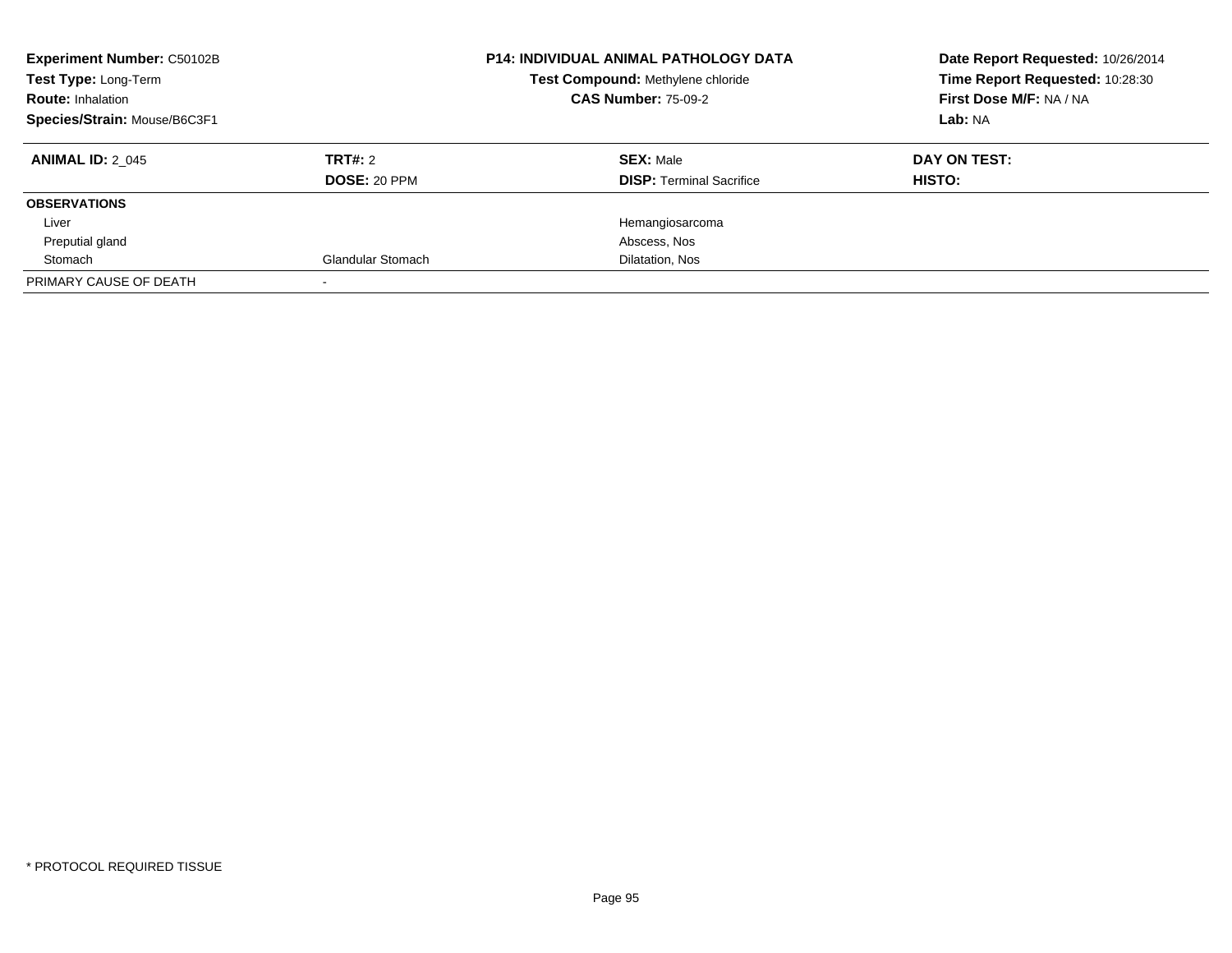| <b>Experiment Number: C50102B</b><br>Test Type: Long-Term<br><b>Route: Inhalation</b><br>Species/Strain: Mouse/B6C3F1 |                                | <b>P14: INDIVIDUAL ANIMAL PATHOLOGY DATA</b><br>Test Compound: Methylene chloride<br><b>CAS Number: 75-09-2</b> | Date Report Requested: 10/26/2014<br>Time Report Requested: 10:28:30<br>First Dose M/F: NA / NA<br>Lab: NA |
|-----------------------------------------------------------------------------------------------------------------------|--------------------------------|-----------------------------------------------------------------------------------------------------------------|------------------------------------------------------------------------------------------------------------|
| <b>ANIMAL ID: 2 045</b>                                                                                               | TRT#: 2<br><b>DOSE: 20 PPM</b> | <b>SEX: Male</b><br><b>DISP:</b> Terminal Sacrifice                                                             | DAY ON TEST:<br>HISTO:                                                                                     |
| <b>OBSERVATIONS</b>                                                                                                   |                                |                                                                                                                 |                                                                                                            |
| Liver                                                                                                                 |                                | Hemangiosarcoma                                                                                                 |                                                                                                            |
| Preputial gland                                                                                                       |                                | Abscess, Nos                                                                                                    |                                                                                                            |
| Stomach                                                                                                               | <b>Glandular Stomach</b>       | Dilatation, Nos                                                                                                 |                                                                                                            |
| PRIMARY CAUSE OF DEATH                                                                                                |                                |                                                                                                                 |                                                                                                            |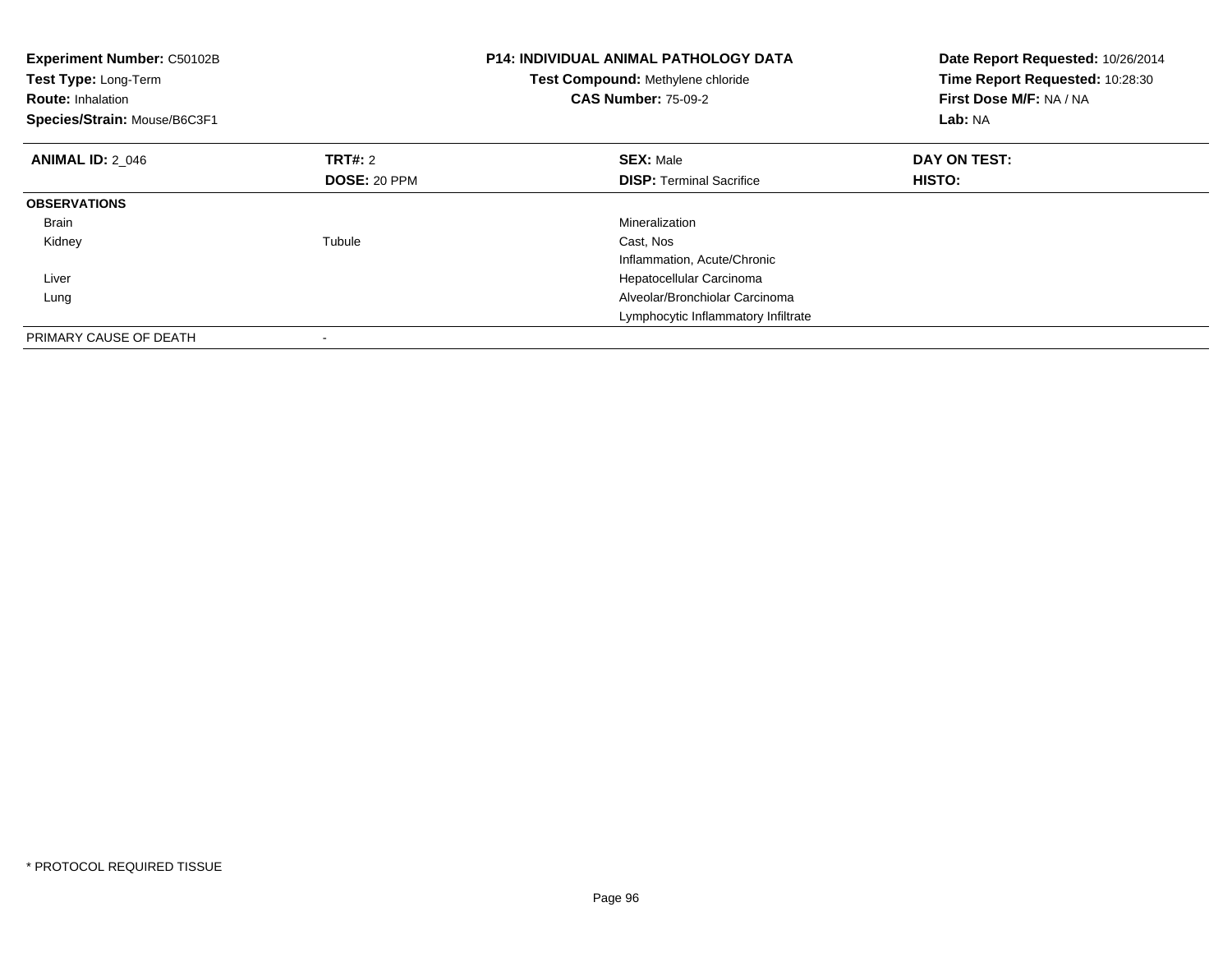| <b>Experiment Number: C50102B</b><br>Test Type: Long-Term<br><b>Route: Inhalation</b><br>Species/Strain: Mouse/B6C3F1 |              | <b>P14: INDIVIDUAL ANIMAL PATHOLOGY DATA</b><br>Test Compound: Methylene chloride<br><b>CAS Number: 75-09-2</b> | Date Report Requested: 10/26/2014<br>Time Report Requested: 10:28:30<br>First Dose M/F: NA / NA<br>Lab: NA |
|-----------------------------------------------------------------------------------------------------------------------|--------------|-----------------------------------------------------------------------------------------------------------------|------------------------------------------------------------------------------------------------------------|
| <b>ANIMAL ID: 2 046</b>                                                                                               | TRT#: 2      | <b>SEX: Male</b>                                                                                                | DAY ON TEST:                                                                                               |
|                                                                                                                       | DOSE: 20 PPM | <b>DISP:</b> Terminal Sacrifice                                                                                 | HISTO:                                                                                                     |
| <b>OBSERVATIONS</b>                                                                                                   |              |                                                                                                                 |                                                                                                            |
| <b>Brain</b>                                                                                                          |              | Mineralization                                                                                                  |                                                                                                            |
| Kidney                                                                                                                | Tubule       | Cast. Nos                                                                                                       |                                                                                                            |
|                                                                                                                       |              | Inflammation, Acute/Chronic                                                                                     |                                                                                                            |
| Liver                                                                                                                 |              | Hepatocellular Carcinoma                                                                                        |                                                                                                            |
| Lung                                                                                                                  |              | Alveolar/Bronchiolar Carcinoma                                                                                  |                                                                                                            |
|                                                                                                                       |              | Lymphocytic Inflammatory Infiltrate                                                                             |                                                                                                            |
| PRIMARY CAUSE OF DEATH                                                                                                |              |                                                                                                                 |                                                                                                            |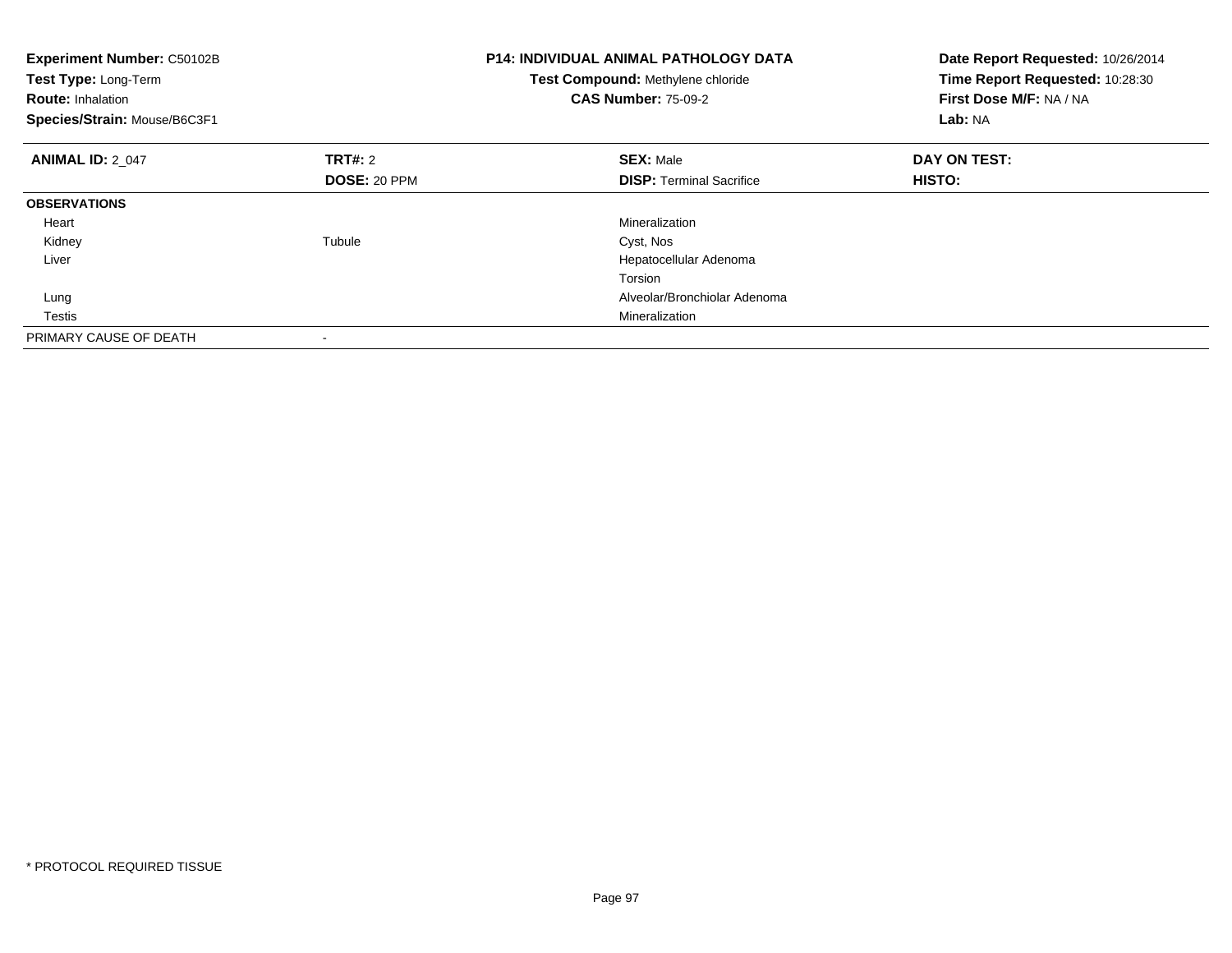| <b>Experiment Number: C50102B</b><br>Test Type: Long-Term<br><b>Route: Inhalation</b><br>Species/Strain: Mouse/B6C3F1 |                     | <b>P14: INDIVIDUAL ANIMAL PATHOLOGY DATA</b><br>Test Compound: Methylene chloride<br><b>CAS Number: 75-09-2</b> | Date Report Requested: 10/26/2014<br>Time Report Requested: 10:28:30<br>First Dose M/F: NA / NA<br>Lab: NA |
|-----------------------------------------------------------------------------------------------------------------------|---------------------|-----------------------------------------------------------------------------------------------------------------|------------------------------------------------------------------------------------------------------------|
| <b>ANIMAL ID: 2 047</b>                                                                                               | TRT#: 2             | <b>SEX: Male</b>                                                                                                | DAY ON TEST:                                                                                               |
|                                                                                                                       | <b>DOSE: 20 PPM</b> | <b>DISP:</b> Terminal Sacrifice                                                                                 | <b>HISTO:</b>                                                                                              |
| <b>OBSERVATIONS</b>                                                                                                   |                     |                                                                                                                 |                                                                                                            |
| Heart                                                                                                                 |                     | Mineralization                                                                                                  |                                                                                                            |
| Kidney                                                                                                                | Tubule              | Cyst, Nos                                                                                                       |                                                                                                            |
| Liver                                                                                                                 |                     | Hepatocellular Adenoma                                                                                          |                                                                                                            |
|                                                                                                                       |                     | Torsion                                                                                                         |                                                                                                            |
| Lung                                                                                                                  |                     | Alveolar/Bronchiolar Adenoma                                                                                    |                                                                                                            |
| Testis                                                                                                                |                     | Mineralization                                                                                                  |                                                                                                            |
| PRIMARY CAUSE OF DEATH                                                                                                |                     |                                                                                                                 |                                                                                                            |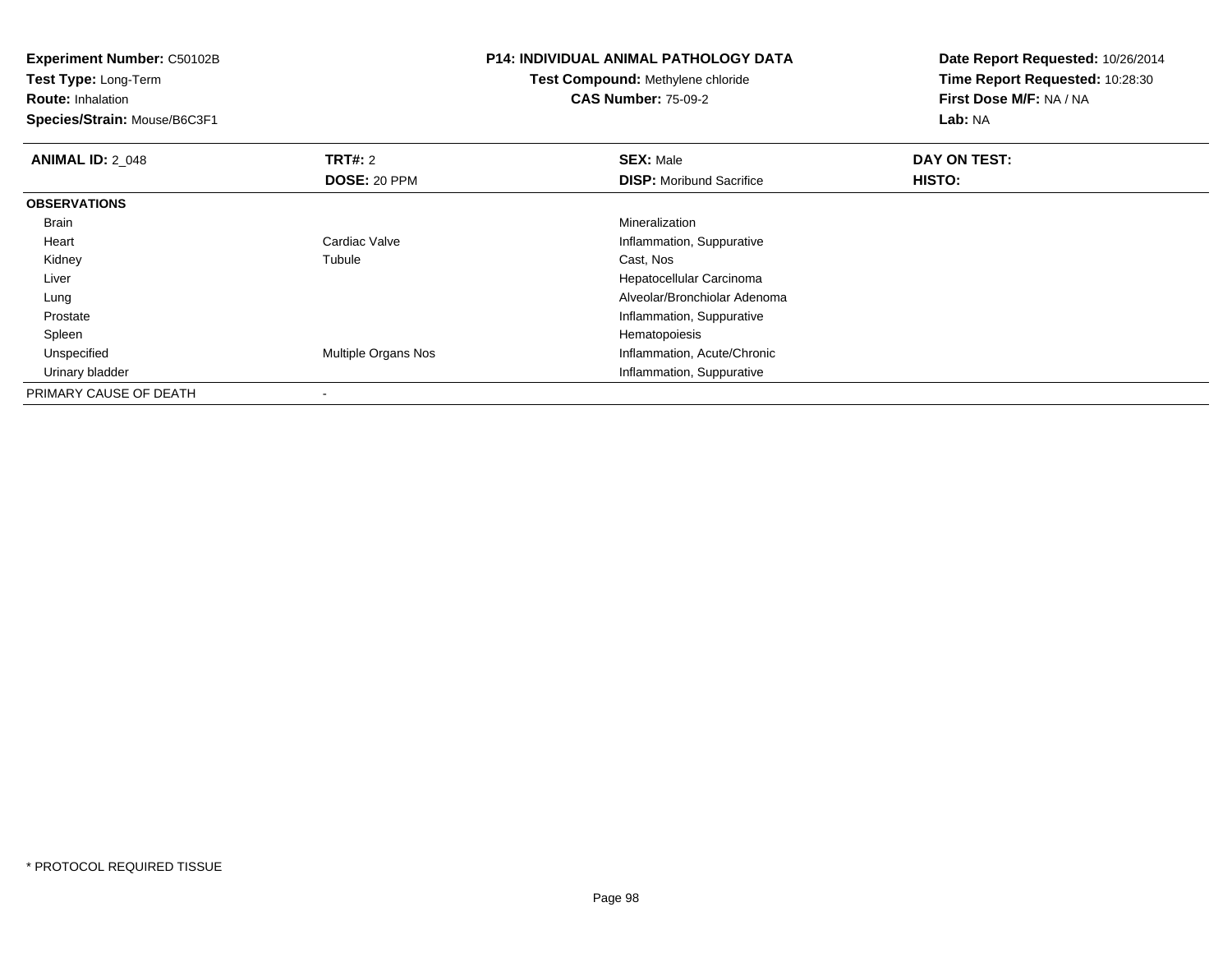**Experiment Number:** C50102B**Test Type:** Long-Term**Route:** Inhalation **Species/Strain:** Mouse/B6C3F1**P14: INDIVIDUAL ANIMAL PATHOLOGY DATATest Compound:** Methylene chloride**CAS Number:** 75-09-2**Date Report Requested:** 10/26/2014**Time Report Requested:** 10:28:30**First Dose M/F:** NA / NA**Lab:** NA**ANIMAL ID: 2 048 REX:** Male **DAY ON TEST: CONSIST: SEX:** Male **DOSE:** 20 PPM**DISP:** Moribund Sacrifice **HISTO: OBSERVATIONS** Brainn and the control of the control of the control of the control of the control of the control of the control of the control of the control of the control of the control of the control of the control of the control of the co Heart Cardiac Valve Inflammation, Suppurative Kidneyy the contract of the contract of the contract of the contract of the contract of the contract of the contract of the contract of the contract of the contract of the contract of the contract of the contract of the contract Tubule Cast, Nos Liver Hepatocellular Carcinoma Alveolar/Bronchiolar Adenoma Lung Prostate Inflammation, Suppurative SpleenHematopoiesis<br>Multiple Organs Nos<br>Inflammation, A UnspecifiedInflammation, Acute/Chronic Urinary bladder Inflammation, SuppurativePRIMARY CAUSE OF DEATH-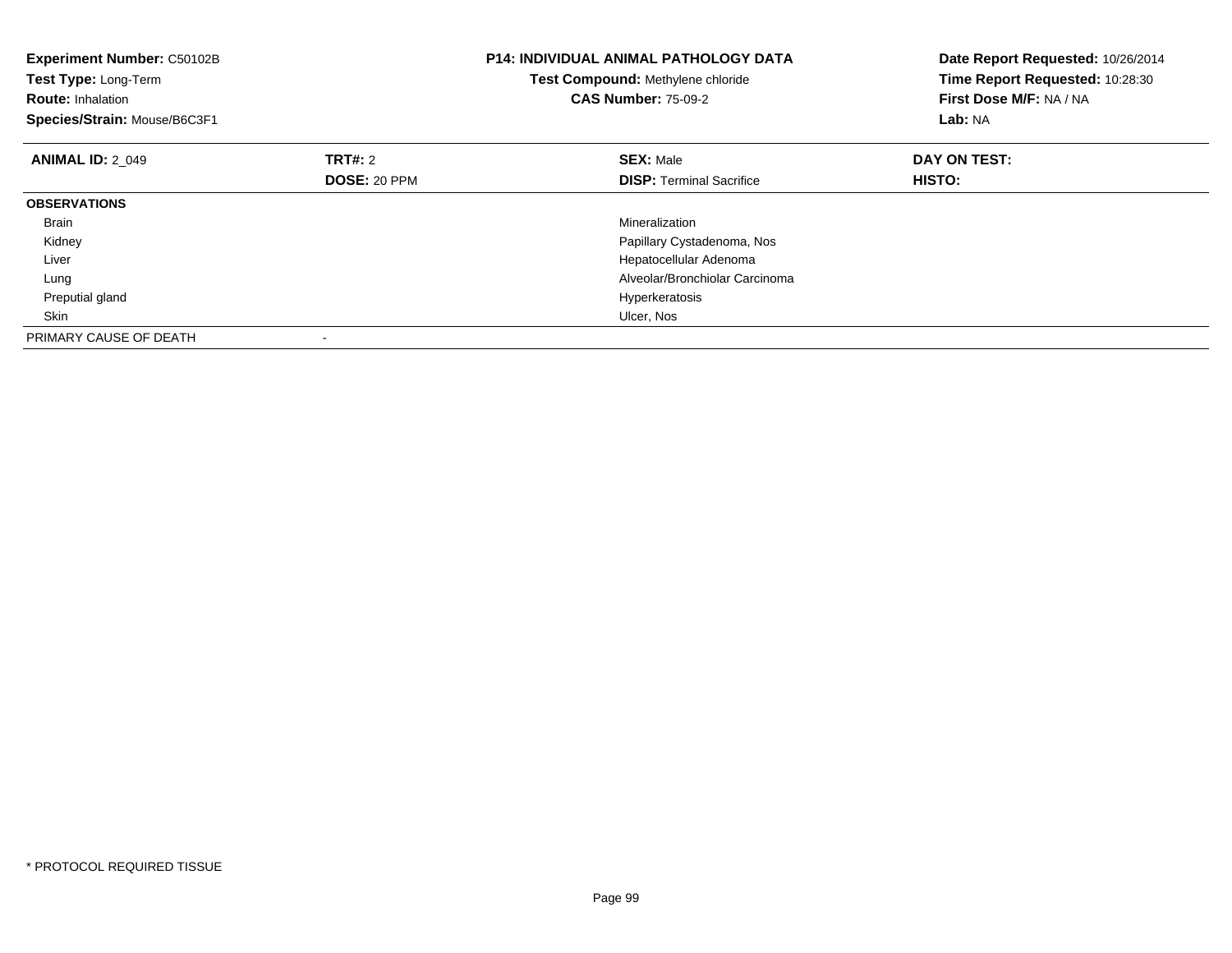| Experiment Number: C50102B<br>Test Type: Long-Term<br><b>Route: Inhalation</b><br>Species/Strain: Mouse/B6C3F1 |              | <b>P14: INDIVIDUAL ANIMAL PATHOLOGY DATA</b><br>Test Compound: Methylene chloride<br><b>CAS Number: 75-09-2</b> | Date Report Requested: 10/26/2014<br>Time Report Requested: 10:28:30<br>First Dose M/F: NA / NA<br>Lab: NA |
|----------------------------------------------------------------------------------------------------------------|--------------|-----------------------------------------------------------------------------------------------------------------|------------------------------------------------------------------------------------------------------------|
| <b>ANIMAL ID: 2 049</b>                                                                                        | TRT#: 2      | <b>SEX: Male</b>                                                                                                | DAY ON TEST:                                                                                               |
|                                                                                                                | DOSE: 20 PPM | <b>DISP:</b> Terminal Sacrifice                                                                                 | <b>HISTO:</b>                                                                                              |
| <b>OBSERVATIONS</b>                                                                                            |              |                                                                                                                 |                                                                                                            |
| Brain                                                                                                          |              | Mineralization                                                                                                  |                                                                                                            |
| Kidney                                                                                                         |              | Papillary Cystadenoma, Nos                                                                                      |                                                                                                            |
| Liver                                                                                                          |              | Hepatocellular Adenoma                                                                                          |                                                                                                            |
| Lung                                                                                                           |              | Alveolar/Bronchiolar Carcinoma                                                                                  |                                                                                                            |
| Preputial gland                                                                                                |              | Hyperkeratosis                                                                                                  |                                                                                                            |
| Skin                                                                                                           |              | Ulcer, Nos                                                                                                      |                                                                                                            |
| PRIMARY CAUSE OF DEATH                                                                                         |              |                                                                                                                 |                                                                                                            |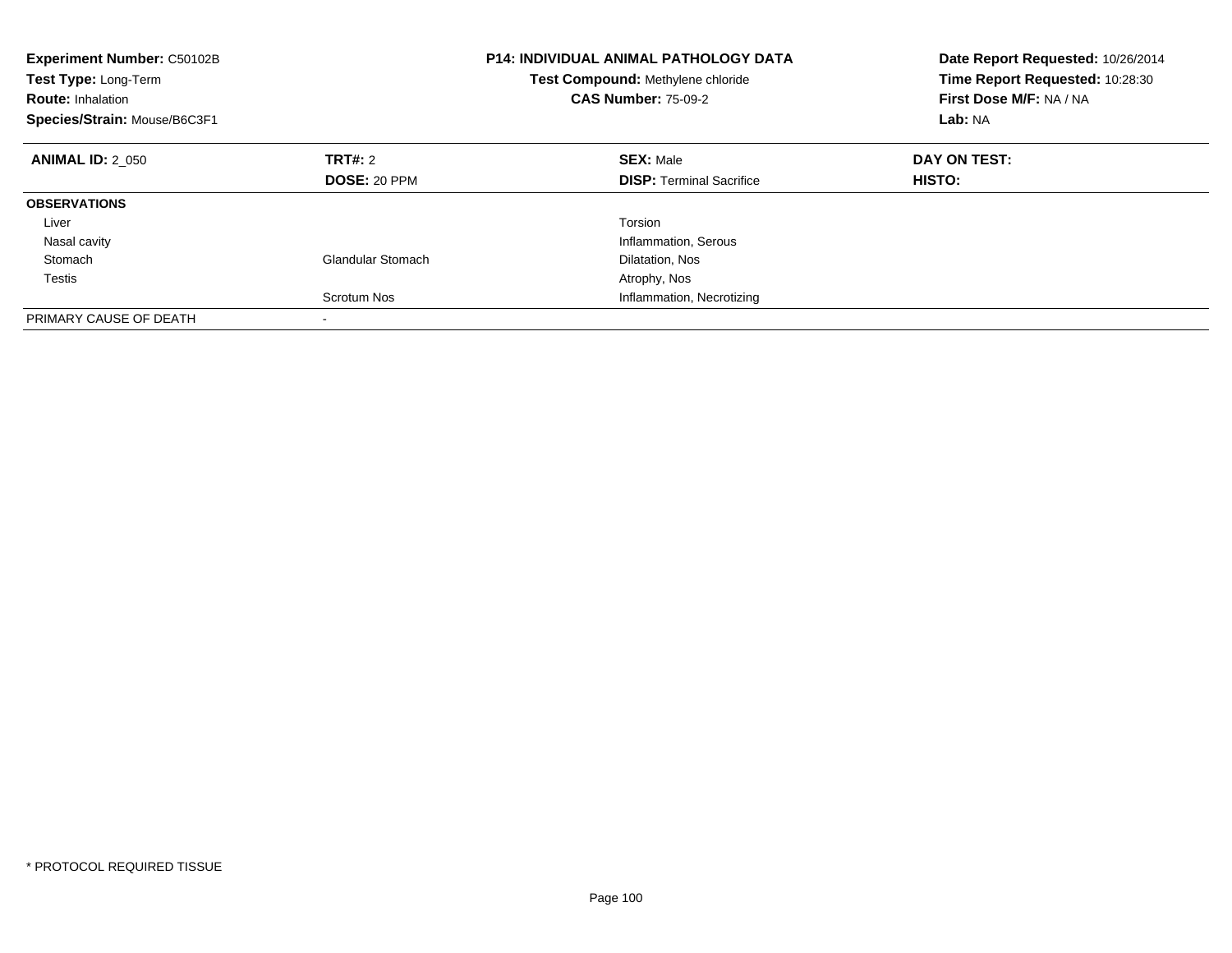| <b>Experiment Number: C50102B</b><br>Test Type: Long-Term<br><b>Route: Inhalation</b><br>Species/Strain: Mouse/B6C3F1 |                   | <b>P14: INDIVIDUAL ANIMAL PATHOLOGY DATA</b><br>Test Compound: Methylene chloride<br><b>CAS Number: 75-09-2</b> | Date Report Requested: 10/26/2014<br>Time Report Requested: 10:28:30<br>First Dose M/F: NA / NA<br>Lab: NA |
|-----------------------------------------------------------------------------------------------------------------------|-------------------|-----------------------------------------------------------------------------------------------------------------|------------------------------------------------------------------------------------------------------------|
| <b>ANIMAL ID: 2 050</b>                                                                                               | TRT#: 2           | <b>SEX: Male</b>                                                                                                | DAY ON TEST:                                                                                               |
|                                                                                                                       | DOSE: 20 PPM      | <b>DISP:</b> Terminal Sacrifice                                                                                 | <b>HISTO:</b>                                                                                              |
| <b>OBSERVATIONS</b>                                                                                                   |                   |                                                                                                                 |                                                                                                            |
| Liver                                                                                                                 |                   | Torsion                                                                                                         |                                                                                                            |
| Nasal cavity                                                                                                          |                   | Inflammation, Serous                                                                                            |                                                                                                            |
| Stomach                                                                                                               | Glandular Stomach | Dilatation, Nos                                                                                                 |                                                                                                            |
| <b>Testis</b>                                                                                                         |                   | Atrophy, Nos                                                                                                    |                                                                                                            |
|                                                                                                                       | Scrotum Nos       | Inflammation, Necrotizing                                                                                       |                                                                                                            |
| PRIMARY CAUSE OF DEATH                                                                                                |                   |                                                                                                                 |                                                                                                            |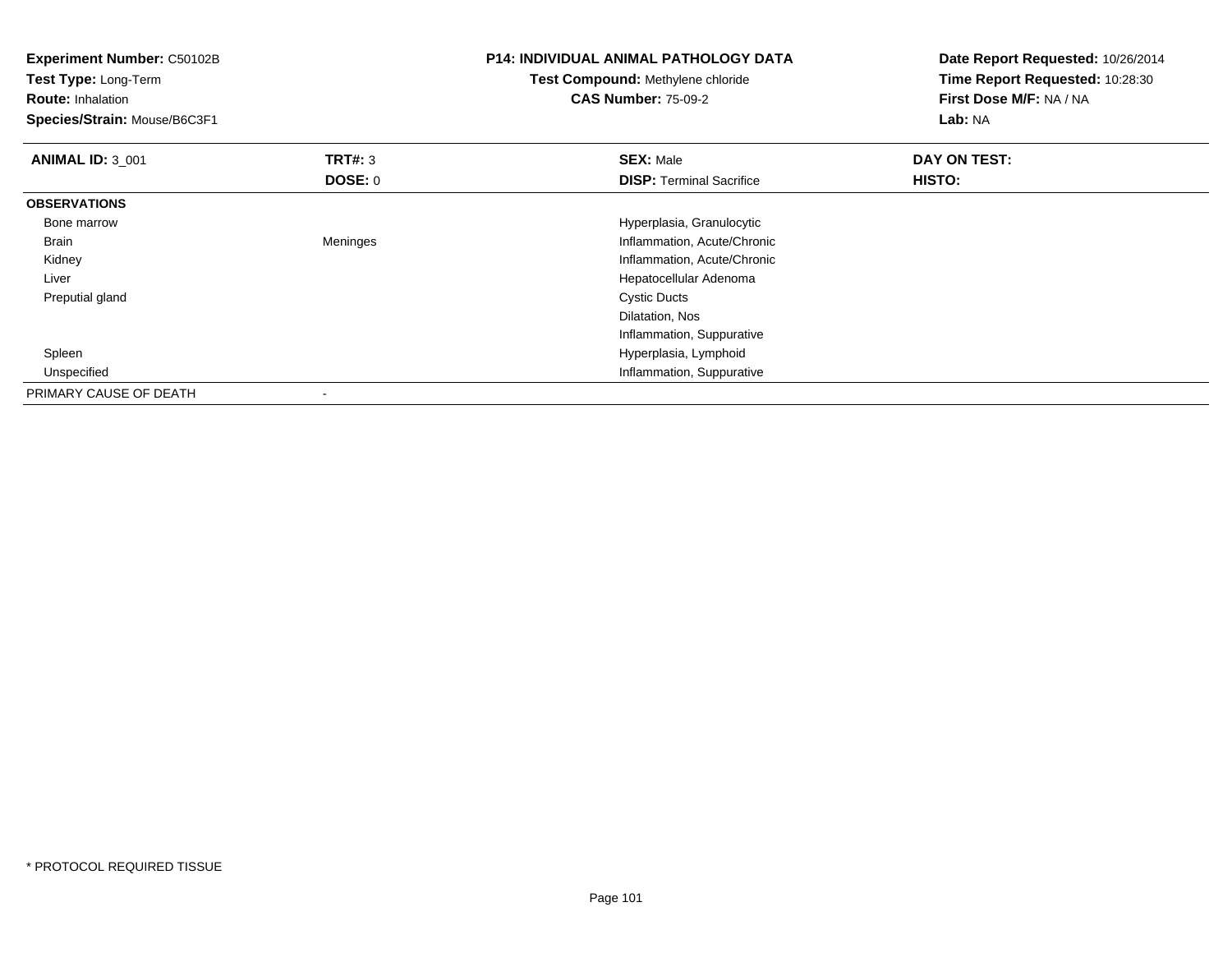| <b>Experiment Number: C50102B</b><br>Test Type: Long-Term<br><b>Route: Inhalation</b><br>Species/Strain: Mouse/B6C3F1 |          | <b>P14: INDIVIDUAL ANIMAL PATHOLOGY DATA</b><br><b>Test Compound: Methylene chloride</b><br><b>CAS Number: 75-09-2</b> | Date Report Requested: 10/26/2014<br>Time Report Requested: 10:28:30<br>First Dose M/F: NA / NA<br>Lab: NA |
|-----------------------------------------------------------------------------------------------------------------------|----------|------------------------------------------------------------------------------------------------------------------------|------------------------------------------------------------------------------------------------------------|
| <b>ANIMAL ID: 3_001</b>                                                                                               | TRT#: 3  | <b>SEX: Male</b>                                                                                                       | DAY ON TEST:                                                                                               |
|                                                                                                                       | DOSE: 0  | <b>DISP:</b> Terminal Sacrifice                                                                                        | HISTO:                                                                                                     |
| <b>OBSERVATIONS</b>                                                                                                   |          |                                                                                                                        |                                                                                                            |
| Bone marrow                                                                                                           |          | Hyperplasia, Granulocytic                                                                                              |                                                                                                            |
| Brain                                                                                                                 | Meninges | Inflammation, Acute/Chronic                                                                                            |                                                                                                            |
| Kidney                                                                                                                |          | Inflammation, Acute/Chronic                                                                                            |                                                                                                            |
| Liver                                                                                                                 |          | Hepatocellular Adenoma                                                                                                 |                                                                                                            |
| Preputial gland                                                                                                       |          | <b>Cystic Ducts</b>                                                                                                    |                                                                                                            |
|                                                                                                                       |          | Dilatation, Nos                                                                                                        |                                                                                                            |
|                                                                                                                       |          | Inflammation, Suppurative                                                                                              |                                                                                                            |
| Spleen                                                                                                                |          | Hyperplasia, Lymphoid                                                                                                  |                                                                                                            |
| Unspecified                                                                                                           |          | Inflammation, Suppurative                                                                                              |                                                                                                            |
| PRIMARY CAUSE OF DEATH                                                                                                |          |                                                                                                                        |                                                                                                            |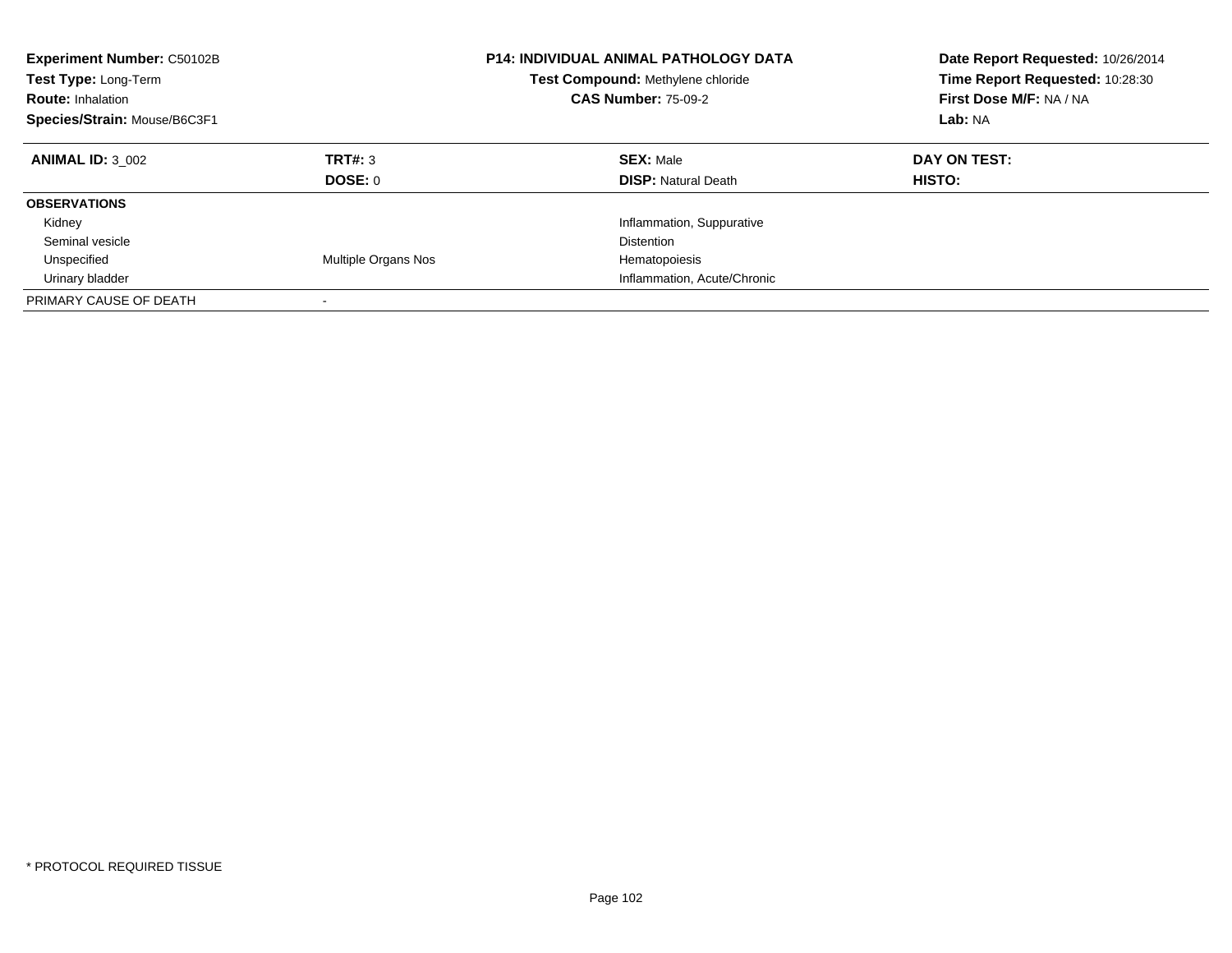| <b>Experiment Number: C50102B</b><br><b>Test Type: Long-Term</b><br><b>Route: Inhalation</b><br>Species/Strain: Mouse/B6C3F1 |                     | <b>P14: INDIVIDUAL ANIMAL PATHOLOGY DATA</b><br>Test Compound: Methylene chloride<br><b>CAS Number: 75-09-2</b> | Date Report Requested: 10/26/2014<br>Time Report Requested: 10:28:30<br>First Dose M/F: NA / NA<br>Lab: NA |
|------------------------------------------------------------------------------------------------------------------------------|---------------------|-----------------------------------------------------------------------------------------------------------------|------------------------------------------------------------------------------------------------------------|
| <b>ANIMAL ID: 3 002</b>                                                                                                      | TRT#: 3<br>DOSE: 0  | <b>SEX: Male</b><br><b>DISP:</b> Natural Death                                                                  | DAY ON TEST:<br>HISTO:                                                                                     |
| <b>OBSERVATIONS</b>                                                                                                          |                     |                                                                                                                 |                                                                                                            |
| Kidney                                                                                                                       |                     | Inflammation, Suppurative                                                                                       |                                                                                                            |
| Seminal vesicle                                                                                                              |                     | <b>Distention</b>                                                                                               |                                                                                                            |
| Unspecified                                                                                                                  | Multiple Organs Nos | Hematopoiesis                                                                                                   |                                                                                                            |
| Urinary bladder                                                                                                              |                     | Inflammation, Acute/Chronic                                                                                     |                                                                                                            |
| PRIMARY CAUSE OF DEATH                                                                                                       |                     |                                                                                                                 |                                                                                                            |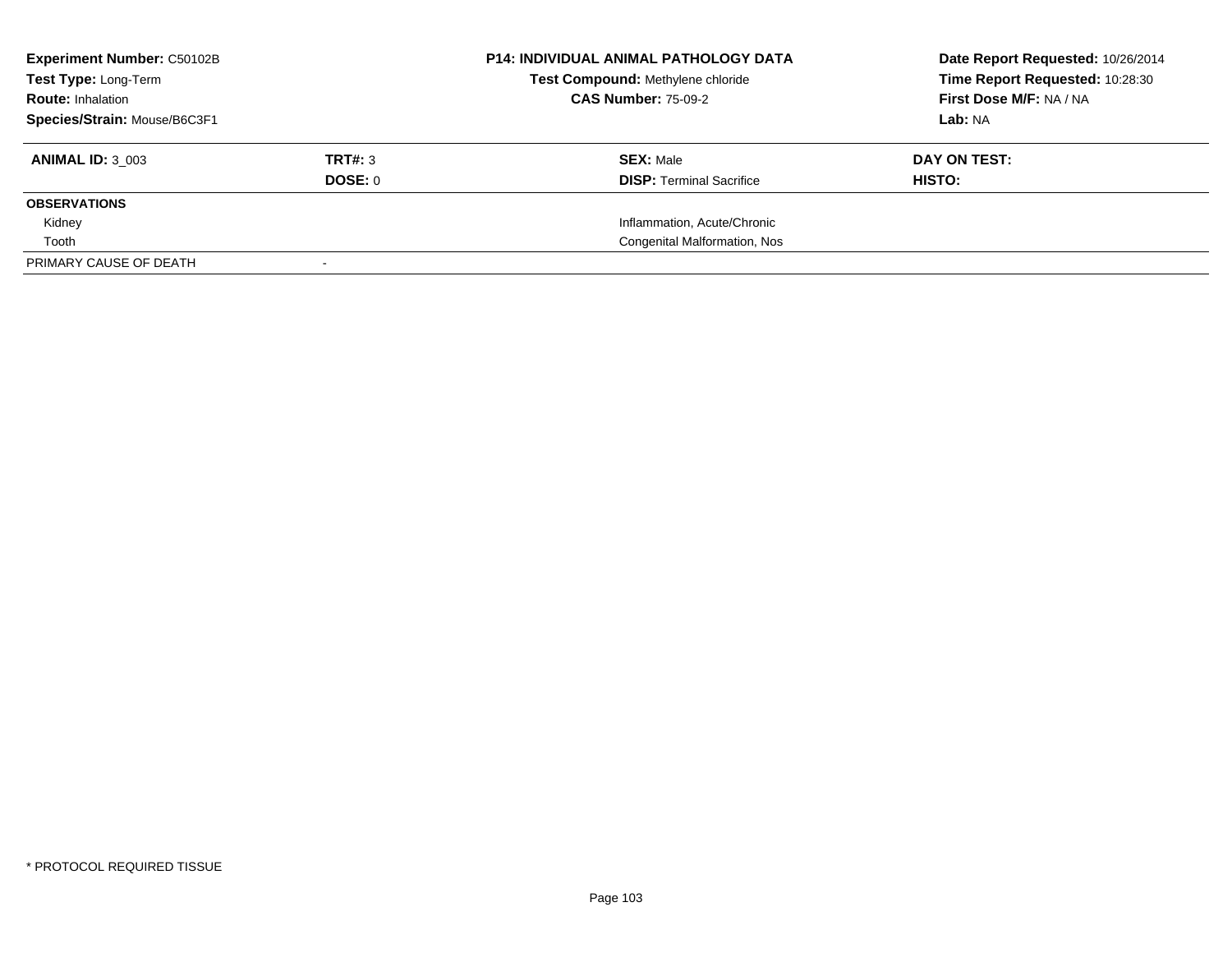| <b>Experiment Number: C50102B</b> |         | <b>P14: INDIVIDUAL ANIMAL PATHOLOGY DATA</b> | Date Report Requested: 10/26/2014 |
|-----------------------------------|---------|----------------------------------------------|-----------------------------------|
| Test Type: Long-Term              |         | Test Compound: Methylene chloride            | Time Report Requested: 10:28:30   |
| <b>Route: Inhalation</b>          |         | <b>CAS Number: 75-09-2</b>                   | First Dose M/F: NA / NA           |
| Species/Strain: Mouse/B6C3F1      |         |                                              | Lab: NA                           |
| <b>ANIMAL ID: 3 003</b>           | TRT#: 3 | <b>SEX: Male</b>                             | DAY ON TEST:                      |
|                                   | DOSE: 0 | <b>DISP:</b> Terminal Sacrifice              | <b>HISTO:</b>                     |
| <b>OBSERVATIONS</b>               |         |                                              |                                   |
| Kidney                            |         | Inflammation, Acute/Chronic                  |                                   |
| Tooth                             |         | Congenital Malformation, Nos                 |                                   |
| PRIMARY CAUSE OF DEATH            |         |                                              |                                   |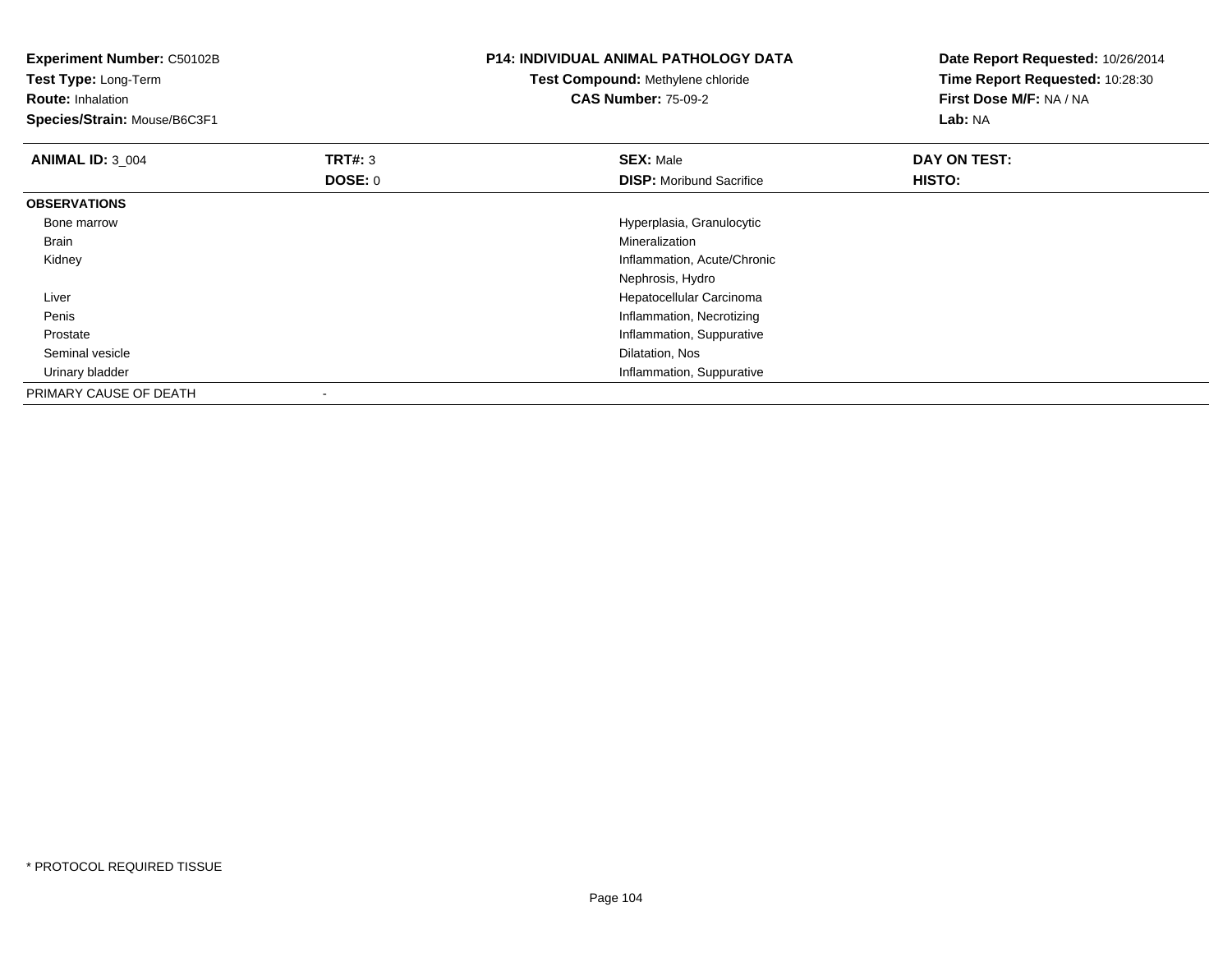| <b>Experiment Number: C50102B</b><br>Test Type: Long-Term<br><b>Route: Inhalation</b><br>Species/Strain: Mouse/B6C3F1 |                | <b>P14: INDIVIDUAL ANIMAL PATHOLOGY DATA</b><br><b>Test Compound: Methylene chloride</b><br><b>CAS Number: 75-09-2</b> | Date Report Requested: 10/26/2014<br>Time Report Requested: 10:28:30<br>First Dose M/F: NA / NA<br>Lab: NA |
|-----------------------------------------------------------------------------------------------------------------------|----------------|------------------------------------------------------------------------------------------------------------------------|------------------------------------------------------------------------------------------------------------|
| <b>ANIMAL ID: 3 004</b>                                                                                               | <b>TRT#: 3</b> | <b>SEX: Male</b>                                                                                                       | DAY ON TEST:                                                                                               |
|                                                                                                                       | DOSE: 0        | <b>DISP:</b> Moribund Sacrifice                                                                                        | HISTO:                                                                                                     |
| <b>OBSERVATIONS</b>                                                                                                   |                |                                                                                                                        |                                                                                                            |
| Bone marrow                                                                                                           |                | Hyperplasia, Granulocytic                                                                                              |                                                                                                            |
| Brain                                                                                                                 |                | Mineralization                                                                                                         |                                                                                                            |
| Kidney                                                                                                                |                | Inflammation, Acute/Chronic                                                                                            |                                                                                                            |
|                                                                                                                       |                | Nephrosis, Hydro                                                                                                       |                                                                                                            |
| Liver                                                                                                                 |                | Hepatocellular Carcinoma                                                                                               |                                                                                                            |
| Penis                                                                                                                 |                | Inflammation, Necrotizing                                                                                              |                                                                                                            |
| Prostate                                                                                                              |                | Inflammation, Suppurative                                                                                              |                                                                                                            |
| Seminal vesicle                                                                                                       |                | Dilatation, Nos                                                                                                        |                                                                                                            |
| Urinary bladder                                                                                                       |                | Inflammation, Suppurative                                                                                              |                                                                                                            |
| PRIMARY CAUSE OF DEATH                                                                                                |                |                                                                                                                        |                                                                                                            |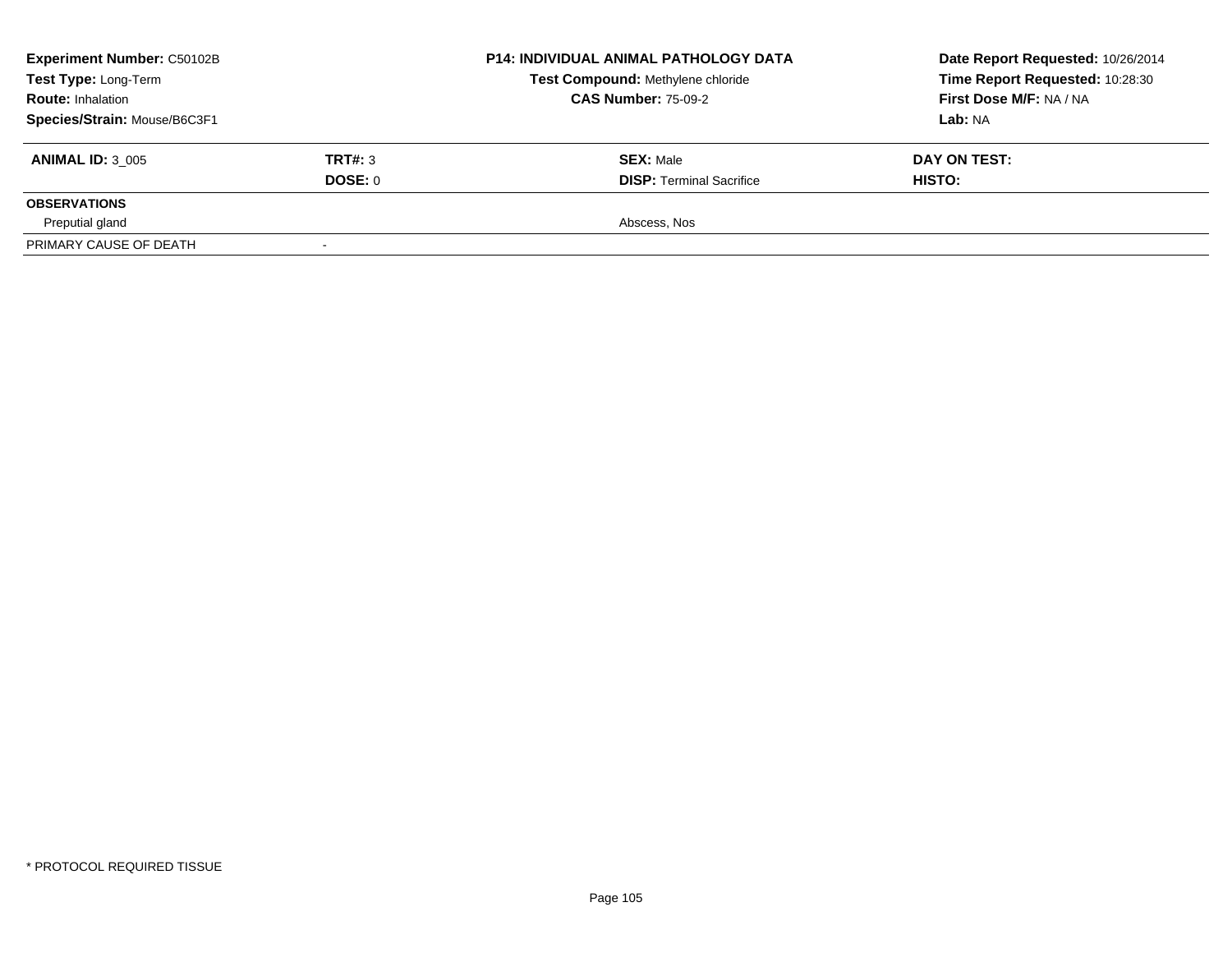| <b>Experiment Number: C50102B</b><br>Test Type: Long-Term<br><b>Route: Inhalation</b> |         | <b>P14: INDIVIDUAL ANIMAL PATHOLOGY DATA</b><br>Test Compound: Methylene chloride<br><b>CAS Number: 75-09-2</b> | Date Report Requested: 10/26/2014<br>Time Report Requested: 10:28:30<br>First Dose M/F: NA / NA |
|---------------------------------------------------------------------------------------|---------|-----------------------------------------------------------------------------------------------------------------|-------------------------------------------------------------------------------------------------|
| Species/Strain: Mouse/B6C3F1                                                          |         |                                                                                                                 | Lab: NA                                                                                         |
| <b>ANIMAL ID: 3 005</b>                                                               | TRT#: 3 | <b>SEX: Male</b>                                                                                                | DAY ON TEST:                                                                                    |
|                                                                                       | DOSE: 0 | <b>DISP: Terminal Sacrifice</b>                                                                                 | HISTO:                                                                                          |
| <b>OBSERVATIONS</b>                                                                   |         |                                                                                                                 |                                                                                                 |
| Preputial gland                                                                       |         | Abscess, Nos                                                                                                    |                                                                                                 |
| PRIMARY CAUSE OF DEATH                                                                |         |                                                                                                                 |                                                                                                 |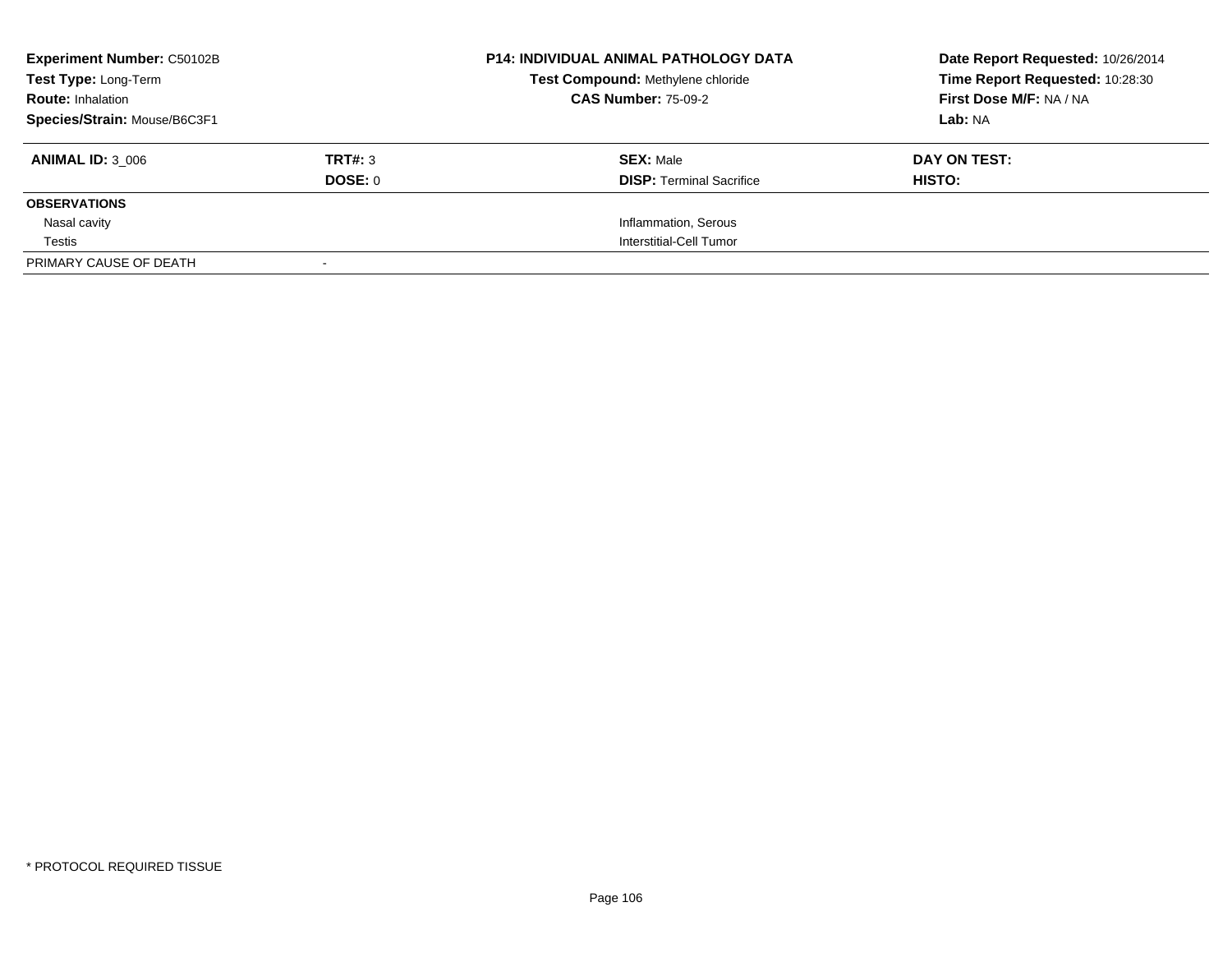| <b>Experiment Number: C50102B</b> |         | <b>P14: INDIVIDUAL ANIMAL PATHOLOGY DATA</b> | Date Report Requested: 10/26/2014 |
|-----------------------------------|---------|----------------------------------------------|-----------------------------------|
| Test Type: Long-Term              |         | Test Compound: Methylene chloride            | Time Report Requested: 10:28:30   |
| <b>Route: Inhalation</b>          |         | <b>CAS Number: 75-09-2</b>                   | First Dose M/F: NA / NA           |
| Species/Strain: Mouse/B6C3F1      |         |                                              | Lab: NA                           |
| <b>ANIMAL ID: 3 006</b>           | TRT#: 3 | <b>SEX: Male</b>                             | DAY ON TEST:                      |
|                                   | DOSE: 0 | <b>DISP:</b> Terminal Sacrifice              | HISTO:                            |
| <b>OBSERVATIONS</b>               |         |                                              |                                   |
| Nasal cavity                      |         | Inflammation, Serous                         |                                   |
| Testis                            |         | Interstitial-Cell Tumor                      |                                   |
| PRIMARY CAUSE OF DEATH            |         |                                              |                                   |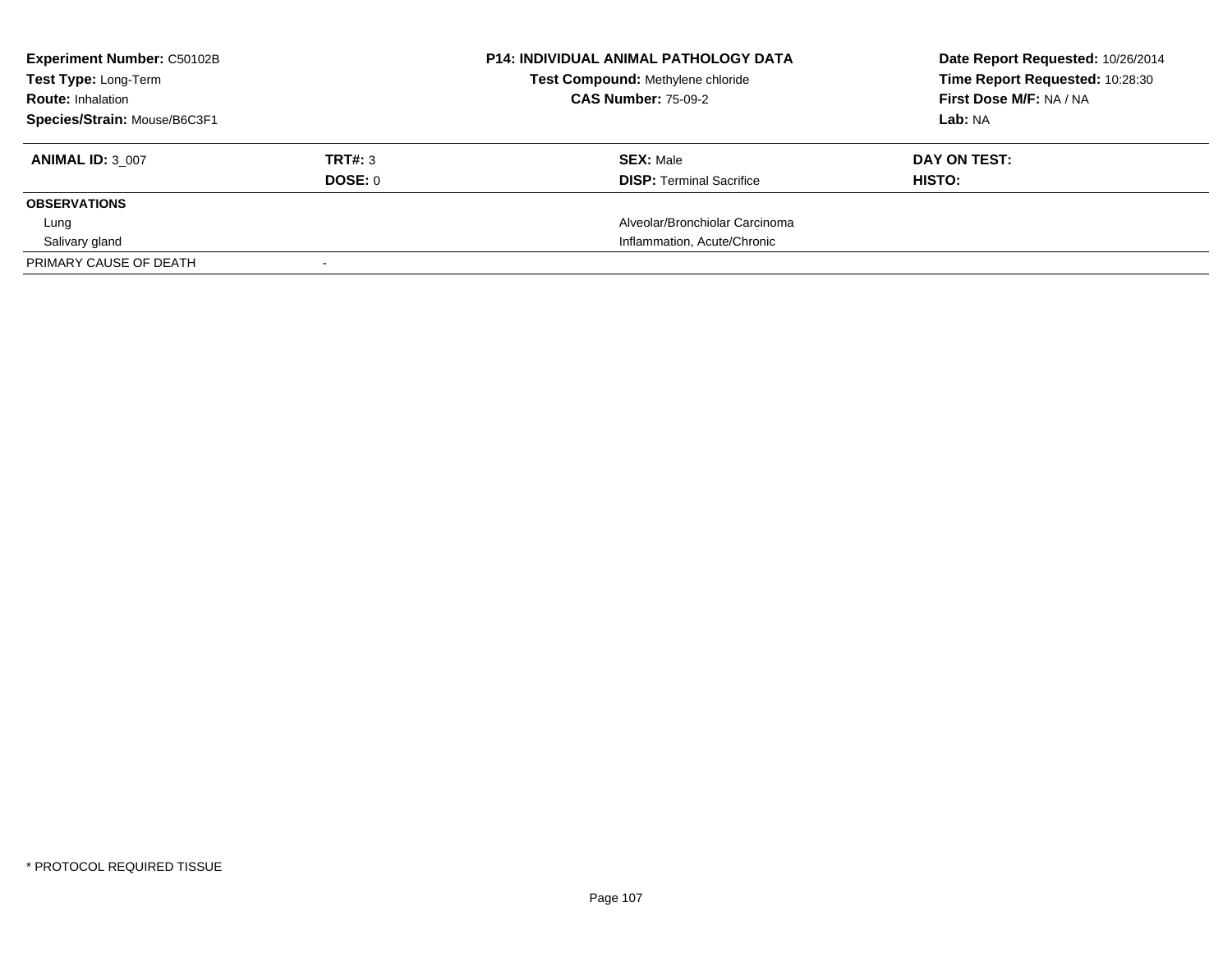| <b>Experiment Number: C50102B</b> |         | <b>P14: INDIVIDUAL ANIMAL PATHOLOGY DATA</b> | Date Report Requested: 10/26/2014 |
|-----------------------------------|---------|----------------------------------------------|-----------------------------------|
| Test Type: Long-Term              |         | Test Compound: Methylene chloride            | Time Report Requested: 10:28:30   |
| <b>Route: Inhalation</b>          |         | <b>CAS Number: 75-09-2</b>                   | First Dose M/F: NA / NA           |
| Species/Strain: Mouse/B6C3F1      |         |                                              | Lab: NA                           |
| <b>ANIMAL ID: 3 007</b>           | TRT#: 3 | <b>SEX: Male</b>                             | DAY ON TEST:                      |
|                                   | DOSE: 0 | <b>DISP:</b> Terminal Sacrifice              | <b>HISTO:</b>                     |
| <b>OBSERVATIONS</b>               |         |                                              |                                   |
| Lung                              |         | Alveolar/Bronchiolar Carcinoma               |                                   |
| Salivary gland                    |         | Inflammation, Acute/Chronic                  |                                   |
| PRIMARY CAUSE OF DEATH            |         |                                              |                                   |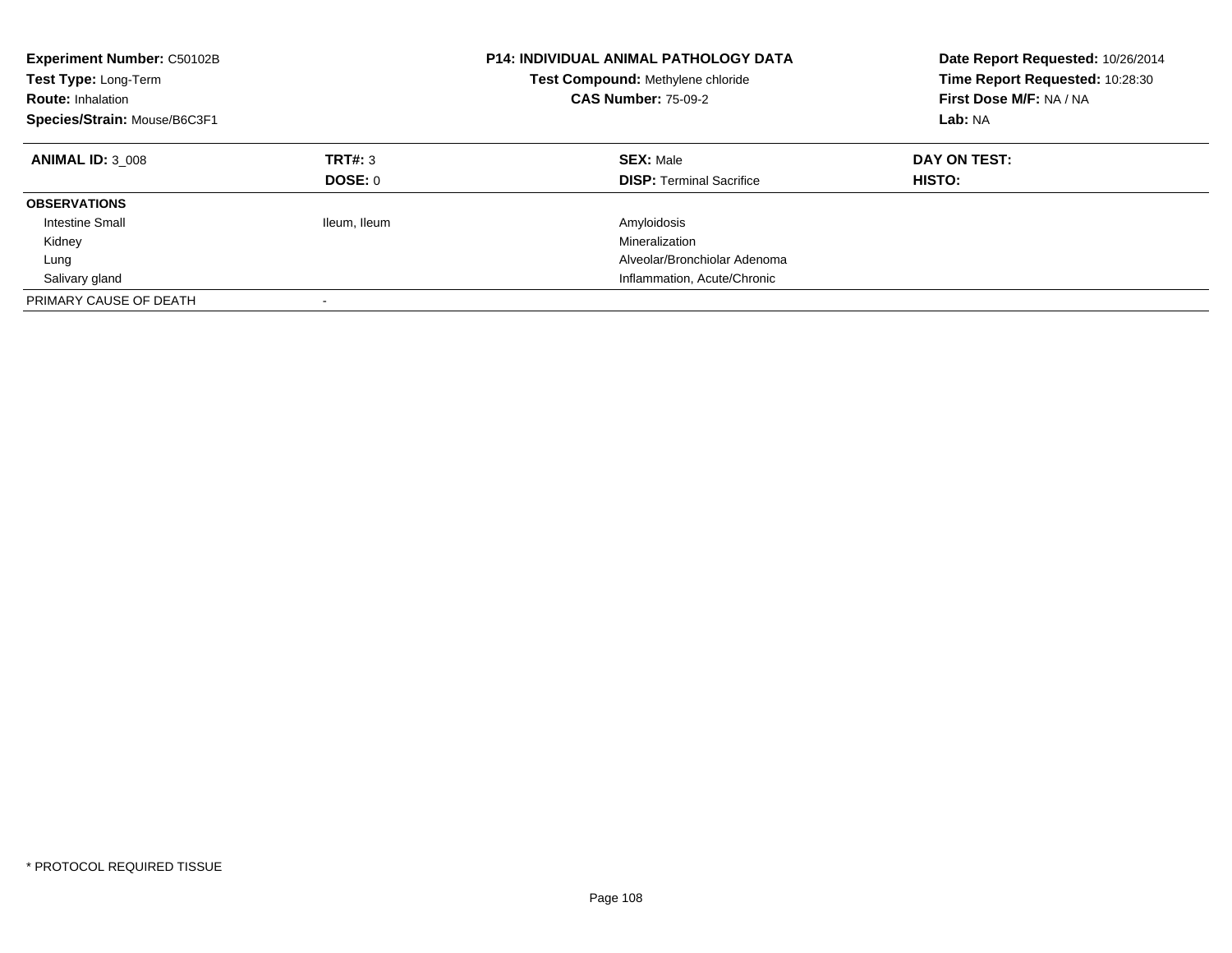| Experiment Number: C50102B<br>Test Type: Long-Term<br><b>Route: Inhalation</b><br>Species/Strain: Mouse/B6C3F1 |                           | <b>P14: INDIVIDUAL ANIMAL PATHOLOGY DATA</b><br>Test Compound: Methylene chloride<br><b>CAS Number: 75-09-2</b> | Date Report Requested: 10/26/2014<br>Time Report Requested: 10:28:30<br>First Dose M/F: NA / NA<br>Lab: NA |
|----------------------------------------------------------------------------------------------------------------|---------------------------|-----------------------------------------------------------------------------------------------------------------|------------------------------------------------------------------------------------------------------------|
| <b>ANIMAL ID: 3 008</b>                                                                                        | TRT#: 3<br><b>DOSE: 0</b> | <b>SEX: Male</b><br><b>DISP:</b> Terminal Sacrifice                                                             | DAY ON TEST:<br><b>HISTO:</b>                                                                              |
| <b>OBSERVATIONS</b>                                                                                            |                           |                                                                                                                 |                                                                                                            |
| <b>Intestine Small</b>                                                                                         | Ileum, Ileum              | Amyloidosis                                                                                                     |                                                                                                            |
| Kidney                                                                                                         |                           | Mineralization                                                                                                  |                                                                                                            |
| Lung                                                                                                           |                           | Alveolar/Bronchiolar Adenoma                                                                                    |                                                                                                            |
| Salivary gland                                                                                                 |                           | Inflammation, Acute/Chronic                                                                                     |                                                                                                            |
| PRIMARY CAUSE OF DEATH                                                                                         | $\overline{\phantom{a}}$  |                                                                                                                 |                                                                                                            |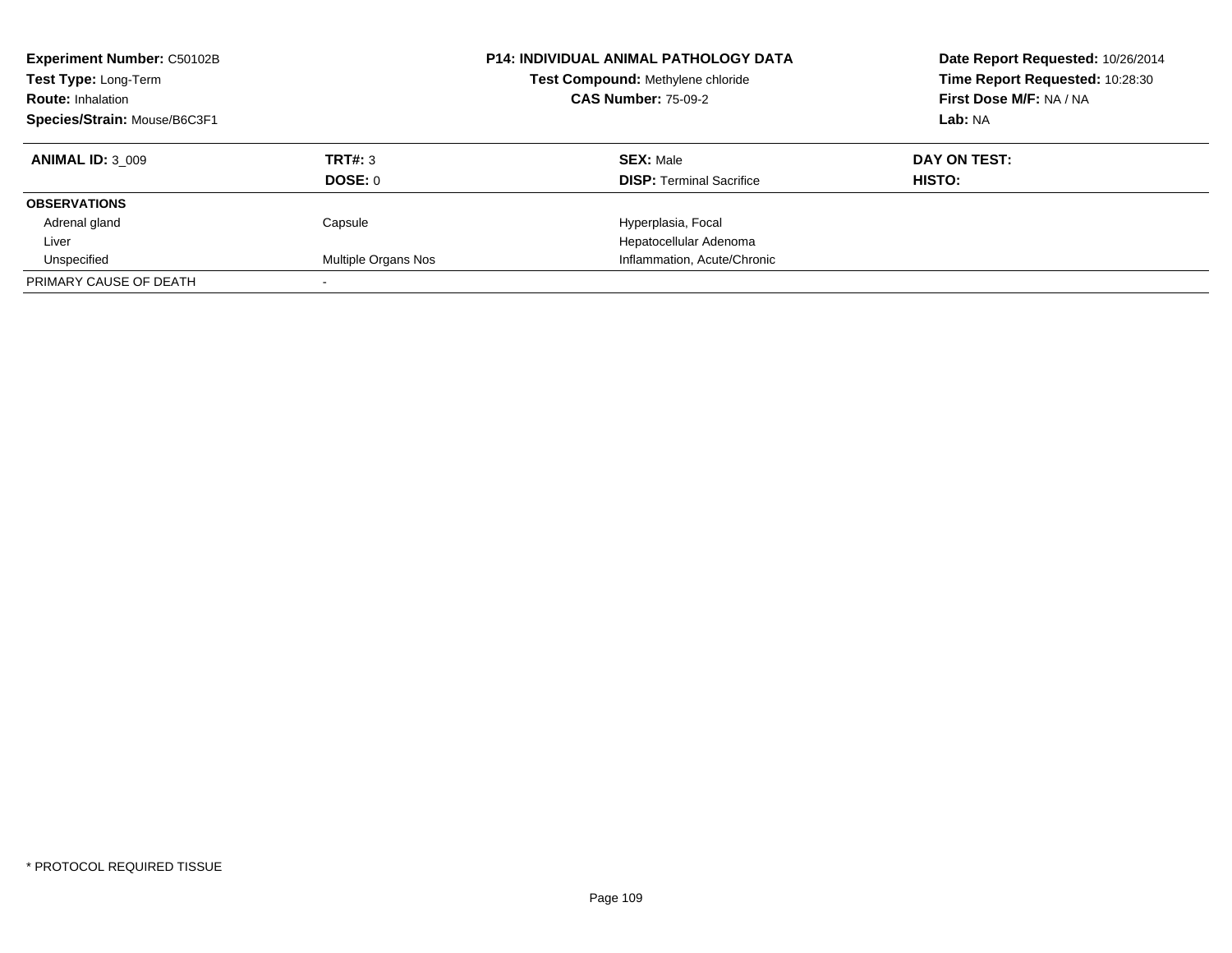| <b>Experiment Number: C50102B</b><br>Test Type: Long-Term<br><b>Route: Inhalation</b><br>Species/Strain: Mouse/B6C3F1 |                           | <b>P14: INDIVIDUAL ANIMAL PATHOLOGY DATA</b><br>Test Compound: Methylene chloride<br><b>CAS Number: 75-09-2</b> | Date Report Requested: 10/26/2014<br>Time Report Requested: 10:28:30<br>First Dose M/F: NA / NA<br>Lab: NA |
|-----------------------------------------------------------------------------------------------------------------------|---------------------------|-----------------------------------------------------------------------------------------------------------------|------------------------------------------------------------------------------------------------------------|
| <b>ANIMAL ID: 3 009</b>                                                                                               | TRT#: 3<br><b>DOSE: 0</b> | <b>SEX: Male</b><br><b>DISP:</b> Terminal Sacrifice                                                             | DAY ON TEST:<br>HISTO:                                                                                     |
| <b>OBSERVATIONS</b>                                                                                                   |                           |                                                                                                                 |                                                                                                            |
| Adrenal gland                                                                                                         | Capsule                   | Hyperplasia, Focal                                                                                              |                                                                                                            |
| Liver                                                                                                                 |                           | Hepatocellular Adenoma                                                                                          |                                                                                                            |
| Unspecified                                                                                                           | Multiple Organs Nos       | Inflammation, Acute/Chronic                                                                                     |                                                                                                            |
| PRIMARY CAUSE OF DEATH                                                                                                |                           |                                                                                                                 |                                                                                                            |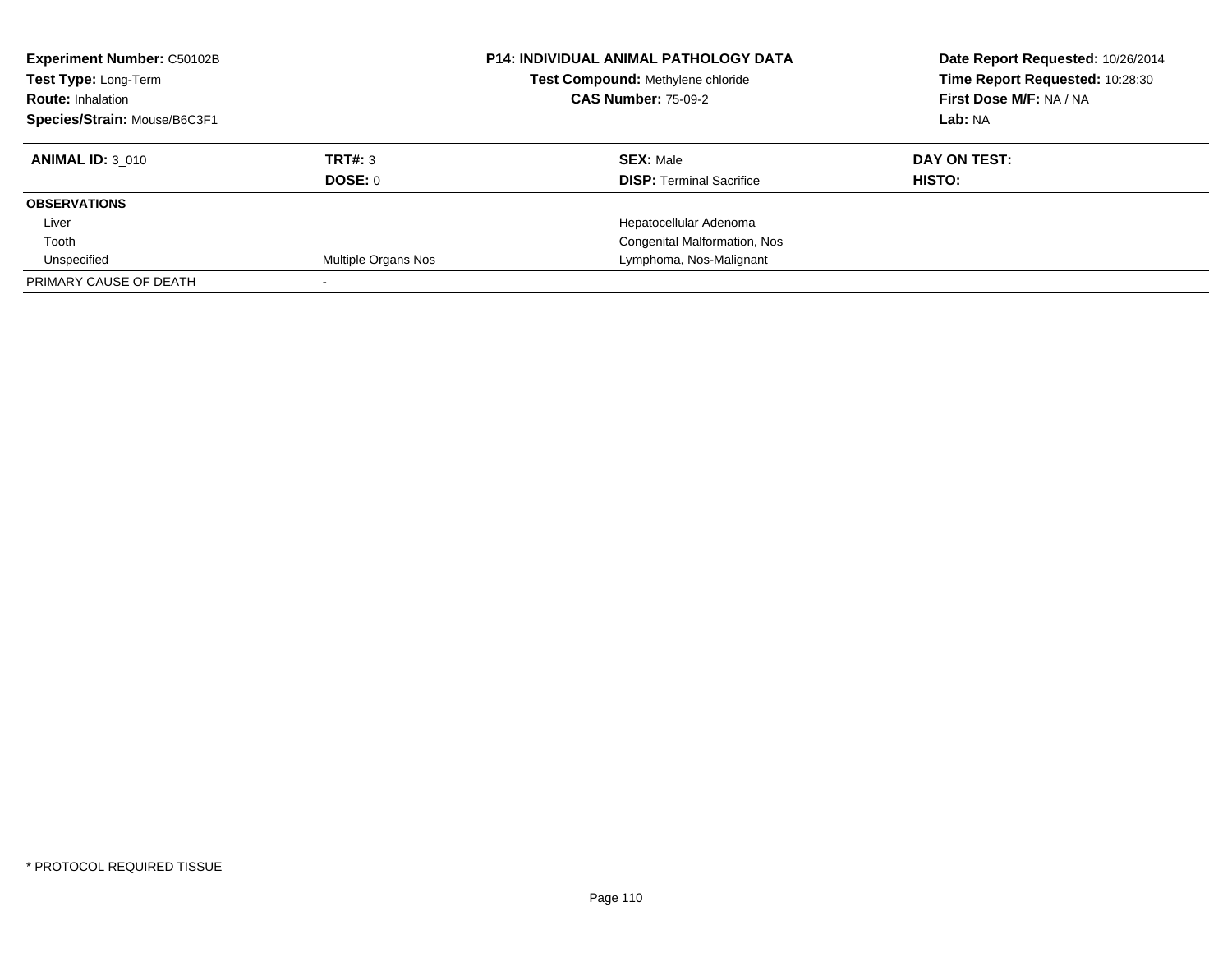| <b>Experiment Number: C50102B</b> | <b>P14: INDIVIDUAL ANIMAL PATHOLOGY DATA</b> |                                   | Date Report Requested: 10/26/2014 |
|-----------------------------------|----------------------------------------------|-----------------------------------|-----------------------------------|
| Test Type: Long-Term              |                                              | Test Compound: Methylene chloride | Time Report Requested: 10:28:30   |
| <b>Route: Inhalation</b>          |                                              | <b>CAS Number: 75-09-2</b>        | First Dose M/F: NA / NA           |
| Species/Strain: Mouse/B6C3F1      |                                              |                                   | Lab: NA                           |
| <b>ANIMAL ID: 3 010</b>           | TRT#: 3                                      | <b>SEX: Male</b>                  | DAY ON TEST:                      |
|                                   | DOSE: 0                                      | <b>DISP:</b> Terminal Sacrifice   | HISTO:                            |
| <b>OBSERVATIONS</b>               |                                              |                                   |                                   |
| Liver                             |                                              | Hepatocellular Adenoma            |                                   |
| Tooth                             |                                              | Congenital Malformation, Nos      |                                   |
| Unspecified                       | Multiple Organs Nos                          | Lymphoma, Nos-Malignant           |                                   |
| PRIMARY CAUSE OF DEATH            |                                              |                                   |                                   |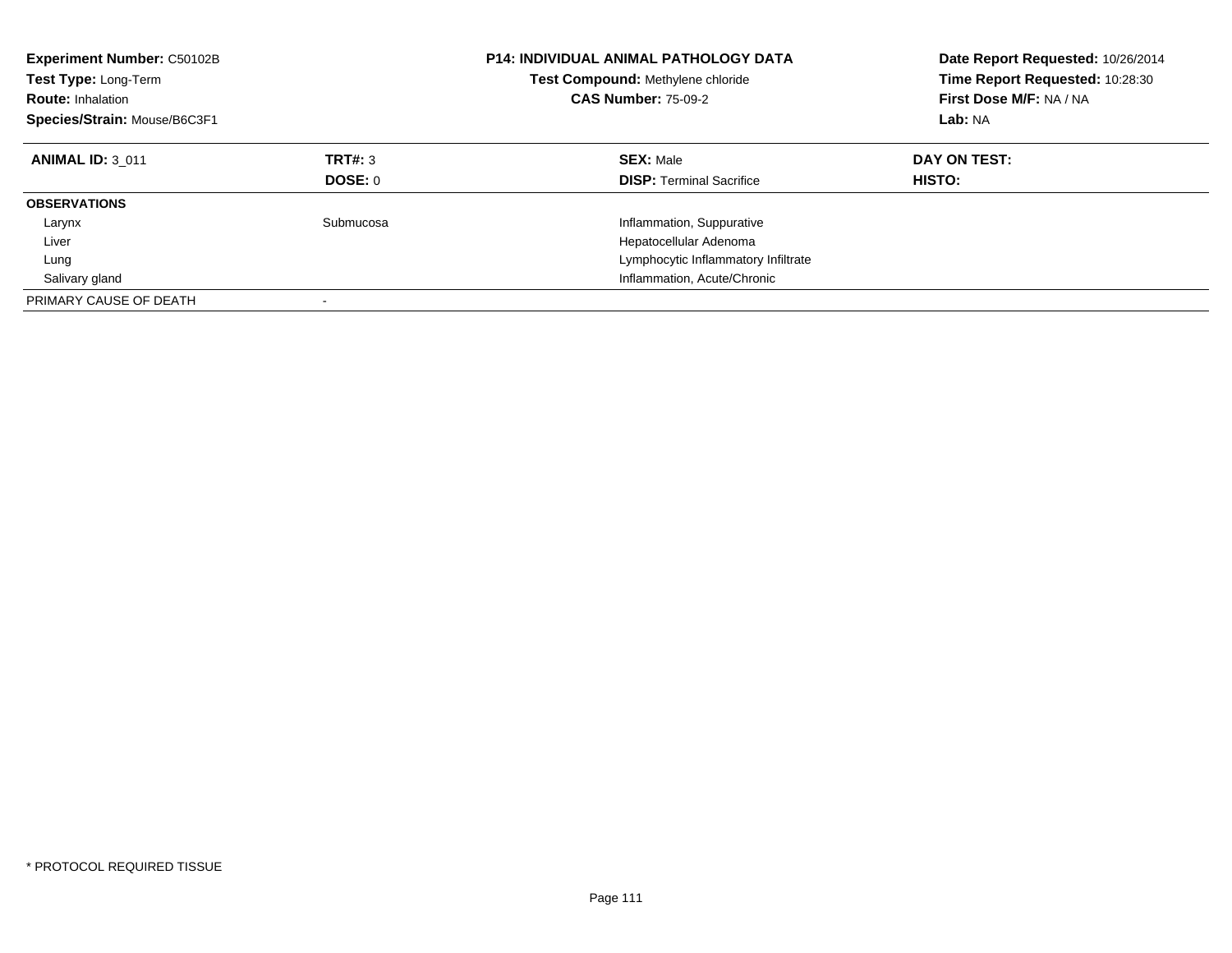| <b>Experiment Number: C50102B</b><br><b>Test Type: Long-Term</b><br><b>Route: Inhalation</b><br>Species/Strain: Mouse/B6C3F1 |                           | <b>P14: INDIVIDUAL ANIMAL PATHOLOGY DATA</b><br>Test Compound: Methylene chloride<br><b>CAS Number: 75-09-2</b> | Date Report Requested: 10/26/2014<br>Time Report Requested: 10:28:30<br>First Dose M/F: NA / NA<br>Lab: NA |
|------------------------------------------------------------------------------------------------------------------------------|---------------------------|-----------------------------------------------------------------------------------------------------------------|------------------------------------------------------------------------------------------------------------|
| <b>ANIMAL ID: 3 011</b>                                                                                                      | TRT#: 3<br><b>DOSE: 0</b> | <b>SEX: Male</b><br><b>DISP: Terminal Sacrifice</b>                                                             | DAY ON TEST:<br>HISTO:                                                                                     |
| <b>OBSERVATIONS</b>                                                                                                          |                           |                                                                                                                 |                                                                                                            |
| Larynx                                                                                                                       | Submucosa                 | Inflammation, Suppurative                                                                                       |                                                                                                            |
| Liver                                                                                                                        |                           | Hepatocellular Adenoma                                                                                          |                                                                                                            |
| Lung                                                                                                                         |                           | Lymphocytic Inflammatory Infiltrate                                                                             |                                                                                                            |
| Salivary gland                                                                                                               |                           | Inflammation, Acute/Chronic                                                                                     |                                                                                                            |
| PRIMARY CAUSE OF DEATH                                                                                                       |                           |                                                                                                                 |                                                                                                            |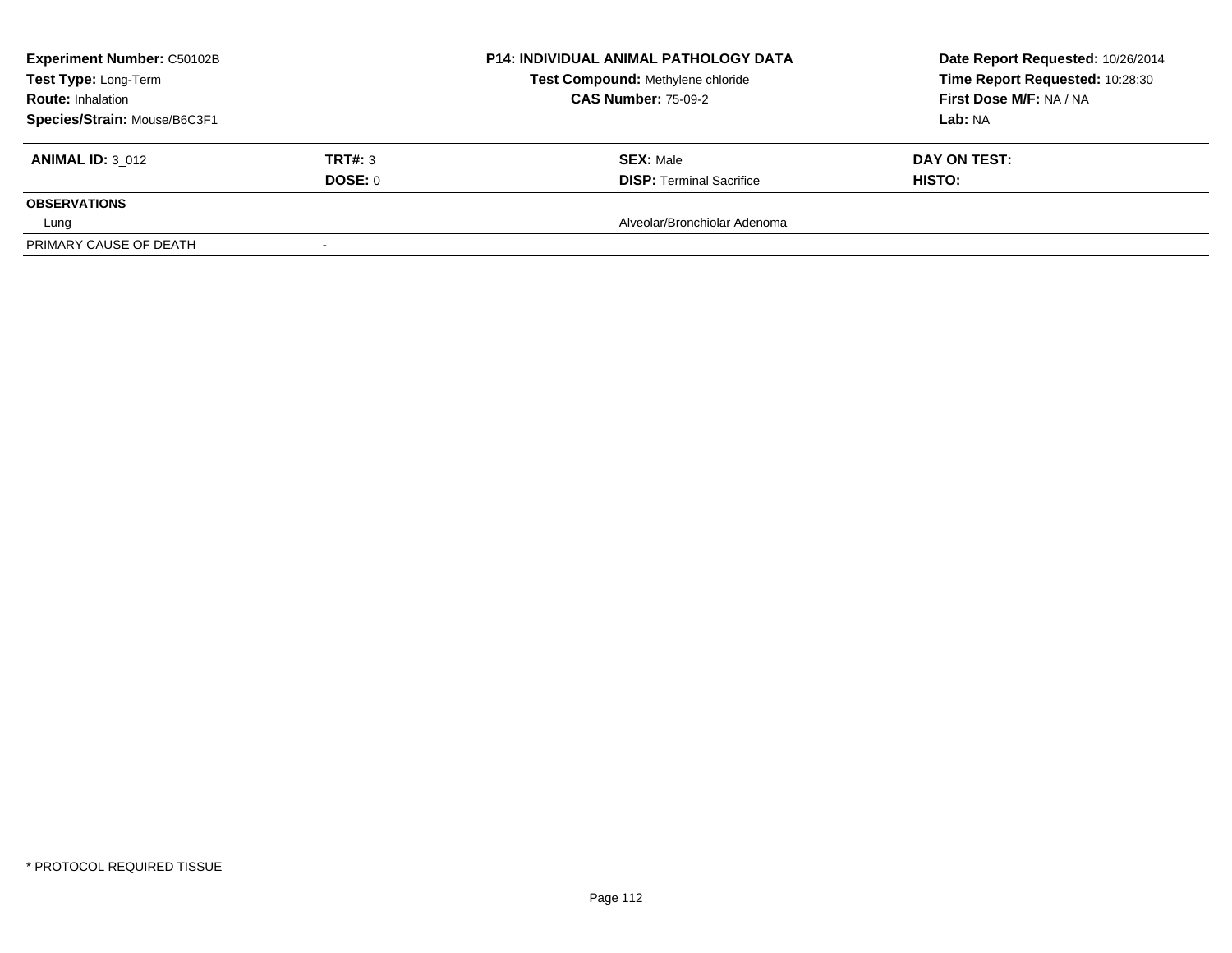| <b>Experiment Number: C50102B</b> | <b>P14: INDIVIDUAL ANIMAL PATHOLOGY DATA</b> | Date Report Requested: 10/26/2014 |                                 |
|-----------------------------------|----------------------------------------------|-----------------------------------|---------------------------------|
| Test Type: Long-Term              |                                              | Test Compound: Methylene chloride | Time Report Requested: 10:28:30 |
| <b>Route: Inhalation</b>          |                                              | <b>CAS Number: 75-09-2</b>        | First Dose M/F: NA / NA         |
| Species/Strain: Mouse/B6C3F1      |                                              |                                   | Lab: NA                         |
| <b>ANIMAL ID: 3 012</b>           | <b>TRT#: 3</b>                               | <b>SEX: Male</b>                  | DAY ON TEST:                    |
|                                   | DOSE: 0                                      | <b>DISP: Terminal Sacrifice</b>   | <b>HISTO:</b>                   |
| <b>OBSERVATIONS</b>               |                                              |                                   |                                 |
| Lung                              |                                              | Alveolar/Bronchiolar Adenoma      |                                 |
| PRIMARY CAUSE OF DEATH            |                                              |                                   |                                 |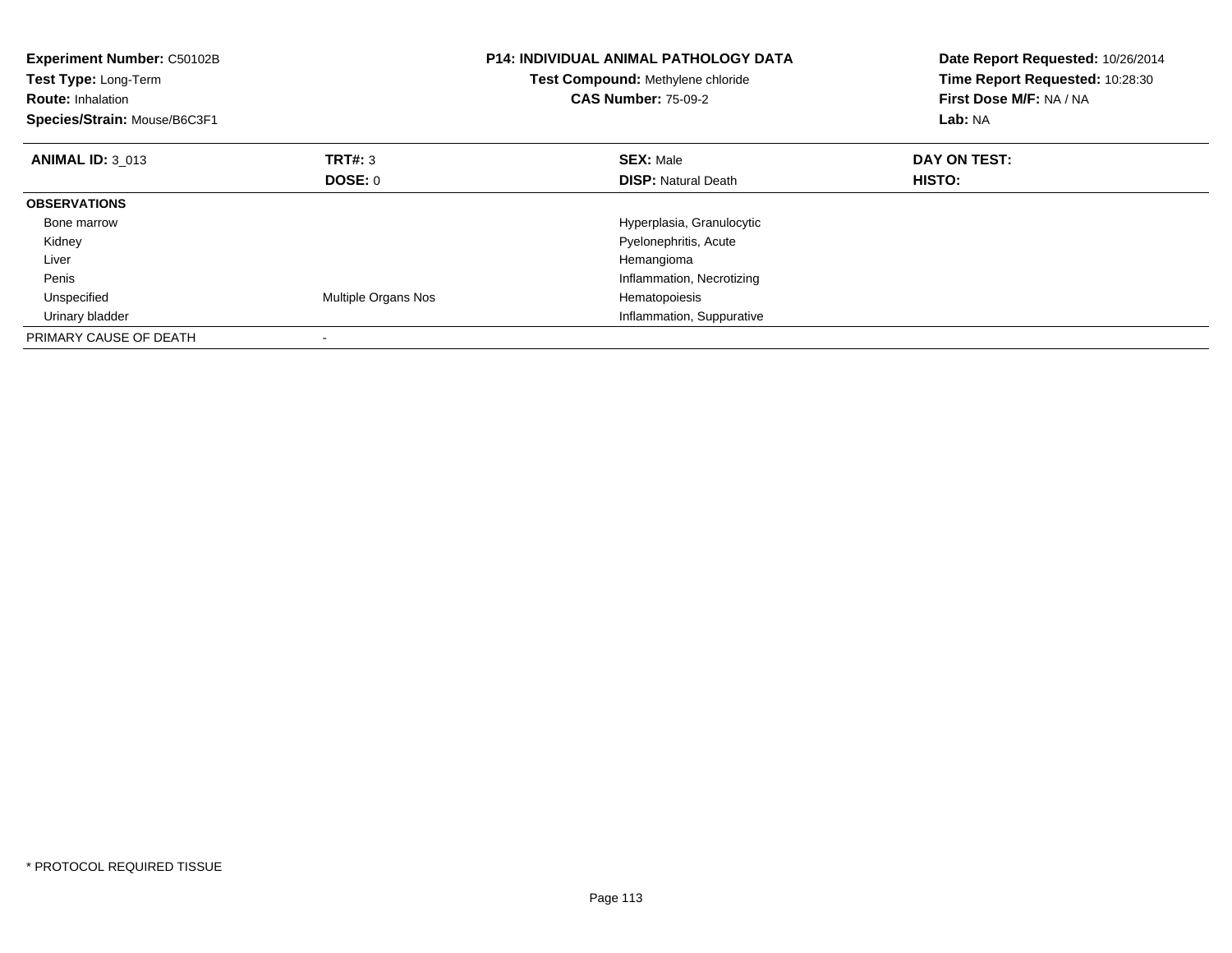| <b>Experiment Number: C50102B</b><br>Test Type: Long-Term<br><b>Route: Inhalation</b><br>Species/Strain: Mouse/B6C3F1 |                     | <b>P14: INDIVIDUAL ANIMAL PATHOLOGY DATA</b><br>Test Compound: Methylene chloride<br><b>CAS Number: 75-09-2</b> | Date Report Requested: 10/26/2014<br>Time Report Requested: 10:28:30<br>First Dose M/F: NA / NA<br>Lab: NA |
|-----------------------------------------------------------------------------------------------------------------------|---------------------|-----------------------------------------------------------------------------------------------------------------|------------------------------------------------------------------------------------------------------------|
| <b>ANIMAL ID: 3 013</b>                                                                                               | TRT#: 3             | <b>SEX: Male</b>                                                                                                | DAY ON TEST:                                                                                               |
|                                                                                                                       | <b>DOSE: 0</b>      | <b>DISP: Natural Death</b>                                                                                      | <b>HISTO:</b>                                                                                              |
| <b>OBSERVATIONS</b>                                                                                                   |                     |                                                                                                                 |                                                                                                            |
| Bone marrow                                                                                                           |                     | Hyperplasia, Granulocytic                                                                                       |                                                                                                            |
| Kidney                                                                                                                |                     | Pyelonephritis, Acute                                                                                           |                                                                                                            |
| Liver                                                                                                                 |                     | Hemangioma                                                                                                      |                                                                                                            |
| Penis                                                                                                                 |                     | Inflammation, Necrotizing                                                                                       |                                                                                                            |
| Unspecified                                                                                                           | Multiple Organs Nos | Hematopoiesis                                                                                                   |                                                                                                            |
| Urinary bladder                                                                                                       |                     | Inflammation, Suppurative                                                                                       |                                                                                                            |
| PRIMARY CAUSE OF DEATH                                                                                                |                     |                                                                                                                 |                                                                                                            |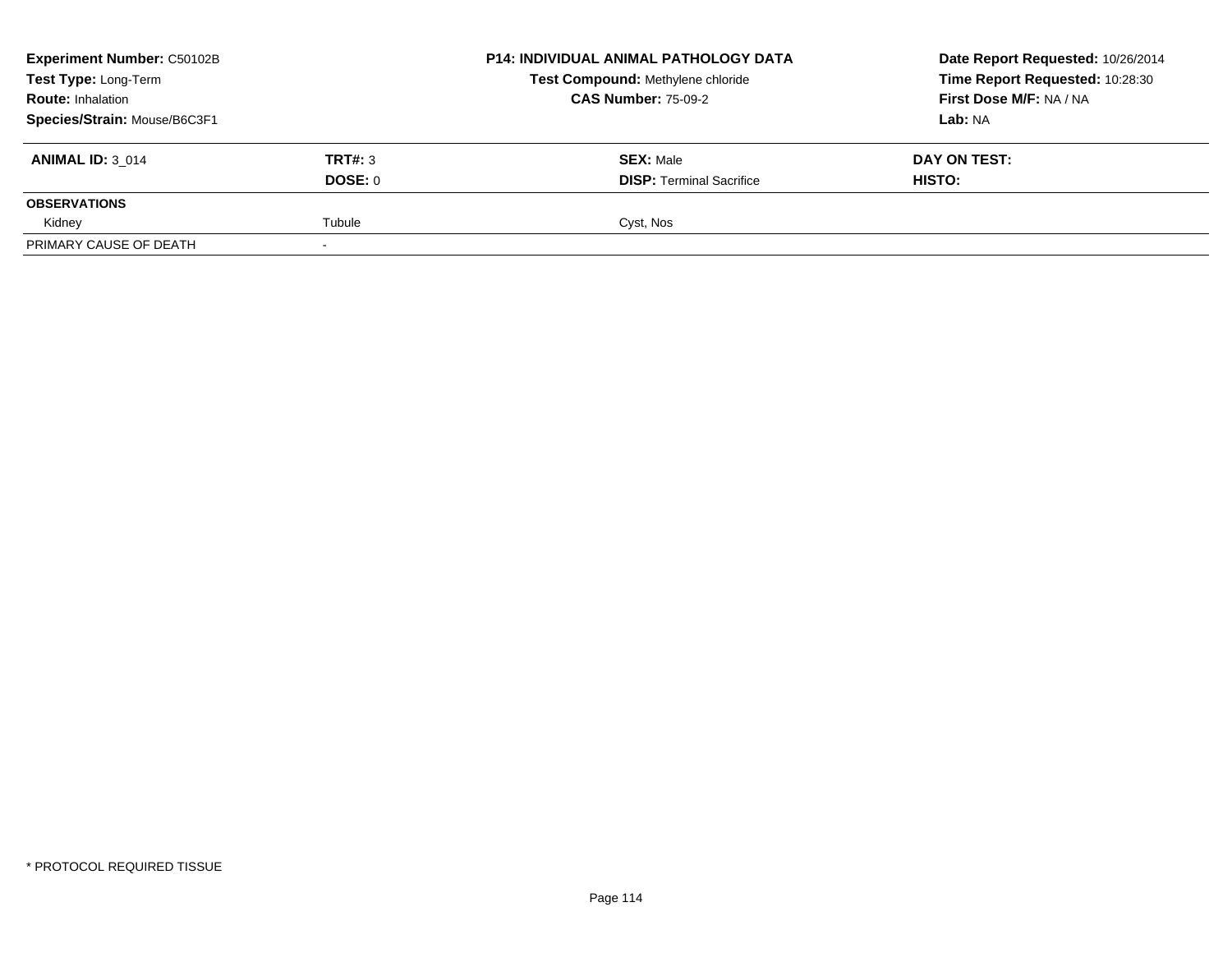| <b>Experiment Number: C50102B</b> |                | <b>P14: INDIVIDUAL ANIMAL PATHOLOGY DATA</b><br>Test Compound: Methylene chloride | Date Report Requested: 10/26/2014 |
|-----------------------------------|----------------|-----------------------------------------------------------------------------------|-----------------------------------|
| Test Type: Long-Term              |                |                                                                                   | Time Report Requested: 10:28:30   |
| <b>Route: Inhalation</b>          |                | <b>CAS Number: 75-09-2</b>                                                        | First Dose M/F: NA / NA           |
| Species/Strain: Mouse/B6C3F1      |                |                                                                                   | Lab: NA                           |
| <b>ANIMAL ID: 3 014</b>           | <b>TRT#: 3</b> | <b>SEX: Male</b>                                                                  | DAY ON TEST:                      |
|                                   | DOSE: 0        | <b>DISP: Terminal Sacrifice</b>                                                   | HISTO:                            |
| <b>OBSERVATIONS</b>               |                |                                                                                   |                                   |
| Kidney                            | Tubule         | Cyst, Nos                                                                         |                                   |
| PRIMARY CAUSE OF DEATH            |                |                                                                                   |                                   |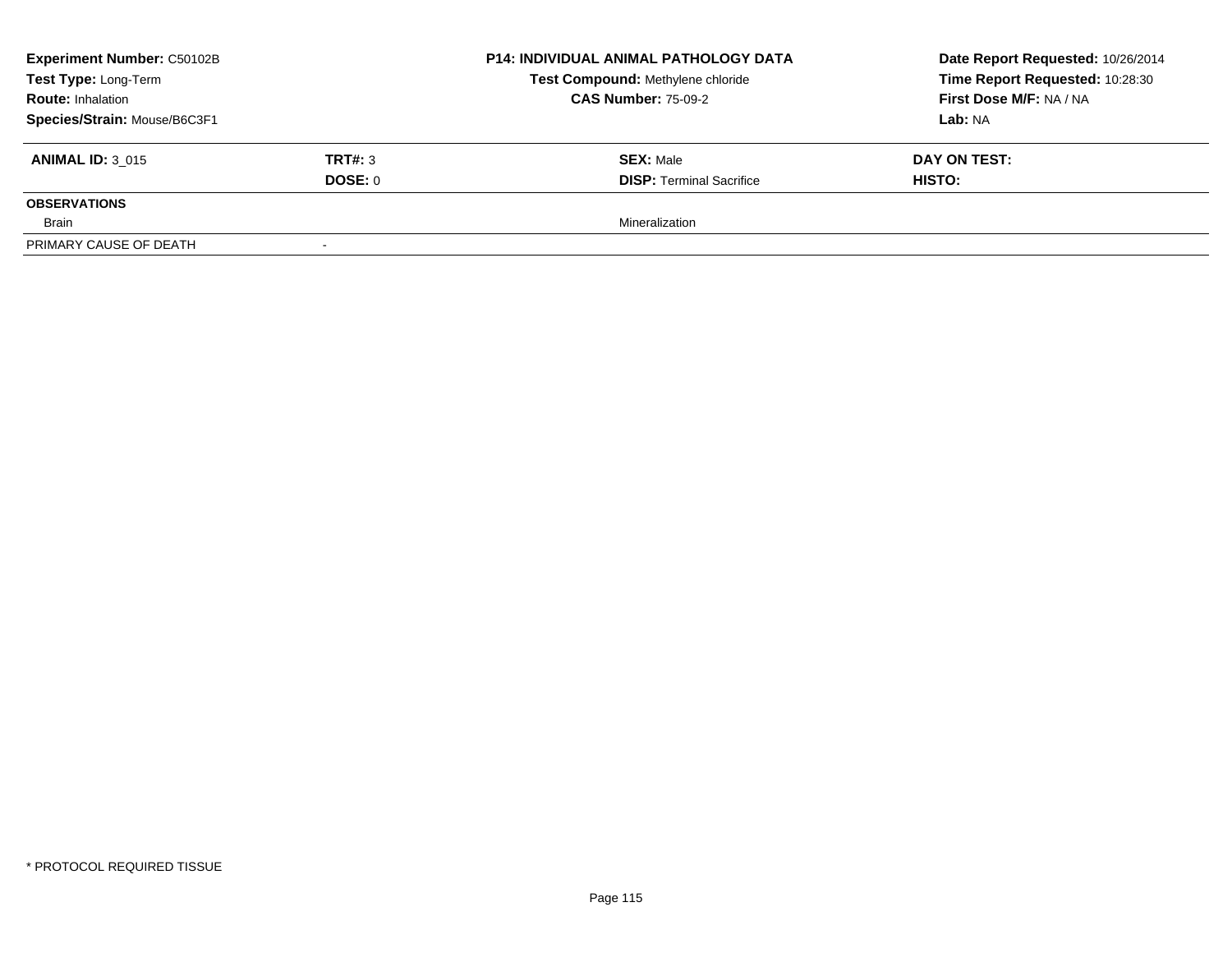| <b>Experiment Number: C50102B</b> |         | P14: INDIVIDUAL ANIMAL PATHOLOGY DATA<br>Test Compound: Methylene chloride | Date Report Requested: 10/26/2014 |
|-----------------------------------|---------|----------------------------------------------------------------------------|-----------------------------------|
| Test Type: Long-Term              |         |                                                                            | Time Report Requested: 10:28:30   |
| <b>Route: Inhalation</b>          |         | <b>CAS Number: 75-09-2</b>                                                 | First Dose M/F: NA / NA           |
| Species/Strain: Mouse/B6C3F1      |         |                                                                            | Lab: NA                           |
| <b>ANIMAL ID: 3 015</b>           | TRT#: 3 | <b>SEX: Male</b>                                                           | DAY ON TEST:                      |
|                                   | DOSE: 0 | <b>DISP: Terminal Sacrifice</b>                                            | <b>HISTO:</b>                     |
| <b>OBSERVATIONS</b>               |         |                                                                            |                                   |
| Brain                             |         | Mineralization                                                             |                                   |
| PRIMARY CAUSE OF DEATH            |         |                                                                            |                                   |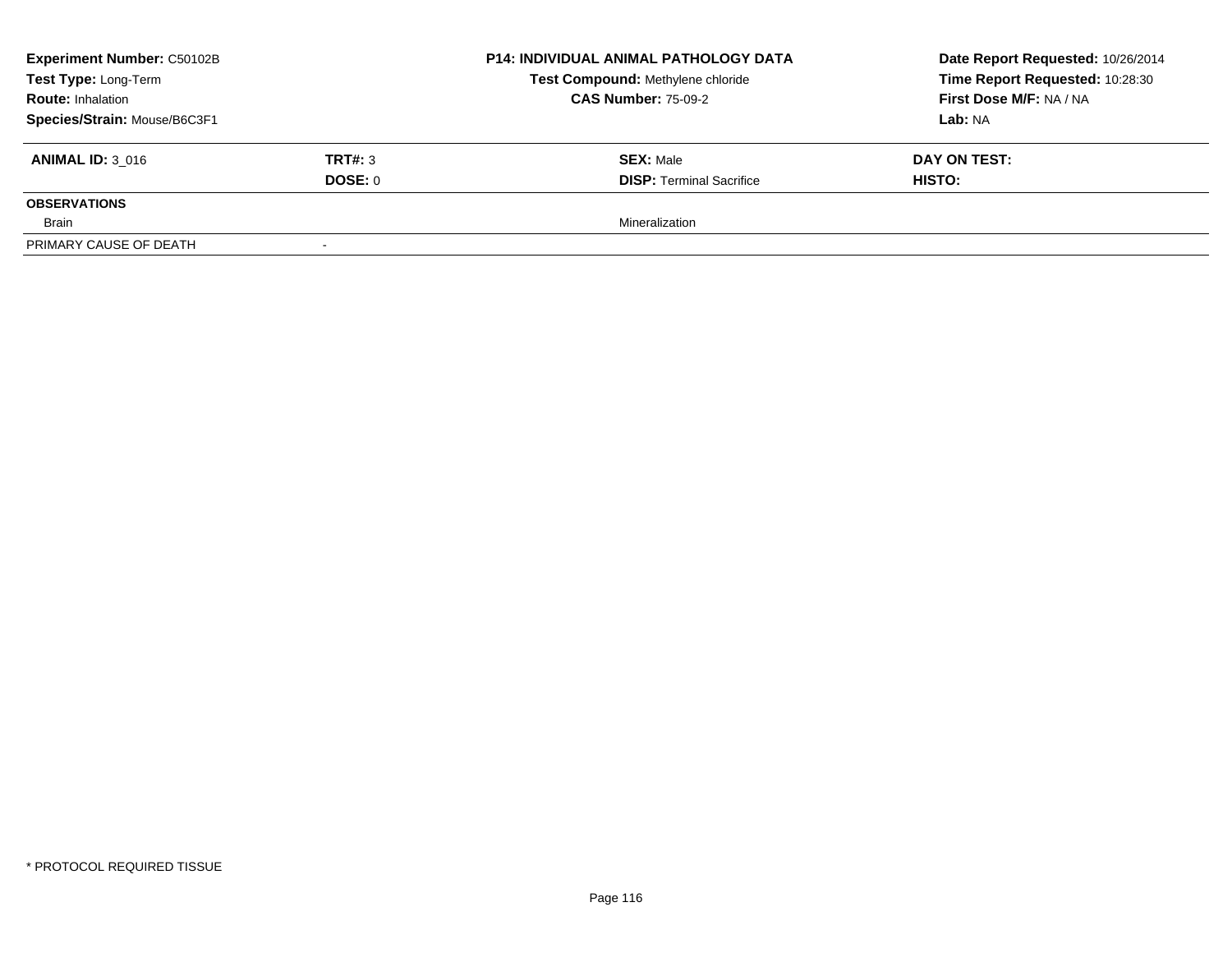| <b>Experiment Number: C50102B</b> | P14: INDIVIDUAL ANIMAL PATHOLOGY DATA | Date Report Requested: 10/26/2014 |                                 |
|-----------------------------------|---------------------------------------|-----------------------------------|---------------------------------|
| Test Type: Long-Term              |                                       | Test Compound: Methylene chloride | Time Report Requested: 10:28:30 |
| <b>Route: Inhalation</b>          |                                       | <b>CAS Number: 75-09-2</b>        | First Dose M/F: NA / NA         |
| Species/Strain: Mouse/B6C3F1      |                                       |                                   | Lab: NA                         |
| <b>ANIMAL ID: 3 016</b>           | TRT#: 3                               | <b>SEX: Male</b>                  | DAY ON TEST:                    |
|                                   | DOSE: 0                               | <b>DISP: Terminal Sacrifice</b>   | <b>HISTO:</b>                   |
| <b>OBSERVATIONS</b>               |                                       |                                   |                                 |
| Brain                             |                                       | Mineralization                    |                                 |
| PRIMARY CAUSE OF DEATH            |                                       |                                   |                                 |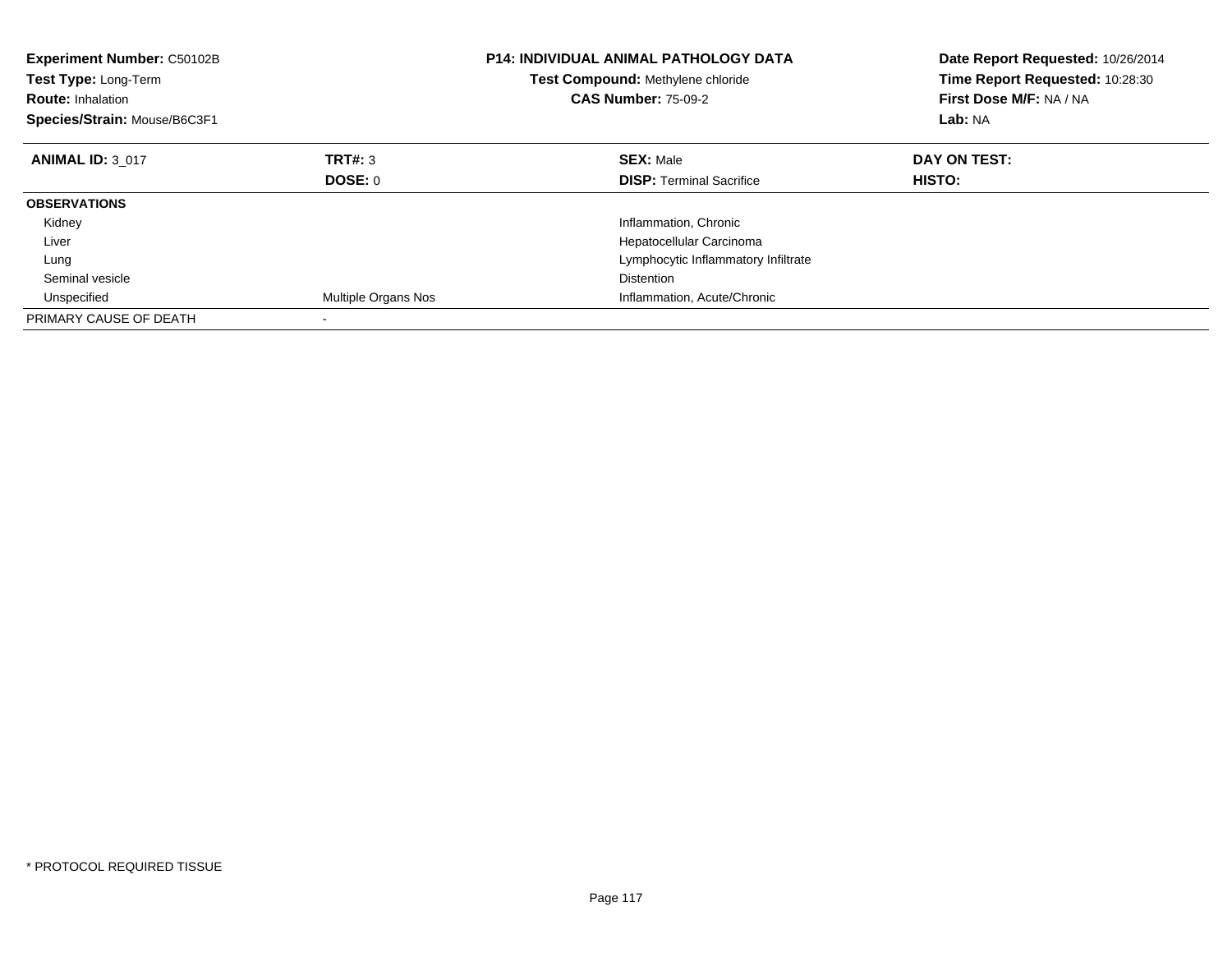| <b>Experiment Number: C50102B</b><br>Test Type: Long-Term<br><b>Route: Inhalation</b><br>Species/Strain: Mouse/B6C3F1 |                     | <b>P14: INDIVIDUAL ANIMAL PATHOLOGY DATA</b><br>Test Compound: Methylene chloride<br><b>CAS Number: 75-09-2</b> | Date Report Requested: 10/26/2014<br>Time Report Requested: 10:28:30<br>First Dose M/F: NA / NA<br>Lab: NA |
|-----------------------------------------------------------------------------------------------------------------------|---------------------|-----------------------------------------------------------------------------------------------------------------|------------------------------------------------------------------------------------------------------------|
| <b>ANIMAL ID: 3 017</b>                                                                                               | <b>TRT#: 3</b>      | <b>SEX: Male</b>                                                                                                | DAY ON TEST:                                                                                               |
|                                                                                                                       | DOSE: 0             | <b>DISP:</b> Terminal Sacrifice                                                                                 | <b>HISTO:</b>                                                                                              |
| <b>OBSERVATIONS</b>                                                                                                   |                     |                                                                                                                 |                                                                                                            |
| Kidney                                                                                                                |                     | Inflammation, Chronic                                                                                           |                                                                                                            |
| Liver                                                                                                                 |                     | Hepatocellular Carcinoma                                                                                        |                                                                                                            |
| Lung                                                                                                                  |                     | Lymphocytic Inflammatory Infiltrate                                                                             |                                                                                                            |
| Seminal vesicle                                                                                                       |                     | <b>Distention</b>                                                                                               |                                                                                                            |
| Unspecified                                                                                                           | Multiple Organs Nos | Inflammation, Acute/Chronic                                                                                     |                                                                                                            |
| PRIMARY CAUSE OF DEATH                                                                                                |                     |                                                                                                                 |                                                                                                            |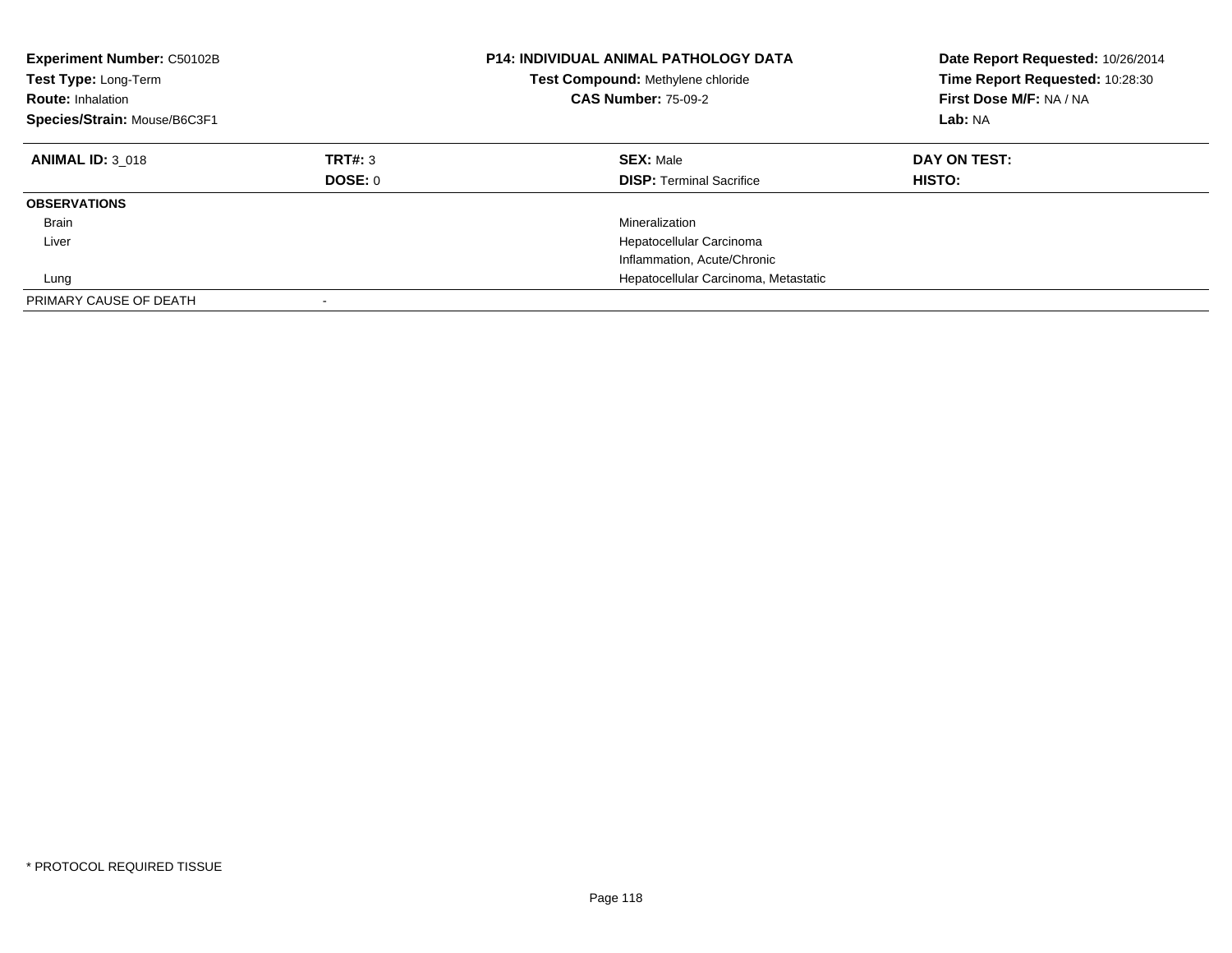| <b>Experiment Number: C50102B</b><br>Test Type: Long-Term<br><b>Route: Inhalation</b><br>Species/Strain: Mouse/B6C3F1 |                    | <b>P14: INDIVIDUAL ANIMAL PATHOLOGY DATA</b><br>Test Compound: Methylene chloride<br><b>CAS Number: 75-09-2</b> | Date Report Requested: 10/26/2014<br>Time Report Requested: 10:28:30<br>First Dose M/F: NA / NA<br>Lab: NA |
|-----------------------------------------------------------------------------------------------------------------------|--------------------|-----------------------------------------------------------------------------------------------------------------|------------------------------------------------------------------------------------------------------------|
| <b>ANIMAL ID: 3 018</b>                                                                                               | TRT#: 3<br>DOSE: 0 | <b>SEX: Male</b><br><b>DISP:</b> Terminal Sacrifice                                                             | DAY ON TEST:<br>HISTO:                                                                                     |
| <b>OBSERVATIONS</b>                                                                                                   |                    |                                                                                                                 |                                                                                                            |
| Brain                                                                                                                 |                    | Mineralization                                                                                                  |                                                                                                            |
| Liver                                                                                                                 |                    | Hepatocellular Carcinoma                                                                                        |                                                                                                            |
|                                                                                                                       |                    | Inflammation, Acute/Chronic                                                                                     |                                                                                                            |
| Lung                                                                                                                  |                    | Hepatocellular Carcinoma, Metastatic                                                                            |                                                                                                            |
| PRIMARY CAUSE OF DEATH                                                                                                |                    |                                                                                                                 |                                                                                                            |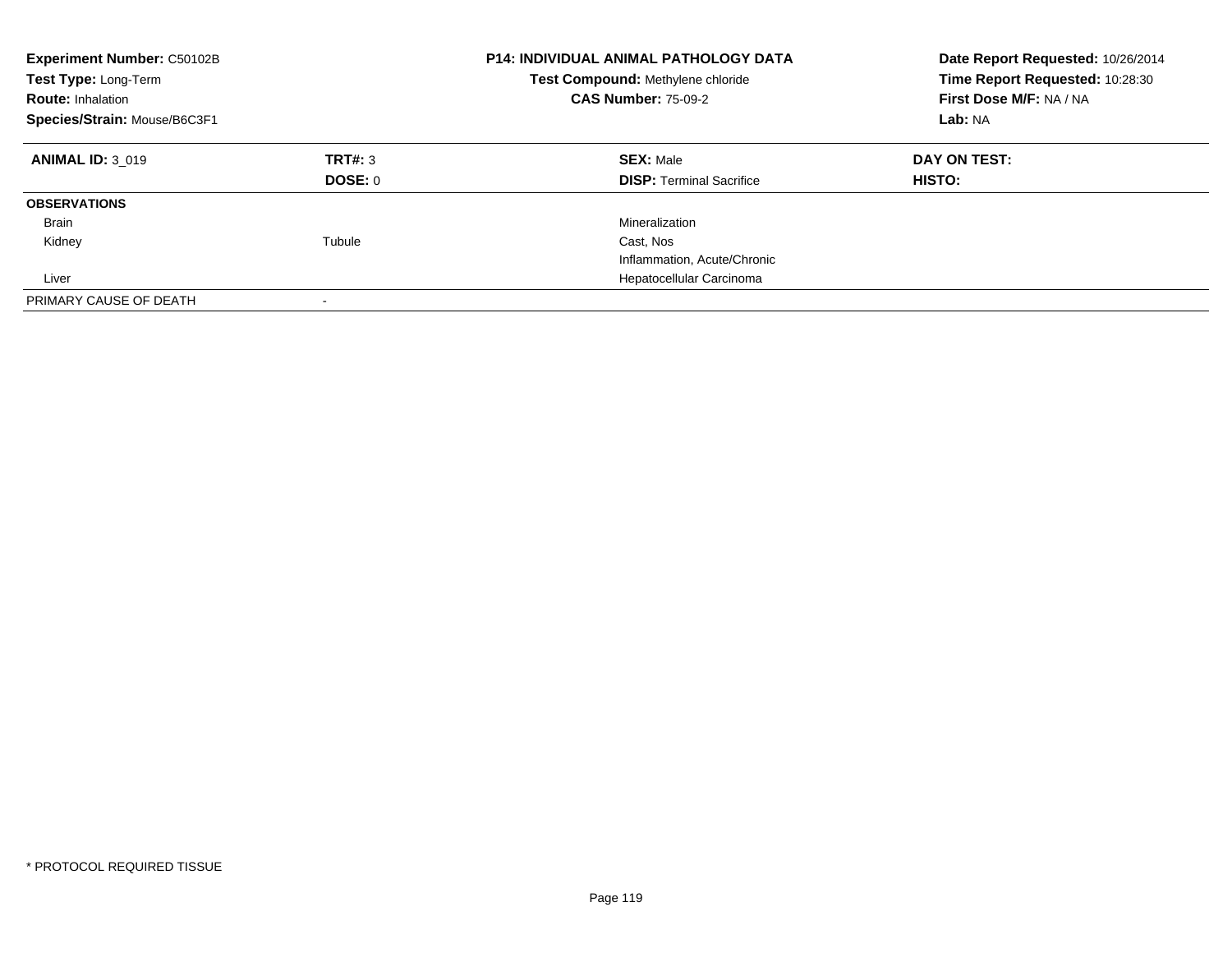| <b>Experiment Number: C50102B</b><br>Test Type: Long-Term<br><b>Route: Inhalation</b><br>Species/Strain: Mouse/B6C3F1 |                           | <b>P14: INDIVIDUAL ANIMAL PATHOLOGY DATA</b><br>Test Compound: Methylene chloride<br><b>CAS Number: 75-09-2</b> | Date Report Requested: 10/26/2014<br>Time Report Requested: 10:28:30<br>First Dose M/F: NA / NA<br>Lab: NA |
|-----------------------------------------------------------------------------------------------------------------------|---------------------------|-----------------------------------------------------------------------------------------------------------------|------------------------------------------------------------------------------------------------------------|
| <b>ANIMAL ID: 3 019</b>                                                                                               | TRT#: 3<br><b>DOSE: 0</b> | <b>SEX: Male</b><br><b>DISP: Terminal Sacrifice</b>                                                             | DAY ON TEST:<br>HISTO:                                                                                     |
| <b>OBSERVATIONS</b>                                                                                                   |                           |                                                                                                                 |                                                                                                            |
| Brain                                                                                                                 |                           | Mineralization                                                                                                  |                                                                                                            |
| Kidney                                                                                                                | Tubule                    | Cast, Nos                                                                                                       |                                                                                                            |
|                                                                                                                       |                           | Inflammation, Acute/Chronic                                                                                     |                                                                                                            |
| Liver                                                                                                                 |                           | Hepatocellular Carcinoma                                                                                        |                                                                                                            |
| PRIMARY CAUSE OF DEATH                                                                                                |                           |                                                                                                                 |                                                                                                            |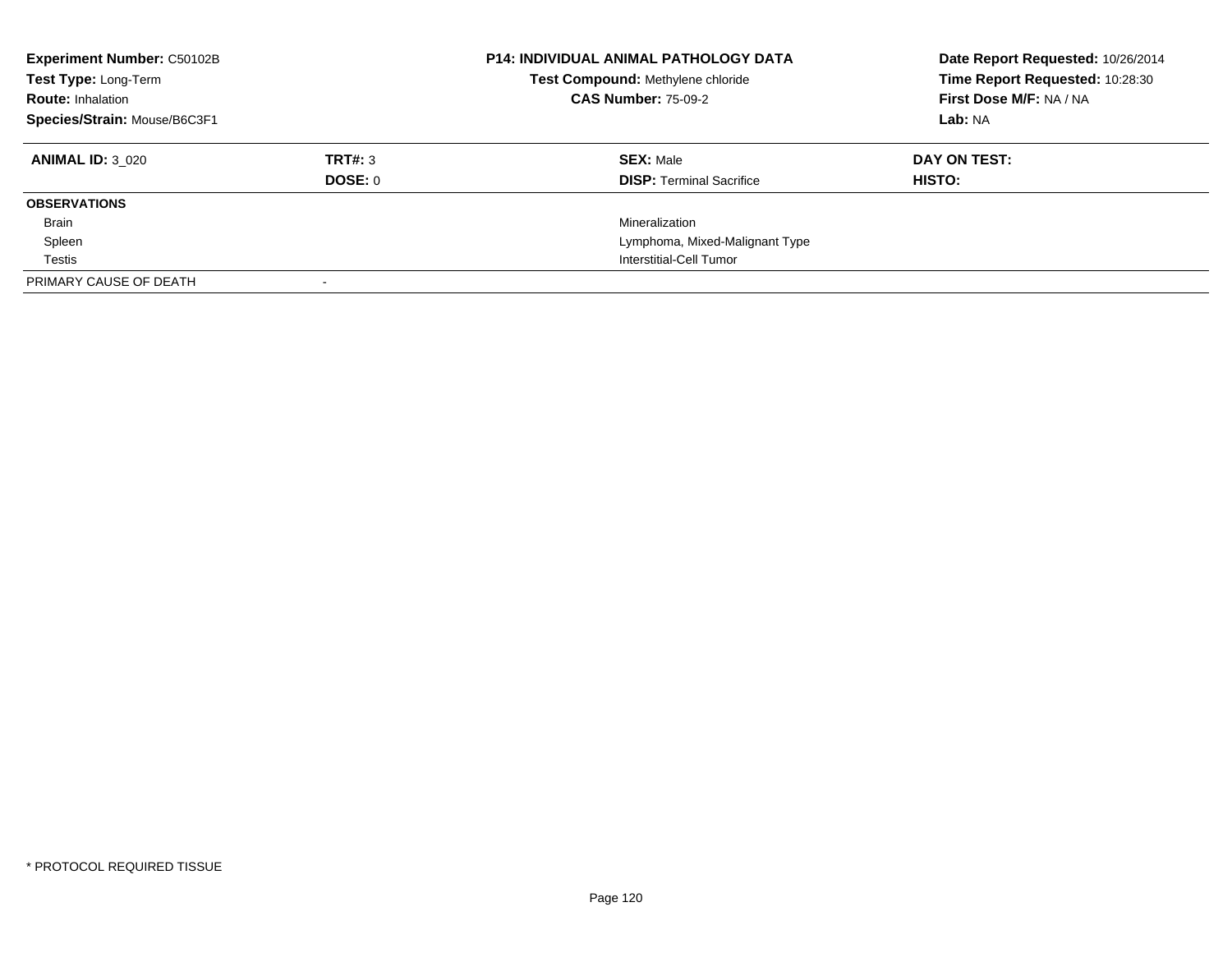| <b>Experiment Number: C50102B</b><br>Test Type: Long-Term<br><b>Route: Inhalation</b><br>Species/Strain: Mouse/B6C3F1 |         | <b>P14: INDIVIDUAL ANIMAL PATHOLOGY DATA</b><br>Test Compound: Methylene chloride<br><b>CAS Number: 75-09-2</b> | Date Report Requested: 10/26/2014<br>Time Report Requested: 10:28:30<br>First Dose M/F: NA / NA<br>Lab: NA |
|-----------------------------------------------------------------------------------------------------------------------|---------|-----------------------------------------------------------------------------------------------------------------|------------------------------------------------------------------------------------------------------------|
| <b>ANIMAL ID: 3 020</b>                                                                                               | TRT#: 3 | <b>SEX: Male</b>                                                                                                | DAY ON TEST:                                                                                               |
|                                                                                                                       | DOSE: 0 | <b>DISP:</b> Terminal Sacrifice                                                                                 | HISTO:                                                                                                     |
| <b>OBSERVATIONS</b>                                                                                                   |         |                                                                                                                 |                                                                                                            |
| Brain                                                                                                                 |         | Mineralization                                                                                                  |                                                                                                            |
| Spleen                                                                                                                |         | Lymphoma, Mixed-Malignant Type                                                                                  |                                                                                                            |
| Testis                                                                                                                |         | Interstitial-Cell Tumor                                                                                         |                                                                                                            |
| PRIMARY CAUSE OF DEATH                                                                                                |         |                                                                                                                 |                                                                                                            |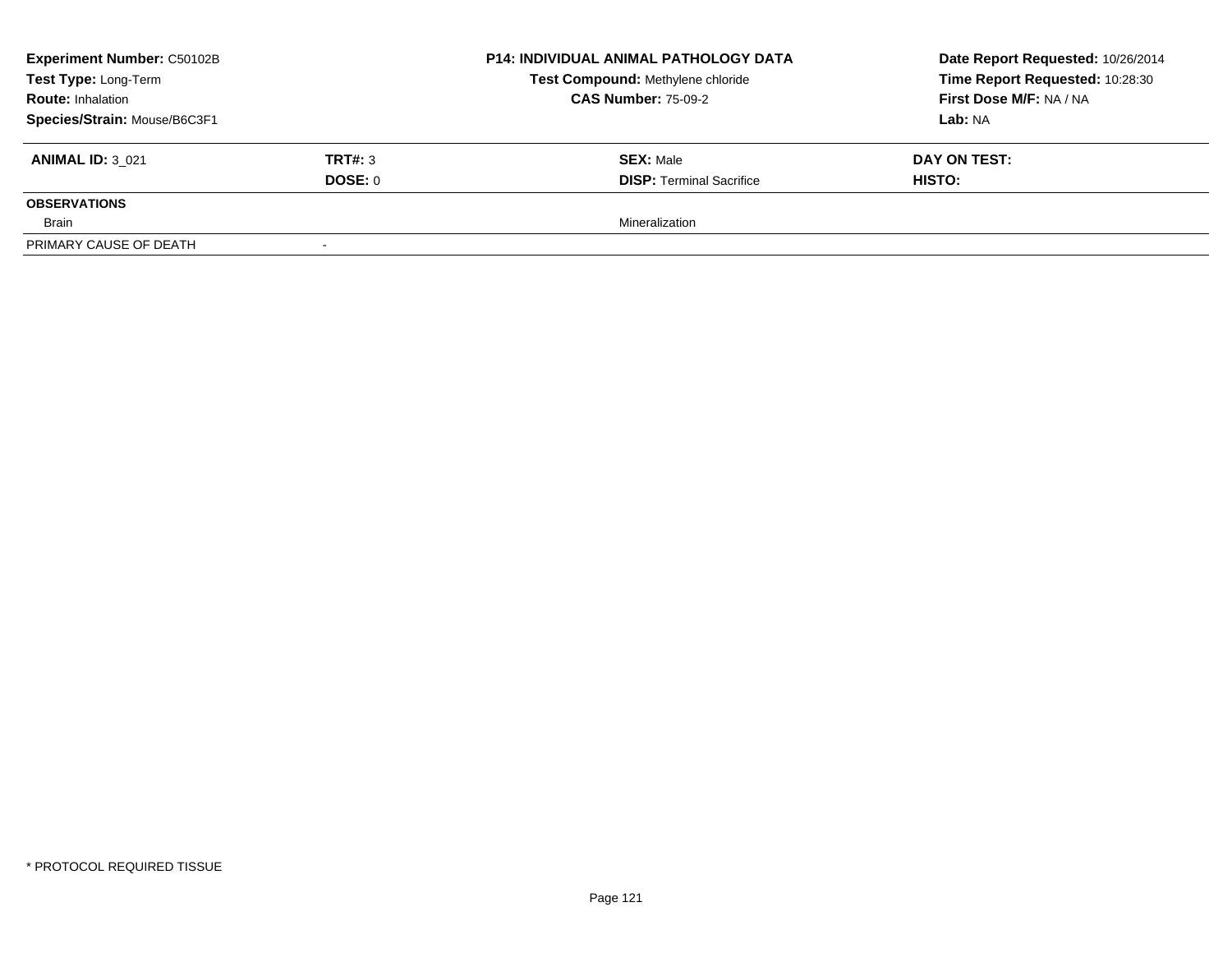| <b>Experiment Number: C50102B</b><br>Test Type: Long-Term<br><b>Route: Inhalation</b> |         | P14: INDIVIDUAL ANIMAL PATHOLOGY DATA | Date Report Requested: 10/26/2014<br>Time Report Requested: 10:28:30 |
|---------------------------------------------------------------------------------------|---------|---------------------------------------|----------------------------------------------------------------------|
|                                                                                       |         | Test Compound: Methylene chloride     |                                                                      |
|                                                                                       |         | <b>CAS Number: 75-09-2</b>            | First Dose M/F: NA / NA                                              |
| Species/Strain: Mouse/B6C3F1                                                          |         |                                       | Lab: NA                                                              |
| <b>ANIMAL ID: 3 021</b>                                                               | TRT#: 3 | <b>SEX: Male</b>                      | DAY ON TEST:                                                         |
|                                                                                       | DOSE: 0 | <b>DISP: Terminal Sacrifice</b>       | <b>HISTO:</b>                                                        |
| <b>OBSERVATIONS</b>                                                                   |         |                                       |                                                                      |
| Brain                                                                                 |         | Mineralization                        |                                                                      |
| PRIMARY CAUSE OF DEATH                                                                |         |                                       |                                                                      |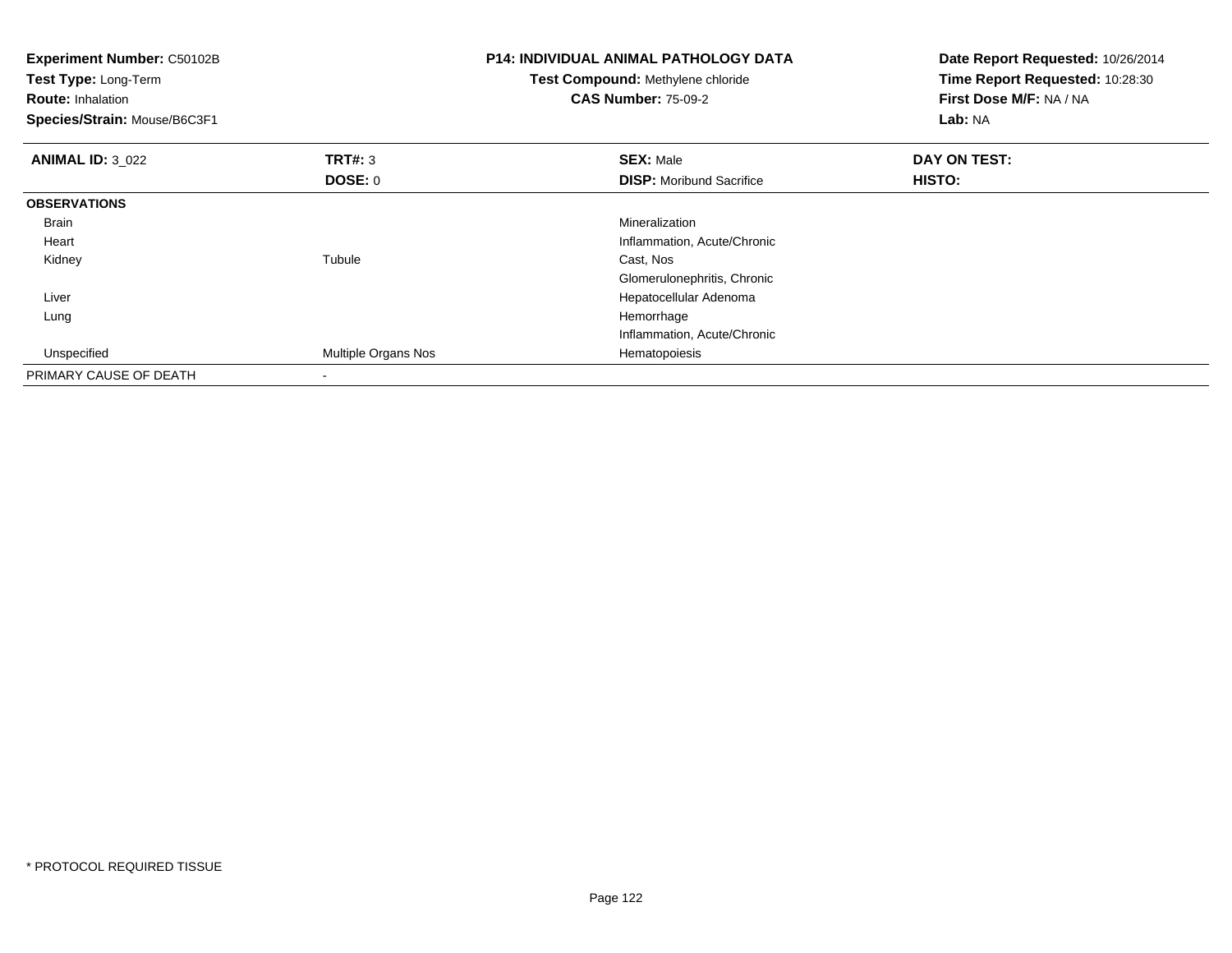| <b>Experiment Number: C50102B</b><br>Test Type: Long-Term<br><b>Route: Inhalation</b><br>Species/Strain: Mouse/B6C3F1 |                     | <b>P14: INDIVIDUAL ANIMAL PATHOLOGY DATA</b><br>Test Compound: Methylene chloride<br><b>CAS Number: 75-09-2</b> | Date Report Requested: 10/26/2014<br>Time Report Requested: 10:28:30<br>First Dose M/F: NA / NA<br>Lab: NA |
|-----------------------------------------------------------------------------------------------------------------------|---------------------|-----------------------------------------------------------------------------------------------------------------|------------------------------------------------------------------------------------------------------------|
| <b>ANIMAL ID: 3 022</b>                                                                                               | TRT#: 3             | <b>SEX: Male</b>                                                                                                | DAY ON TEST:                                                                                               |
|                                                                                                                       | DOSE: 0             | <b>DISP:</b> Moribund Sacrifice                                                                                 | HISTO:                                                                                                     |
| <b>OBSERVATIONS</b>                                                                                                   |                     |                                                                                                                 |                                                                                                            |
| Brain                                                                                                                 |                     | Mineralization                                                                                                  |                                                                                                            |
| Heart                                                                                                                 |                     | Inflammation, Acute/Chronic                                                                                     |                                                                                                            |
| Kidney                                                                                                                | Tubule              | Cast, Nos                                                                                                       |                                                                                                            |
|                                                                                                                       |                     | Glomerulonephritis, Chronic                                                                                     |                                                                                                            |
| Liver                                                                                                                 |                     | Hepatocellular Adenoma                                                                                          |                                                                                                            |
| Lung                                                                                                                  |                     | Hemorrhage                                                                                                      |                                                                                                            |
|                                                                                                                       |                     | Inflammation, Acute/Chronic                                                                                     |                                                                                                            |
| Unspecified                                                                                                           | Multiple Organs Nos | Hematopoiesis                                                                                                   |                                                                                                            |
| PRIMARY CAUSE OF DEATH                                                                                                |                     |                                                                                                                 |                                                                                                            |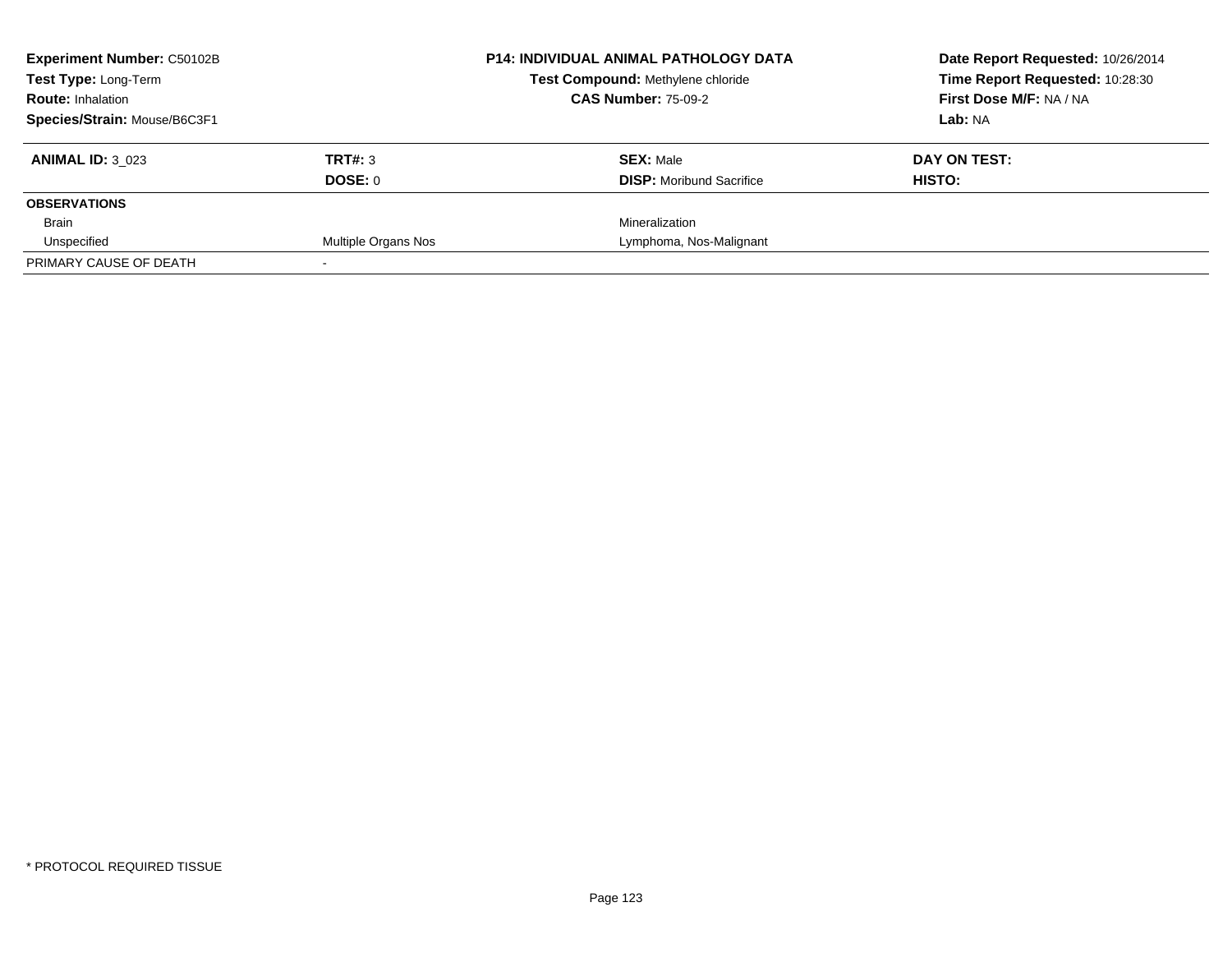| <b>Experiment Number: C50102B</b> | <b>P14: INDIVIDUAL ANIMAL PATHOLOGY DATA</b> |                                   | Date Report Requested: 10/26/2014 |
|-----------------------------------|----------------------------------------------|-----------------------------------|-----------------------------------|
| Test Type: Long-Term              |                                              | Test Compound: Methylene chloride | Time Report Requested: 10:28:30   |
| <b>Route: Inhalation</b>          |                                              | <b>CAS Number: 75-09-2</b>        | First Dose M/F: NA / NA           |
| Species/Strain: Mouse/B6C3F1      |                                              |                                   | Lab: NA                           |
| <b>ANIMAL ID: 3 023</b>           | TRT#: 3                                      | <b>SEX: Male</b>                  | DAY ON TEST:                      |
|                                   | DOSE: 0                                      | <b>DISP:</b> Moribund Sacrifice   | HISTO:                            |
| <b>OBSERVATIONS</b>               |                                              |                                   |                                   |
| Brain                             |                                              | Mineralization                    |                                   |
| Unspecified                       | Multiple Organs Nos                          | Lymphoma, Nos-Malignant           |                                   |
| PRIMARY CAUSE OF DEATH            |                                              |                                   |                                   |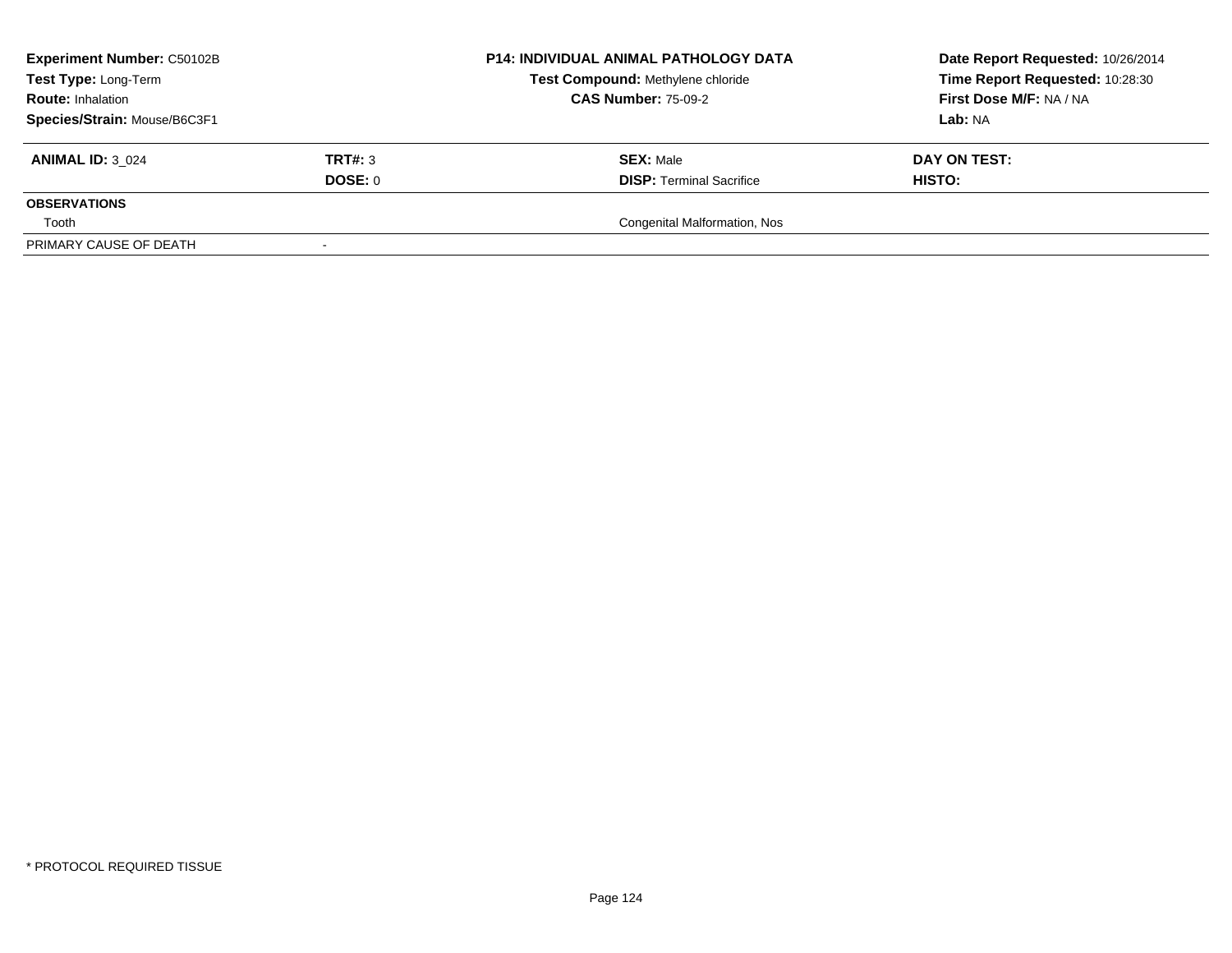| <b>Experiment Number: C50102B</b><br>Test Type: Long-Term<br><b>Route: Inhalation</b> |         | P14: INDIVIDUAL ANIMAL PATHOLOGY DATA | Date Report Requested: 10/26/2014<br>Time Report Requested: 10:28:30 |
|---------------------------------------------------------------------------------------|---------|---------------------------------------|----------------------------------------------------------------------|
|                                                                                       |         | Test Compound: Methylene chloride     |                                                                      |
|                                                                                       |         | <b>CAS Number: 75-09-2</b>            | First Dose M/F: NA / NA                                              |
| Species/Strain: Mouse/B6C3F1                                                          |         |                                       | Lab: NA                                                              |
| <b>ANIMAL ID: 3 024</b>                                                               | TRT#: 3 | <b>SEX: Male</b>                      | DAY ON TEST:                                                         |
|                                                                                       | DOSE: 0 | <b>DISP: Terminal Sacrifice</b>       | <b>HISTO:</b>                                                        |
| <b>OBSERVATIONS</b>                                                                   |         |                                       |                                                                      |
| Tooth                                                                                 |         | Congenital Malformation, Nos          |                                                                      |
| PRIMARY CAUSE OF DEATH                                                                |         |                                       |                                                                      |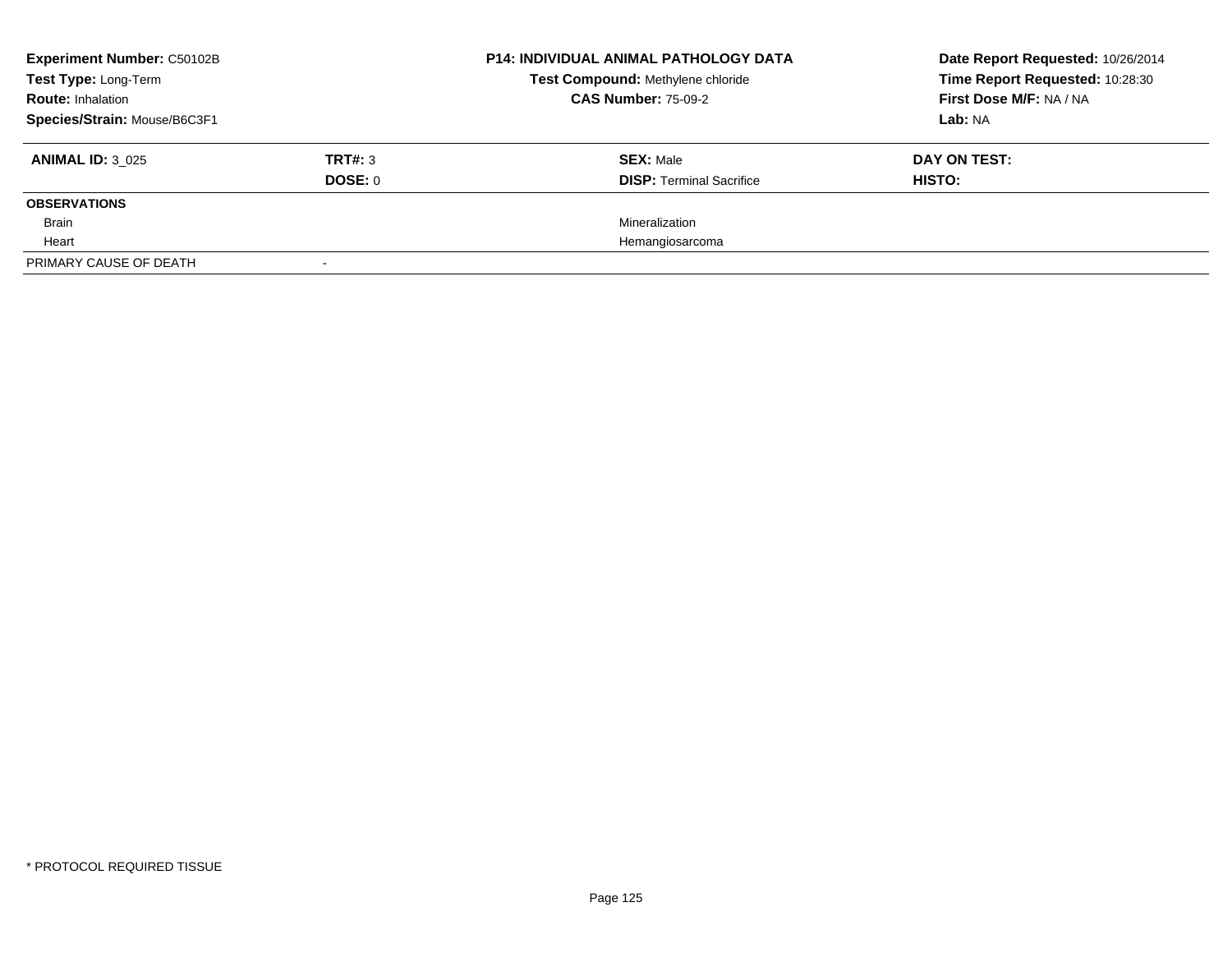| <b>Experiment Number: C50102B</b><br>Test Type: Long-Term |                | <b>P14: INDIVIDUAL ANIMAL PATHOLOGY DATA</b> | Date Report Requested: 10/26/2014 |
|-----------------------------------------------------------|----------------|----------------------------------------------|-----------------------------------|
|                                                           |                | Test Compound: Methylene chloride            | Time Report Requested: 10:28:30   |
| <b>Route: Inhalation</b>                                  |                | <b>CAS Number: 75-09-2</b>                   | First Dose M/F: NA / NA           |
| Species/Strain: Mouse/B6C3F1                              |                |                                              | Lab: NA                           |
| <b>ANIMAL ID: 3 025</b>                                   | <b>TRT#: 3</b> | <b>SEX: Male</b>                             | DAY ON TEST:                      |
|                                                           | DOSE: 0        | <b>DISP:</b> Terminal Sacrifice              | HISTO:                            |
| <b>OBSERVATIONS</b>                                       |                |                                              |                                   |
| Brain                                                     |                | Mineralization                               |                                   |
| Heart                                                     |                | Hemangiosarcoma                              |                                   |
| PRIMARY CAUSE OF DEATH                                    |                |                                              |                                   |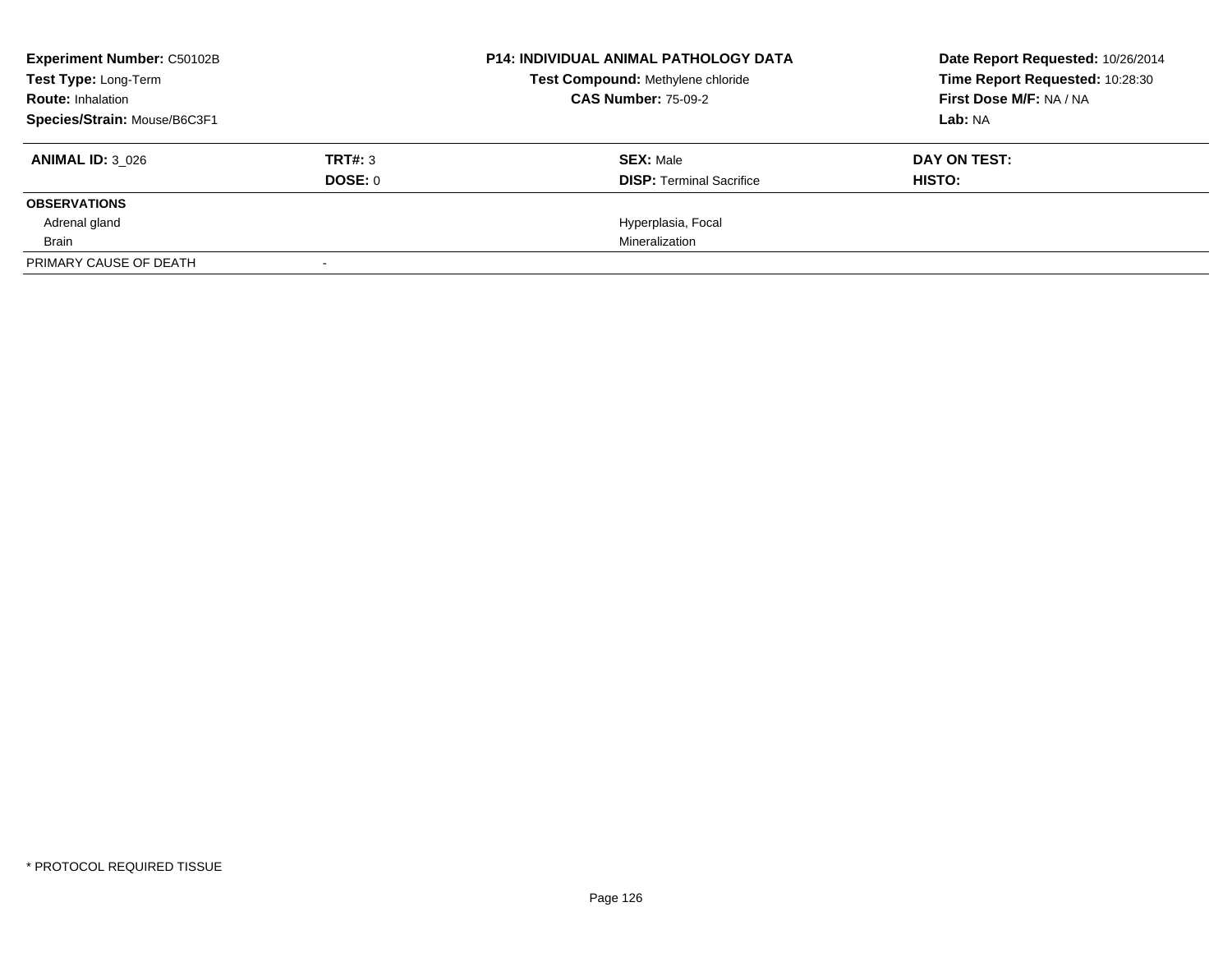| <b>Experiment Number: C50102B</b><br>Test Type: Long-Term |                | <b>P14: INDIVIDUAL ANIMAL PATHOLOGY DATA</b> | Date Report Requested: 10/26/2014<br>Time Report Requested: 10:28:30 |
|-----------------------------------------------------------|----------------|----------------------------------------------|----------------------------------------------------------------------|
|                                                           |                | Test Compound: Methylene chloride            |                                                                      |
| <b>Route: Inhalation</b>                                  |                | <b>CAS Number: 75-09-2</b>                   | First Dose M/F: NA / NA                                              |
| Species/Strain: Mouse/B6C3F1                              |                |                                              | Lab: NA                                                              |
| <b>ANIMAL ID: 3_026</b>                                   | <b>TRT#: 3</b> | <b>SEX: Male</b>                             | DAY ON TEST:                                                         |
|                                                           | DOSE: 0        | <b>DISP:</b> Terminal Sacrifice              | HISTO:                                                               |
| <b>OBSERVATIONS</b>                                       |                |                                              |                                                                      |
| Adrenal gland                                             |                | Hyperplasia, Focal                           |                                                                      |
| Brain                                                     |                | Mineralization                               |                                                                      |
| PRIMARY CAUSE OF DEATH                                    |                |                                              |                                                                      |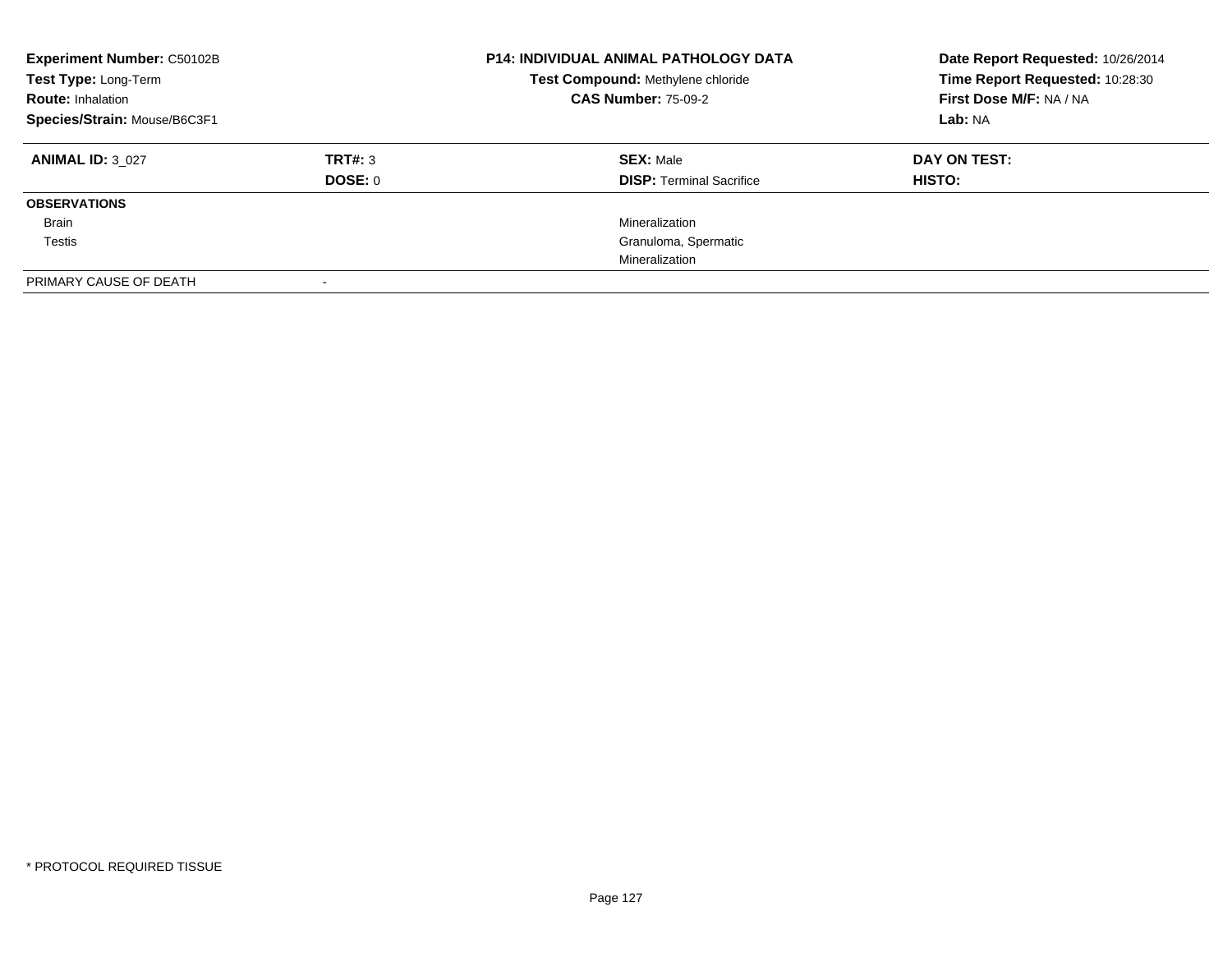| <b>Experiment Number: C50102B</b><br>Test Type: Long-Term<br><b>Route: Inhalation</b><br>Species/Strain: Mouse/B6C3F1 |                           | <b>P14: INDIVIDUAL ANIMAL PATHOLOGY DATA</b><br>Test Compound: Methylene chloride<br><b>CAS Number: 75-09-2</b> | Date Report Requested: 10/26/2014<br>Time Report Requested: 10:28:30<br>First Dose M/F: NA / NA<br>Lab: NA |
|-----------------------------------------------------------------------------------------------------------------------|---------------------------|-----------------------------------------------------------------------------------------------------------------|------------------------------------------------------------------------------------------------------------|
| <b>ANIMAL ID: 3 027</b>                                                                                               | TRT#: 3<br><b>DOSE: 0</b> | <b>SEX: Male</b><br><b>DISP:</b> Terminal Sacrifice                                                             | DAY ON TEST:<br>HISTO:                                                                                     |
| <b>OBSERVATIONS</b>                                                                                                   |                           |                                                                                                                 |                                                                                                            |
| Brain                                                                                                                 |                           | Mineralization                                                                                                  |                                                                                                            |
| Testis                                                                                                                |                           | Granuloma, Spermatic                                                                                            |                                                                                                            |
|                                                                                                                       |                           | Mineralization                                                                                                  |                                                                                                            |
| PRIMARY CAUSE OF DEATH                                                                                                |                           |                                                                                                                 |                                                                                                            |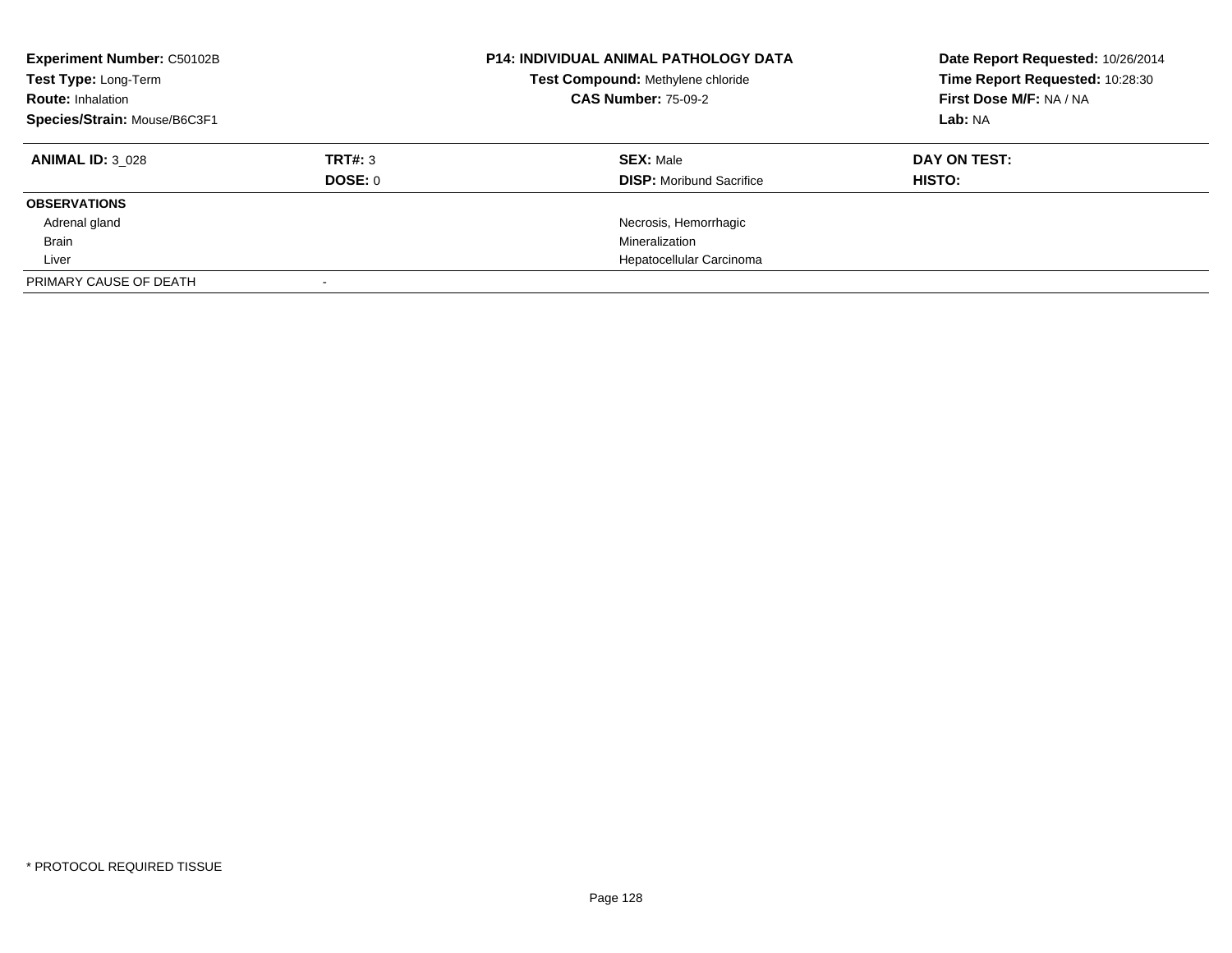| <b>Experiment Number: C50102B</b><br>Test Type: Long-Term<br><b>Route: Inhalation</b><br>Species/Strain: Mouse/B6C3F1 |         | <b>P14: INDIVIDUAL ANIMAL PATHOLOGY DATA</b><br>Test Compound: Methylene chloride<br><b>CAS Number: 75-09-2</b> | Date Report Requested: 10/26/2014<br>Time Report Requested: 10:28:30<br>First Dose M/F: NA / NA<br>Lab: NA |
|-----------------------------------------------------------------------------------------------------------------------|---------|-----------------------------------------------------------------------------------------------------------------|------------------------------------------------------------------------------------------------------------|
| <b>ANIMAL ID: 3 028</b>                                                                                               | TRT#: 3 | <b>SEX: Male</b>                                                                                                | DAY ON TEST:                                                                                               |
|                                                                                                                       | DOSE: 0 | <b>DISP:</b> Moribund Sacrifice                                                                                 | HISTO:                                                                                                     |
| <b>OBSERVATIONS</b>                                                                                                   |         |                                                                                                                 |                                                                                                            |
| Adrenal gland                                                                                                         |         | Necrosis, Hemorrhagic                                                                                           |                                                                                                            |
| Brain                                                                                                                 |         | Mineralization                                                                                                  |                                                                                                            |
| Liver                                                                                                                 |         | Hepatocellular Carcinoma                                                                                        |                                                                                                            |
| PRIMARY CAUSE OF DEATH                                                                                                |         |                                                                                                                 |                                                                                                            |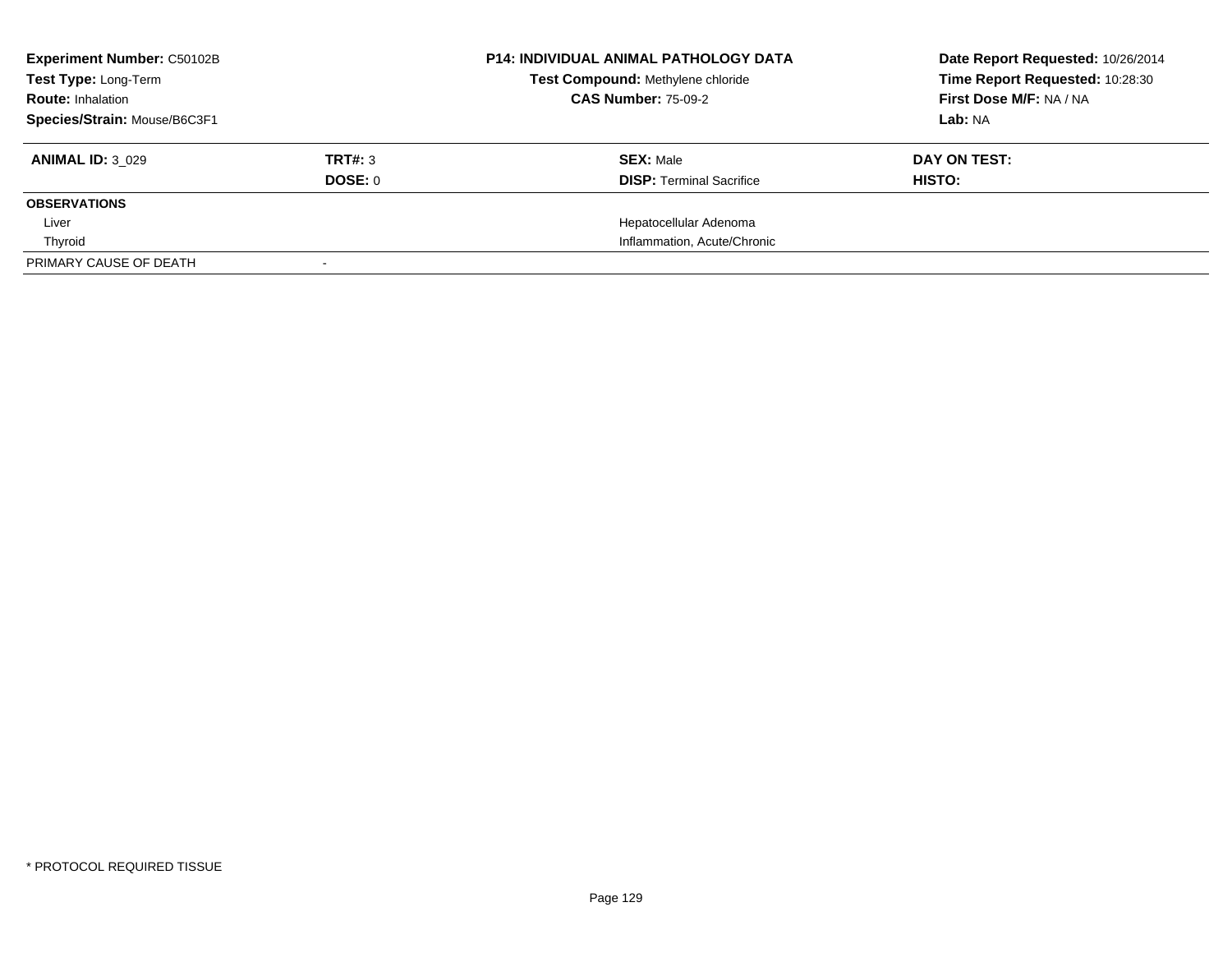| <b>Experiment Number: C50102B</b><br>Test Type: Long-Term |         | <b>P14: INDIVIDUAL ANIMAL PATHOLOGY DATA</b> | Date Report Requested: 10/26/2014 |
|-----------------------------------------------------------|---------|----------------------------------------------|-----------------------------------|
|                                                           |         | Test Compound: Methylene chloride            | Time Report Requested: 10:28:30   |
| <b>Route: Inhalation</b>                                  |         | <b>CAS Number: 75-09-2</b>                   | First Dose M/F: NA / NA           |
| Species/Strain: Mouse/B6C3F1                              |         |                                              | Lab: NA                           |
| <b>ANIMAL ID: 3 029</b>                                   | TRT#: 3 | <b>SEX: Male</b>                             | DAY ON TEST:                      |
|                                                           | DOSE: 0 | <b>DISP:</b> Terminal Sacrifice              | <b>HISTO:</b>                     |
| <b>OBSERVATIONS</b>                                       |         |                                              |                                   |
| Liver                                                     |         | Hepatocellular Adenoma                       |                                   |
| Thyroid                                                   |         | Inflammation, Acute/Chronic                  |                                   |
| PRIMARY CAUSE OF DEATH                                    |         |                                              |                                   |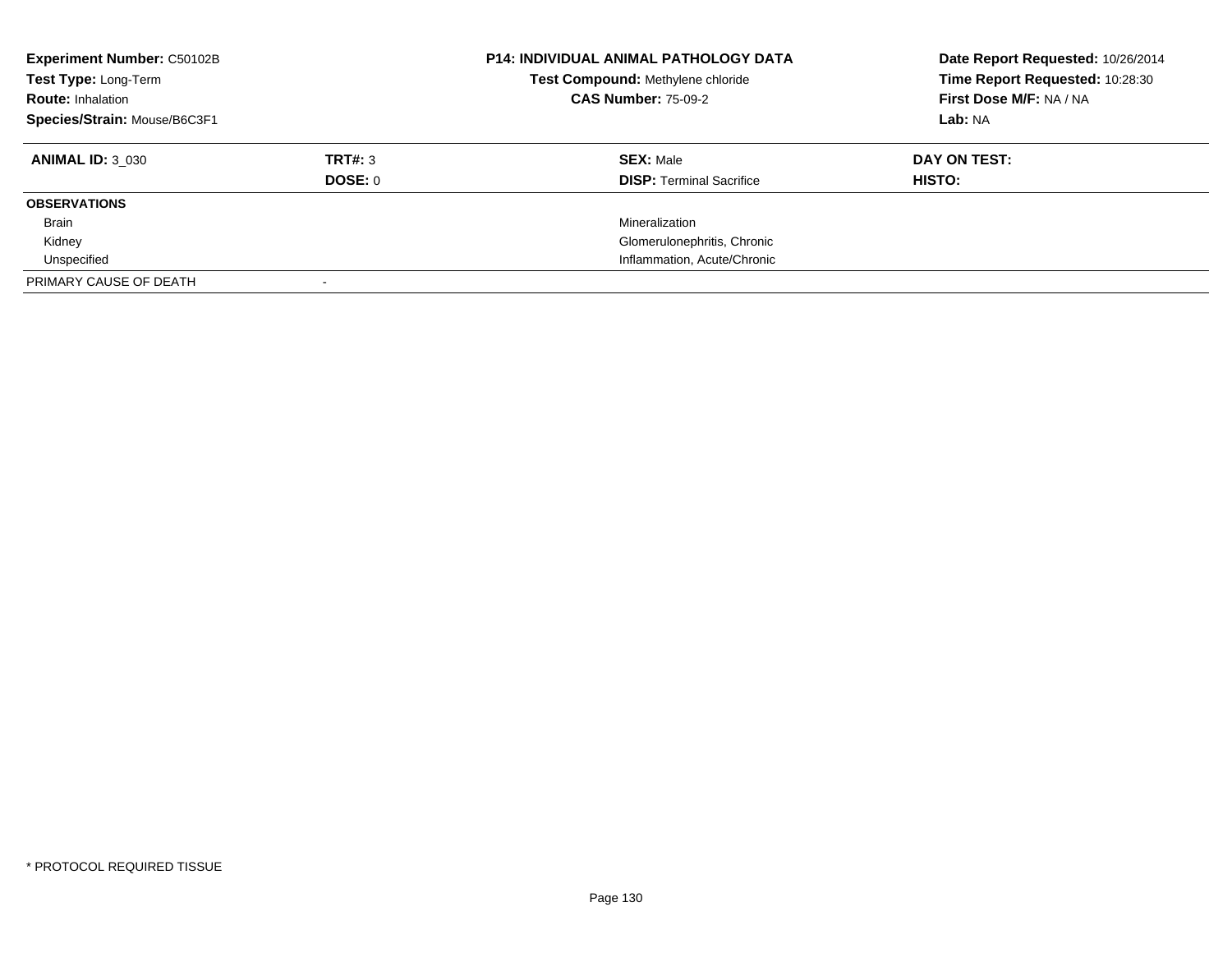| <b>Experiment Number: C50102B</b><br>Test Type: Long-Term<br><b>Route: Inhalation</b><br>Species/Strain: Mouse/B6C3F1 |                           | <b>P14: INDIVIDUAL ANIMAL PATHOLOGY DATA</b><br>Test Compound: Methylene chloride<br><b>CAS Number: 75-09-2</b> | Date Report Requested: 10/26/2014<br>Time Report Requested: 10:28:30<br>First Dose M/F: NA / NA<br>Lab: NA |
|-----------------------------------------------------------------------------------------------------------------------|---------------------------|-----------------------------------------------------------------------------------------------------------------|------------------------------------------------------------------------------------------------------------|
| <b>ANIMAL ID: 3 030</b>                                                                                               | TRT#: 3<br><b>DOSE: 0</b> | <b>SEX: Male</b><br><b>DISP:</b> Terminal Sacrifice                                                             | DAY ON TEST:<br><b>HISTO:</b>                                                                              |
| <b>OBSERVATIONS</b>                                                                                                   |                           |                                                                                                                 |                                                                                                            |
| Brain                                                                                                                 |                           | Mineralization                                                                                                  |                                                                                                            |
| Kidney                                                                                                                |                           | Glomerulonephritis, Chronic                                                                                     |                                                                                                            |
| Unspecified                                                                                                           |                           | Inflammation, Acute/Chronic                                                                                     |                                                                                                            |
| PRIMARY CAUSE OF DEATH                                                                                                |                           |                                                                                                                 |                                                                                                            |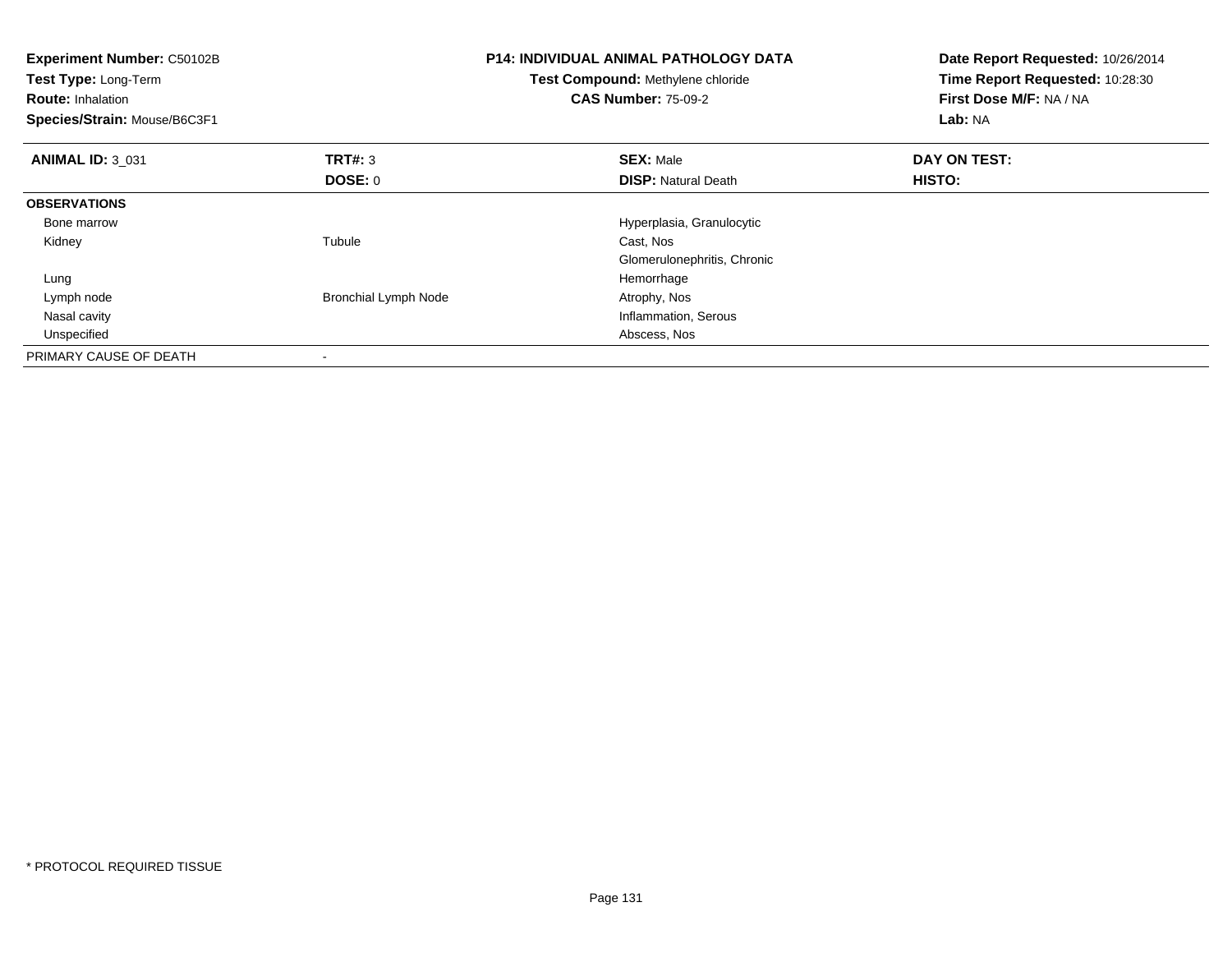| <b>Experiment Number: C50102B</b><br>Test Type: Long-Term<br><b>Route: Inhalation</b><br>Species/Strain: Mouse/B6C3F1 |                             | P14: INDIVIDUAL ANIMAL PATHOLOGY DATA<br>Test Compound: Methylene chloride<br><b>CAS Number: 75-09-2</b> | Date Report Requested: 10/26/2014<br>Time Report Requested: 10:28:30<br>First Dose M/F: NA / NA<br>Lab: NA |
|-----------------------------------------------------------------------------------------------------------------------|-----------------------------|----------------------------------------------------------------------------------------------------------|------------------------------------------------------------------------------------------------------------|
| <b>ANIMAL ID: 3_031</b>                                                                                               | TRT#: 3                     | <b>SEX: Male</b>                                                                                         | DAY ON TEST:                                                                                               |
|                                                                                                                       | DOSE: 0                     | <b>DISP: Natural Death</b>                                                                               | HISTO:                                                                                                     |
| <b>OBSERVATIONS</b>                                                                                                   |                             |                                                                                                          |                                                                                                            |
| Bone marrow                                                                                                           |                             | Hyperplasia, Granulocytic                                                                                |                                                                                                            |
| Kidney                                                                                                                | Tubule                      | Cast, Nos                                                                                                |                                                                                                            |
|                                                                                                                       |                             | Glomerulonephritis, Chronic                                                                              |                                                                                                            |
| Lung                                                                                                                  |                             | Hemorrhage                                                                                               |                                                                                                            |
| Lymph node                                                                                                            | <b>Bronchial Lymph Node</b> | Atrophy, Nos                                                                                             |                                                                                                            |
| Nasal cavity                                                                                                          |                             | Inflammation, Serous                                                                                     |                                                                                                            |
| Unspecified                                                                                                           |                             | Abscess, Nos                                                                                             |                                                                                                            |
| PRIMARY CAUSE OF DEATH                                                                                                |                             |                                                                                                          |                                                                                                            |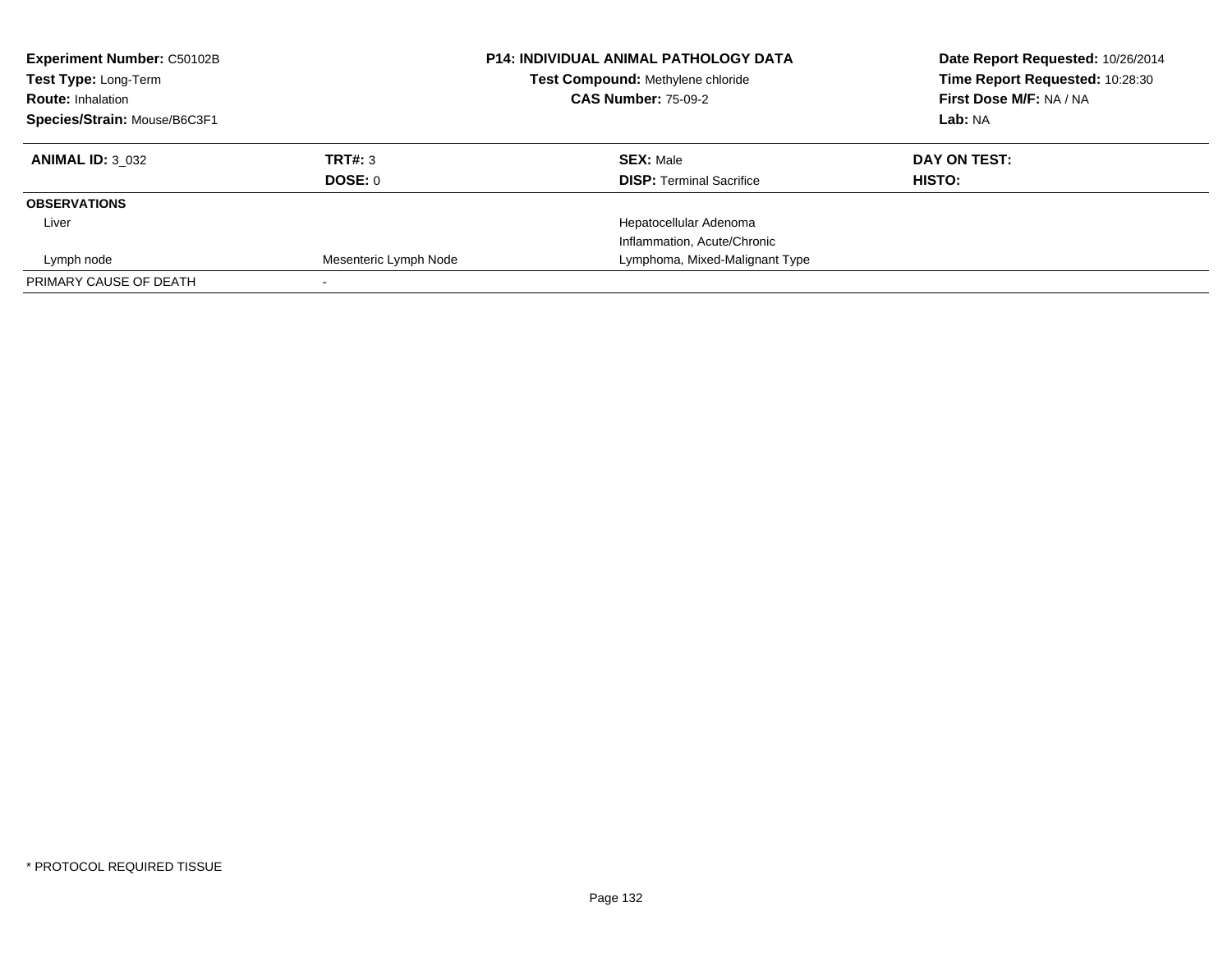| <b>Experiment Number: C50102B</b><br>Test Type: Long-Term |                       | <b>P14: INDIVIDUAL ANIMAL PATHOLOGY DATA</b><br>Test Compound: Methylene chloride | Date Report Requested: 10/26/2014<br>Time Report Requested: 10:28:30 |
|-----------------------------------------------------------|-----------------------|-----------------------------------------------------------------------------------|----------------------------------------------------------------------|
| <b>Route: Inhalation</b>                                  |                       | <b>CAS Number: 75-09-2</b>                                                        | First Dose M/F: NA / NA                                              |
| Species/Strain: Mouse/B6C3F1                              |                       |                                                                                   | Lab: NA                                                              |
| <b>ANIMAL ID: 3 032</b>                                   | TRT#: 3               | <b>SEX: Male</b>                                                                  | DAY ON TEST:                                                         |
|                                                           | DOSE: 0               | <b>DISP:</b> Terminal Sacrifice                                                   | HISTO:                                                               |
| <b>OBSERVATIONS</b>                                       |                       |                                                                                   |                                                                      |
| Liver                                                     |                       | Hepatocellular Adenoma                                                            |                                                                      |
|                                                           |                       | Inflammation, Acute/Chronic                                                       |                                                                      |
| Lymph node                                                | Mesenteric Lymph Node | Lymphoma, Mixed-Malignant Type                                                    |                                                                      |
| PRIMARY CAUSE OF DEATH                                    |                       |                                                                                   |                                                                      |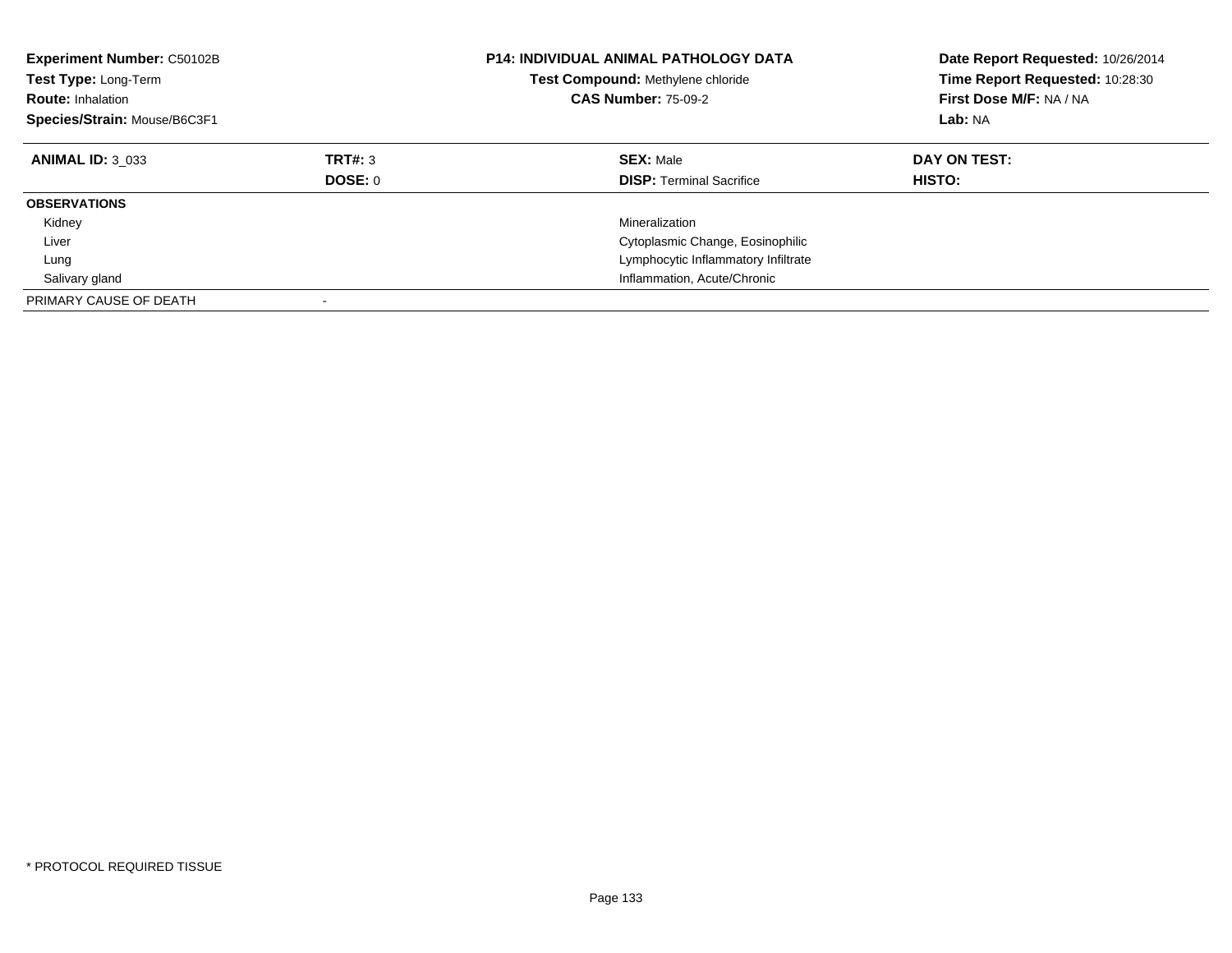| <b>Experiment Number: C50102B</b><br><b>Test Type: Long-Term</b><br><b>Route: Inhalation</b><br>Species/Strain: Mouse/B6C3F1 |                    | <b>P14: INDIVIDUAL ANIMAL PATHOLOGY DATA</b><br>Test Compound: Methylene chloride<br><b>CAS Number: 75-09-2</b> | Date Report Requested: 10/26/2014<br>Time Report Requested: 10:28:30<br>First Dose M/F: NA / NA<br>Lab: NA |
|------------------------------------------------------------------------------------------------------------------------------|--------------------|-----------------------------------------------------------------------------------------------------------------|------------------------------------------------------------------------------------------------------------|
| <b>ANIMAL ID: 3 033</b>                                                                                                      | TRT#: 3<br>DOSE: 0 | <b>SEX: Male</b><br><b>DISP:</b> Terminal Sacrifice                                                             | DAY ON TEST:<br>HISTO:                                                                                     |
| <b>OBSERVATIONS</b>                                                                                                          |                    |                                                                                                                 |                                                                                                            |
| Kidney                                                                                                                       |                    | Mineralization                                                                                                  |                                                                                                            |
| Liver                                                                                                                        |                    | Cytoplasmic Change, Eosinophilic                                                                                |                                                                                                            |
| Lung                                                                                                                         |                    | Lymphocytic Inflammatory Infiltrate                                                                             |                                                                                                            |
| Salivary gland                                                                                                               |                    | Inflammation, Acute/Chronic                                                                                     |                                                                                                            |
| PRIMARY CAUSE OF DEATH                                                                                                       |                    |                                                                                                                 |                                                                                                            |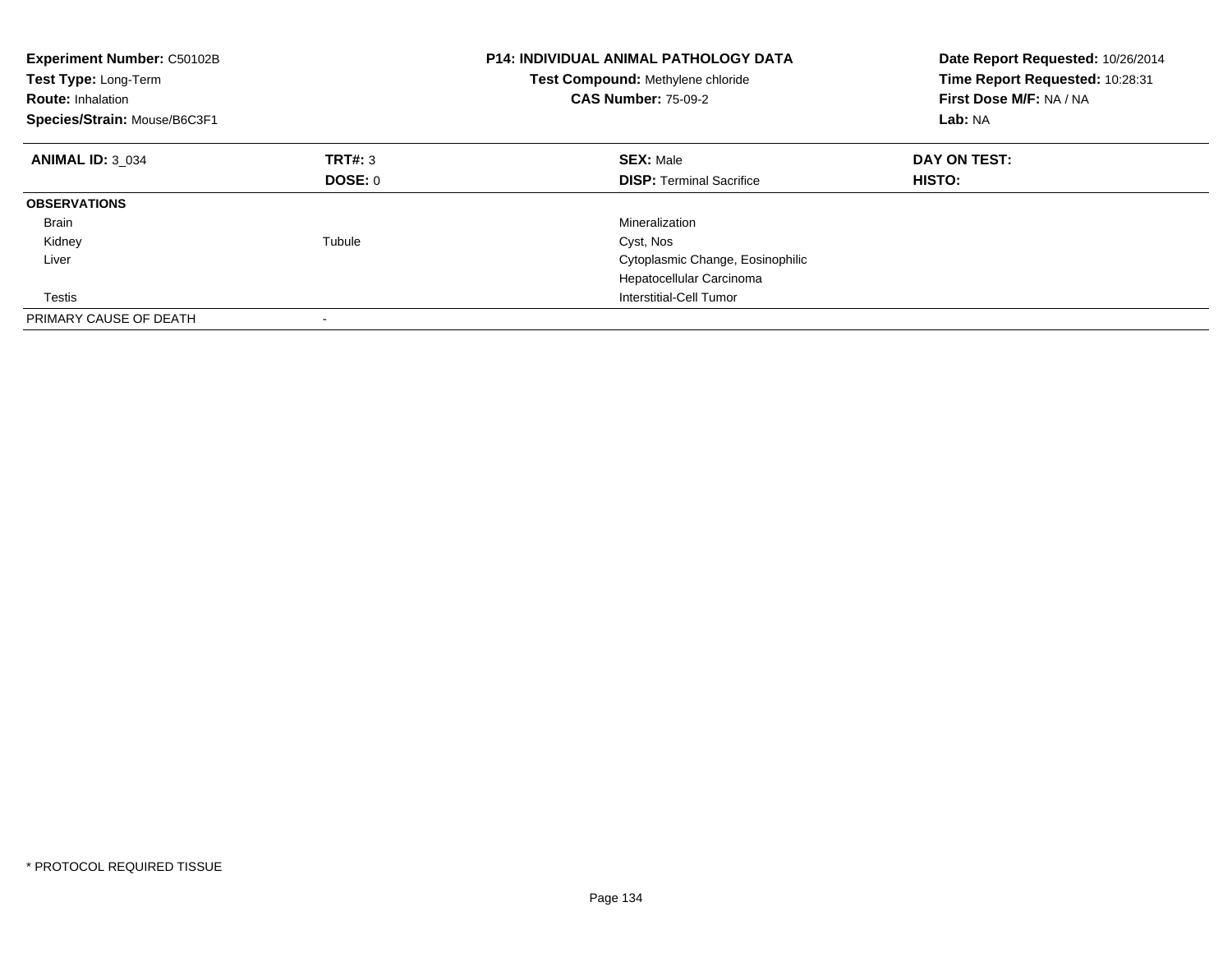| <b>Experiment Number: C50102B</b><br>Test Type: Long-Term<br><b>Route: Inhalation</b><br>Species/Strain: Mouse/B6C3F1 |         | <b>P14: INDIVIDUAL ANIMAL PATHOLOGY DATA</b><br>Test Compound: Methylene chloride<br><b>CAS Number: 75-09-2</b> | Date Report Requested: 10/26/2014<br>Time Report Requested: 10:28:31<br>First Dose M/F: NA / NA<br>Lab: NA |
|-----------------------------------------------------------------------------------------------------------------------|---------|-----------------------------------------------------------------------------------------------------------------|------------------------------------------------------------------------------------------------------------|
| <b>ANIMAL ID: 3 034</b>                                                                                               | TRT#: 3 | <b>SEX: Male</b>                                                                                                | DAY ON TEST:                                                                                               |
|                                                                                                                       | DOSE: 0 | <b>DISP:</b> Terminal Sacrifice                                                                                 | <b>HISTO:</b>                                                                                              |
| <b>OBSERVATIONS</b>                                                                                                   |         |                                                                                                                 |                                                                                                            |
| Brain                                                                                                                 |         | Mineralization                                                                                                  |                                                                                                            |
| Kidney                                                                                                                | Tubule  | Cyst, Nos                                                                                                       |                                                                                                            |
| Liver                                                                                                                 |         | Cytoplasmic Change, Eosinophilic                                                                                |                                                                                                            |
|                                                                                                                       |         | Hepatocellular Carcinoma                                                                                        |                                                                                                            |
| Testis                                                                                                                |         | Interstitial-Cell Tumor                                                                                         |                                                                                                            |
| PRIMARY CAUSE OF DEATH                                                                                                |         |                                                                                                                 |                                                                                                            |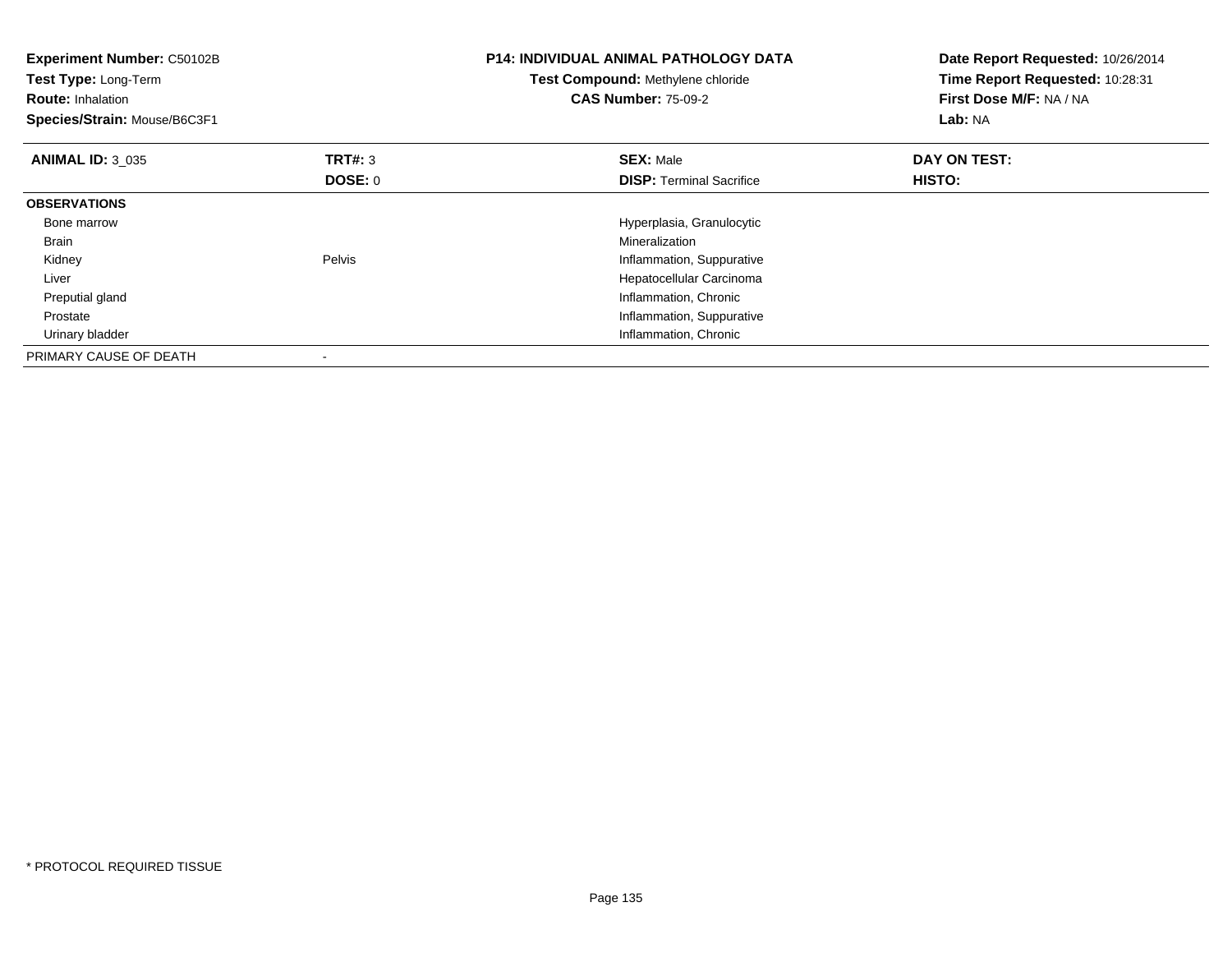| Experiment Number: C50102B<br>Test Type: Long-Term<br><b>Route: Inhalation</b><br>Species/Strain: Mouse/B6C3F1 |                           | <b>P14: INDIVIDUAL ANIMAL PATHOLOGY DATA</b><br>Test Compound: Methylene chloride<br><b>CAS Number: 75-09-2</b> | Date Report Requested: 10/26/2014<br>Time Report Requested: 10:28:31<br>First Dose M/F: NA / NA<br>Lab: NA |
|----------------------------------------------------------------------------------------------------------------|---------------------------|-----------------------------------------------------------------------------------------------------------------|------------------------------------------------------------------------------------------------------------|
| <b>ANIMAL ID: 3 035</b>                                                                                        | <b>TRT#: 3</b><br>DOSE: 0 | <b>SEX: Male</b><br><b>DISP:</b> Terminal Sacrifice                                                             | DAY ON TEST:<br><b>HISTO:</b>                                                                              |
| <b>OBSERVATIONS</b>                                                                                            |                           |                                                                                                                 |                                                                                                            |
| Bone marrow                                                                                                    |                           | Hyperplasia, Granulocytic                                                                                       |                                                                                                            |
| Brain                                                                                                          |                           | Mineralization                                                                                                  |                                                                                                            |
| Kidney                                                                                                         | Pelvis                    | Inflammation, Suppurative                                                                                       |                                                                                                            |
| Liver                                                                                                          |                           | Hepatocellular Carcinoma                                                                                        |                                                                                                            |
| Preputial gland                                                                                                |                           | Inflammation, Chronic                                                                                           |                                                                                                            |
| Prostate                                                                                                       |                           | Inflammation, Suppurative                                                                                       |                                                                                                            |
| Urinary bladder                                                                                                |                           | Inflammation, Chronic                                                                                           |                                                                                                            |
| PRIMARY CAUSE OF DEATH                                                                                         |                           |                                                                                                                 |                                                                                                            |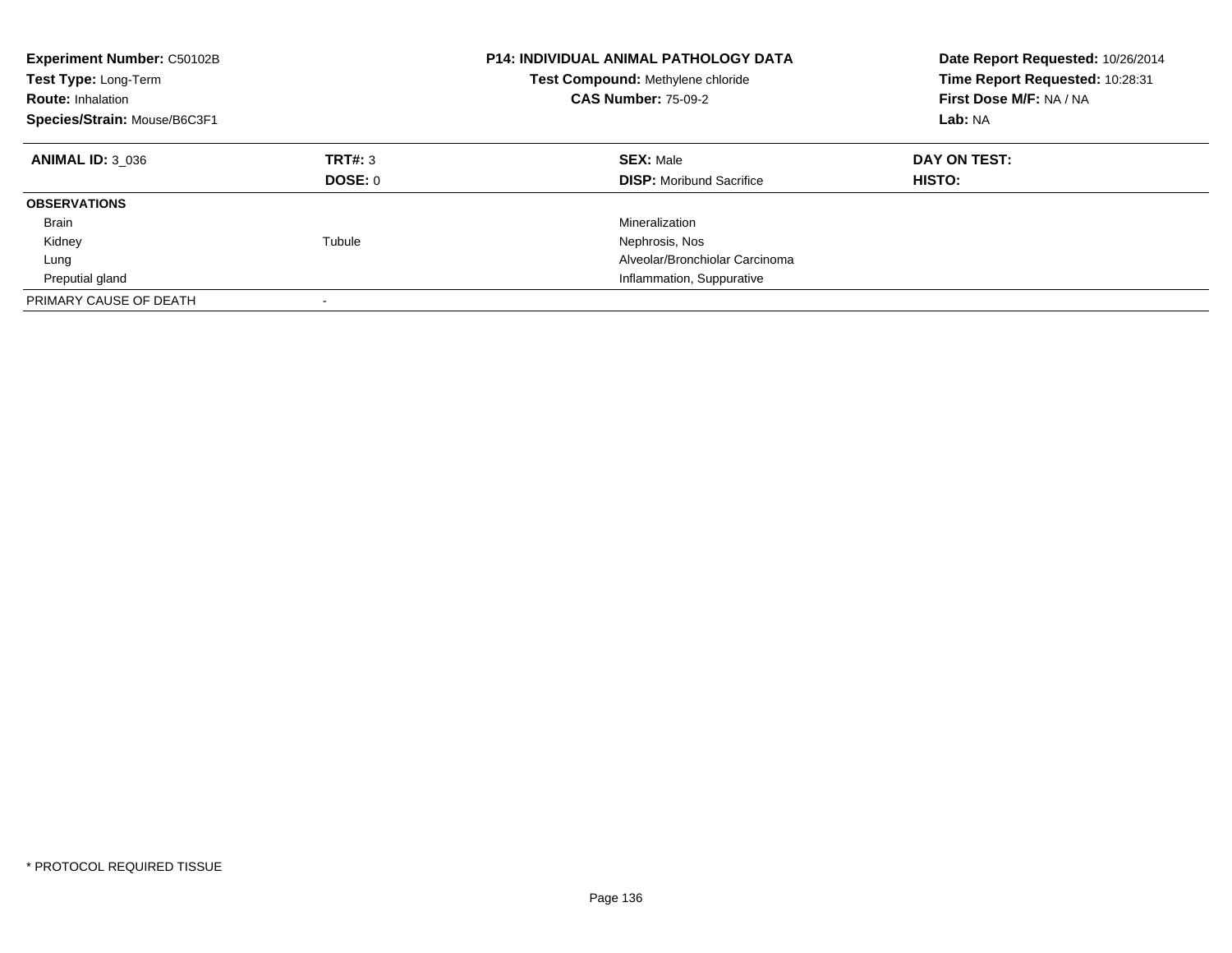| Experiment Number: C50102B<br><b>Test Type: Long-Term</b><br><b>Route: Inhalation</b><br>Species/Strain: Mouse/B6C3F1 |                    | <b>P14: INDIVIDUAL ANIMAL PATHOLOGY DATA</b><br>Test Compound: Methylene chloride<br><b>CAS Number: 75-09-2</b> | Date Report Requested: 10/26/2014<br>Time Report Requested: 10:28:31<br>First Dose M/F: NA / NA<br>Lab: NA |
|-----------------------------------------------------------------------------------------------------------------------|--------------------|-----------------------------------------------------------------------------------------------------------------|------------------------------------------------------------------------------------------------------------|
| <b>ANIMAL ID: 3 036</b>                                                                                               | TRT#: 3<br>DOSE: 0 | <b>SEX: Male</b><br><b>DISP:</b> Moribund Sacrifice                                                             | DAY ON TEST:<br><b>HISTO:</b>                                                                              |
| <b>OBSERVATIONS</b>                                                                                                   |                    |                                                                                                                 |                                                                                                            |
| Brain                                                                                                                 |                    | Mineralization                                                                                                  |                                                                                                            |
| Kidney                                                                                                                | Tubule             | Nephrosis, Nos                                                                                                  |                                                                                                            |
| Lung                                                                                                                  |                    | Alveolar/Bronchiolar Carcinoma                                                                                  |                                                                                                            |
| Preputial gland                                                                                                       |                    | Inflammation, Suppurative                                                                                       |                                                                                                            |
| PRIMARY CAUSE OF DEATH                                                                                                |                    |                                                                                                                 |                                                                                                            |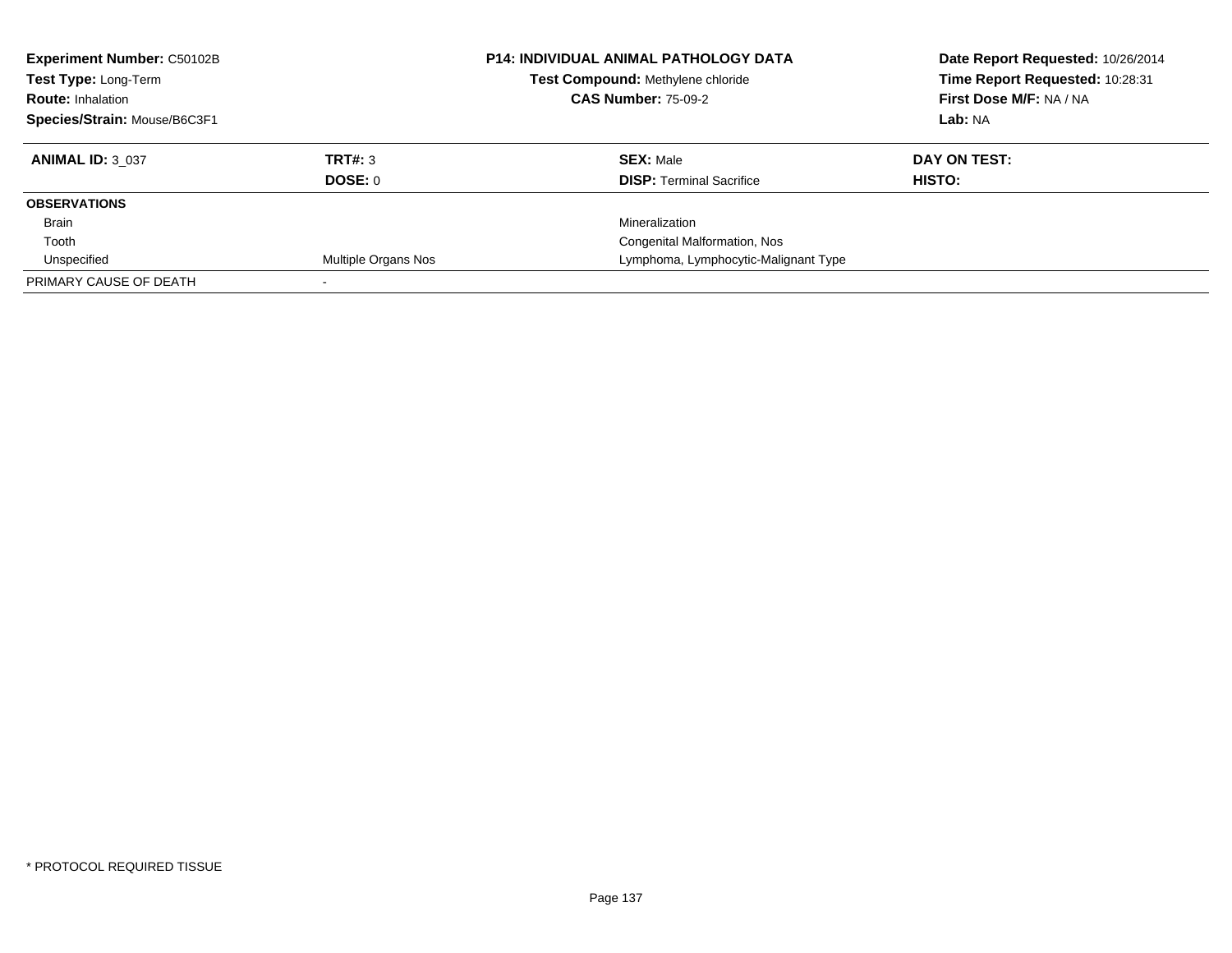| <b>Experiment Number: C50102B</b><br>Test Type: Long-Term<br><b>Route: Inhalation</b><br>Species/Strain: Mouse/B6C3F1 |                            | <b>P14: INDIVIDUAL ANIMAL PATHOLOGY DATA</b><br>Test Compound: Methylene chloride<br><b>CAS Number: 75-09-2</b> | Date Report Requested: 10/26/2014<br>Time Report Requested: 10:28:31<br>First Dose M/F: NA / NA<br>Lab: NA |
|-----------------------------------------------------------------------------------------------------------------------|----------------------------|-----------------------------------------------------------------------------------------------------------------|------------------------------------------------------------------------------------------------------------|
|                                                                                                                       |                            |                                                                                                                 |                                                                                                            |
| <b>ANIMAL ID: 3 037</b>                                                                                               | TRT#: 3                    | <b>SEX: Male</b>                                                                                                | DAY ON TEST:                                                                                               |
|                                                                                                                       | <b>DOSE: 0</b>             | <b>DISP: Terminal Sacrifice</b>                                                                                 | HISTO:                                                                                                     |
| <b>OBSERVATIONS</b>                                                                                                   |                            |                                                                                                                 |                                                                                                            |
| Brain                                                                                                                 |                            | Mineralization                                                                                                  |                                                                                                            |
| Tooth                                                                                                                 |                            | Congenital Malformation, Nos                                                                                    |                                                                                                            |
| Unspecified                                                                                                           | <b>Multiple Organs Nos</b> | Lymphoma, Lymphocytic-Malignant Type                                                                            |                                                                                                            |
| PRIMARY CAUSE OF DEATH                                                                                                |                            |                                                                                                                 |                                                                                                            |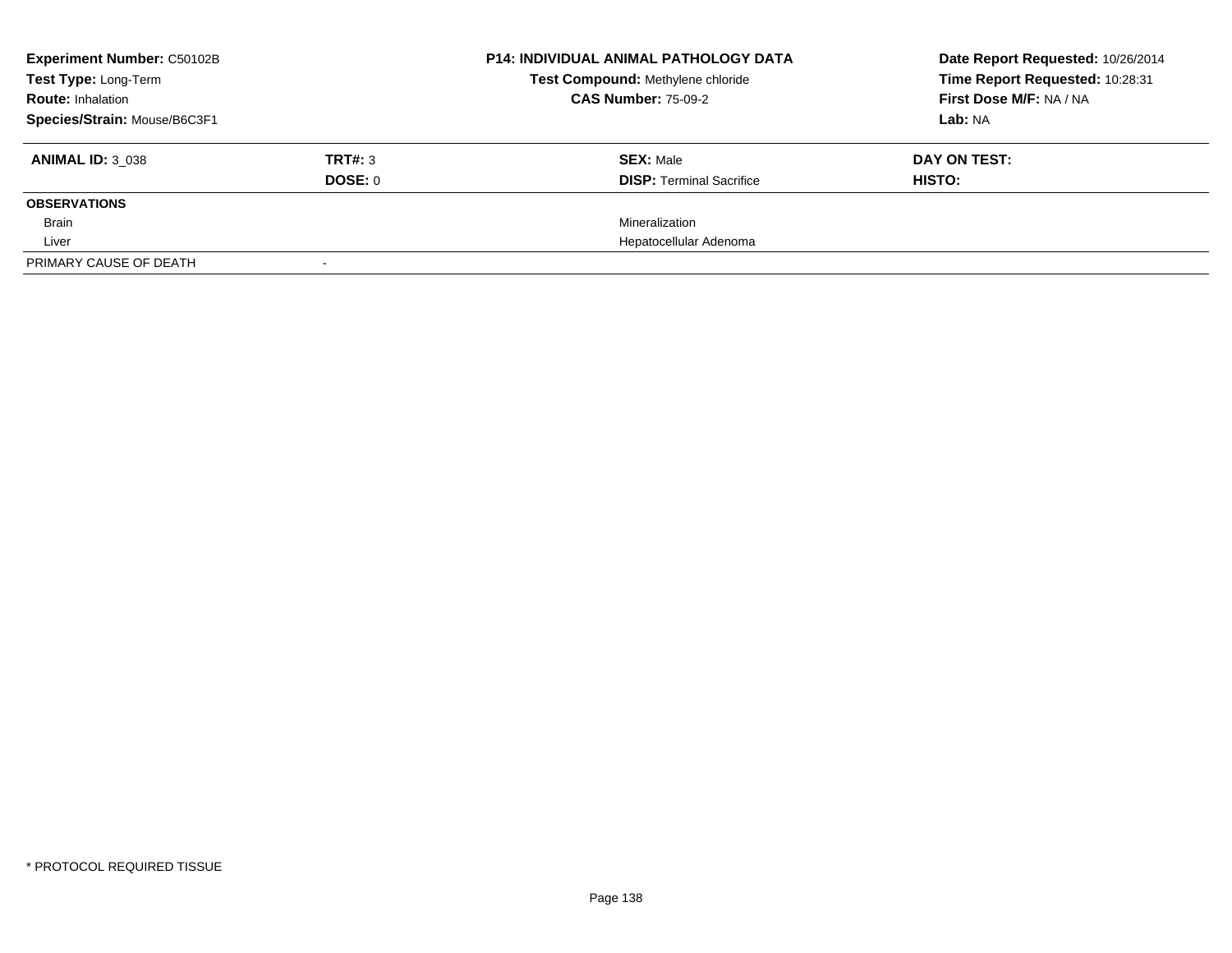| <b>Experiment Number: C50102B</b> |         | <b>P14: INDIVIDUAL ANIMAL PATHOLOGY DATA</b><br>Test Compound: Methylene chloride | Date Report Requested: 10/26/2014 |  |
|-----------------------------------|---------|-----------------------------------------------------------------------------------|-----------------------------------|--|
| Test Type: Long-Term              |         |                                                                                   | Time Report Requested: 10:28:31   |  |
| <b>Route: Inhalation</b>          |         | <b>CAS Number: 75-09-2</b>                                                        | First Dose M/F: NA / NA           |  |
| Species/Strain: Mouse/B6C3F1      |         |                                                                                   | Lab: NA                           |  |
| <b>ANIMAL ID: 3 038</b>           | TRT#: 3 | <b>SEX: Male</b>                                                                  | DAY ON TEST:                      |  |
|                                   | DOSE: 0 | <b>DISP:</b> Terminal Sacrifice                                                   | HISTO:                            |  |
| <b>OBSERVATIONS</b>               |         |                                                                                   |                                   |  |
| <b>Brain</b>                      |         | Mineralization                                                                    |                                   |  |
| Liver                             |         | Hepatocellular Adenoma                                                            |                                   |  |
| PRIMARY CAUSE OF DEATH            |         |                                                                                   |                                   |  |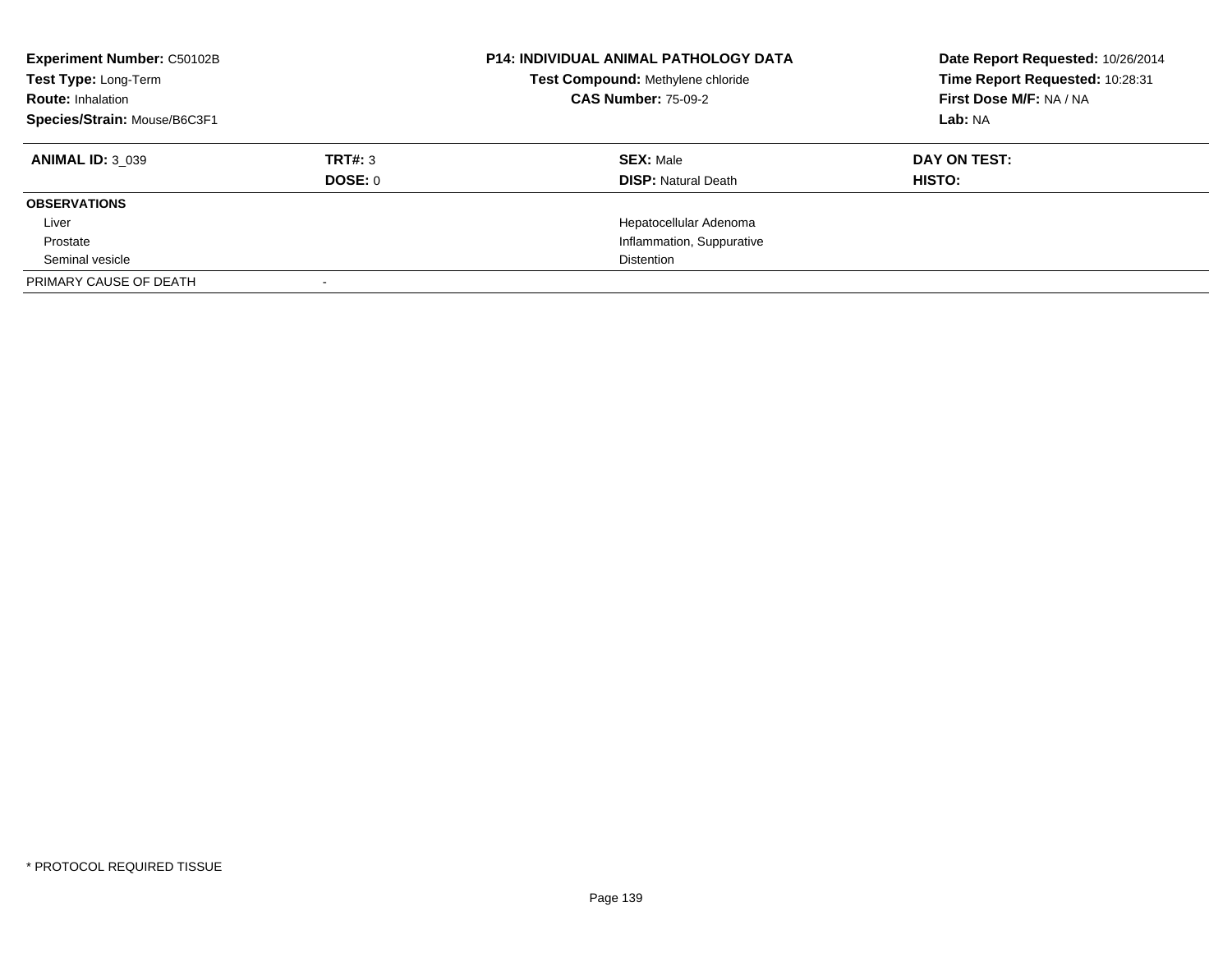| <b>Experiment Number: C50102B</b><br>Test Type: Long-Term<br><b>Route: Inhalation</b><br>Species/Strain: Mouse/B6C3F1 |                           | <b>P14: INDIVIDUAL ANIMAL PATHOLOGY DATA</b><br>Test Compound: Methylene chloride<br><b>CAS Number: 75-09-2</b> | Date Report Requested: 10/26/2014<br>Time Report Requested: 10:28:31<br>First Dose M/F: NA / NA<br>Lab: NA |
|-----------------------------------------------------------------------------------------------------------------------|---------------------------|-----------------------------------------------------------------------------------------------------------------|------------------------------------------------------------------------------------------------------------|
| <b>ANIMAL ID: 3 039</b>                                                                                               | TRT#: 3<br><b>DOSE: 0</b> | <b>SEX: Male</b><br><b>DISP:</b> Natural Death                                                                  | DAY ON TEST:<br><b>HISTO:</b>                                                                              |
| <b>OBSERVATIONS</b>                                                                                                   |                           |                                                                                                                 |                                                                                                            |
| Liver                                                                                                                 |                           | Hepatocellular Adenoma                                                                                          |                                                                                                            |
| Prostate                                                                                                              |                           | Inflammation, Suppurative                                                                                       |                                                                                                            |
| Seminal vesicle                                                                                                       |                           | <b>Distention</b>                                                                                               |                                                                                                            |
| PRIMARY CAUSE OF DEATH                                                                                                |                           |                                                                                                                 |                                                                                                            |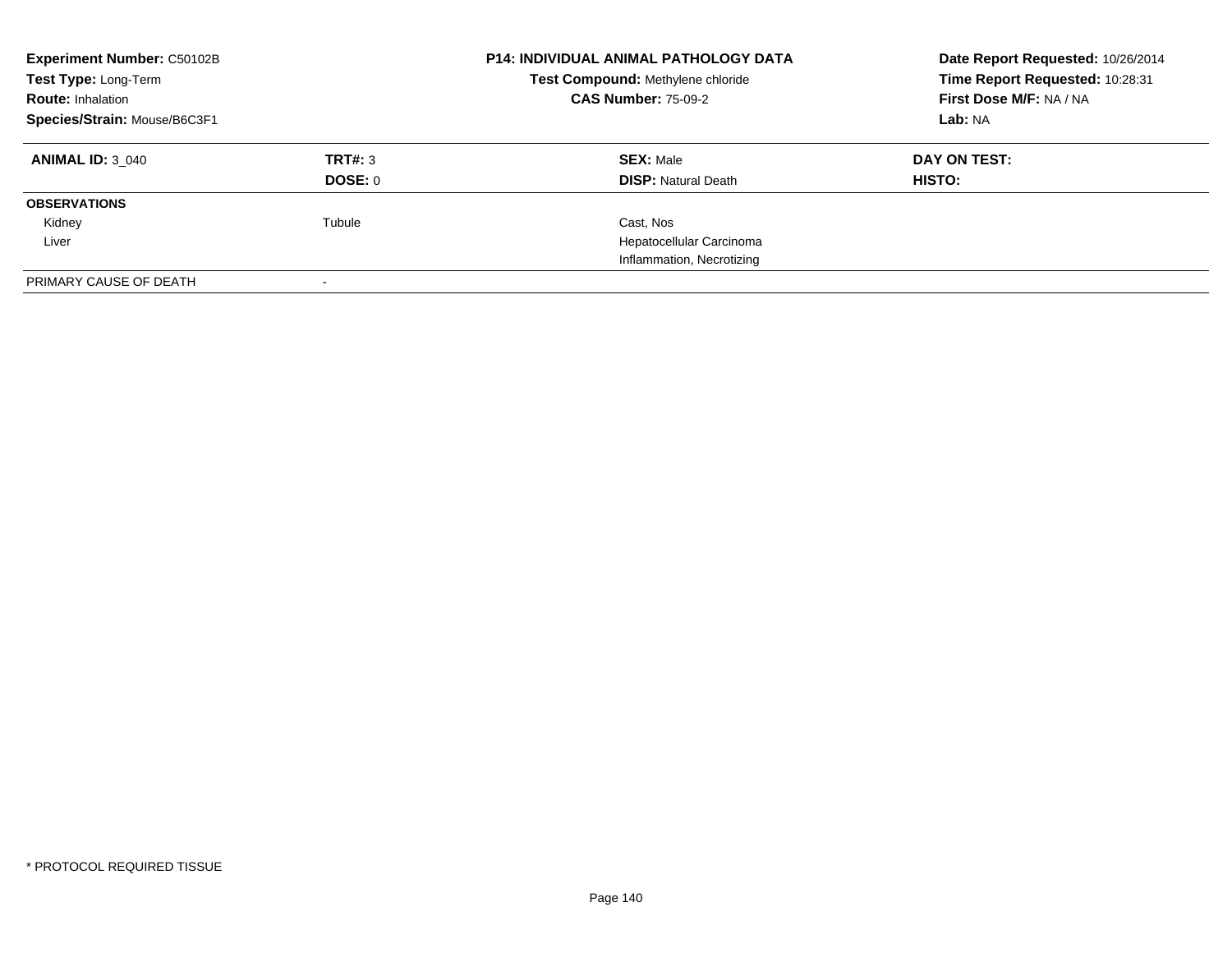| <b>Experiment Number: C50102B</b><br>Test Type: Long-Term<br><b>Route: Inhalation</b><br>Species/Strain: Mouse/B6C3F1 |         | <b>P14: INDIVIDUAL ANIMAL PATHOLOGY DATA</b><br>Test Compound: Methylene chloride<br><b>CAS Number: 75-09-2</b> | Date Report Requested: 10/26/2014<br>Time Report Requested: 10:28:31<br>First Dose M/F: NA / NA<br>Lab: NA |
|-----------------------------------------------------------------------------------------------------------------------|---------|-----------------------------------------------------------------------------------------------------------------|------------------------------------------------------------------------------------------------------------|
|                                                                                                                       |         |                                                                                                                 |                                                                                                            |
| <b>ANIMAL ID: 3 040</b>                                                                                               | TRT#: 3 | <b>SEX: Male</b>                                                                                                | DAY ON TEST:                                                                                               |
|                                                                                                                       | DOSE: 0 | <b>DISP: Natural Death</b>                                                                                      | <b>HISTO:</b>                                                                                              |
| <b>OBSERVATIONS</b>                                                                                                   |         |                                                                                                                 |                                                                                                            |
| Kidney                                                                                                                | Tubule  | Cast, Nos                                                                                                       |                                                                                                            |
| Liver                                                                                                                 |         | Hepatocellular Carcinoma                                                                                        |                                                                                                            |
|                                                                                                                       |         | Inflammation, Necrotizing                                                                                       |                                                                                                            |
| PRIMARY CAUSE OF DEATH                                                                                                |         |                                                                                                                 |                                                                                                            |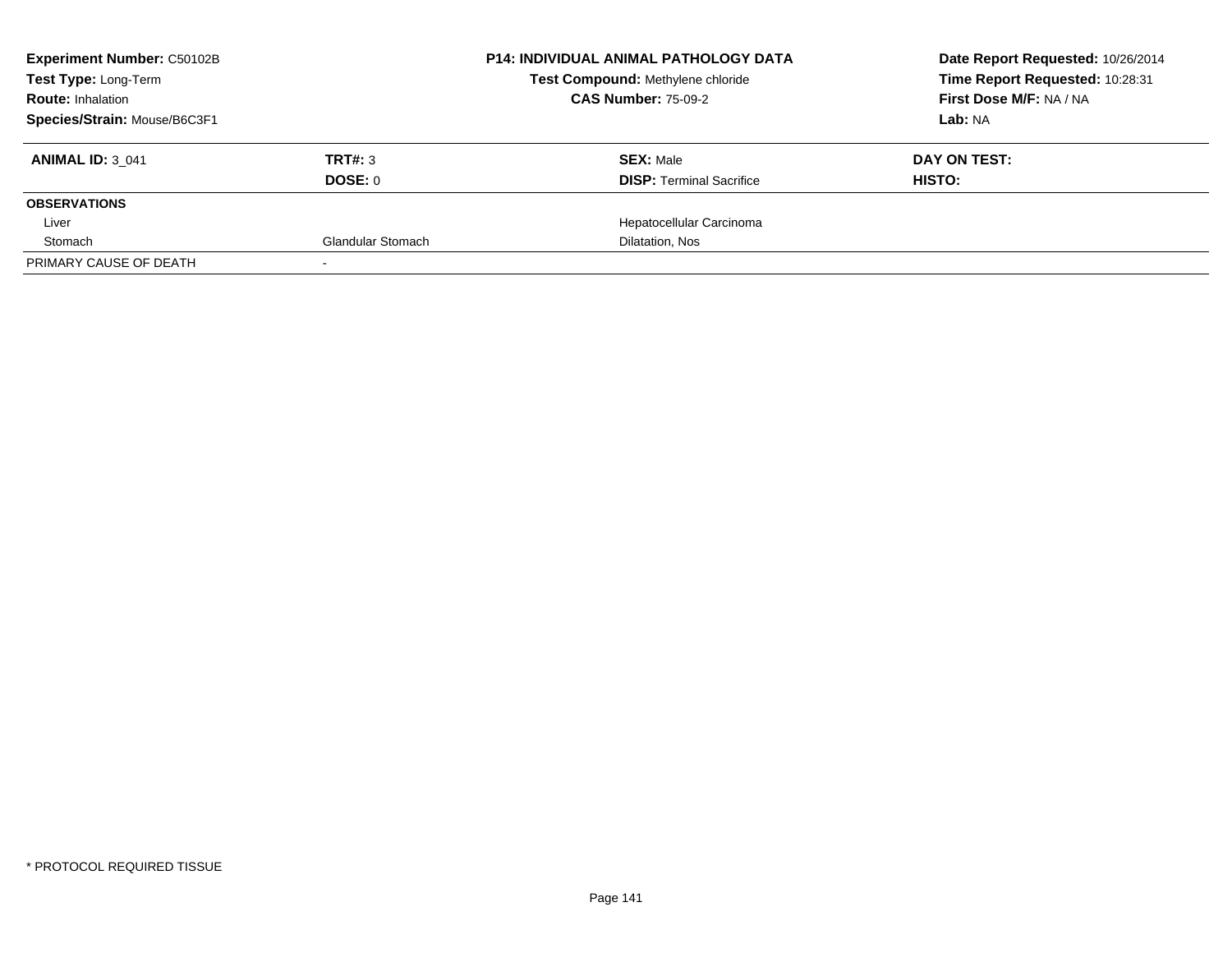| <b>Experiment Number: C50102B</b> | <b>P14: INDIVIDUAL ANIMAL PATHOLOGY DATA</b> |                                   | Date Report Requested: 10/26/2014 |
|-----------------------------------|----------------------------------------------|-----------------------------------|-----------------------------------|
| Test Type: Long-Term              |                                              | Test Compound: Methylene chloride | Time Report Requested: 10:28:31   |
| <b>Route: Inhalation</b>          |                                              | <b>CAS Number: 75-09-2</b>        | First Dose M/F: NA / NA           |
| Species/Strain: Mouse/B6C3F1      |                                              |                                   | Lab: NA                           |
| <b>ANIMAL ID: 3 041</b>           | <b>TRT#: 3</b>                               | <b>SEX: Male</b>                  | DAY ON TEST:                      |
|                                   | DOSE: 0                                      | <b>DISP:</b> Terminal Sacrifice   | HISTO:                            |
| <b>OBSERVATIONS</b>               |                                              |                                   |                                   |
| Liver                             |                                              | Hepatocellular Carcinoma          |                                   |
| Stomach                           | <b>Glandular Stomach</b>                     | Dilatation, Nos                   |                                   |
| PRIMARY CAUSE OF DEATH            |                                              |                                   |                                   |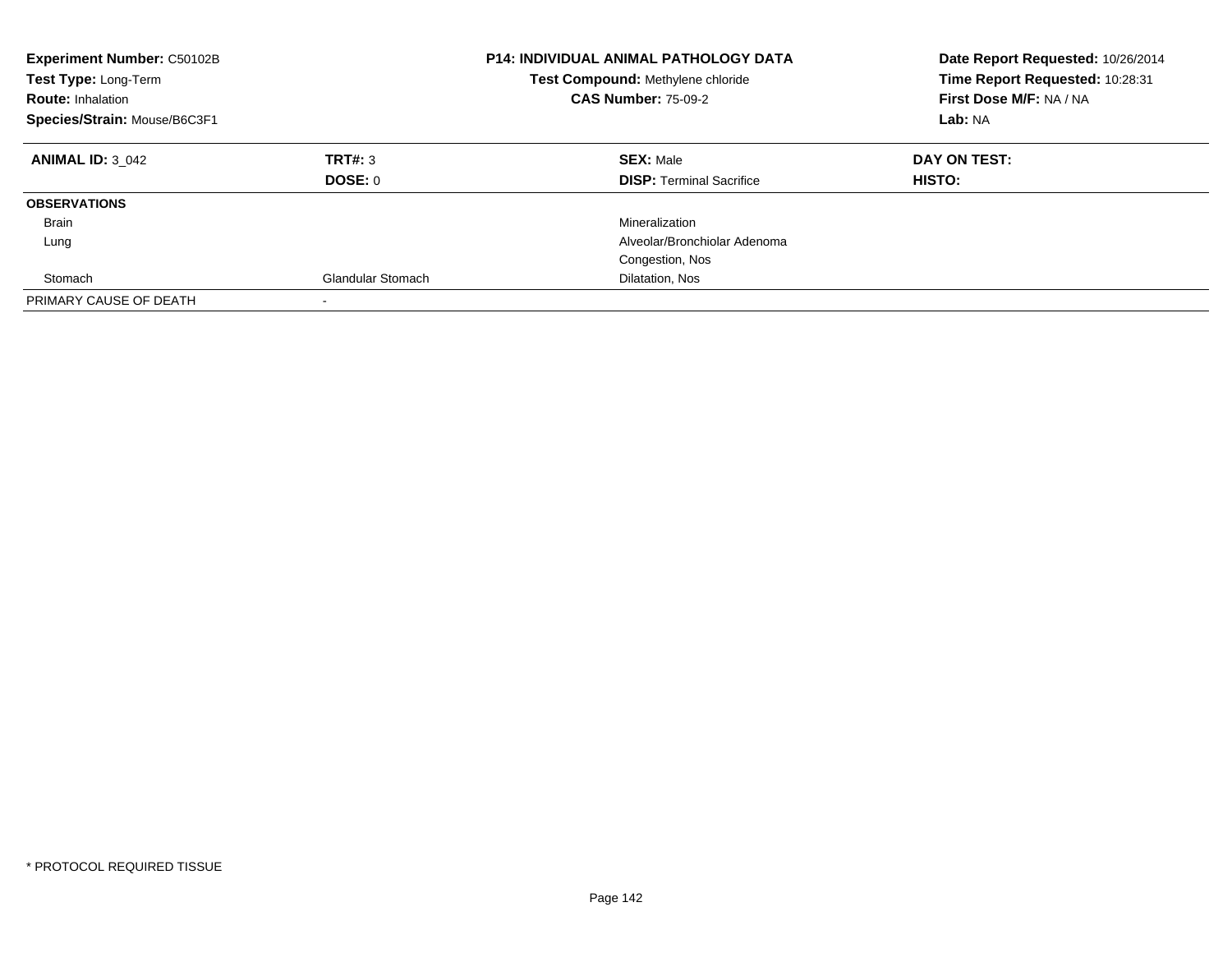| Experiment Number: C50102B<br>Test Type: Long-Term<br><b>Route: Inhalation</b><br>Species/Strain: Mouse/B6C3F1 |                          | <b>P14: INDIVIDUAL ANIMAL PATHOLOGY DATA</b><br>Test Compound: Methylene chloride<br><b>CAS Number: 75-09-2</b> | Date Report Requested: 10/26/2014<br>Time Report Requested: 10:28:31<br>First Dose M/F: NA / NA<br>Lab: NA |
|----------------------------------------------------------------------------------------------------------------|--------------------------|-----------------------------------------------------------------------------------------------------------------|------------------------------------------------------------------------------------------------------------|
| <b>ANIMAL ID: 3 042</b>                                                                                        | TRT#: 3                  | <b>SEX: Male</b>                                                                                                | DAY ON TEST:                                                                                               |
|                                                                                                                | DOSE: 0                  | <b>DISP:</b> Terminal Sacrifice                                                                                 | HISTO:                                                                                                     |
| <b>OBSERVATIONS</b>                                                                                            |                          |                                                                                                                 |                                                                                                            |
| Brain                                                                                                          |                          | Mineralization                                                                                                  |                                                                                                            |
| Lung                                                                                                           |                          | Alveolar/Bronchiolar Adenoma                                                                                    |                                                                                                            |
|                                                                                                                |                          | Congestion, Nos                                                                                                 |                                                                                                            |
| Stomach                                                                                                        | <b>Glandular Stomach</b> | Dilatation, Nos                                                                                                 |                                                                                                            |
| PRIMARY CAUSE OF DEATH                                                                                         |                          |                                                                                                                 |                                                                                                            |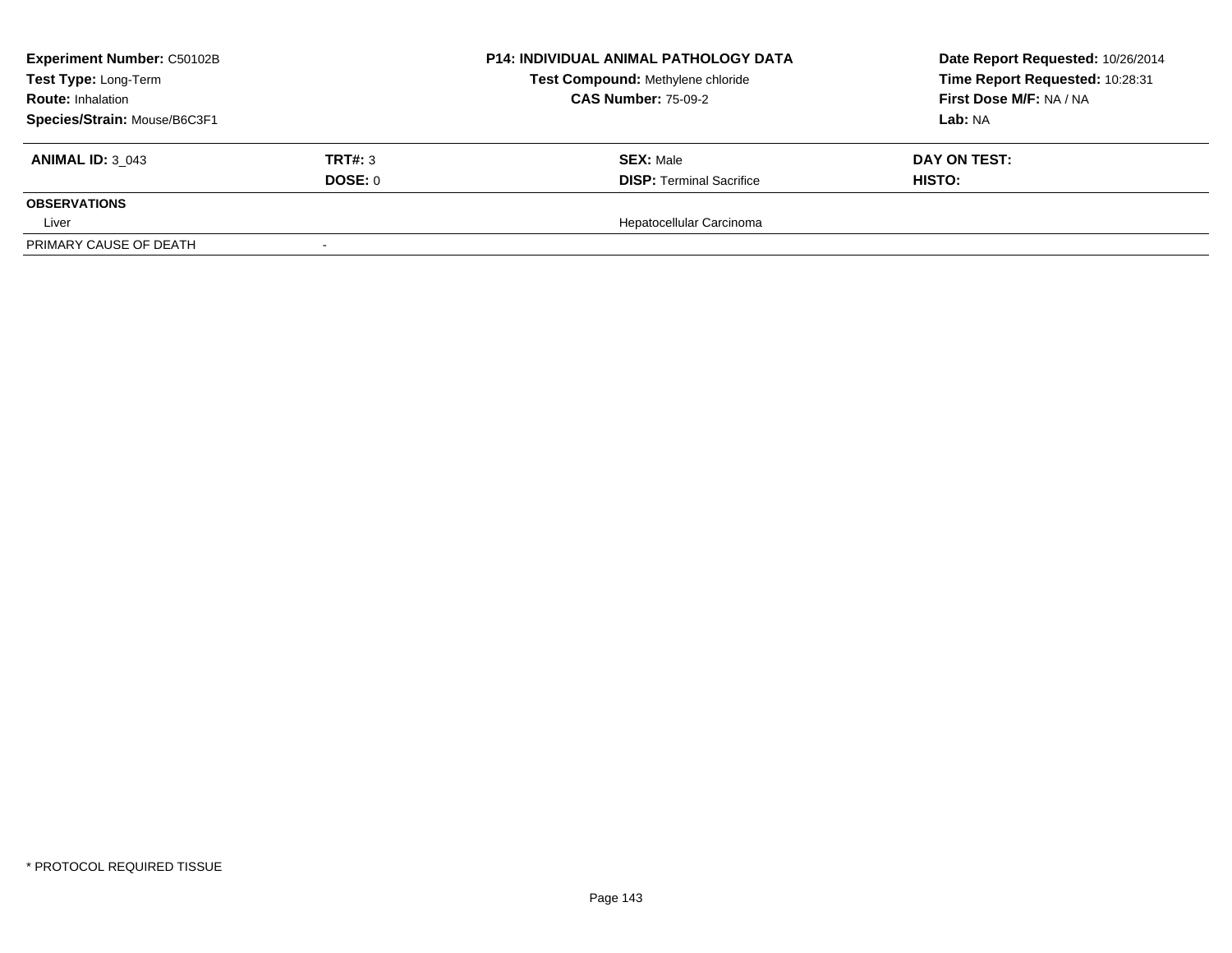| <b>Experiment Number: C50102B</b>                                                |                | <b>P14: INDIVIDUAL ANIMAL PATHOLOGY DATA</b>                    | Date Report Requested: 10/26/2014 |
|----------------------------------------------------------------------------------|----------------|-----------------------------------------------------------------|-----------------------------------|
| Test Type: Long-Term<br><b>Route: Inhalation</b><br>Species/Strain: Mouse/B6C3F1 |                | Test Compound: Methylene chloride<br><b>CAS Number: 75-09-2</b> | Time Report Requested: 10:28:31   |
|                                                                                  |                |                                                                 | First Dose M/F: NA / NA           |
|                                                                                  |                |                                                                 | Lab: NA                           |
| <b>ANIMAL ID: 3 043</b>                                                          | <b>TRT#: 3</b> | <b>SEX: Male</b>                                                | DAY ON TEST:                      |
|                                                                                  | DOSE: 0        | <b>DISP: Terminal Sacrifice</b>                                 | HISTO:                            |
| <b>OBSERVATIONS</b>                                                              |                |                                                                 |                                   |
| Liver                                                                            |                | Hepatocellular Carcinoma                                        |                                   |
| PRIMARY CAUSE OF DEATH                                                           |                |                                                                 |                                   |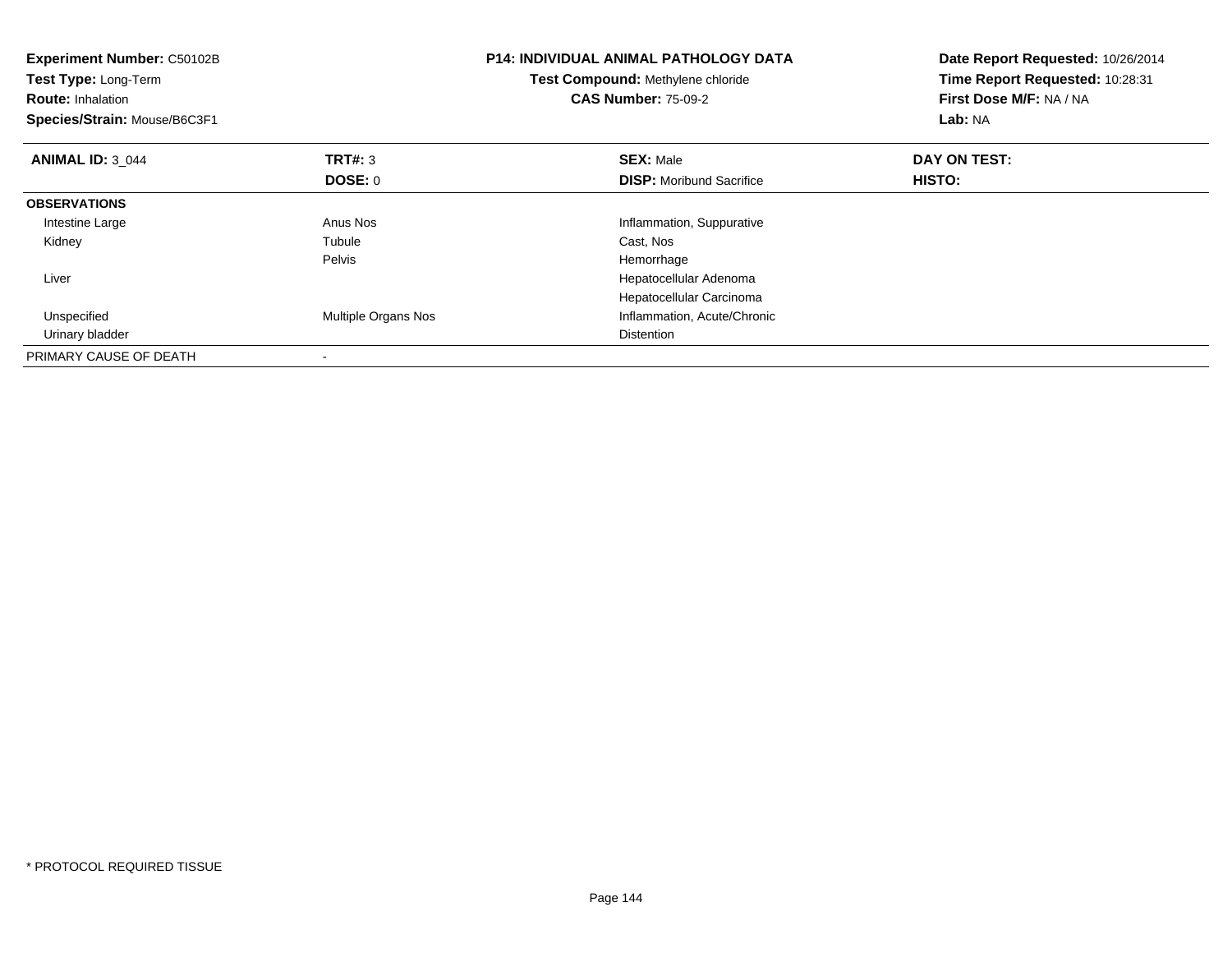| <b>Experiment Number: C50102B</b><br>Test Type: Long-Term<br><b>Route: Inhalation</b><br>Species/Strain: Mouse/B6C3F1 |                     | <b>P14: INDIVIDUAL ANIMAL PATHOLOGY DATA</b><br>Test Compound: Methylene chloride<br><b>CAS Number: 75-09-2</b> | Date Report Requested: 10/26/2014<br>Time Report Requested: 10:28:31<br>First Dose M/F: NA / NA<br>Lab: NA |
|-----------------------------------------------------------------------------------------------------------------------|---------------------|-----------------------------------------------------------------------------------------------------------------|------------------------------------------------------------------------------------------------------------|
| <b>ANIMAL ID: 3_044</b>                                                                                               | <b>TRT#:</b> 3      | <b>SEX: Male</b>                                                                                                | DAY ON TEST:                                                                                               |
|                                                                                                                       | <b>DOSE: 0</b>      | <b>DISP:</b> Moribund Sacrifice                                                                                 | HISTO:                                                                                                     |
| <b>OBSERVATIONS</b>                                                                                                   |                     |                                                                                                                 |                                                                                                            |
| Intestine Large                                                                                                       | Anus Nos            | Inflammation, Suppurative                                                                                       |                                                                                                            |
| Kidney                                                                                                                | Tubule              | Cast, Nos                                                                                                       |                                                                                                            |
|                                                                                                                       | Pelvis              | Hemorrhage                                                                                                      |                                                                                                            |
| Liver                                                                                                                 |                     | Hepatocellular Adenoma                                                                                          |                                                                                                            |
|                                                                                                                       |                     | Hepatocellular Carcinoma                                                                                        |                                                                                                            |
| Unspecified                                                                                                           | Multiple Organs Nos | Inflammation, Acute/Chronic                                                                                     |                                                                                                            |
| Urinary bladder                                                                                                       |                     | <b>Distention</b>                                                                                               |                                                                                                            |
| PRIMARY CAUSE OF DEATH                                                                                                |                     |                                                                                                                 |                                                                                                            |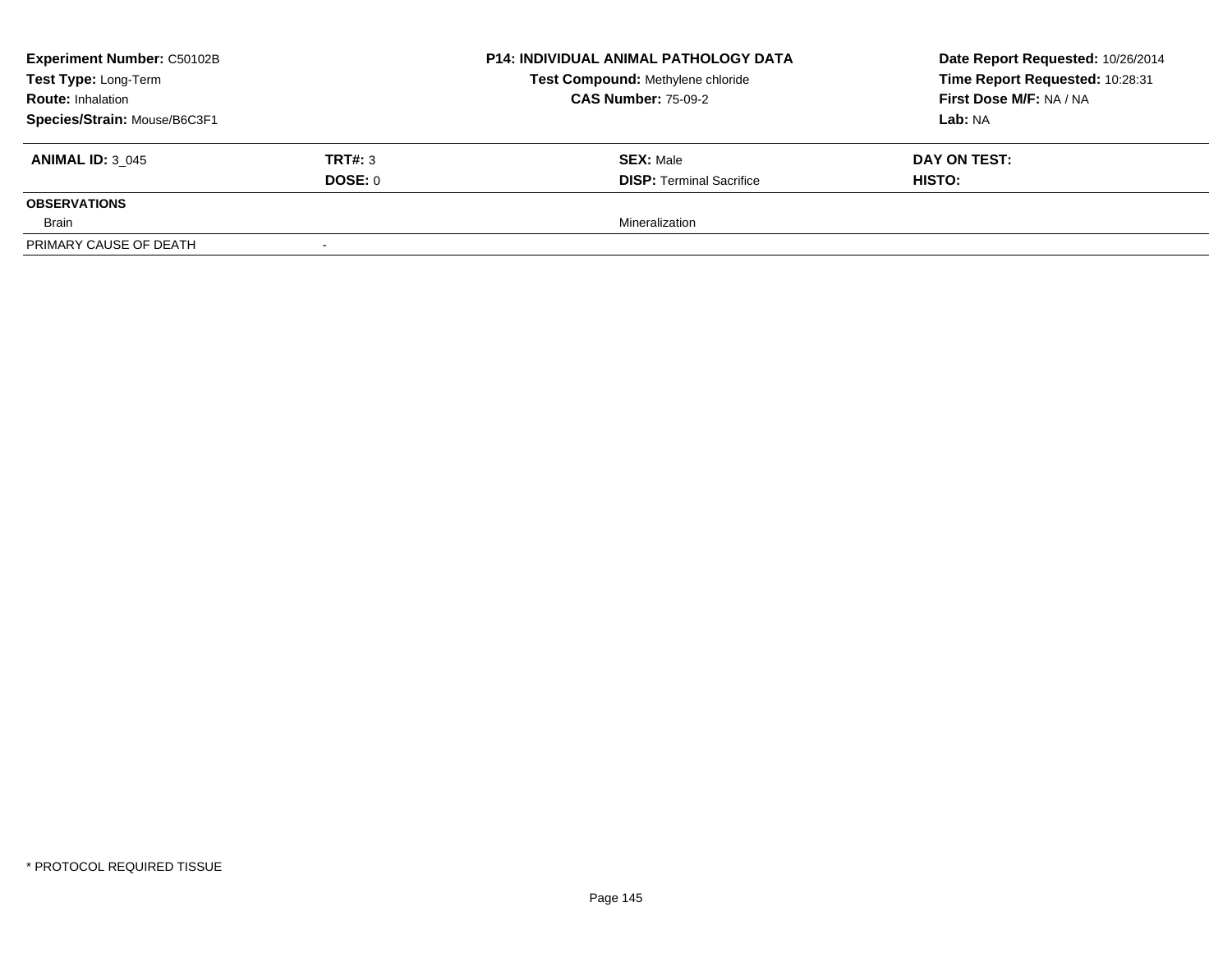| <b>Experiment Number: C50102B</b> |         | P14: INDIVIDUAL ANIMAL PATHOLOGY DATA<br>Test Compound: Methylene chloride<br><b>CAS Number: 75-09-2</b> | Date Report Requested: 10/26/2014<br>Time Report Requested: 10:28:31<br>First Dose M/F: NA / NA<br>Lab: NA |
|-----------------------------------|---------|----------------------------------------------------------------------------------------------------------|------------------------------------------------------------------------------------------------------------|
| Test Type: Long-Term              |         |                                                                                                          |                                                                                                            |
| <b>Route: Inhalation</b>          |         |                                                                                                          |                                                                                                            |
| Species/Strain: Mouse/B6C3F1      |         |                                                                                                          |                                                                                                            |
| <b>ANIMAL ID: 3 045</b>           | TRT#: 3 | <b>SEX: Male</b>                                                                                         | DAY ON TEST:                                                                                               |
|                                   | DOSE: 0 | <b>DISP: Terminal Sacrifice</b>                                                                          | <b>HISTO:</b>                                                                                              |
| <b>OBSERVATIONS</b>               |         |                                                                                                          |                                                                                                            |
| Brain                             |         | Mineralization                                                                                           |                                                                                                            |
| PRIMARY CAUSE OF DEATH            |         |                                                                                                          |                                                                                                            |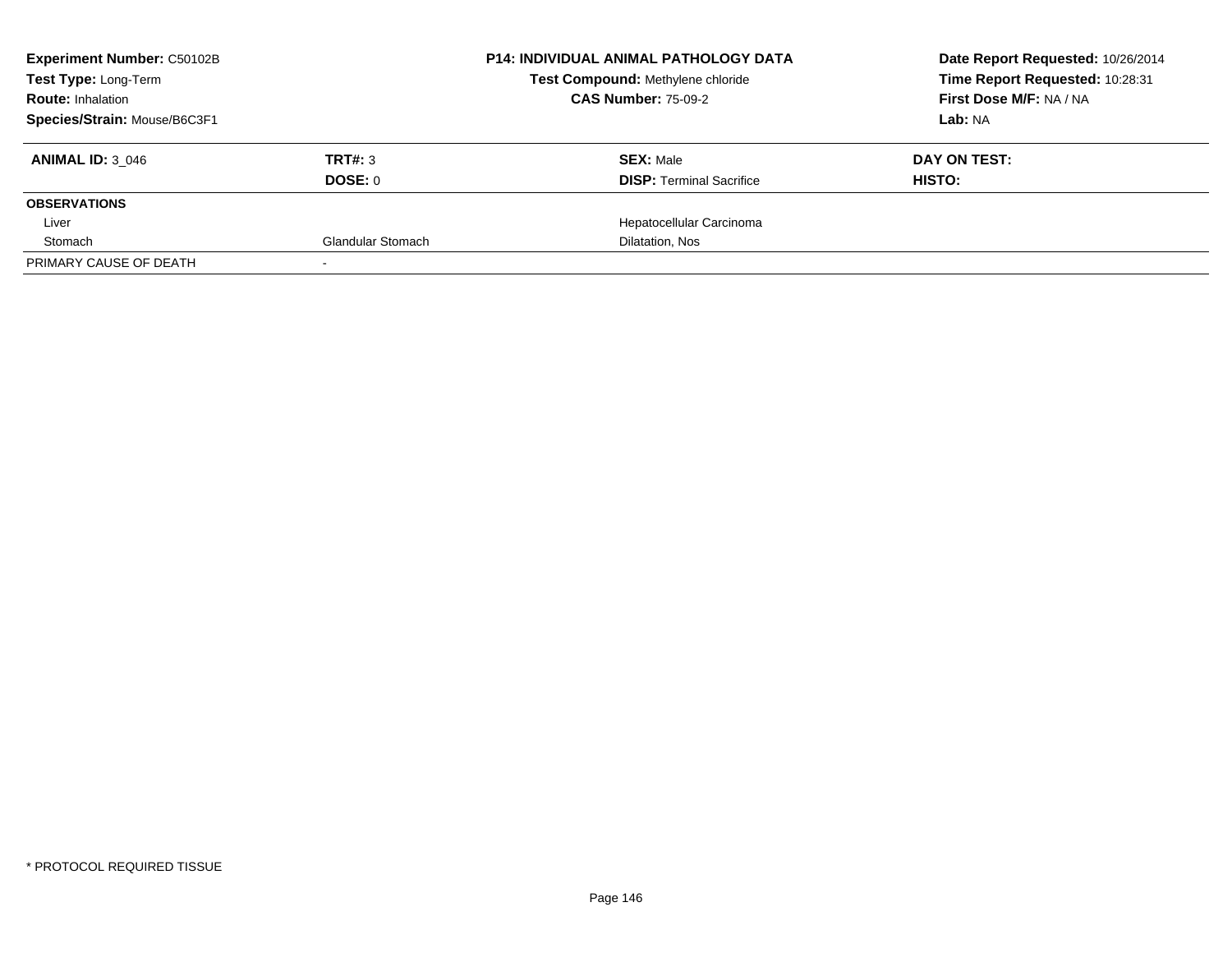| <b>Experiment Number: C50102B</b> | <b>P14: INDIVIDUAL ANIMAL PATHOLOGY DATA</b> | Date Report Requested: 10/26/2014 |                                 |
|-----------------------------------|----------------------------------------------|-----------------------------------|---------------------------------|
| Test Type: Long-Term              |                                              | Test Compound: Methylene chloride | Time Report Requested: 10:28:31 |
| <b>Route: Inhalation</b>          |                                              | <b>CAS Number: 75-09-2</b>        | First Dose M/F: NA / NA         |
| Species/Strain: Mouse/B6C3F1      |                                              |                                   | Lab: NA                         |
| <b>ANIMAL ID: 3 046</b>           | TRT#: 3                                      | <b>SEX: Male</b>                  | DAY ON TEST:                    |
|                                   | DOSE: 0                                      | <b>DISP:</b> Terminal Sacrifice   | HISTO:                          |
| <b>OBSERVATIONS</b>               |                                              |                                   |                                 |
| Liver                             |                                              | Hepatocellular Carcinoma          |                                 |
| Stomach                           | <b>Glandular Stomach</b>                     | Dilatation, Nos                   |                                 |
| PRIMARY CAUSE OF DEATH            |                                              |                                   |                                 |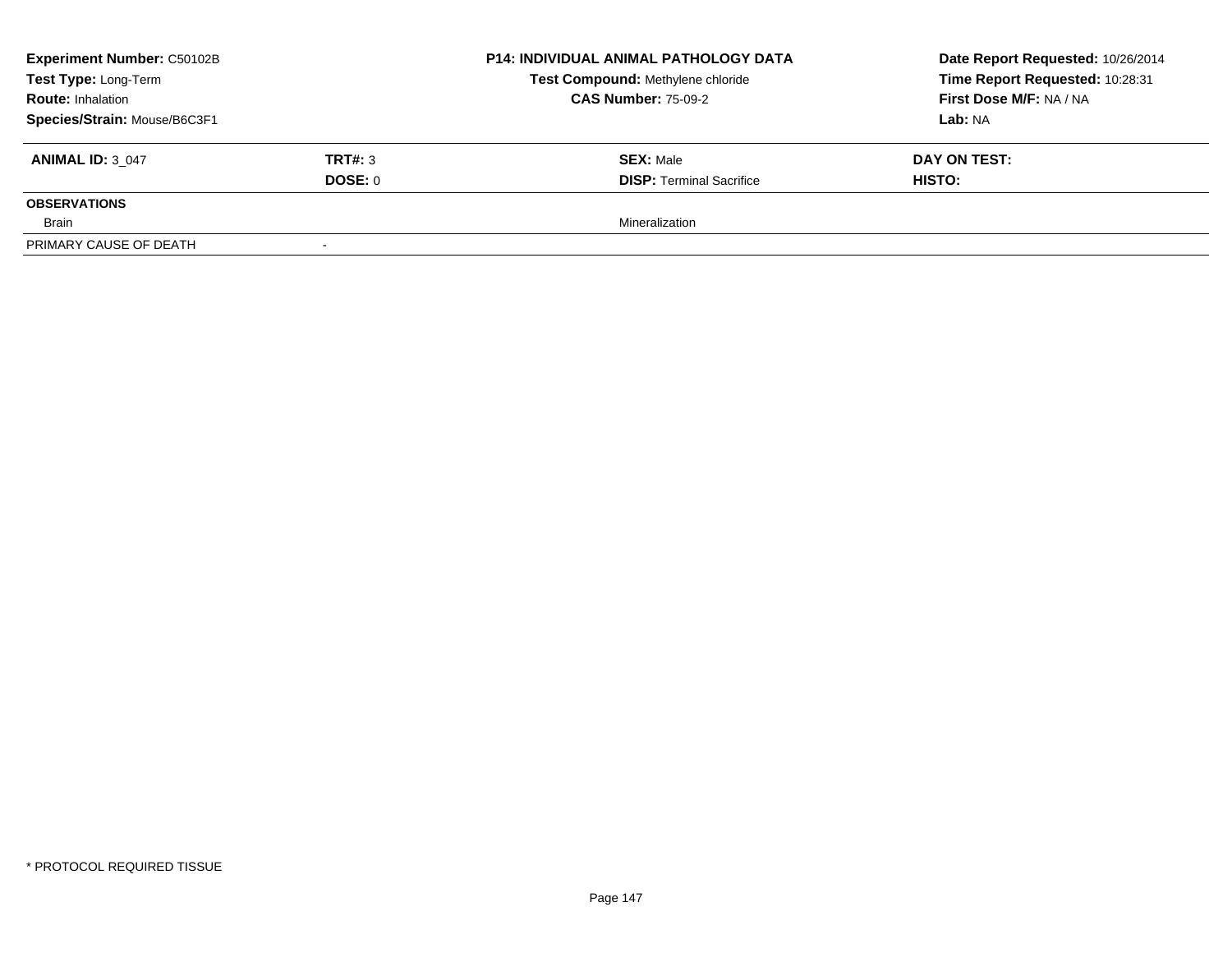| <b>Experiment Number: C50102B</b> |         | P14: INDIVIDUAL ANIMAL PATHOLOGY DATA<br>Test Compound: Methylene chloride<br><b>CAS Number: 75-09-2</b> | Date Report Requested: 10/26/2014<br>Time Report Requested: 10:28:31<br>First Dose M/F: NA / NA<br>Lab: NA |
|-----------------------------------|---------|----------------------------------------------------------------------------------------------------------|------------------------------------------------------------------------------------------------------------|
| Test Type: Long-Term              |         |                                                                                                          |                                                                                                            |
| <b>Route: Inhalation</b>          |         |                                                                                                          |                                                                                                            |
| Species/Strain: Mouse/B6C3F1      |         |                                                                                                          |                                                                                                            |
| <b>ANIMAL ID: 3 047</b>           | TRT#: 3 | <b>SEX: Male</b>                                                                                         | DAY ON TEST:                                                                                               |
|                                   | DOSE: 0 | <b>DISP: Terminal Sacrifice</b>                                                                          | <b>HISTO:</b>                                                                                              |
| <b>OBSERVATIONS</b>               |         |                                                                                                          |                                                                                                            |
| Brain                             |         | Mineralization                                                                                           |                                                                                                            |
| PRIMARY CAUSE OF DEATH            |         |                                                                                                          |                                                                                                            |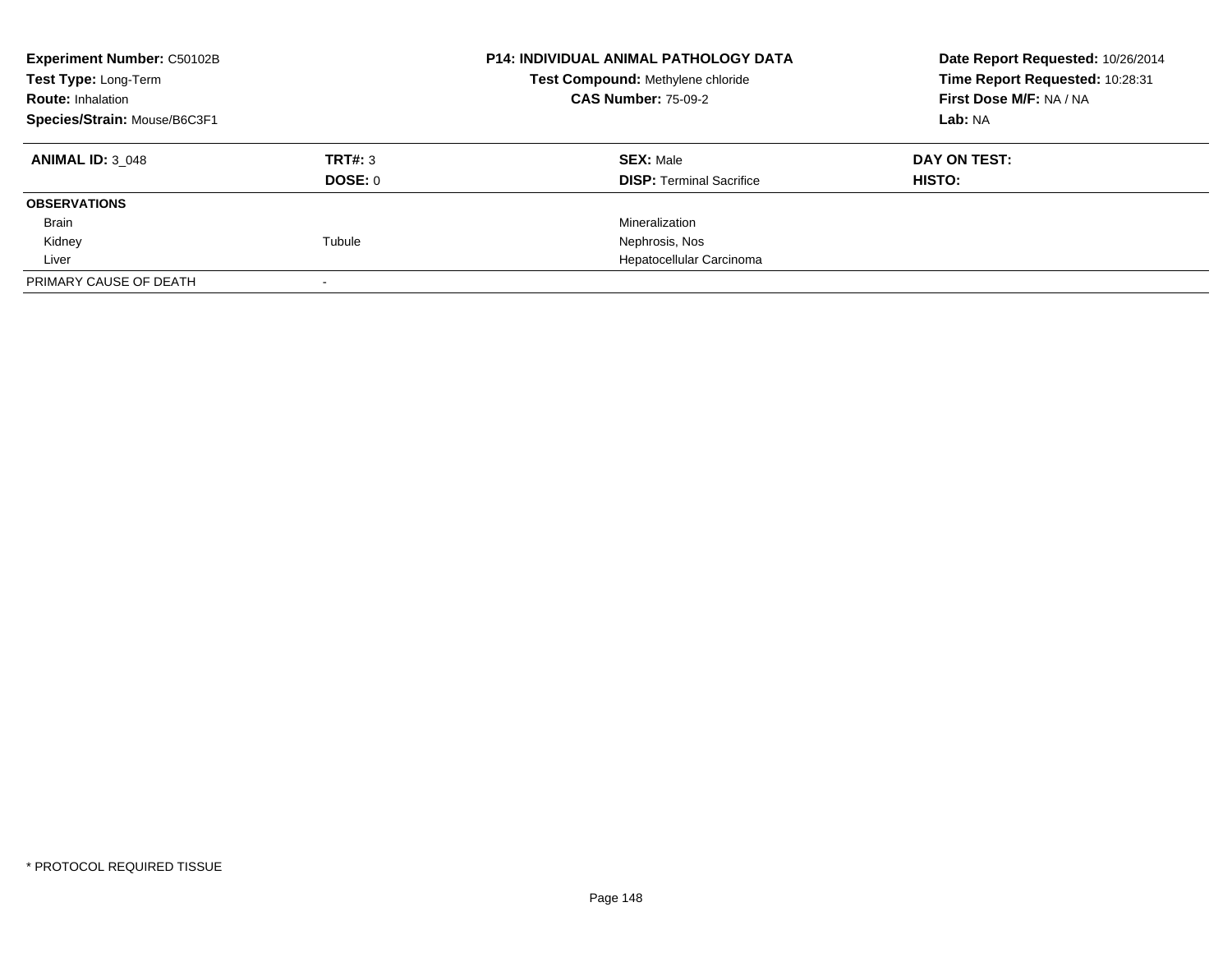| <b>Experiment Number: C50102B</b><br>Test Type: Long-Term<br><b>Route: Inhalation</b><br>Species/Strain: Mouse/B6C3F1 |         | <b>P14: INDIVIDUAL ANIMAL PATHOLOGY DATA</b><br>Test Compound: Methylene chloride<br><b>CAS Number: 75-09-2</b> | Date Report Requested: 10/26/2014<br>Time Report Requested: 10:28:31<br>First Dose M/F: NA / NA<br>Lab: NA |
|-----------------------------------------------------------------------------------------------------------------------|---------|-----------------------------------------------------------------------------------------------------------------|------------------------------------------------------------------------------------------------------------|
|                                                                                                                       |         |                                                                                                                 |                                                                                                            |
| <b>ANIMAL ID: 3 048</b>                                                                                               | TRT#: 3 | <b>SEX: Male</b>                                                                                                | DAY ON TEST:                                                                                               |
|                                                                                                                       | DOSE: 0 | <b>DISP: Terminal Sacrifice</b>                                                                                 | HISTO:                                                                                                     |
| <b>OBSERVATIONS</b>                                                                                                   |         |                                                                                                                 |                                                                                                            |
| Brain                                                                                                                 |         | Mineralization                                                                                                  |                                                                                                            |
| Kidney                                                                                                                | Tubule  | Nephrosis, Nos                                                                                                  |                                                                                                            |
| Liver                                                                                                                 |         | Hepatocellular Carcinoma                                                                                        |                                                                                                            |
| PRIMARY CAUSE OF DEATH                                                                                                |         |                                                                                                                 |                                                                                                            |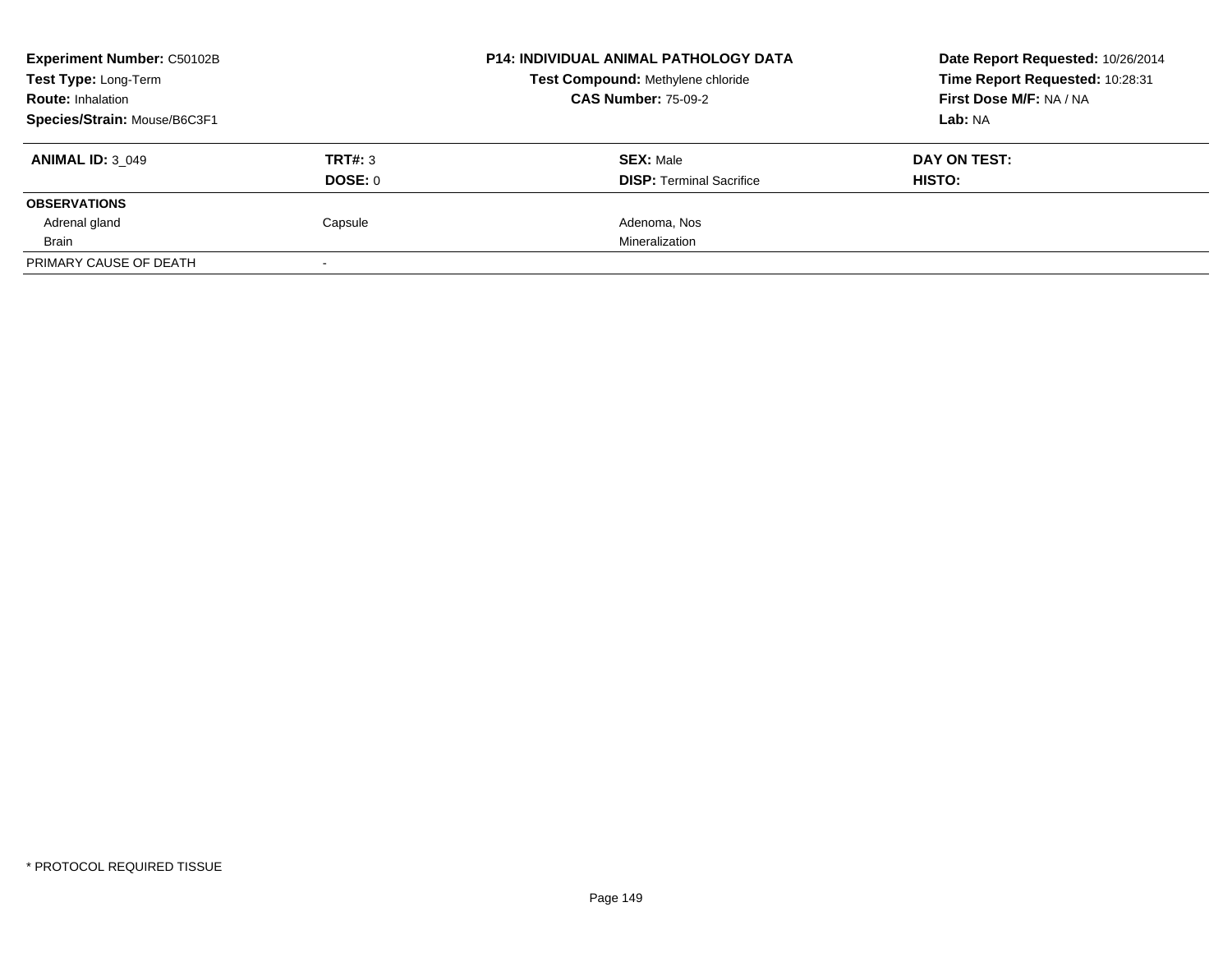| <b>Experiment Number: C50102B</b> |         | <b>P14: INDIVIDUAL ANIMAL PATHOLOGY DATA</b><br>Test Compound: Methylene chloride | Date Report Requested: 10/26/2014<br>Time Report Requested: 10:28:31 |
|-----------------------------------|---------|-----------------------------------------------------------------------------------|----------------------------------------------------------------------|
| Test Type: Long-Term              |         |                                                                                   |                                                                      |
| <b>Route: Inhalation</b>          |         | <b>CAS Number: 75-09-2</b>                                                        | First Dose M/F: NA / NA                                              |
| Species/Strain: Mouse/B6C3F1      |         |                                                                                   | Lab: NA                                                              |
| <b>ANIMAL ID: 3 049</b>           | TRT#: 3 | <b>SEX: Male</b>                                                                  | DAY ON TEST:                                                         |
|                                   | DOSE: 0 | <b>DISP:</b> Terminal Sacrifice                                                   | <b>HISTO:</b>                                                        |
| <b>OBSERVATIONS</b>               |         |                                                                                   |                                                                      |
| Adrenal gland                     | Capsule | Adenoma, Nos                                                                      |                                                                      |
| Brain                             |         | Mineralization                                                                    |                                                                      |
| PRIMARY CAUSE OF DEATH            |         |                                                                                   |                                                                      |